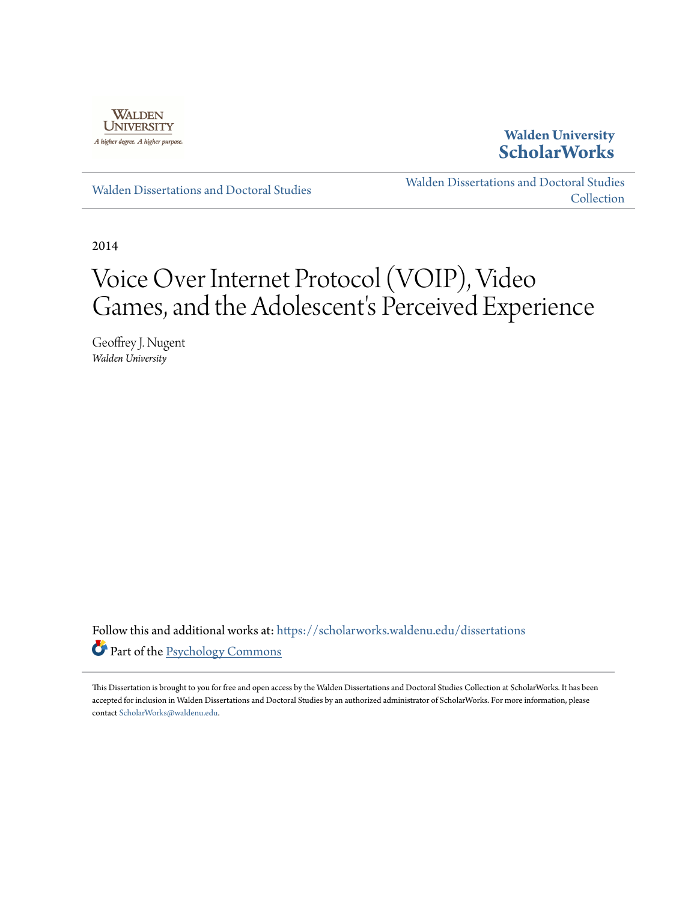

## **Walden University [ScholarWorks](https://scholarworks.waldenu.edu?utm_source=scholarworks.waldenu.edu%2Fdissertations%2F155&utm_medium=PDF&utm_campaign=PDFCoverPages)**

[Walden Dissertations and Doctoral Studies](https://scholarworks.waldenu.edu/dissertations?utm_source=scholarworks.waldenu.edu%2Fdissertations%2F155&utm_medium=PDF&utm_campaign=PDFCoverPages)

[Walden Dissertations and Doctoral Studies](https://scholarworks.waldenu.edu/dissanddoc?utm_source=scholarworks.waldenu.edu%2Fdissertations%2F155&utm_medium=PDF&utm_campaign=PDFCoverPages) **[Collection](https://scholarworks.waldenu.edu/dissanddoc?utm_source=scholarworks.waldenu.edu%2Fdissertations%2F155&utm_medium=PDF&utm_campaign=PDFCoverPages)** 

2014

# Voice Over Internet Protocol (VOIP), Video Games, and the Adolescent's Perceived Experience

Geoffrey J. Nugent *Walden University*

Follow this and additional works at: [https://scholarworks.waldenu.edu/dissertations](https://scholarworks.waldenu.edu/dissertations?utm_source=scholarworks.waldenu.edu%2Fdissertations%2F155&utm_medium=PDF&utm_campaign=PDFCoverPages) Part of the [Psychology Commons](http://network.bepress.com/hgg/discipline/404?utm_source=scholarworks.waldenu.edu%2Fdissertations%2F155&utm_medium=PDF&utm_campaign=PDFCoverPages)

This Dissertation is brought to you for free and open access by the Walden Dissertations and Doctoral Studies Collection at ScholarWorks. It has been accepted for inclusion in Walden Dissertations and Doctoral Studies by an authorized administrator of ScholarWorks. For more information, please contact [ScholarWorks@waldenu.edu](mailto:ScholarWorks@waldenu.edu).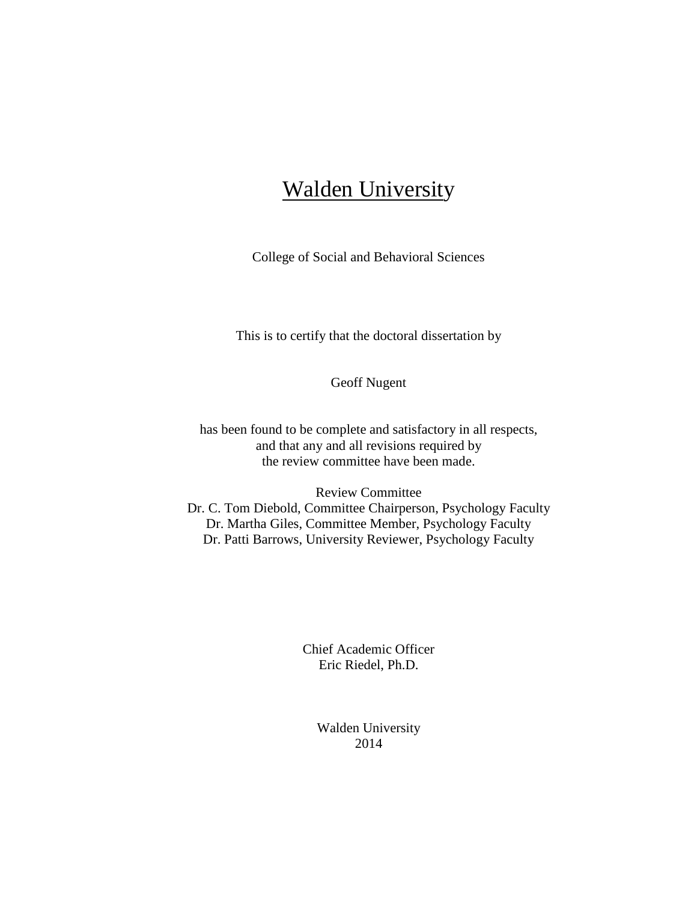## **Walden University**

College of Social and Behavioral Sciences

This is to certify that the doctoral dissertation by

Geoff Nugent

has been found to be complete and satisfactory in all respects, and that any and all revisions required by the review committee have been made.

Review Committee Dr. C. Tom Diebold, Committee Chairperson, Psychology Faculty Dr. Martha Giles, Committee Member, Psychology Faculty Dr. Patti Barrows, University Reviewer, Psychology Faculty

> Chief Academic Officer Eric Riedel, Ph.D.

> > Walden University 2014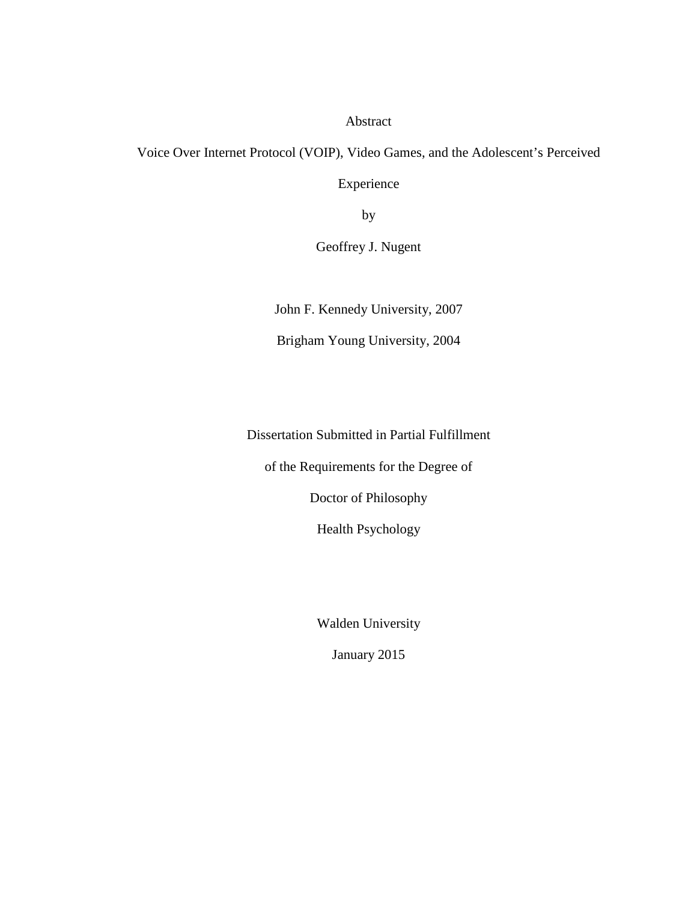Abstract

Voice Over Internet Protocol (VOIP), Video Games, and the Adolescent's Perceived

Experience

by

Geoffrey J. Nugent

John F. Kennedy University, 2007

Brigham Young University, 2004

Dissertation Submitted in Partial Fulfillment

of the Requirements for the Degree of

Doctor of Philosophy

Health Psychology

Walden University

January 2015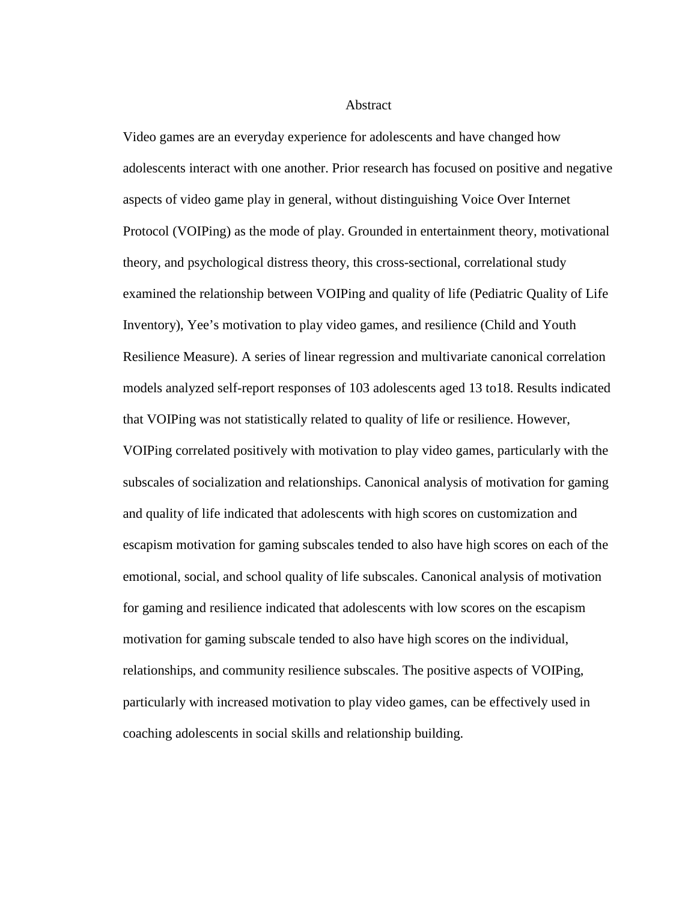Abstract

Video games are an everyday experience for adolescents and have changed how adolescents interact with one another. Prior research has focused on positive and negative aspects of video game play in general, without distinguishing Voice Over Internet Protocol (VOIPing) as the mode of play. Grounded in entertainment theory, motivational theory, and psychological distress theory, this cross-sectional, correlational study examined the relationship between VOIPing and quality of life (Pediatric Quality of Life Inventory), Yee's motivation to play video games, and resilience (Child and Youth Resilience Measure). A series of linear regression and multivariate canonical correlation models analyzed self-report responses of 103 adolescents aged 13 to18. Results indicated that VOIPing was not statistically related to quality of life or resilience. However, VOIPing correlated positively with motivation to play video games, particularly with the subscales of socialization and relationships. Canonical analysis of motivation for gaming and quality of life indicated that adolescents with high scores on customization and escapism motivation for gaming subscales tended to also have high scores on each of the emotional, social, and school quality of life subscales. Canonical analysis of motivation for gaming and resilience indicated that adolescents with low scores on the escapism motivation for gaming subscale tended to also have high scores on the individual, relationships, and community resilience subscales. The positive aspects of VOIPing, particularly with increased motivation to play video games, can be effectively used in coaching adolescents in social skills and relationship building.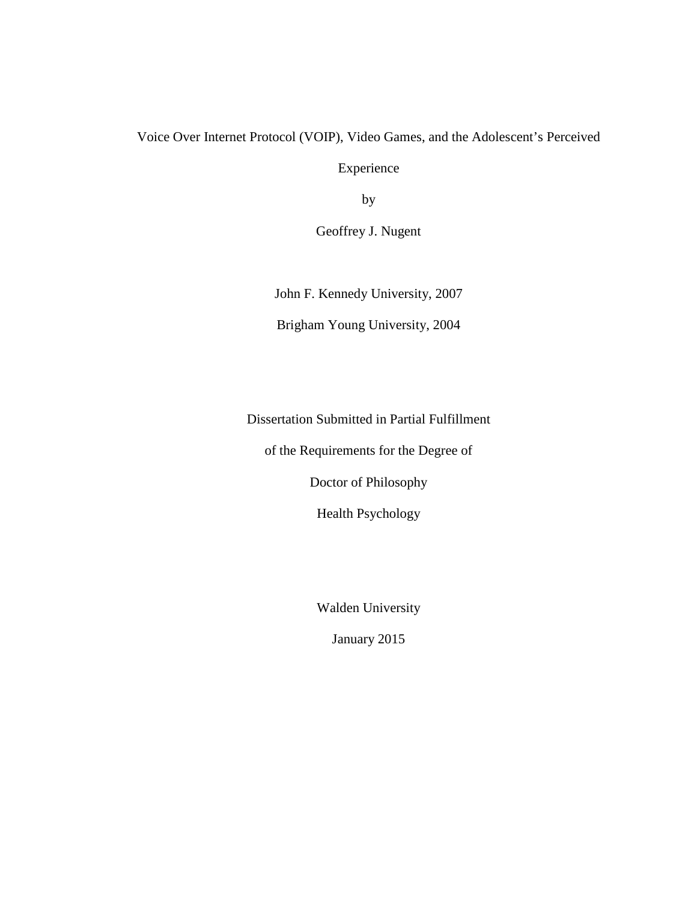### Voice Over Internet Protocol (VOIP), Video Games, and the Adolescent's Perceived

Experience

by

Geoffrey J. Nugent

John F. Kennedy University, 2007

Brigham Young University, 2004

Dissertation Submitted in Partial Fulfillment

of the Requirements for the Degree of

Doctor of Philosophy

Health Psychology

Walden University

January 2015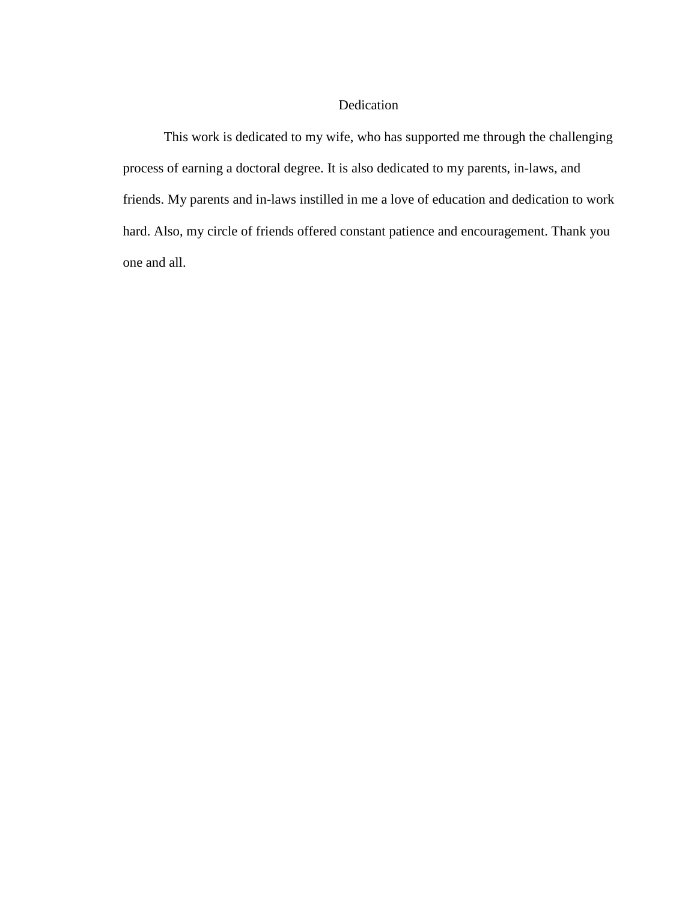#### Dedication

This work is dedicated to my wife, who has supported me through the challenging process of earning a doctoral degree. It is also dedicated to my parents, in-laws, and friends. My parents and in-laws instilled in me a love of education and dedication to work hard. Also, my circle of friends offered constant patience and encouragement. Thank you one and all.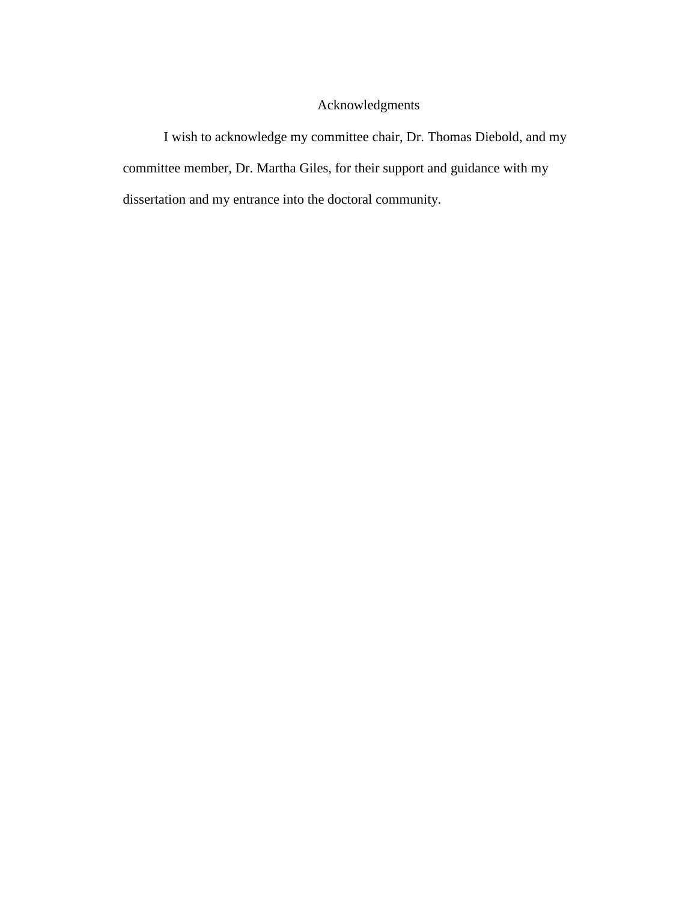## Acknowledgments

I wish to acknowledge my committee chair, Dr. Thomas Diebold, and my committee member, Dr. Martha Giles, for their support and guidance with my dissertation and my entrance into the doctoral community.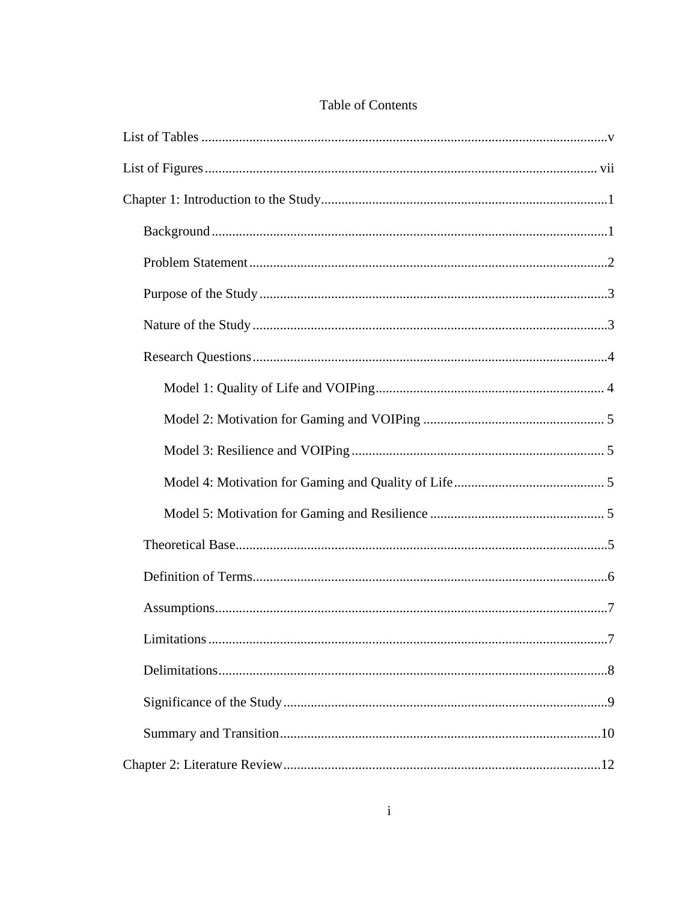| $    -$ |  |  |
|---------|--|--|
|         |  |  |
|         |  |  |
|         |  |  |
|         |  |  |

## Table of Contents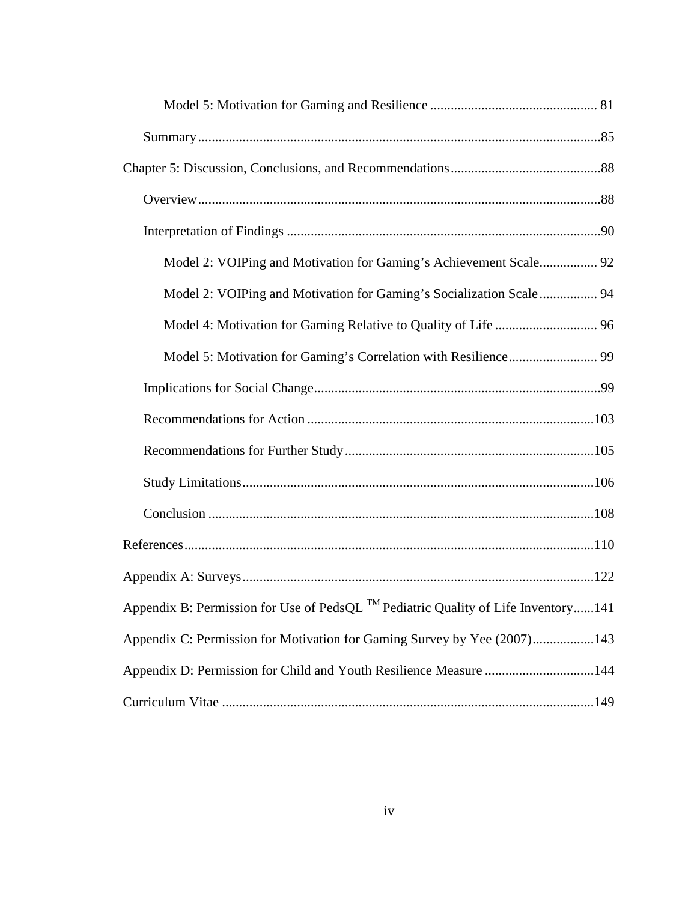| Model 2: VOIPing and Motivation for Gaming's Achievement Scale 92                             |
|-----------------------------------------------------------------------------------------------|
| Model 2: VOIPing and Motivation for Gaming's Socialization Scale  94                          |
|                                                                                               |
|                                                                                               |
|                                                                                               |
|                                                                                               |
|                                                                                               |
|                                                                                               |
|                                                                                               |
|                                                                                               |
|                                                                                               |
| Appendix B: Permission for Use of PedsQL <sup>TM</sup> Pediatric Quality of Life Inventory141 |
| Appendix C: Permission for Motivation for Gaming Survey by Yee (2007)143                      |
| Appendix D: Permission for Child and Youth Resilience Measure 144                             |
|                                                                                               |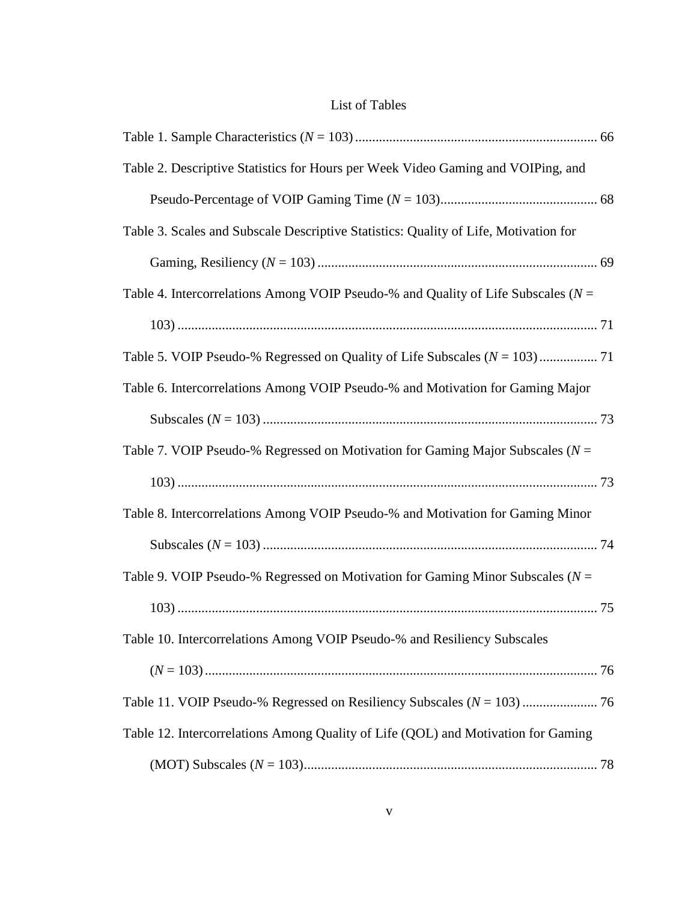## List of Tables

| Table 2. Descriptive Statistics for Hours per Week Video Gaming and VOIPing, and     |  |
|--------------------------------------------------------------------------------------|--|
|                                                                                      |  |
| Table 3. Scales and Subscale Descriptive Statistics: Quality of Life, Motivation for |  |
|                                                                                      |  |
| Table 4. Intercorrelations Among VOIP Pseudo-% and Quality of Life Subscales ( $N =$ |  |
|                                                                                      |  |
|                                                                                      |  |
| Table 6. Intercorrelations Among VOIP Pseudo-% and Motivation for Gaming Major       |  |
|                                                                                      |  |
| Table 7. VOIP Pseudo-% Regressed on Motivation for Gaming Major Subscales ( $N =$    |  |
|                                                                                      |  |
| Table 8. Intercorrelations Among VOIP Pseudo-% and Motivation for Gaming Minor       |  |
|                                                                                      |  |
| Table 9. VOIP Pseudo-% Regressed on Motivation for Gaming Minor Subscales ( $N =$    |  |
|                                                                                      |  |
| Table 10. Intercorrelations Among VOIP Pseudo-% and Resiliency Subscales             |  |
|                                                                                      |  |
|                                                                                      |  |
| Table 12. Intercorrelations Among Quality of Life (QOL) and Motivation for Gaming    |  |
|                                                                                      |  |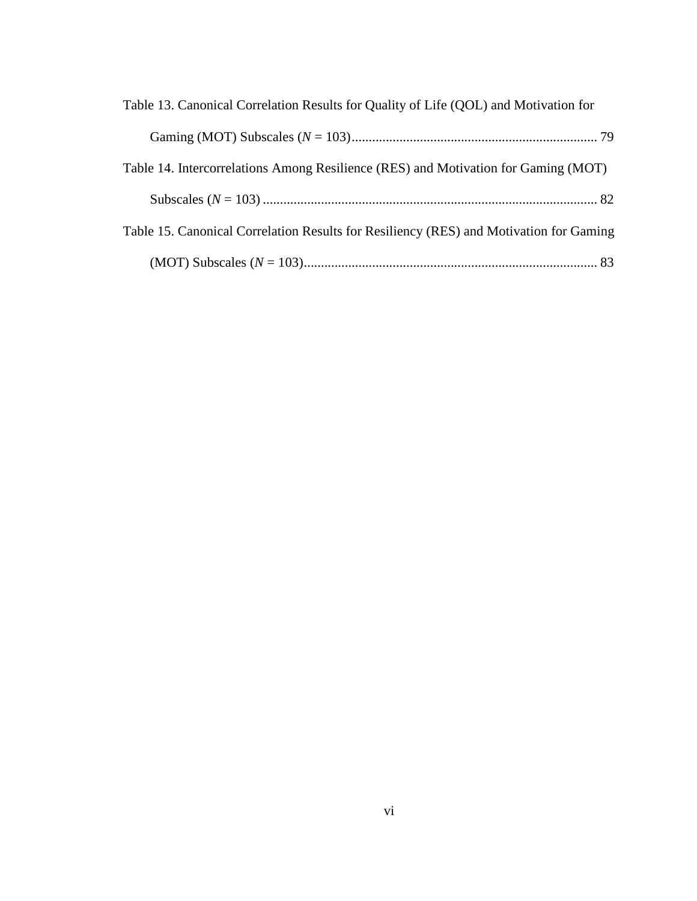| Table 13. Canonical Correlation Results for Quality of Life (QOL) and Motivation for   |  |  |
|----------------------------------------------------------------------------------------|--|--|
|                                                                                        |  |  |
| Table 14. Intercorrelations Among Resilience (RES) and Motivation for Gaming (MOT)     |  |  |
|                                                                                        |  |  |
| Table 15. Canonical Correlation Results for Resiliency (RES) and Motivation for Gaming |  |  |
|                                                                                        |  |  |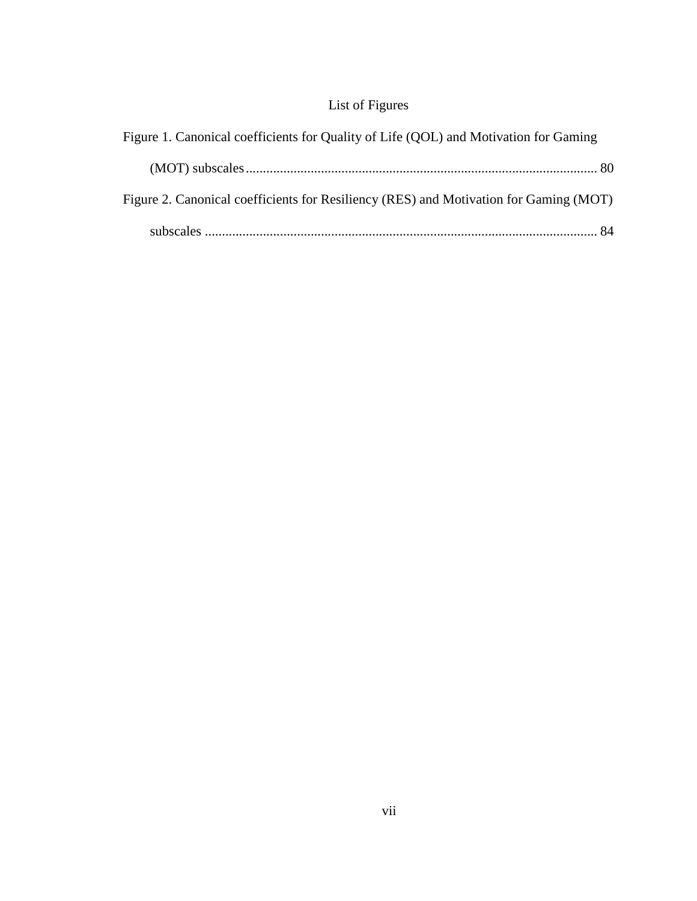## List of Figures

| Figure 1. Canonical coefficients for Quality of Life (QOL) and Motivation for Gaming  |  |  |
|---------------------------------------------------------------------------------------|--|--|
|                                                                                       |  |  |
| Figure 2. Canonical coefficients for Resiliency (RES) and Motivation for Gaming (MOT) |  |  |
|                                                                                       |  |  |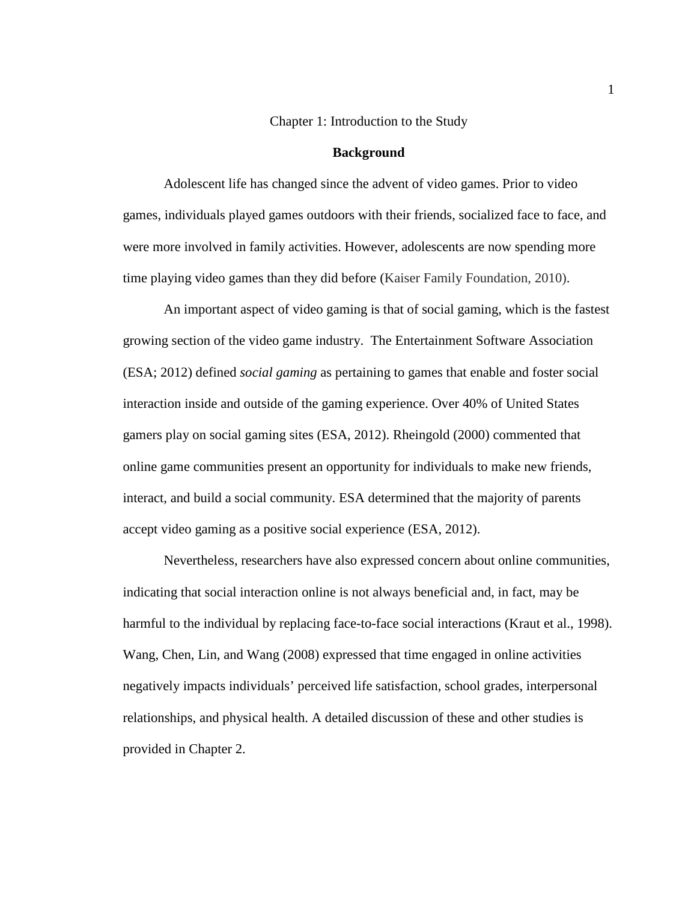#### Chapter 1: Introduction to the Study

#### **Background**

Adolescent life has changed since the advent of video games. Prior to video games, individuals played games outdoors with their friends, socialized face to face, and were more involved in family activities. However, adolescents are now spending more time playing video games than they did before (Kaiser Family Foundation, 2010).

An important aspect of video gaming is that of social gaming, which is the fastest growing section of the video game industry. The Entertainment Software Association (ESA; 2012) defined *social gaming* as pertaining to games that enable and foster social interaction inside and outside of the gaming experience. Over 40% of United States gamers play on social gaming sites (ESA, 2012). Rheingold (2000) commented that online game communities present an opportunity for individuals to make new friends, interact, and build a social community. ESA determined that the majority of parents accept video gaming as a positive social experience (ESA, 2012).

Nevertheless, researchers have also expressed concern about online communities, indicating that social interaction online is not always beneficial and, in fact, may be harmful to the individual by replacing face-to-face social interactions (Kraut et al., 1998). Wang, Chen, Lin, and Wang (2008) expressed that time engaged in online activities negatively impacts individuals' perceived life satisfaction, school grades, interpersonal relationships, and physical health. A detailed discussion of these and other studies is provided in Chapter 2.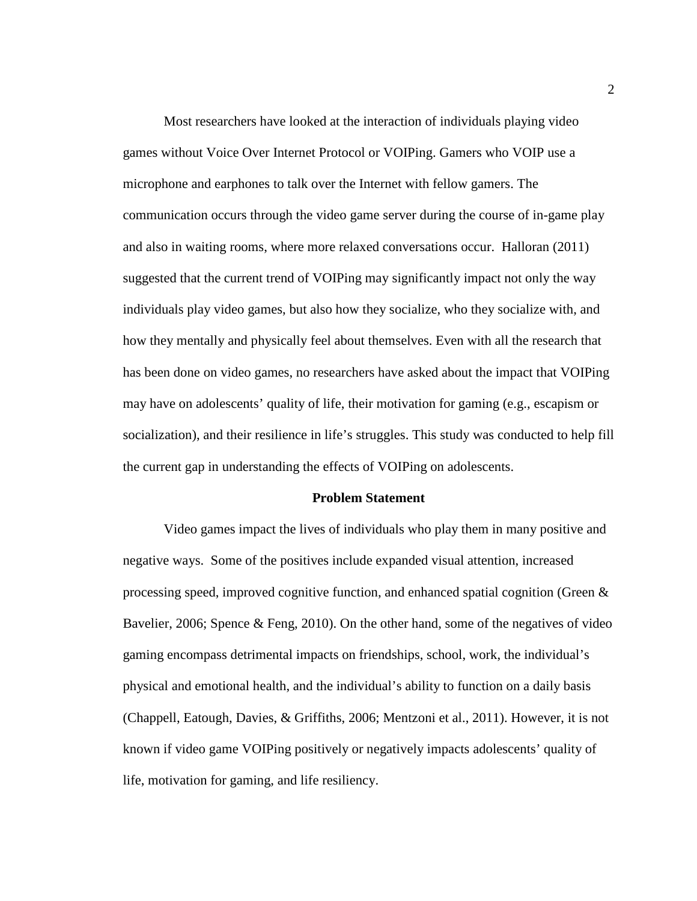Most researchers have looked at the interaction of individuals playing video games without Voice Over Internet Protocol or VOIPing. Gamers who VOIP use a microphone and earphones to talk over the Internet with fellow gamers. The communication occurs through the video game server during the course of in-game play and also in waiting rooms, where more relaxed conversations occur. Halloran (2011) suggested that the current trend of VOIPing may significantly impact not only the way individuals play video games, but also how they socialize, who they socialize with, and how they mentally and physically feel about themselves. Even with all the research that has been done on video games, no researchers have asked about the impact that VOIPing may have on adolescents' quality of life, their motivation for gaming (e.g., escapism or socialization), and their resilience in life's struggles. This study was conducted to help fill the current gap in understanding the effects of VOIPing on adolescents.

#### **Problem Statement**

Video games impact the lives of individuals who play them in many positive and negative ways. Some of the positives include expanded visual attention, increased processing speed, improved cognitive function, and enhanced spatial cognition (Green & Bavelier, 2006; Spence & Feng, 2010). On the other hand, some of the negatives of video gaming encompass detrimental impacts on friendships, school, work, the individual's physical and emotional health, and the individual's ability to function on a daily basis (Chappell, Eatough, Davies, & Griffiths, 2006; Mentzoni et al., 2011). However, it is not known if video game VOIPing positively or negatively impacts adolescents' quality of life, motivation for gaming, and life resiliency.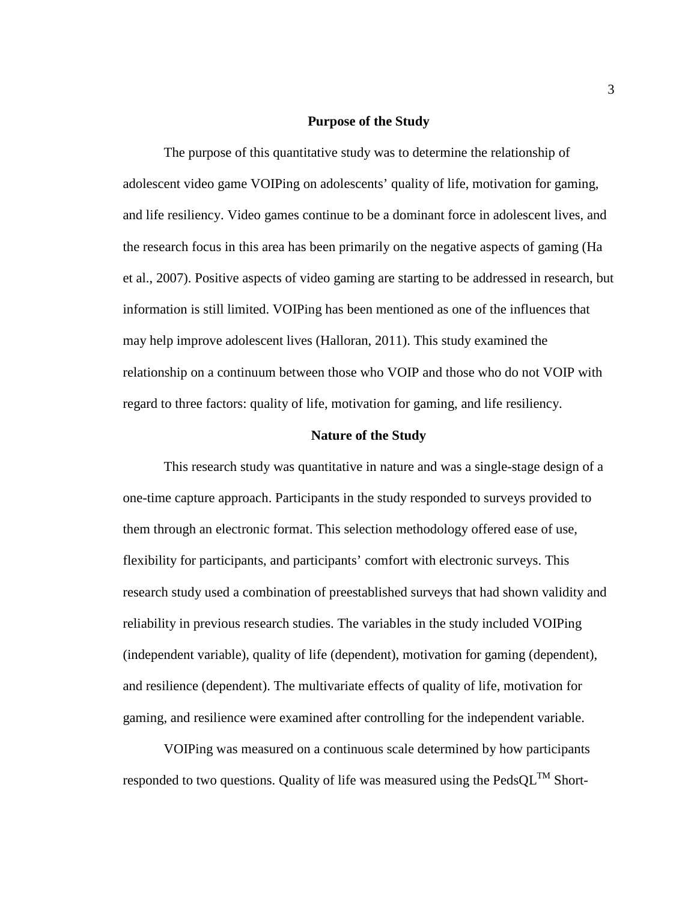#### **Purpose of the Study**

The purpose of this quantitative study was to determine the relationship of adolescent video game VOIPing on adolescents' quality of life, motivation for gaming, and life resiliency. Video games continue to be a dominant force in adolescent lives, and the research focus in this area has been primarily on the negative aspects of gaming (Ha et al., 2007). Positive aspects of video gaming are starting to be addressed in research, but information is still limited. VOIPing has been mentioned as one of the influences that may help improve adolescent lives (Halloran, 2011). This study examined the relationship on a continuum between those who VOIP and those who do not VOIP with regard to three factors: quality of life, motivation for gaming, and life resiliency.

#### **Nature of the Study**

This research study was quantitative in nature and was a single-stage design of a one-time capture approach. Participants in the study responded to surveys provided to them through an electronic format. This selection methodology offered ease of use, flexibility for participants, and participants' comfort with electronic surveys. This research study used a combination of preestablished surveys that had shown validity and reliability in previous research studies. The variables in the study included VOIPing (independent variable), quality of life (dependent), motivation for gaming (dependent), and resilience (dependent). The multivariate effects of quality of life, motivation for gaming, and resilience were examined after controlling for the independent variable.

VOIPing was measured on a continuous scale determined by how participants responded to two questions. Quality of life was measured using the  $\text{PedsQL}^{\text{TM}}$  Short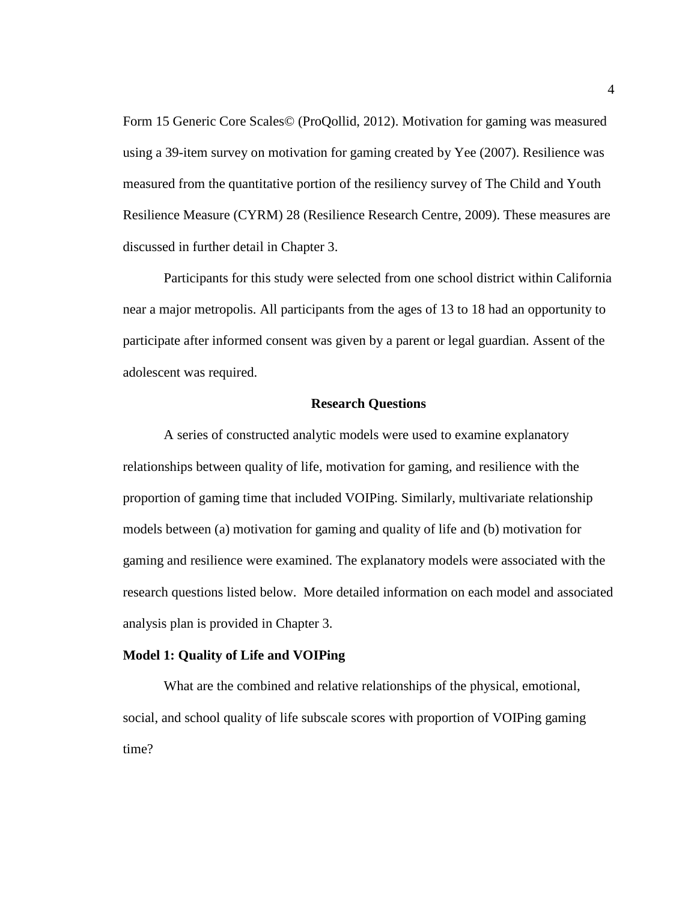Form 15 Generic Core Scales© (ProQollid, 2012). Motivation for gaming was measured using a 39-item survey on motivation for gaming created by Yee (2007). Resilience was measured from the quantitative portion of the resiliency survey of The Child and Youth Resilience Measure (CYRM) 28 (Resilience Research Centre, 2009). These measures are discussed in further detail in Chapter 3.

Participants for this study were selected from one school district within California near a major metropolis. All participants from the ages of 13 to 18 had an opportunity to participate after informed consent was given by a parent or legal guardian. Assent of the adolescent was required.

#### **Research Questions**

A series of constructed analytic models were used to examine explanatory relationships between quality of life, motivation for gaming, and resilience with the proportion of gaming time that included VOIPing. Similarly, multivariate relationship models between (a) motivation for gaming and quality of life and (b) motivation for gaming and resilience were examined. The explanatory models were associated with the research questions listed below. More detailed information on each model and associated analysis plan is provided in Chapter 3.

#### **Model 1: Quality of Life and VOIPing**

What are the combined and relative relationships of the physical, emotional, social, and school quality of life subscale scores with proportion of VOIPing gaming time?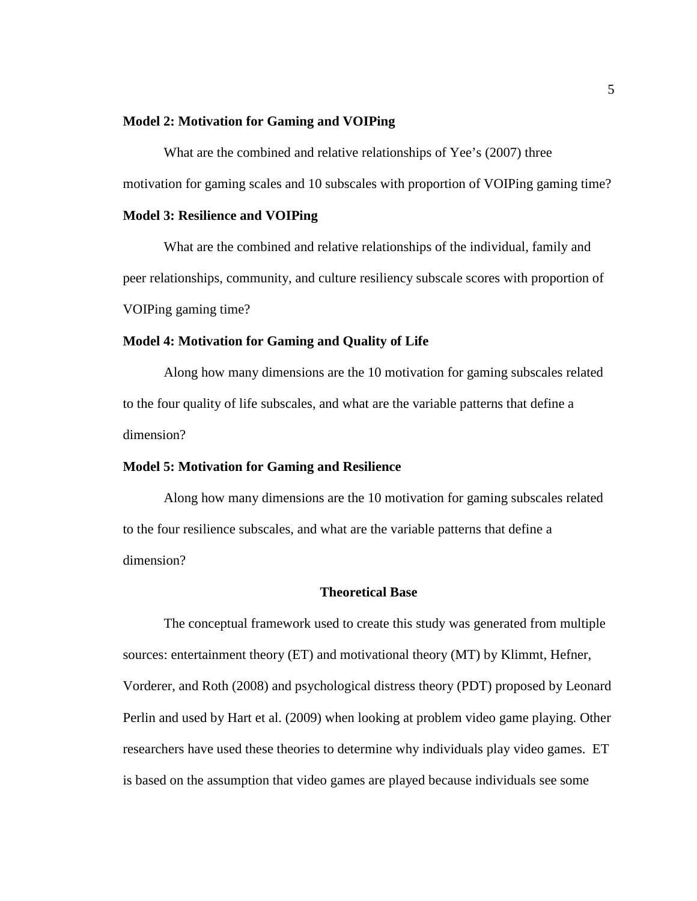#### **Model 2: Motivation for Gaming and VOIPing**

What are the combined and relative relationships of Yee's (2007) three motivation for gaming scales and 10 subscales with proportion of VOIPing gaming time?

#### **Model 3: Resilience and VOIPing**

What are the combined and relative relationships of the individual, family and peer relationships, community, and culture resiliency subscale scores with proportion of VOIPing gaming time?

#### **Model 4: Motivation for Gaming and Quality of Life**

Along how many dimensions are the 10 motivation for gaming subscales related to the four quality of life subscales, and what are the variable patterns that define a dimension?

#### **Model 5: Motivation for Gaming and Resilience**

Along how many dimensions are the 10 motivation for gaming subscales related to the four resilience subscales, and what are the variable patterns that define a dimension?

#### **Theoretical Base**

The conceptual framework used to create this study was generated from multiple sources: entertainment theory (ET) and motivational theory (MT) by Klimmt, Hefner, Vorderer, and Roth (2008) and psychological distress theory (PDT) proposed by Leonard Perlin and used by Hart et al. (2009) when looking at problem video game playing. Other researchers have used these theories to determine why individuals play video games. ET is based on the assumption that video games are played because individuals see some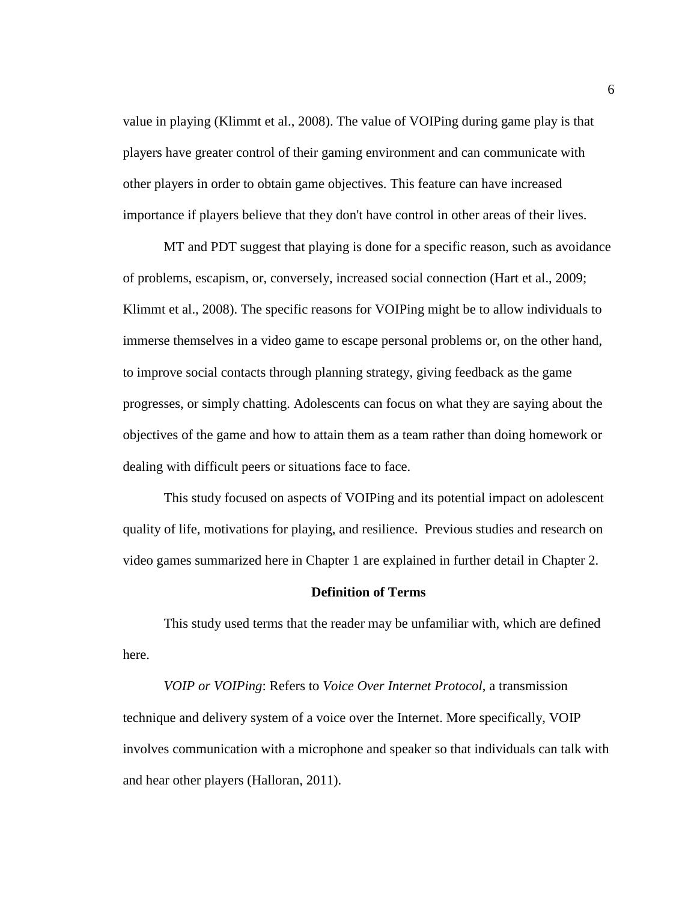value in playing (Klimmt et al., 2008). The value of VOIPing during game play is that players have greater control of their gaming environment and can communicate with other players in order to obtain game objectives. This feature can have increased importance if players believe that they don't have control in other areas of their lives.

MT and PDT suggest that playing is done for a specific reason, such as avoidance of problems, escapism, or, conversely, increased social connection (Hart et al., 2009; Klimmt et al., 2008). The specific reasons for VOIPing might be to allow individuals to immerse themselves in a video game to escape personal problems or, on the other hand, to improve social contacts through planning strategy, giving feedback as the game progresses, or simply chatting. Adolescents can focus on what they are saying about the objectives of the game and how to attain them as a team rather than doing homework or dealing with difficult peers or situations face to face.

This study focused on aspects of VOIPing and its potential impact on adolescent quality of life, motivations for playing, and resilience. Previous studies and research on video games summarized here in Chapter 1 are explained in further detail in Chapter 2.

#### **Definition of Terms**

This study used terms that the reader may be unfamiliar with, which are defined here.

*VOIP or VOIPing*: Refers to *Voice Over Internet Protocol*, a transmission technique and delivery system of a voice over the Internet. More specifically, VOIP involves communication with a microphone and speaker so that individuals can talk with and hear other players (Halloran, 2011).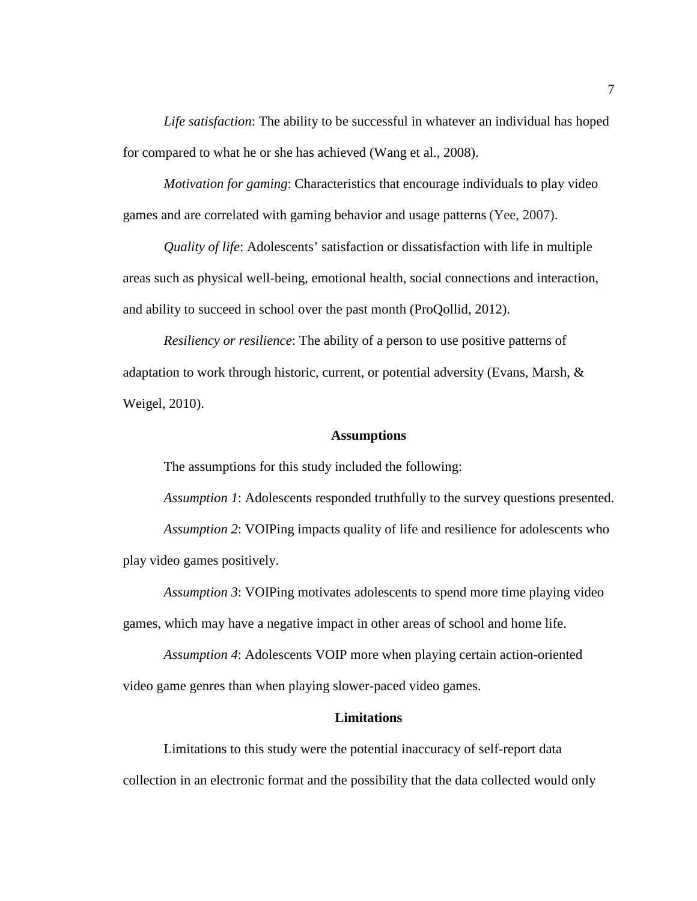*Life satisfaction*: The ability to be successful in whatever an individual has hoped for compared to what he or she has achieved (Wang et al., 2008).

*Motivation for gaming*: Characteristics that encourage individuals to play video games and are correlated with gaming behavior and usage patterns (Yee, 2007).

*Quality of life*: Adolescents' satisfaction or dissatisfaction with life in multiple areas such as physical well-being, emotional health, social connections and interaction, and ability to succeed in school over the past month (ProQollid, 2012).

*Resiliency or resilience*: The ability of a person to use positive patterns of adaptation to work through historic, current, or potential adversity (Evans, Marsh,  $\&$ Weigel, 2010).

#### **Assumptions**

The assumptions for this study included the following:

*Assumption 1*: Adolescents responded truthfully to the survey questions presented. *Assumption 2*: VOIPing impacts quality of life and resilience for adolescents who

play video games positively.

*Assumption 3*: VOIPing motivates adolescents to spend more time playing video games, which may have a negative impact in other areas of school and home life.

*Assumption 4*: Adolescents VOIP more when playing certain action-oriented video game genres than when playing slower-paced video games.

#### **Limitations**

Limitations to this study were the potential inaccuracy of self-report data collection in an electronic format and the possibility that the data collected would only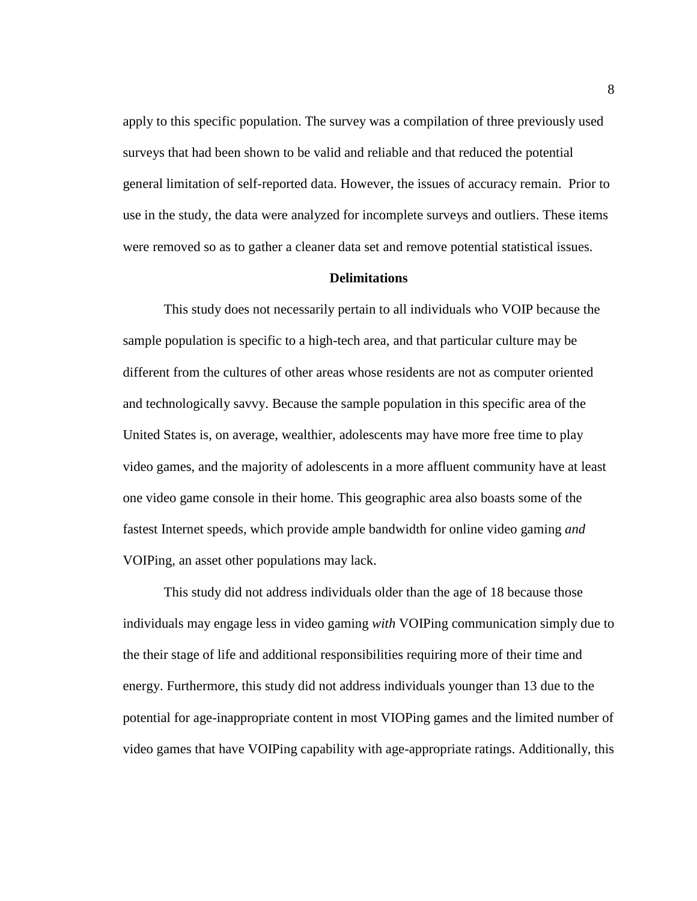apply to this specific population. The survey was a compilation of three previously used surveys that had been shown to be valid and reliable and that reduced the potential general limitation of self-reported data. However, the issues of accuracy remain. Prior to use in the study, the data were analyzed for incomplete surveys and outliers. These items were removed so as to gather a cleaner data set and remove potential statistical issues.

#### **Delimitations**

This study does not necessarily pertain to all individuals who VOIP because the sample population is specific to a high-tech area, and that particular culture may be different from the cultures of other areas whose residents are not as computer oriented and technologically savvy. Because the sample population in this specific area of the United States is, on average, wealthier, adolescents may have more free time to play video games, and the majority of adolescents in a more affluent community have at least one video game console in their home. This geographic area also boasts some of the fastest Internet speeds, which provide ample bandwidth for online video gaming *and* VOIPing, an asset other populations may lack.

This study did not address individuals older than the age of 18 because those individuals may engage less in video gaming *with* VOIPing communication simply due to the their stage of life and additional responsibilities requiring more of their time and energy. Furthermore, this study did not address individuals younger than 13 due to the potential for age-inappropriate content in most VIOPing games and the limited number of video games that have VOIPing capability with age-appropriate ratings. Additionally, this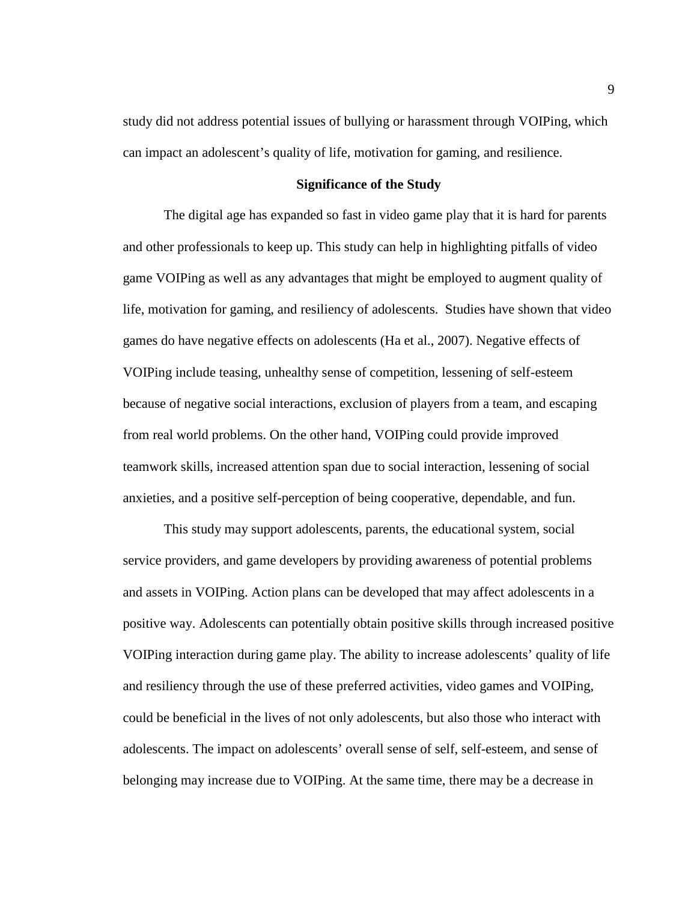study did not address potential issues of bullying or harassment through VOIPing, which can impact an adolescent's quality of life, motivation for gaming, and resilience.

#### **Significance of the Study**

The digital age has expanded so fast in video game play that it is hard for parents and other professionals to keep up. This study can help in highlighting pitfalls of video game VOIPing as well as any advantages that might be employed to augment quality of life, motivation for gaming, and resiliency of adolescents. Studies have shown that video games do have negative effects on adolescents (Ha et al., 2007). Negative effects of VOIPing include teasing, unhealthy sense of competition, lessening of self-esteem because of negative social interactions, exclusion of players from a team, and escaping from real world problems. On the other hand, VOIPing could provide improved teamwork skills, increased attention span due to social interaction, lessening of social anxieties, and a positive self-perception of being cooperative, dependable, and fun.

This study may support adolescents, parents, the educational system, social service providers, and game developers by providing awareness of potential problems and assets in VOIPing. Action plans can be developed that may affect adolescents in a positive way. Adolescents can potentially obtain positive skills through increased positive VOIPing interaction during game play. The ability to increase adolescents' quality of life and resiliency through the use of these preferred activities, video games and VOIPing, could be beneficial in the lives of not only adolescents, but also those who interact with adolescents. The impact on adolescents' overall sense of self, self-esteem, and sense of belonging may increase due to VOIPing. At the same time, there may be a decrease in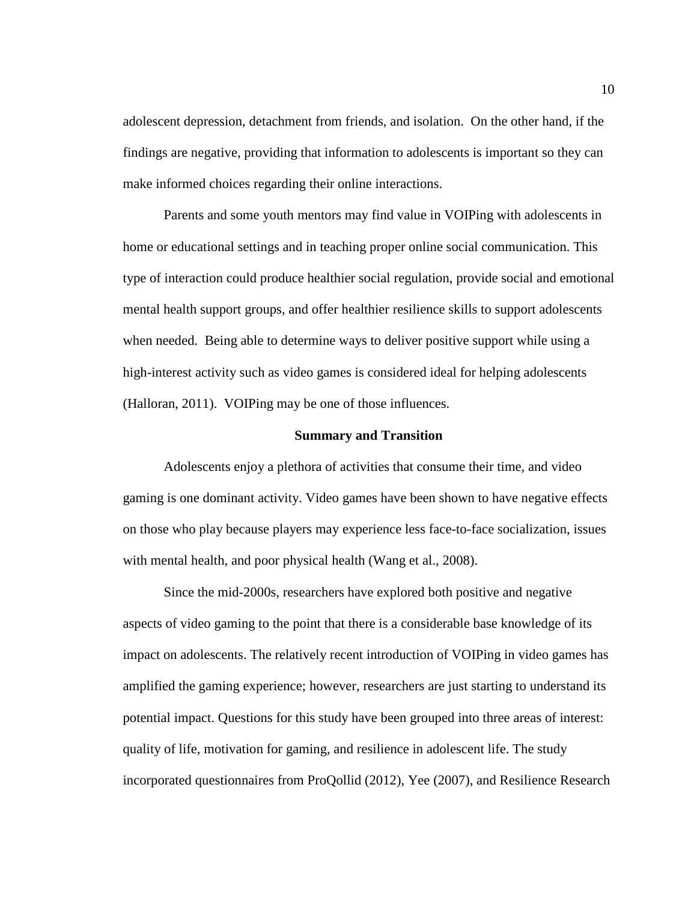adolescent depression, detachment from friends, and isolation. On the other hand, if the findings are negative, providing that information to adolescents is important so they can make informed choices regarding their online interactions.

Parents and some youth mentors may find value in VOIPing with adolescents in home or educational settings and in teaching proper online social communication. This type of interaction could produce healthier social regulation, provide social and emotional mental health support groups, and offer healthier resilience skills to support adolescents when needed. Being able to determine ways to deliver positive support while using a high-interest activity such as video games is considered ideal for helping adolescents (Halloran, 2011). VOIPing may be one of those influences.

#### **Summary and Transition**

Adolescents enjoy a plethora of activities that consume their time, and video gaming is one dominant activity. Video games have been shown to have negative effects on those who play because players may experience less face-to-face socialization, issues with mental health, and poor physical health (Wang et al., 2008).

Since the mid-2000s, researchers have explored both positive and negative aspects of video gaming to the point that there is a considerable base knowledge of its impact on adolescents. The relatively recent introduction of VOIPing in video games has amplified the gaming experience; however, researchers are just starting to understand its potential impact. Questions for this study have been grouped into three areas of interest: quality of life, motivation for gaming, and resilience in adolescent life. The study incorporated questionnaires from ProQollid (2012), Yee (2007), and Resilience Research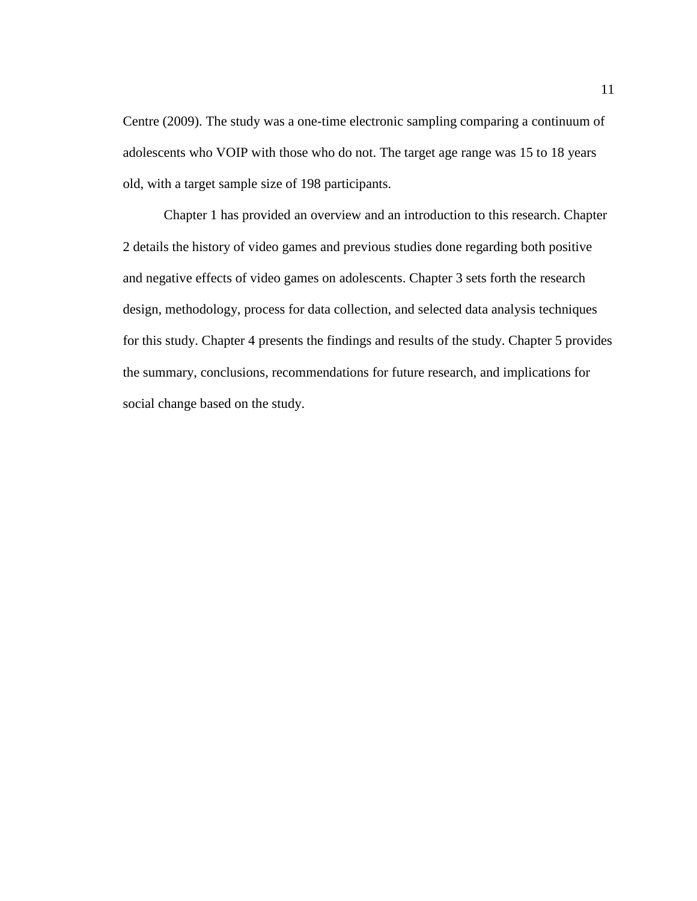Centre (2009). The study was a one-time electronic sampling comparing a continuum of adolescents who VOIP with those who do not. The target age range was 15 to 18 years old, with a target sample size of 198 participants.

Chapter 1 has provided an overview and an introduction to this research. Chapter 2 details the history of video games and previous studies done regarding both positive and negative effects of video games on adolescents. Chapter 3 sets forth the research design, methodology, process for data collection, and selected data analysis techniques for this study. Chapter 4 presents the findings and results of the study. Chapter 5 provides the summary, conclusions, recommendations for future research, and implications for social change based on the study.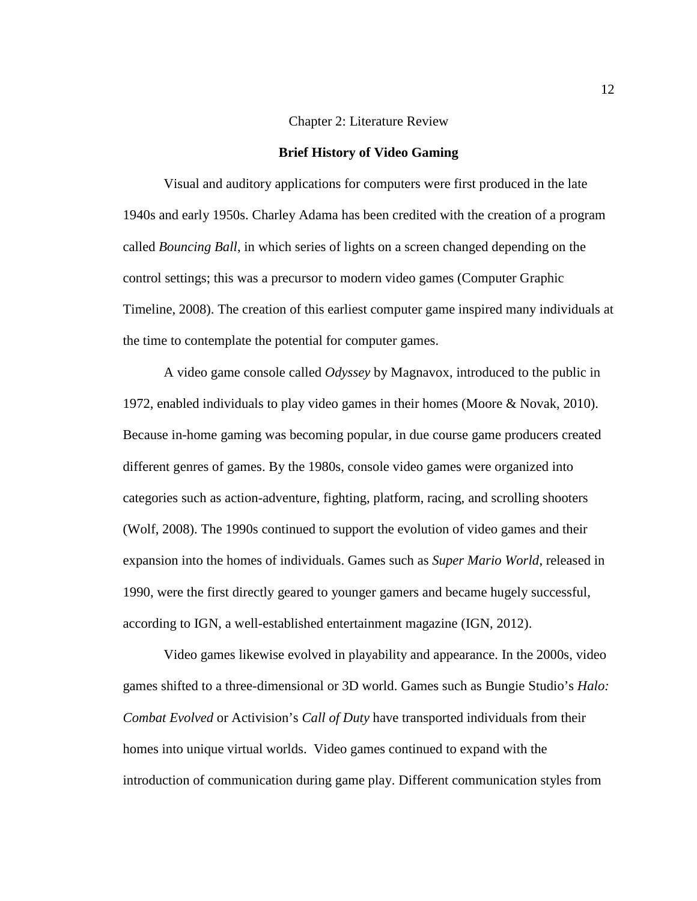#### Chapter 2: Literature Review

#### **Brief History of Video Gaming**

Visual and auditory applications for computers were first produced in the late 1940s and early 1950s. Charley Adama has been credited with the creation of a program called *Bouncing Ball*, in which series of lights on a screen changed depending on the control settings; this was a precursor to modern video games (Computer Graphic Timeline, 2008). The creation of this earliest computer game inspired many individuals at the time to contemplate the potential for computer games.

A video game console called *Odyssey* by Magnavox, introduced to the public in 1972, enabled individuals to play video games in their homes (Moore & Novak, 2010). Because in-home gaming was becoming popular, in due course game producers created different genres of games. By the 1980s, console video games were organized into categories such as action-adventure, fighting, platform, racing, and scrolling shooters (Wolf, 2008). The 1990s continued to support the evolution of video games and their expansion into the homes of individuals. Games such as *Super Mario World*, released in 1990, were the first directly geared to younger gamers and became hugely successful, according to IGN, a well-established entertainment magazine (IGN, 2012).

Video games likewise evolved in playability and appearance. In the 2000s, video games shifted to a three-dimensional or 3D world. Games such as Bungie Studio's *Halo: Combat Evolved* or Activision's *Call of Duty* have transported individuals from their homes into unique virtual worlds. Video games continued to expand with the introduction of communication during game play. Different communication styles from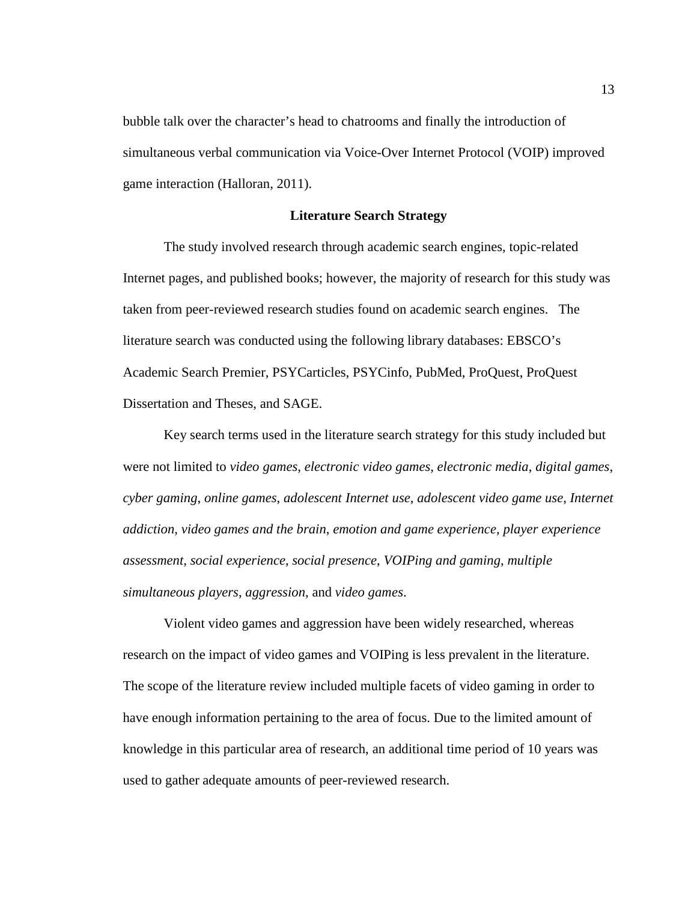bubble talk over the character's head to chatrooms and finally the introduction of simultaneous verbal communication via Voice-Over Internet Protocol (VOIP) improved game interaction (Halloran, 2011).

#### **Literature Search Strategy**

The study involved research through academic search engines, topic-related Internet pages, and published books; however, the majority of research for this study was taken from peer-reviewed research studies found on academic search engines. The literature search was conducted using the following library databases: EBSCO's Academic Search Premier, PSYCarticles, PSYCinfo, PubMed, ProQuest, ProQuest Dissertation and Theses, and SAGE.

Key search terms used in the literature search strategy for this study included but were not limited to *video games*, *electronic video games*, *electronic media*, *digital games*, *cyber gaming*, *online games*, *adolescent Internet use*, *adolescent video game use*, *Internet addiction*, *video games and the brain*, *emotion and game experience*, *player experience assessment*, *social experience*, *social presence*, *VOIPing and gaming*, *multiple simultaneous players*, *aggression*, and *video games*.

Violent video games and aggression have been widely researched, whereas research on the impact of video games and VOIPing is less prevalent in the literature. The scope of the literature review included multiple facets of video gaming in order to have enough information pertaining to the area of focus. Due to the limited amount of knowledge in this particular area of research, an additional time period of 10 years was used to gather adequate amounts of peer-reviewed research.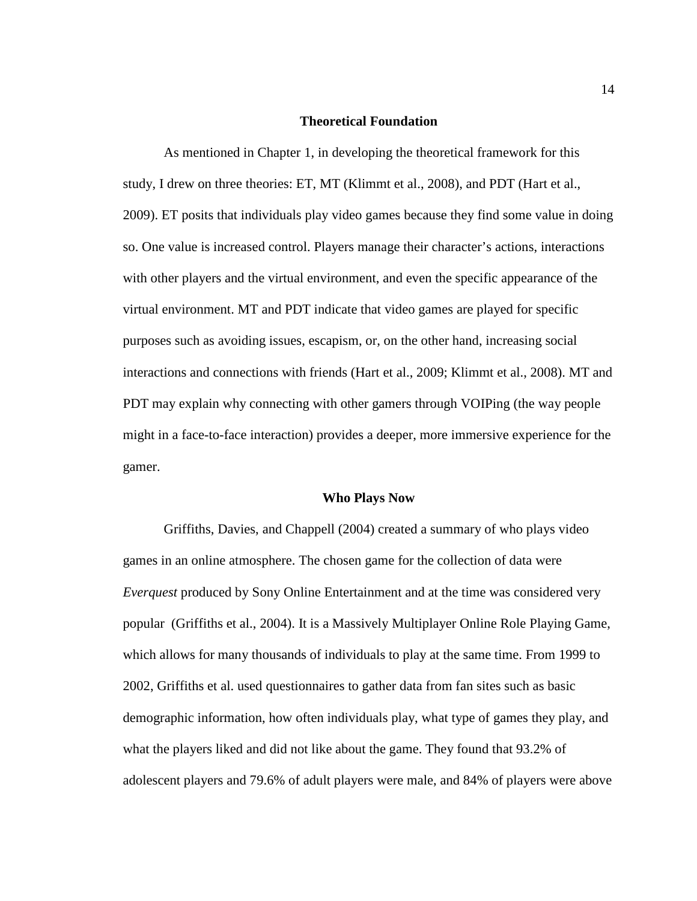#### **Theoretical Foundation**

As mentioned in Chapter 1, in developing the theoretical framework for this study, I drew on three theories: ET, MT (Klimmt et al., 2008), and PDT (Hart et al., 2009). ET posits that individuals play video games because they find some value in doing so. One value is increased control. Players manage their character's actions, interactions with other players and the virtual environment, and even the specific appearance of the virtual environment. MT and PDT indicate that video games are played for specific purposes such as avoiding issues, escapism, or, on the other hand, increasing social interactions and connections with friends (Hart et al., 2009; Klimmt et al., 2008). MT and PDT may explain why connecting with other gamers through VOIPing (the way people might in a face-to-face interaction) provides a deeper, more immersive experience for the gamer.

#### **Who Plays Now**

Griffiths, Davies, and Chappell (2004) created a summary of who plays video games in an online atmosphere. The chosen game for the collection of data were *Everquest* produced by Sony Online Entertainment and at the time was considered very popular (Griffiths et al., 2004). It is a Massively Multiplayer Online Role Playing Game, which allows for many thousands of individuals to play at the same time. From 1999 to 2002, Griffiths et al. used questionnaires to gather data from fan sites such as basic demographic information, how often individuals play, what type of games they play, and what the players liked and did not like about the game. They found that 93.2% of adolescent players and 79.6% of adult players were male, and 84% of players were above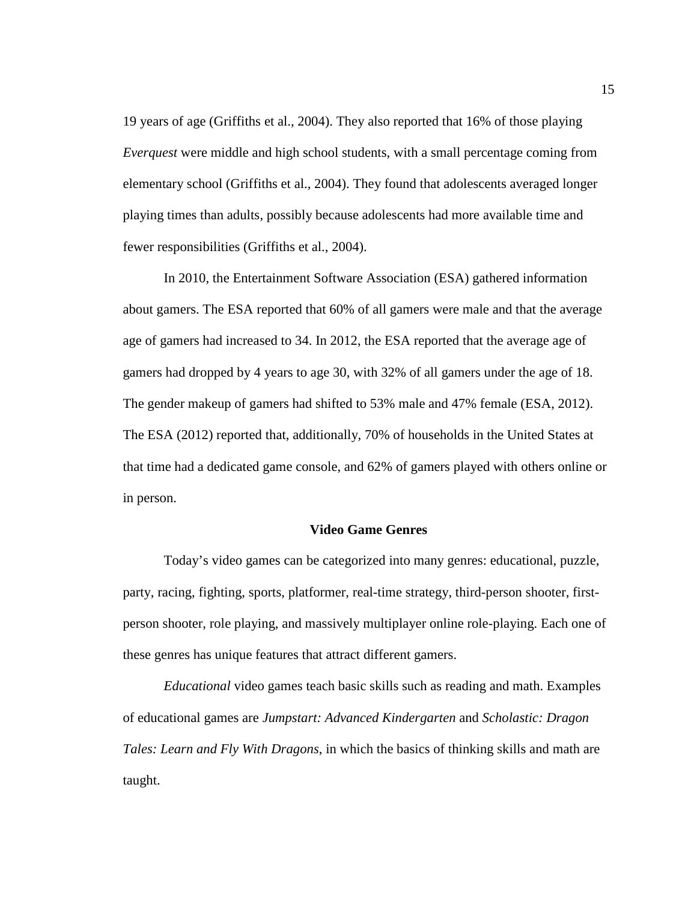19 years of age (Griffiths et al., 2004). They also reported that 16% of those playing *Everquest* were middle and high school students, with a small percentage coming from elementary school (Griffiths et al., 2004). They found that adolescents averaged longer playing times than adults, possibly because adolescents had more available time and fewer responsibilities (Griffiths et al., 2004).

In 2010, the Entertainment Software Association (ESA) gathered information about gamers. The ESA reported that 60% of all gamers were male and that the average age of gamers had increased to 34. In 2012, the ESA reported that the average age of gamers had dropped by 4 years to age 30, with 32% of all gamers under the age of 18. The gender makeup of gamers had shifted to 53% male and 47% female (ESA, 2012). The ESA (2012) reported that, additionally, 70% of households in the United States at that time had a dedicated game console, and 62% of gamers played with others online or in person.

#### **Video Game Genres**

Today's video games can be categorized into many genres: educational, puzzle, party, racing, fighting, sports, platformer, real-time strategy, third-person shooter, firstperson shooter, role playing, and massively multiplayer online role-playing. Each one of these genres has unique features that attract different gamers.

*Educational* video games teach basic skills such as reading and math. Examples of educational games are *Jumpstart: Advanced Kindergarten* and *Scholastic: Dragon Tales: Learn and Fly With Dragons*, in which the basics of thinking skills and math are taught.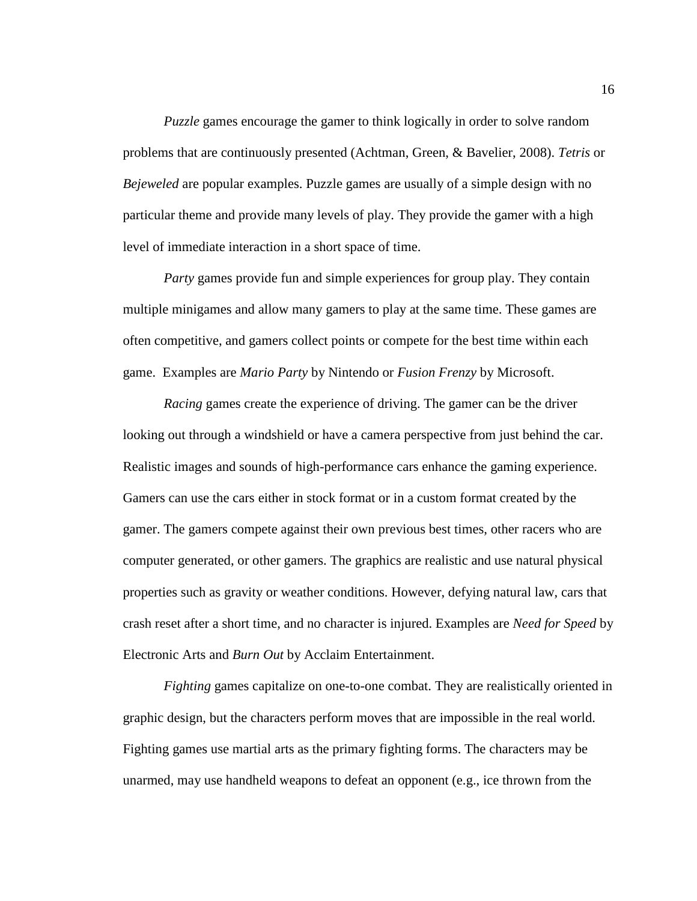*Puzzle* games encourage the gamer to think logically in order to solve random problems that are continuously presented (Achtman, Green, & Bavelier, 2008). *Tetris* or *Bejeweled* are popular examples. Puzzle games are usually of a simple design with no particular theme and provide many levels of play. They provide the gamer with a high level of immediate interaction in a short space of time.

*Party* games provide fun and simple experiences for group play. They contain multiple minigames and allow many gamers to play at the same time. These games are often competitive, and gamers collect points or compete for the best time within each game. Examples are *Mario Party* by Nintendo or *Fusion Frenzy* by Microsoft.

*Racing* games create the experience of driving. The gamer can be the driver looking out through a windshield or have a camera perspective from just behind the car. Realistic images and sounds of high-performance cars enhance the gaming experience. Gamers can use the cars either in stock format or in a custom format created by the gamer. The gamers compete against their own previous best times, other racers who are computer generated, or other gamers. The graphics are realistic and use natural physical properties such as gravity or weather conditions. However, defying natural law, cars that crash reset after a short time, and no character is injured. Examples are *Need for Speed* by Electronic Arts and *Burn Out* by Acclaim Entertainment.

*Fighting* games capitalize on one-to-one combat. They are realistically oriented in graphic design, but the characters perform moves that are impossible in the real world. Fighting games use martial arts as the primary fighting forms. The characters may be unarmed, may use handheld weapons to defeat an opponent (e.g., ice thrown from the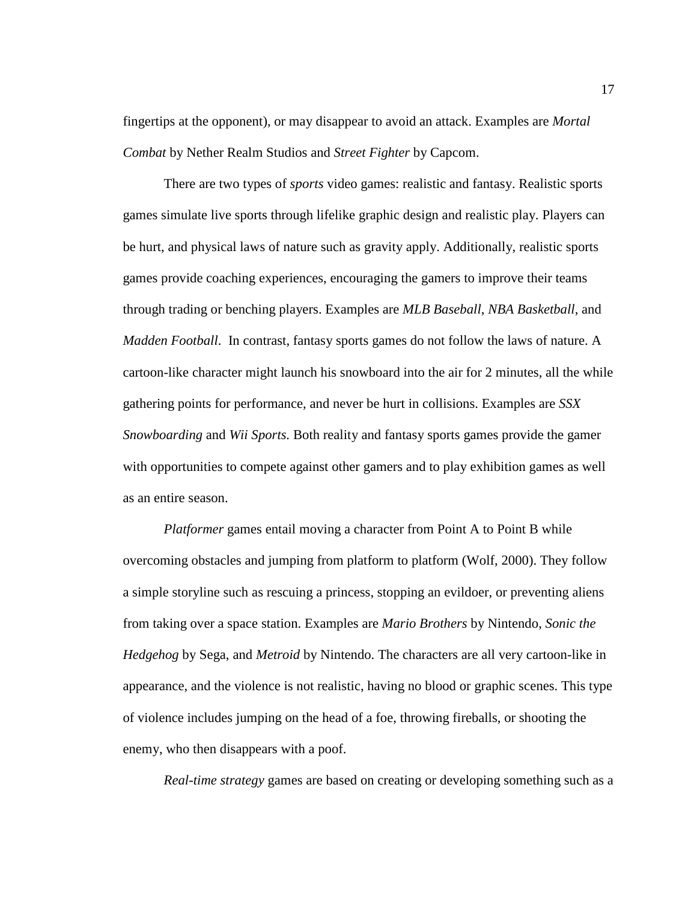fingertips at the opponent), or may disappear to avoid an attack. Examples are *Mortal Combat* by Nether Realm Studios and *Street Fighter* by Capcom.

There are two types of *sports* video games: realistic and fantasy. Realistic sports games simulate live sports through lifelike graphic design and realistic play. Players can be hurt, and physical laws of nature such as gravity apply. Additionally, realistic sports games provide coaching experiences, encouraging the gamers to improve their teams through trading or benching players. Examples are *MLB Baseball*, *NBA Basketball*, and *Madden Football*. In contrast, fantasy sports games do not follow the laws of nature. A cartoon-like character might launch his snowboard into the air for 2 minutes, all the while gathering points for performance, and never be hurt in collisions. Examples are *SSX Snowboarding* and *Wii Sports.* Both reality and fantasy sports games provide the gamer with opportunities to compete against other gamers and to play exhibition games as well as an entire season.

*Platformer* games entail moving a character from Point A to Point B while overcoming obstacles and jumping from platform to platform (Wolf, 2000). They follow a simple storyline such as rescuing a princess, stopping an evildoer, or preventing aliens from taking over a space station. Examples are *Mario Brothers* by Nintendo, *Sonic the Hedgehog* by Sega, and *Metroid* by Nintendo. The characters are all very cartoon-like in appearance, and the violence is not realistic, having no blood or graphic scenes. This type of violence includes jumping on the head of a foe, throwing fireballs, or shooting the enemy, who then disappears with a poof.

*Real-time strategy* games are based on creating or developing something such as a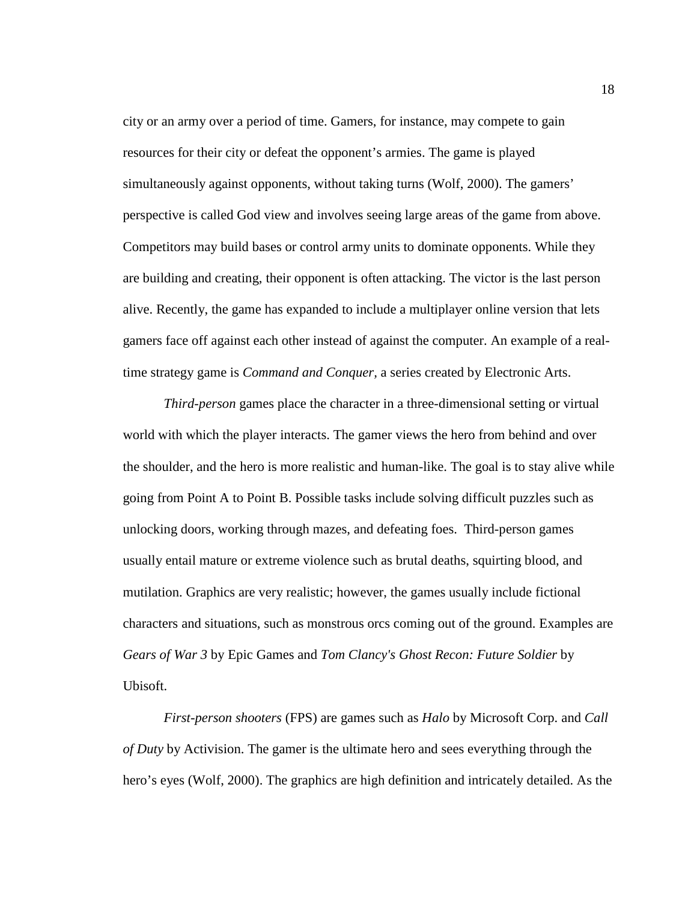city or an army over a period of time. Gamers, for instance, may compete to gain resources for their city or defeat the opponent's armies. The game is played simultaneously against opponents, without taking turns (Wolf, 2000). The gamers' perspective is called God view and involves seeing large areas of the game from above. Competitors may build bases or control army units to dominate opponents. While they are building and creating, their opponent is often attacking. The victor is the last person alive. Recently, the game has expanded to include a multiplayer online version that lets gamers face off against each other instead of against the computer. An example of a realtime strategy game is *Command and Conquer,* a series created by Electronic Arts.

*Third-person* games place the character in a three-dimensional setting or virtual world with which the player interacts. The gamer views the hero from behind and over the shoulder, and the hero is more realistic and human-like. The goal is to stay alive while going from Point A to Point B. Possible tasks include solving difficult puzzles such as unlocking doors, working through mazes, and defeating foes. Third-person games usually entail mature or extreme violence such as brutal deaths, squirting blood, and mutilation. Graphics are very realistic; however, the games usually include fictional characters and situations, such as monstrous orcs coming out of the ground. Examples are *Gears of War 3* by Epic Games and *Tom Clancy's Ghost Recon: Future Soldier* by Ubisoft.

*First-person shooters* (FPS) are games such as *Halo* by Microsoft Corp. and *Call of Duty* by Activision. The gamer is the ultimate hero and sees everything through the hero's eyes (Wolf, 2000). The graphics are high definition and intricately detailed. As the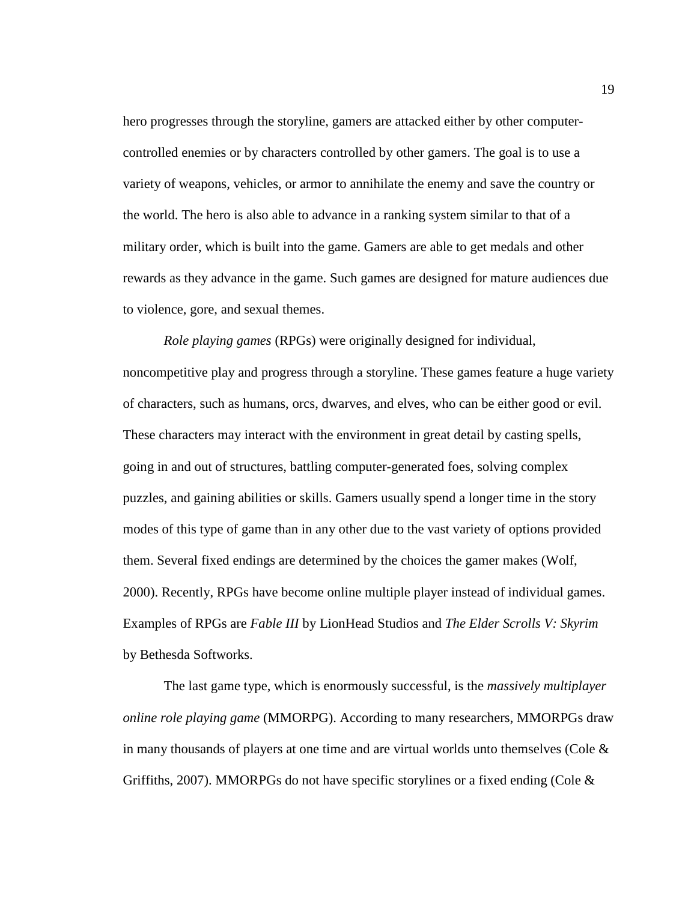hero progresses through the storyline, gamers are attacked either by other computercontrolled enemies or by characters controlled by other gamers. The goal is to use a variety of weapons, vehicles, or armor to annihilate the enemy and save the country or the world. The hero is also able to advance in a ranking system similar to that of a military order, which is built into the game. Gamers are able to get medals and other rewards as they advance in the game. Such games are designed for mature audiences due to violence, gore, and sexual themes.

*Role playing games* (RPGs) were originally designed for individual, noncompetitive play and progress through a storyline. These games feature a huge variety of characters, such as humans, orcs, dwarves, and elves, who can be either good or evil. These characters may interact with the environment in great detail by casting spells, going in and out of structures, battling computer-generated foes, solving complex puzzles, and gaining abilities or skills. Gamers usually spend a longer time in the story modes of this type of game than in any other due to the vast variety of options provided them. Several fixed endings are determined by the choices the gamer makes (Wolf, 2000). Recently, RPGs have become online multiple player instead of individual games. Examples of RPGs are *Fable III* by LionHead Studios and *The Elder Scrolls V: Skyrim* by Bethesda Softworks.

The last game type, which is enormously successful, is the *massively multiplayer online role playing game* (MMORPG). According to many researchers, MMORPGs draw in many thousands of players at one time and are virtual worlds unto themselves (Cole  $\&$ Griffiths, 2007). MMORPGs do not have specific storylines or a fixed ending (Cole  $\&$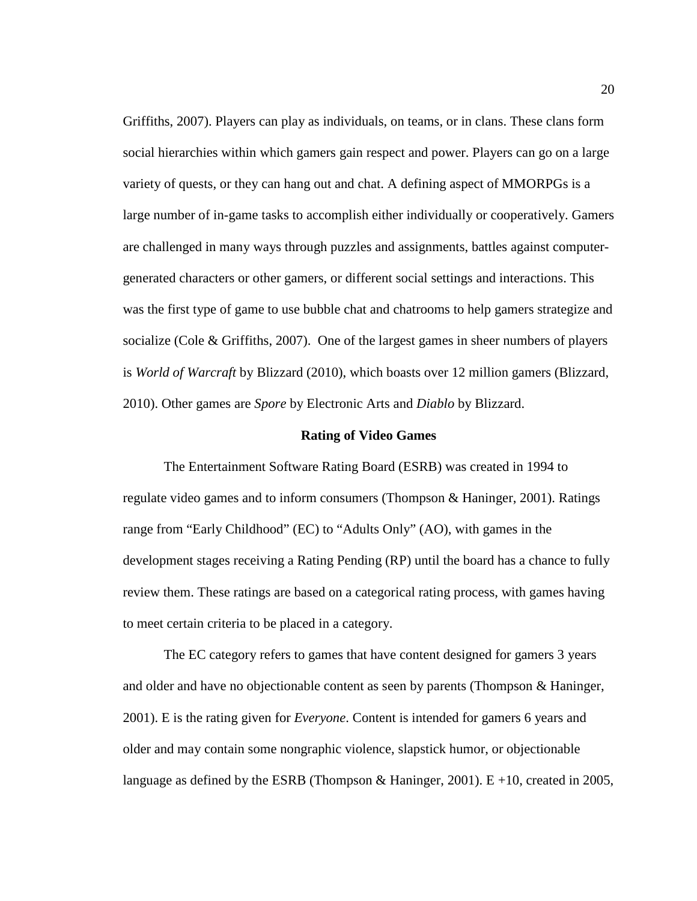Griffiths, 2007). Players can play as individuals, on teams, or in clans. These clans form social hierarchies within which gamers gain respect and power. Players can go on a large variety of quests, or they can hang out and chat. A defining aspect of MMORPGs is a large number of in-game tasks to accomplish either individually or cooperatively. Gamers are challenged in many ways through puzzles and assignments, battles against computergenerated characters or other gamers, or different social settings and interactions. This was the first type of game to use bubble chat and chatrooms to help gamers strategize and socialize (Cole  $\&$  Griffiths, 2007). One of the largest games in sheer numbers of players is *World of Warcraft* by Blizzard (2010), which boasts over 12 million gamers (Blizzard, 2010). Other games are *Spore* by Electronic Arts and *Diablo* by Blizzard.

#### **Rating of Video Games**

The Entertainment Software Rating Board (ESRB) was created in 1994 to regulate video games and to inform consumers (Thompson & Haninger, 2001). Ratings range from "Early Childhood" (EC) to "Adults Only" (AO), with games in the development stages receiving a Rating Pending (RP) until the board has a chance to fully review them. These ratings are based on a categorical rating process, with games having to meet certain criteria to be placed in a category.

The EC category refers to games that have content designed for gamers 3 years and older and have no objectionable content as seen by parents (Thompson & Haninger, 2001). E is the rating given for *Everyone*. Content is intended for gamers 6 years and older and may contain some nongraphic violence, slapstick humor, or objectionable language as defined by the ESRB (Thompson & Haninger, 2001). E +10, created in 2005,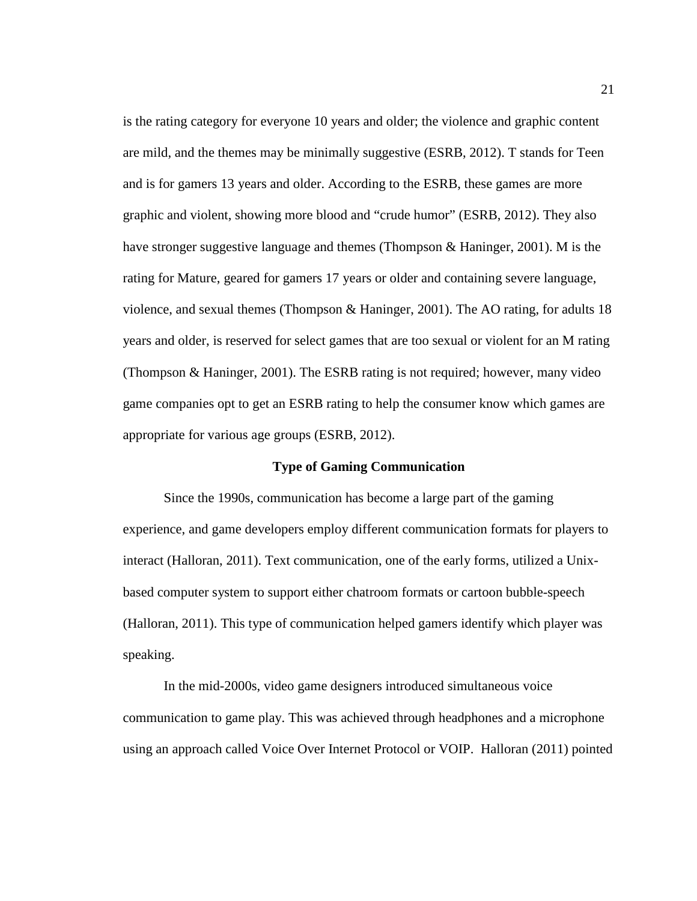is the rating category for everyone 10 years and older; the violence and graphic content are mild, and the themes may be minimally suggestive (ESRB, 2012). T stands for Teen and is for gamers 13 years and older. According to the ESRB, these games are more graphic and violent, showing more blood and "crude humor" (ESRB, 2012). They also have stronger suggestive language and themes (Thompson & Haninger, 2001). M is the rating for Mature, geared for gamers 17 years or older and containing severe language, violence, and sexual themes (Thompson & Haninger, 2001). The AO rating, for adults 18 years and older, is reserved for select games that are too sexual or violent for an M rating (Thompson & Haninger, 2001). The ESRB rating is not required; however, many video game companies opt to get an ESRB rating to help the consumer know which games are appropriate for various age groups (ESRB, 2012).

#### **Type of Gaming Communication**

Since the 1990s, communication has become a large part of the gaming experience, and game developers employ different communication formats for players to interact (Halloran, 2011). Text communication, one of the early forms, utilized a Unixbased computer system to support either chatroom formats or cartoon bubble-speech (Halloran, 2011). This type of communication helped gamers identify which player was speaking.

In the mid-2000s, video game designers introduced simultaneous voice communication to game play. This was achieved through headphones and a microphone using an approach called Voice Over Internet Protocol or VOIP. Halloran (2011) pointed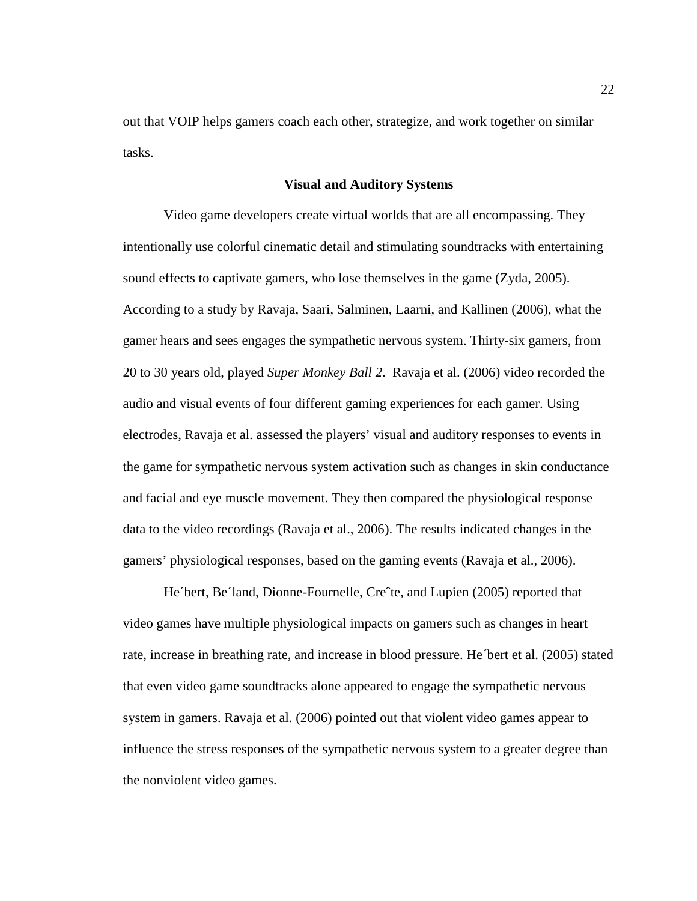out that VOIP helps gamers coach each other, strategize, and work together on similar tasks.

#### **Visual and Auditory Systems**

Video game developers create virtual worlds that are all encompassing. They intentionally use colorful cinematic detail and stimulating soundtracks with entertaining sound effects to captivate gamers, who lose themselves in the game (Zyda, 2005). According to a study by Ravaja, Saari, Salminen, Laarni, and Kallinen (2006), what the gamer hears and sees engages the sympathetic nervous system. Thirty-six gamers, from 20 to 30 years old, played *Super Monkey Ball 2*. Ravaja et al. (2006) video recorded the audio and visual events of four different gaming experiences for each gamer. Using electrodes, Ravaja et al. assessed the players' visual and auditory responses to events in the game for sympathetic nervous system activation such as changes in skin conductance and facial and eye muscle movement. They then compared the physiological response data to the video recordings (Ravaja et al., 2006). The results indicated changes in the gamers' physiological responses, based on the gaming events (Ravaja et al., 2006).

He´bert, Be´land, Dionne-Fournelle, Creˆte, and Lupien (2005) reported that video games have multiple physiological impacts on gamers such as changes in heart rate, increase in breathing rate, and increase in blood pressure. He´bert et al. (2005) stated that even video game soundtracks alone appeared to engage the sympathetic nervous system in gamers. Ravaja et al. (2006) pointed out that violent video games appear to influence the stress responses of the sympathetic nervous system to a greater degree than the nonviolent video games.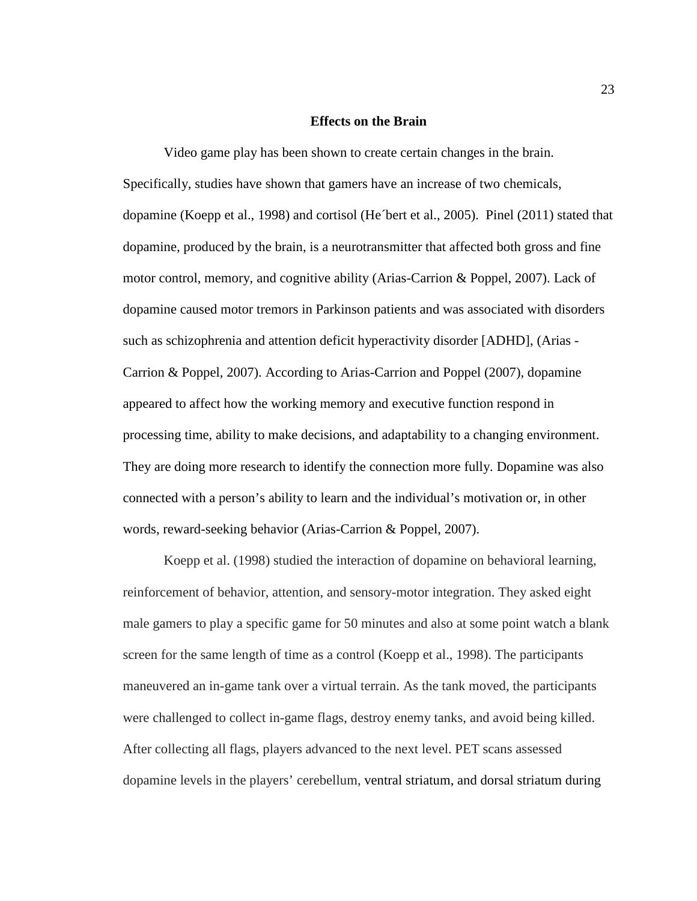### **Effects on the Brain**

Video game play has been shown to create certain changes in the brain. Specifically, studies have shown that gamers have an increase of two chemicals, dopamine (Koepp et al., 1998) and cortisol (He´bert et al., 2005). Pinel (2011) stated that dopamine, produced by the brain, is a neurotransmitter that affected both gross and fine motor control, memory, and cognitive ability (Arias-Carrion & Poppel, 2007). Lack of dopamine caused motor tremors in Parkinson patients and was associated with disorders such as schizophrenia and attention deficit hyperactivity disorder [ADHD], (Arias - Carrion & Poppel, 2007). According to Arias-Carrion and Poppel (2007), dopamine appeared to affect how the working memory and executive function respond in processing time, ability to make decisions, and adaptability to a changing environment. They are doing more research to identify the connection more fully. Dopamine was also connected with a person's ability to learn and the individual's motivation or, in other words, reward-seeking behavior (Arias-Carrion & Poppel, 2007).

Koepp et al. (1998) studied the interaction of dopamine on behavioral learning, reinforcement of behavior, attention, and sensory-motor integration. They asked eight male gamers to play a specific game for 50 minutes and also at some point watch a blank screen for the same length of time as a control (Koepp et al., 1998). The participants maneuvered an in-game tank over a virtual terrain. As the tank moved, the participants were challenged to collect in-game flags, destroy enemy tanks, and avoid being killed. After collecting all flags, players advanced to the next level. PET scans assessed dopamine levels in the players' cerebellum, ventral striatum, and dorsal striatum during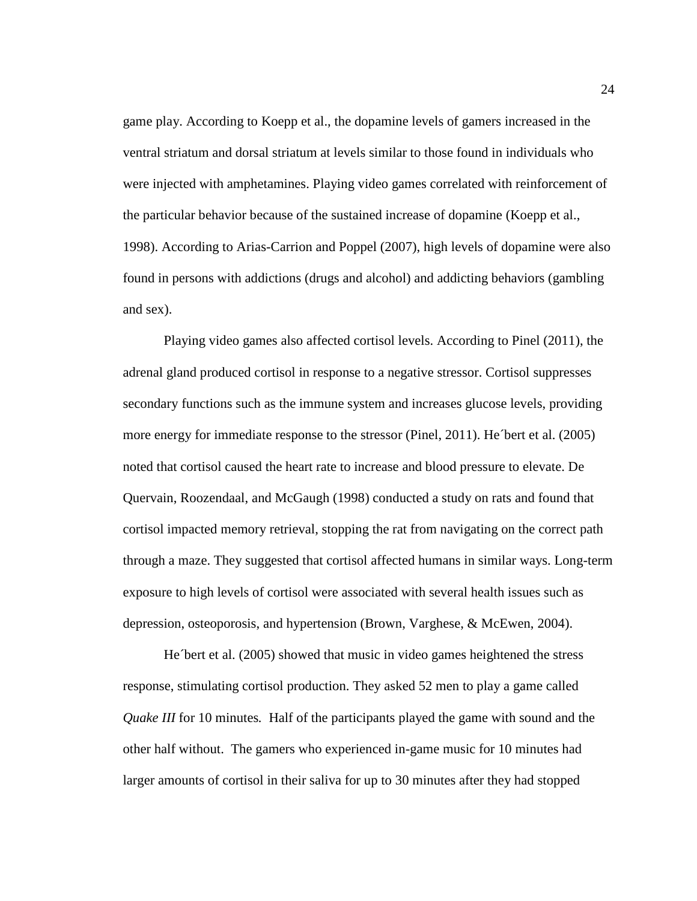game play. According to Koepp et al., the dopamine levels of gamers increased in the ventral striatum and dorsal striatum at levels similar to those found in individuals who were injected with amphetamines. Playing video games correlated with reinforcement of the particular behavior because of the sustained increase of dopamine (Koepp et al., 1998). According to Arias-Carrion and Poppel (2007), high levels of dopamine were also found in persons with addictions (drugs and alcohol) and addicting behaviors (gambling and sex).

Playing video games also affected cortisol levels. According to Pinel (2011), the adrenal gland produced cortisol in response to a negative stressor. Cortisol suppresses secondary functions such as the immune system and increases glucose levels, providing more energy for immediate response to the stressor (Pinel, 2011). He´bert et al. (2005) noted that cortisol caused the heart rate to increase and blood pressure to elevate. De Quervain, Roozendaal, and McGaugh (1998) conducted a study on rats and found that cortisol impacted memory retrieval, stopping the rat from navigating on the correct path through a maze. They suggested that cortisol affected humans in similar ways. Long-term exposure to high levels of cortisol were associated with several health issues such as depression, osteoporosis, and hypertension (Brown, Varghese, & McEwen, 2004).

He´bert et al. (2005) showed that music in video games heightened the stress response, stimulating cortisol production. They asked 52 men to play a game called *Quake III* for 10 minutes*.* Half of the participants played the game with sound and the other half without.The gamers who experienced in-game music for 10 minutes had larger amounts of cortisol in their saliva for up to 30 minutes after they had stopped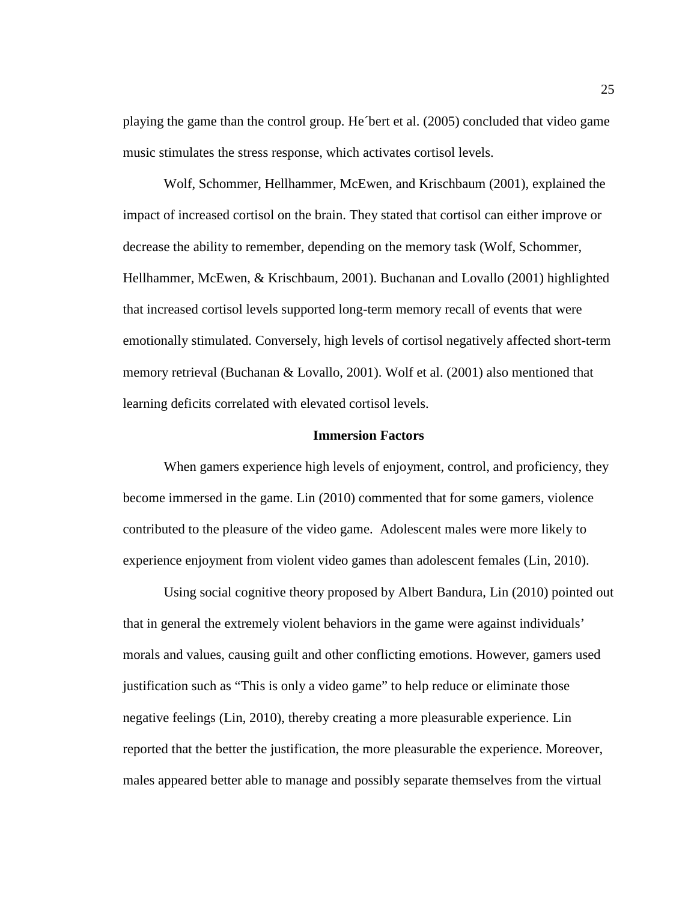playing the game than the control group. He´bert et al. (2005) concluded that video game music stimulates the stress response, which activates cortisol levels.

Wolf, Schommer, Hellhammer, McEwen, and Krischbaum (2001), explained the impact of increased cortisol on the brain. They stated that cortisol can either improve or decrease the ability to remember, depending on the memory task (Wolf, Schommer, Hellhammer, McEwen, & Krischbaum, 2001). Buchanan and Lovallo (2001) highlighted that increased cortisol levels supported long-term memory recall of events that were emotionally stimulated. Conversely, high levels of cortisol negatively affected short-term memory retrieval (Buchanan & Lovallo, 2001). Wolf et al. (2001) also mentioned that learning deficits correlated with elevated cortisol levels.

### **Immersion Factors**

When gamers experience high levels of enjoyment, control, and proficiency, they become immersed in the game. Lin (2010) commented that for some gamers, violence contributed to the pleasure of the video game. Adolescent males were more likely to experience enjoyment from violent video games than adolescent females (Lin, 2010).

Using social cognitive theory proposed by Albert Bandura, Lin (2010) pointed out that in general the extremely violent behaviors in the game were against individuals' morals and values, causing guilt and other conflicting emotions. However, gamers used justification such as "This is only a video game" to help reduce or eliminate those negative feelings (Lin, 2010), thereby creating a more pleasurable experience. Lin reported that the better the justification, the more pleasurable the experience. Moreover, males appeared better able to manage and possibly separate themselves from the virtual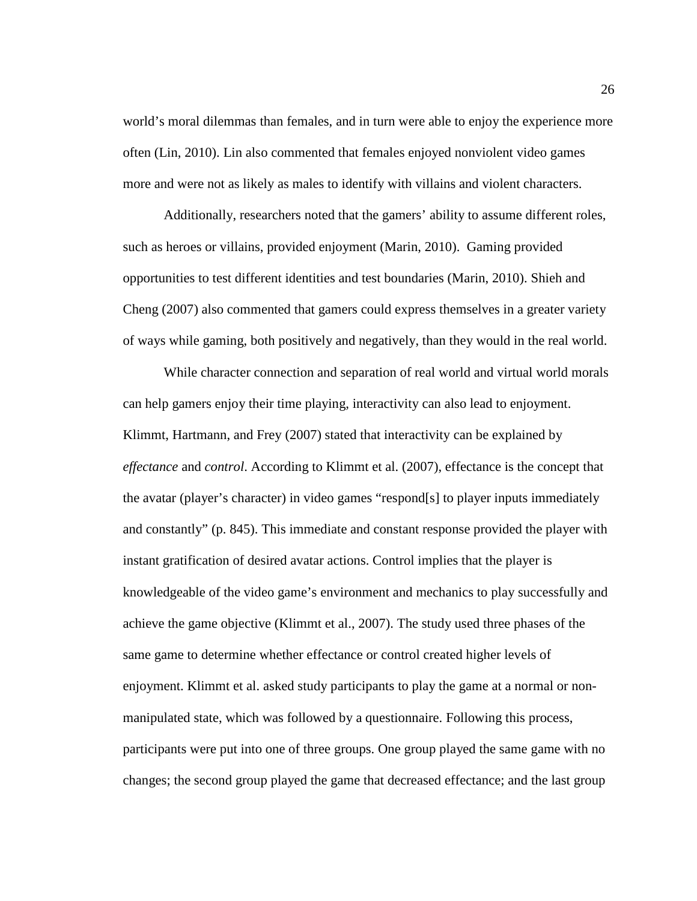world's moral dilemmas than females, and in turn were able to enjoy the experience more often (Lin, 2010). Lin also commented that females enjoyed nonviolent video games more and were not as likely as males to identify with villains and violent characters.

Additionally, researchers noted that the gamers' ability to assume different roles, such as heroes or villains, provided enjoyment (Marin, 2010). Gaming provided opportunities to test different identities and test boundaries (Marin, 2010). Shieh and Cheng (2007) also commented that gamers could express themselves in a greater variety of ways while gaming, both positively and negatively, than they would in the real world.

While character connection and separation of real world and virtual world morals can help gamers enjoy their time playing, interactivity can also lead to enjoyment. Klimmt, Hartmann, and Frey (2007) stated that interactivity can be explained by *effectance* and *control*. According to Klimmt et al. (2007), effectance is the concept that the avatar (player's character) in video games "respond[s] to player inputs immediately and constantly" (p. 845). This immediate and constant response provided the player with instant gratification of desired avatar actions. Control implies that the player is knowledgeable of the video game's environment and mechanics to play successfully and achieve the game objective (Klimmt et al., 2007). The study used three phases of the same game to determine whether effectance or control created higher levels of enjoyment. Klimmt et al. asked study participants to play the game at a normal or nonmanipulated state, which was followed by a questionnaire. Following this process, participants were put into one of three groups. One group played the same game with no changes; the second group played the game that decreased effectance; and the last group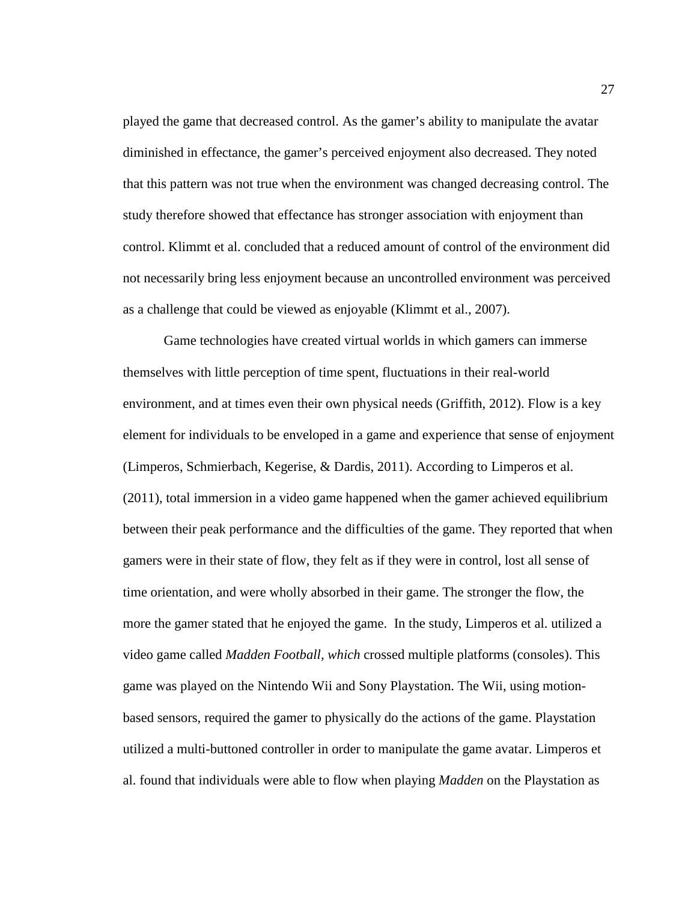played the game that decreased control. As the gamer's ability to manipulate the avatar diminished in effectance, the gamer's perceived enjoyment also decreased. They noted that this pattern was not true when the environment was changed decreasing control. The study therefore showed that effectance has stronger association with enjoyment than control. Klimmt et al. concluded that a reduced amount of control of the environment did not necessarily bring less enjoyment because an uncontrolled environment was perceived as a challenge that could be viewed as enjoyable (Klimmt et al., 2007).

Game technologies have created virtual worlds in which gamers can immerse themselves with little perception of time spent, fluctuations in their real-world environment, and at times even their own physical needs (Griffith, 2012). Flow is a key element for individuals to be enveloped in a game and experience that sense of enjoyment (Limperos, Schmierbach, Kegerise, & Dardis, 2011). According to Limperos et al. (2011), total immersion in a video game happened when the gamer achieved equilibrium between their peak performance and the difficulties of the game. They reported that when gamers were in their state of flow, they felt as if they were in control, lost all sense of time orientation, and were wholly absorbed in their game. The stronger the flow, the more the gamer stated that he enjoyed the game. In the study, Limperos et al. utilized a video game called *Madden Football, which* crossed multiple platforms (consoles). This game was played on the Nintendo Wii and Sony Playstation. The Wii, using motionbased sensors, required the gamer to physically do the actions of the game. Playstation utilized a multi-buttoned controller in order to manipulate the game avatar. Limperos et al. found that individuals were able to flow when playing *Madden* on the Playstation as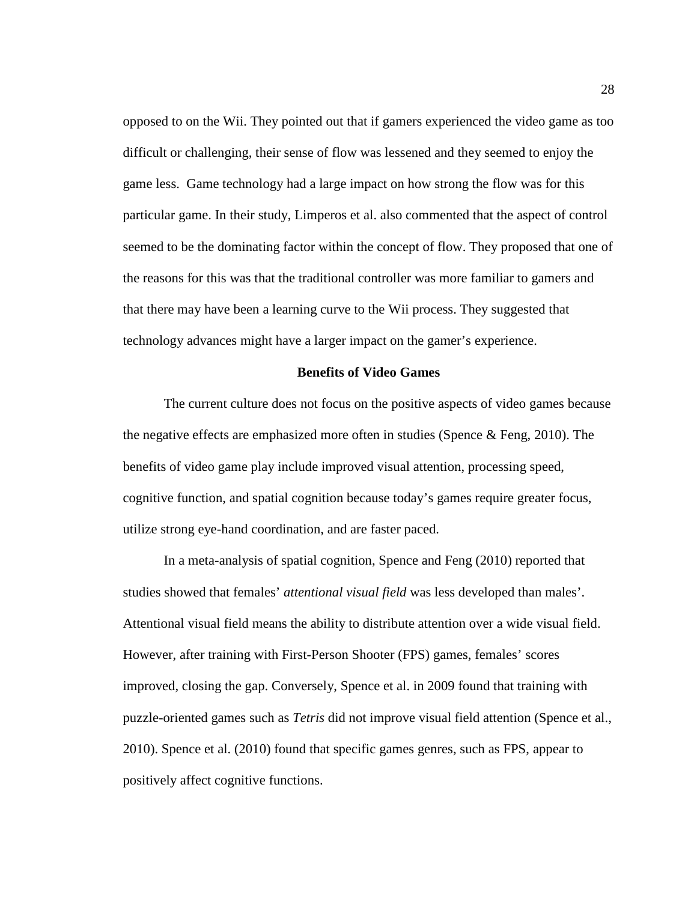opposed to on the Wii. They pointed out that if gamers experienced the video game as too difficult or challenging, their sense of flow was lessened and they seemed to enjoy the game less. Game technology had a large impact on how strong the flow was for this particular game. In their study, Limperos et al. also commented that the aspect of control seemed to be the dominating factor within the concept of flow. They proposed that one of the reasons for this was that the traditional controller was more familiar to gamers and that there may have been a learning curve to the Wii process. They suggested that technology advances might have a larger impact on the gamer's experience.

## **Benefits of Video Games**

The current culture does not focus on the positive aspects of video games because the negative effects are emphasized more often in studies (Spence & Feng, 2010). The benefits of video game play include improved visual attention, processing speed, cognitive function, and spatial cognition because today's games require greater focus, utilize strong eye-hand coordination, and are faster paced.

In a meta-analysis of spatial cognition, Spence and Feng (2010) reported that studies showed that females' *attentional visual field* was less developed than males'. Attentional visual field means the ability to distribute attention over a wide visual field. However, after training with First-Person Shooter (FPS) games, females' scores improved, closing the gap. Conversely, Spence et al. in 2009 found that training with puzzle-oriented games such as *Tetris* did not improve visual field attention (Spence et al., 2010). Spence et al. (2010) found that specific games genres, such as FPS, appear to positively affect cognitive functions.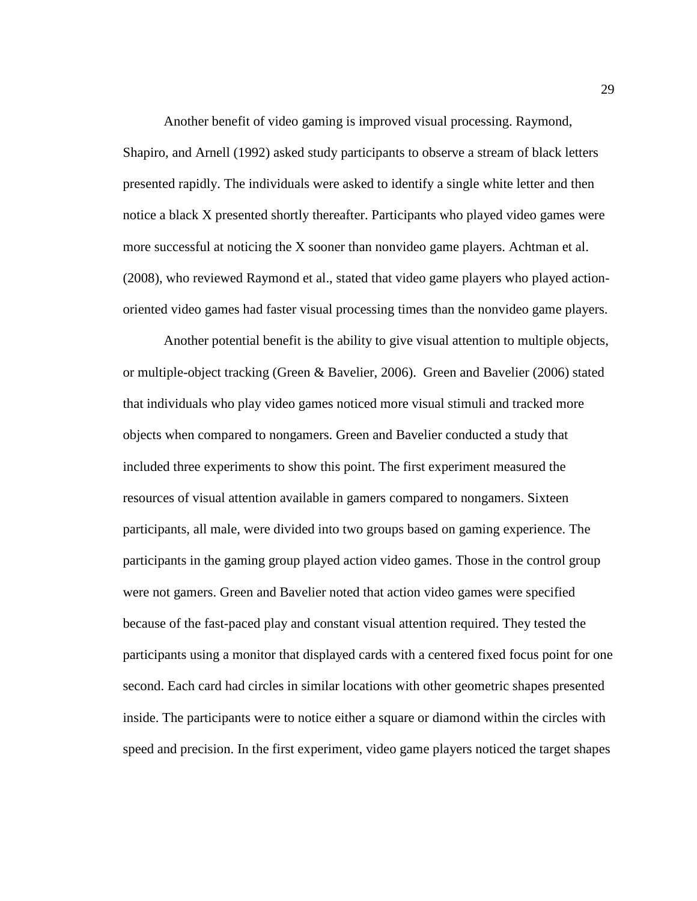Another benefit of video gaming is improved visual processing. Raymond, Shapiro, and Arnell (1992) asked study participants to observe a stream of black letters presented rapidly. The individuals were asked to identify a single white letter and then notice a black X presented shortly thereafter. Participants who played video games were more successful at noticing the X sooner than nonvideo game players. Achtman et al. (2008), who reviewed Raymond et al., stated that video game players who played actionoriented video games had faster visual processing times than the nonvideo game players.

Another potential benefit is the ability to give visual attention to multiple objects, or multiple-object tracking (Green & Bavelier, 2006). Green and Bavelier (2006) stated that individuals who play video games noticed more visual stimuli and tracked more objects when compared to nongamers. Green and Bavelier conducted a study that included three experiments to show this point. The first experiment measured the resources of visual attention available in gamers compared to nongamers. Sixteen participants, all male, were divided into two groups based on gaming experience. The participants in the gaming group played action video games. Those in the control group were not gamers. Green and Bavelier noted that action video games were specified because of the fast-paced play and constant visual attention required. They tested the participants using a monitor that displayed cards with a centered fixed focus point for one second. Each card had circles in similar locations with other geometric shapes presented inside. The participants were to notice either a square or diamond within the circles with speed and precision. In the first experiment, video game players noticed the target shapes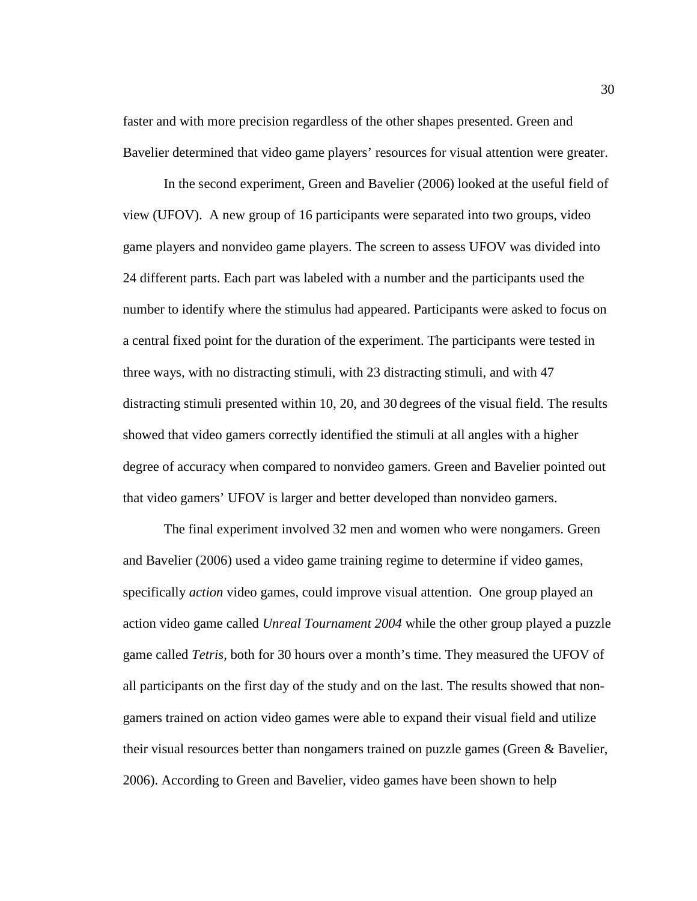faster and with more precision regardless of the other shapes presented. Green and Bavelier determined that video game players' resources for visual attention were greater.

In the second experiment, Green and Bavelier (2006) looked at the useful field of view (UFOV). A new group of 16 participants were separated into two groups, video game players and nonvideo game players. The screen to assess UFOV was divided into 24 different parts. Each part was labeled with a number and the participants used the number to identify where the stimulus had appeared. Participants were asked to focus on a central fixed point for the duration of the experiment. The participants were tested in three ways, with no distracting stimuli, with 23 distracting stimuli, and with 47 distracting stimuli presented within 10, 20, and 30 degrees of the visual field. The results showed that video gamers correctly identified the stimuli at all angles with a higher degree of accuracy when compared to nonvideo gamers. Green and Bavelier pointed out that video gamers' UFOV is larger and better developed than nonvideo gamers.

The final experiment involved 32 men and women who were nongamers. Green and Bavelier (2006) used a video game training regime to determine if video games, specifically *action* video games, could improve visual attention. One group played an action video game called *Unreal Tournament 2004* while the other group played a puzzle game called *Tetris,* both for 30 hours over a month's time. They measured the UFOV of all participants on the first day of the study and on the last. The results showed that nongamers trained on action video games were able to expand their visual field and utilize their visual resources better than nongamers trained on puzzle games (Green & Bavelier, 2006). According to Green and Bavelier, video games have been shown to help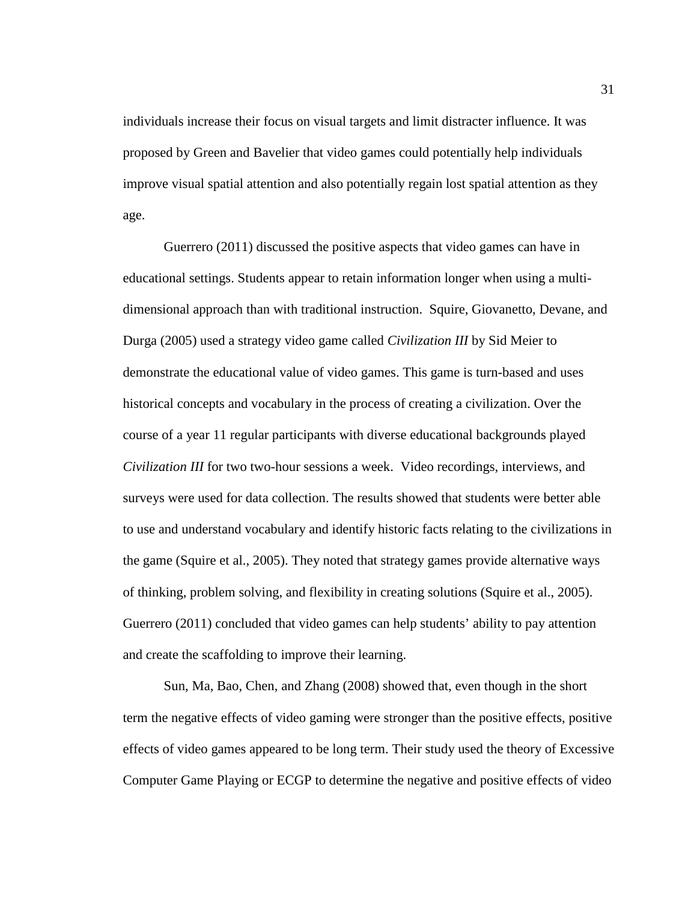individuals increase their focus on visual targets and limit distracter influence. It was proposed by Green and Bavelier that video games could potentially help individuals improve visual spatial attention and also potentially regain lost spatial attention as they age.

Guerrero (2011) discussed the positive aspects that video games can have in educational settings. Students appear to retain information longer when using a multidimensional approach than with traditional instruction. Squire, Giovanetto, Devane, and Durga (2005) used a strategy video game called *Civilization III* by Sid Meier to demonstrate the educational value of video games. This game is turn-based and uses historical concepts and vocabulary in the process of creating a civilization. Over the course of a year 11 regular participants with diverse educational backgrounds played *Civilization III* for two two-hour sessions a week. Video recordings, interviews, and surveys were used for data collection. The results showed that students were better able to use and understand vocabulary and identify historic facts relating to the civilizations in the game (Squire et al., 2005). They noted that strategy games provide alternative ways of thinking, problem solving, and flexibility in creating solutions (Squire et al., 2005). Guerrero (2011) concluded that video games can help students' ability to pay attention and create the scaffolding to improve their learning.

Sun, Ma, Bao, Chen, and Zhang (2008) showed that, even though in the short term the negative effects of video gaming were stronger than the positive effects, positive effects of video games appeared to be long term. Their study used the theory of Excessive Computer Game Playing or ECGP to determine the negative and positive effects of video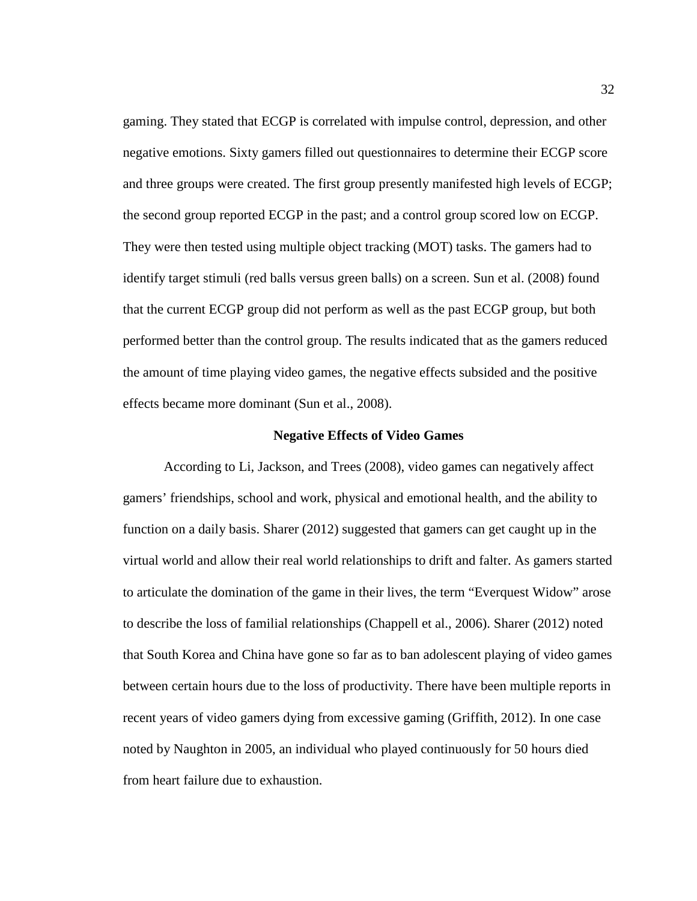gaming. They stated that ECGP is correlated with impulse control, depression, and other negative emotions. Sixty gamers filled out questionnaires to determine their ECGP score and three groups were created. The first group presently manifested high levels of ECGP; the second group reported ECGP in the past; and a control group scored low on ECGP. They were then tested using multiple object tracking (MOT) tasks. The gamers had to identify target stimuli (red balls versus green balls) on a screen. Sun et al. (2008) found that the current ECGP group did not perform as well as the past ECGP group, but both performed better than the control group. The results indicated that as the gamers reduced the amount of time playing video games, the negative effects subsided and the positive effects became more dominant (Sun et al., 2008).

#### **Negative Effects of Video Games**

According to Li, Jackson, and Trees (2008), video games can negatively affect gamers' friendships, school and work, physical and emotional health, and the ability to function on a daily basis. Sharer (2012) suggested that gamers can get caught up in the virtual world and allow their real world relationships to drift and falter. As gamers started to articulate the domination of the game in their lives, the term "Everquest Widow" arose to describe the loss of familial relationships (Chappell et al., 2006). Sharer (2012) noted that South Korea and China have gone so far as to ban adolescent playing of video games between certain hours due to the loss of productivity. There have been multiple reports in recent years of video gamers dying from excessive gaming (Griffith, 2012). In one case noted by Naughton in 2005, an individual who played continuously for 50 hours died from heart failure due to exhaustion.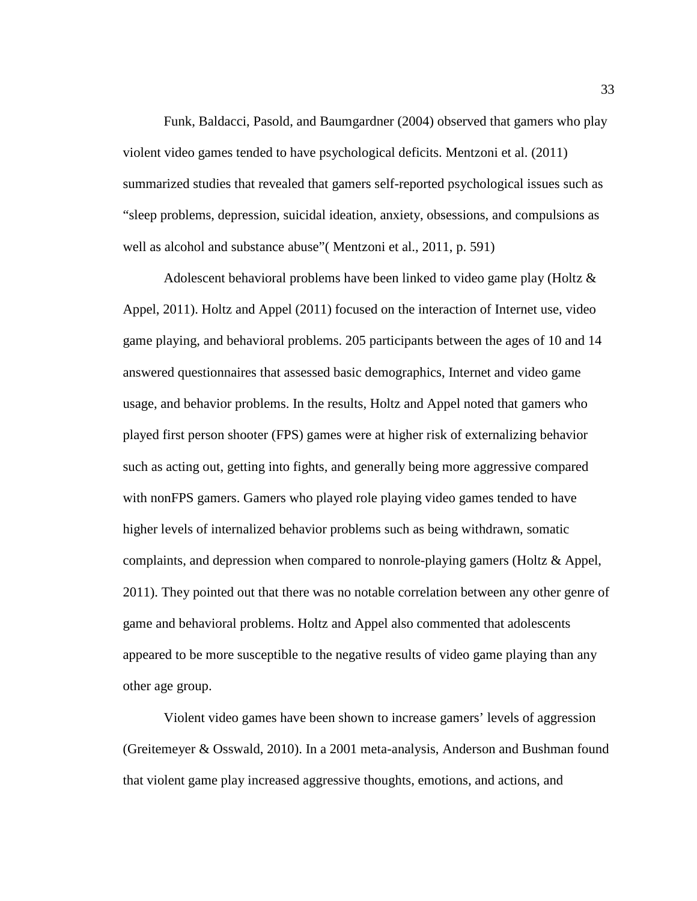Funk, Baldacci, Pasold, and Baumgardner (2004) observed that gamers who play violent video games tended to have psychological deficits. Mentzoni et al. (2011) summarized studies that revealed that gamers self-reported psychological issues such as "sleep problems, depression, suicidal ideation, anxiety, obsessions, and compulsions as well as alcohol and substance abuse"( Mentzoni et al., 2011, p. 591)

Adolescent behavioral problems have been linked to video game play (Holtz & Appel, 2011). Holtz and Appel (2011) focused on the interaction of Internet use, video game playing, and behavioral problems. 205 participants between the ages of 10 and 14 answered questionnaires that assessed basic demographics, Internet and video game usage, and behavior problems. In the results, Holtz and Appel noted that gamers who played first person shooter (FPS) games were at higher risk of externalizing behavior such as acting out, getting into fights, and generally being more aggressive compared with nonFPS gamers. Gamers who played role playing video games tended to have higher levels of internalized behavior problems such as being withdrawn, somatic complaints, and depression when compared to nonrole-playing gamers (Holtz & Appel, 2011). They pointed out that there was no notable correlation between any other genre of game and behavioral problems. Holtz and Appel also commented that adolescents appeared to be more susceptible to the negative results of video game playing than any other age group.

Violent video games have been shown to increase gamers' levels of aggression (Greitemeyer & Osswald, 2010). In a 2001 meta-analysis, Anderson and Bushman found that violent game play increased aggressive thoughts, emotions, and actions, and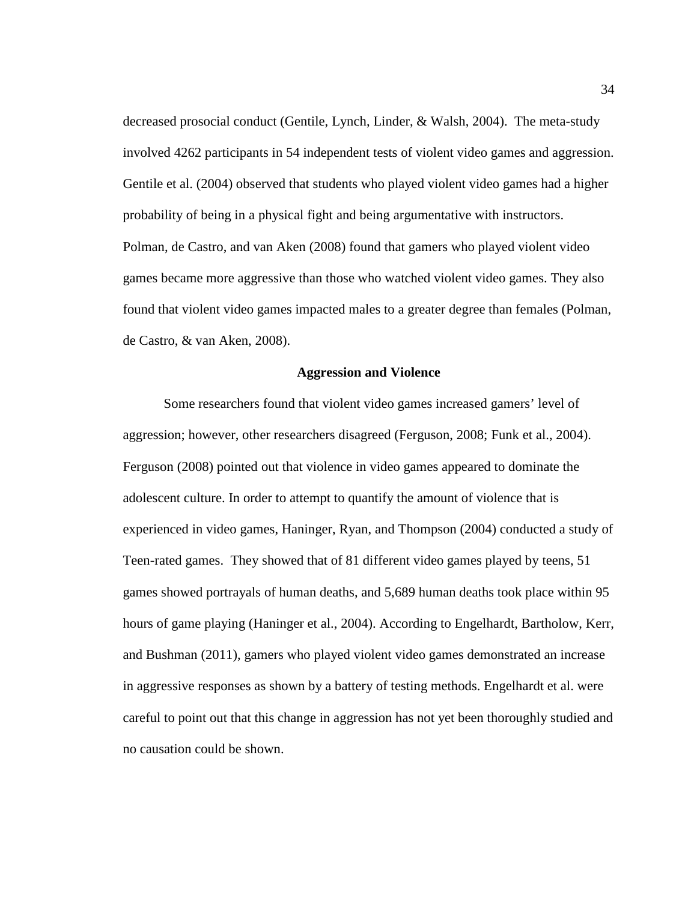decreased prosocial conduct (Gentile, Lynch, Linder, & Walsh, 2004). The meta-study involved 4262 participants in 54 independent tests of violent video games and aggression. Gentile et al. (2004) observed that students who played violent video games had a higher probability of being in a physical fight and being argumentative with instructors. Polman, de Castro, and van Aken (2008) found that gamers who played violent video games became more aggressive than those who watched violent video games. They also found that violent video games impacted males to a greater degree than females (Polman, de Castro, & van Aken, 2008).

# **Aggression and Violence**

Some researchers found that violent video games increased gamers' level of aggression; however, other researchers disagreed (Ferguson, 2008; Funk et al., 2004). Ferguson (2008) pointed out that violence in video games appeared to dominate the adolescent culture. In order to attempt to quantify the amount of violence that is experienced in video games, Haninger, Ryan, and Thompson (2004) conducted a study of Teen-rated games. They showed that of 81 different video games played by teens, 51 games showed portrayals of human deaths, and 5,689 human deaths took place within 95 hours of game playing (Haninger et al., 2004). According to Engelhardt, Bartholow, Kerr, and Bushman (2011), gamers who played violent video games demonstrated an increase in aggressive responses as shown by a battery of testing methods. Engelhardt et al. were careful to point out that this change in aggression has not yet been thoroughly studied and no causation could be shown.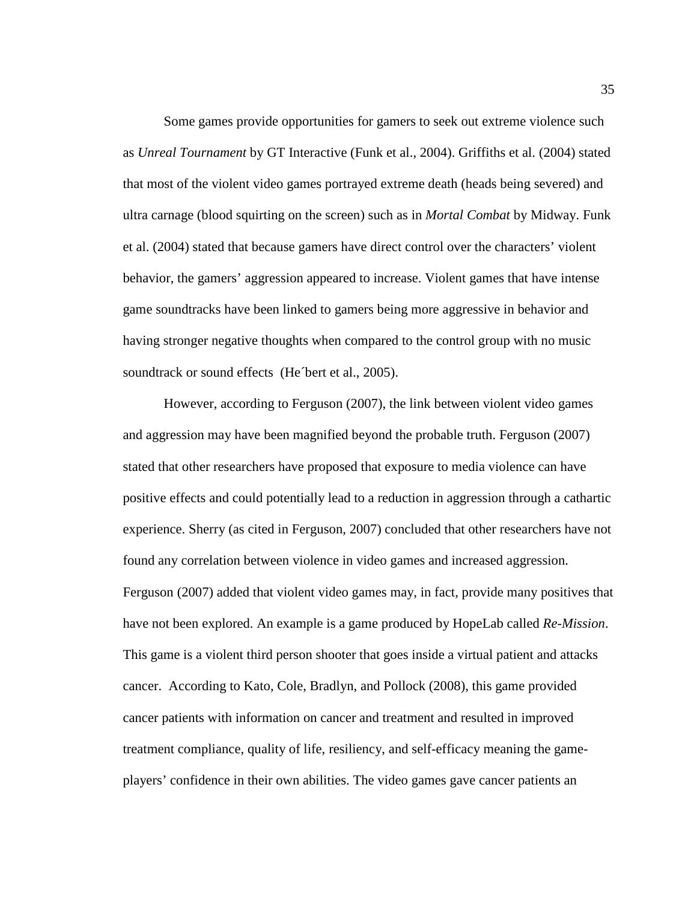Some games provide opportunities for gamers to seek out extreme violence such as *Unreal Tournament* by GT Interactive (Funk et al., 2004). Griffiths et al. (2004) stated that most of the violent video games portrayed extreme death (heads being severed) and ultra carnage (blood squirting on the screen) such as in *Mortal Combat* by Midway. Funk et al. (2004) stated that because gamers have direct control over the characters' violent behavior, the gamers' aggression appeared to increase. Violent games that have intense game soundtracks have been linked to gamers being more aggressive in behavior and having stronger negative thoughts when compared to the control group with no music soundtrack or sound effects (He<sup>bert et al., 2005).</sup>

However, according to Ferguson (2007), the link between violent video games and aggression may have been magnified beyond the probable truth. Ferguson (2007) stated that other researchers have proposed that exposure to media violence can have positive effects and could potentially lead to a reduction in aggression through a cathartic experience. Sherry (as cited in Ferguson, 2007) concluded that other researchers have not found any correlation between violence in video games and increased aggression. Ferguson (2007) added that violent video games may, in fact, provide many positives that have not been explored. An example is a game produced by HopeLab called *Re-Mission*. This game is a violent third person shooter that goes inside a virtual patient and attacks cancer. According to Kato, Cole, Bradlyn, and Pollock (2008), this game provided cancer patients with information on cancer and treatment and resulted in improved treatment compliance, quality of life, resiliency, and self-efficacy meaning the gameplayers' confidence in their own abilities. The video games gave cancer patients an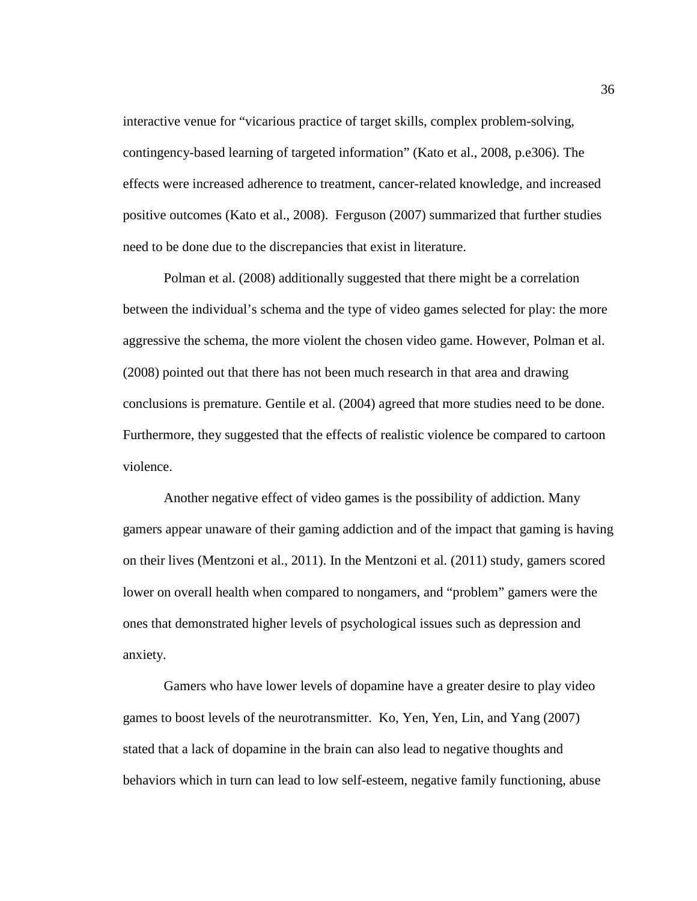interactive venue for "vicarious practice of target skills, complex problem-solving, contingency-based learning of targeted information" (Kato et al., 2008, p.e306). The effects were increased adherence to treatment, cancer-related knowledge, and increased positive outcomes (Kato et al., 2008). Ferguson (2007) summarized that further studies need to be done due to the discrepancies that exist in literature.

Polman et al. (2008) additionally suggested that there might be a correlation between the individual's schema and the type of video games selected for play: the more aggressive the schema, the more violent the chosen video game. However, Polman et al. (2008) pointed out that there has not been much research in that area and drawing conclusions is premature. Gentile et al. (2004) agreed that more studies need to be done. Furthermore, they suggested that the effects of realistic violence be compared to cartoon violence.

Another negative effect of video games is the possibility of addiction. Many gamers appear unaware of their gaming addiction and of the impact that gaming is having on their lives (Mentzoni et al., 2011). In the Mentzoni et al. (2011) study, gamers scored lower on overall health when compared to nongamers, and "problem" gamers were the ones that demonstrated higher levels of psychological issues such as depression and anxiety.

Gamers who have lower levels of dopamine have a greater desire to play video games to boost levels of the neurotransmitter. Ko, Yen, Yen, Lin, and Yang (2007) stated that a lack of dopamine in the brain can also lead to negative thoughts and behaviors which in turn can lead to low self-esteem, negative family functioning, abuse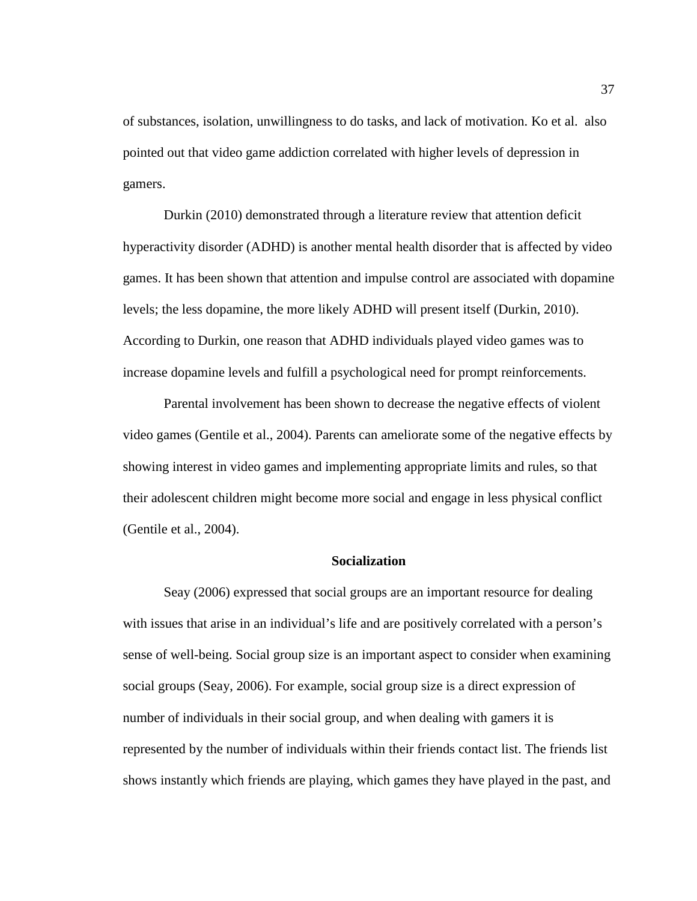of substances, isolation, unwillingness to do tasks, and lack of motivation. Ko et al. also pointed out that video game addiction correlated with higher levels of depression in gamers.

Durkin (2010) demonstrated through a literature review that attention deficit hyperactivity disorder (ADHD) is another mental health disorder that is affected by video games. It has been shown that attention and impulse control are associated with dopamine levels; the less dopamine, the more likely ADHD will present itself (Durkin, 2010). According to Durkin, one reason that ADHD individuals played video games was to increase dopamine levels and fulfill a psychological need for prompt reinforcements.

Parental involvement has been shown to decrease the negative effects of violent video games (Gentile et al., 2004). Parents can ameliorate some of the negative effects by showing interest in video games and implementing appropriate limits and rules, so that their adolescent children might become more social and engage in less physical conflict (Gentile et al., 2004).

## **Socialization**

Seay (2006) expressed that social groups are an important resource for dealing with issues that arise in an individual's life and are positively correlated with a person's sense of well-being. Social group size is an important aspect to consider when examining social groups (Seay, 2006). For example, social group size is a direct expression of number of individuals in their social group, and when dealing with gamers it is represented by the number of individuals within their friends contact list. The friends list shows instantly which friends are playing, which games they have played in the past, and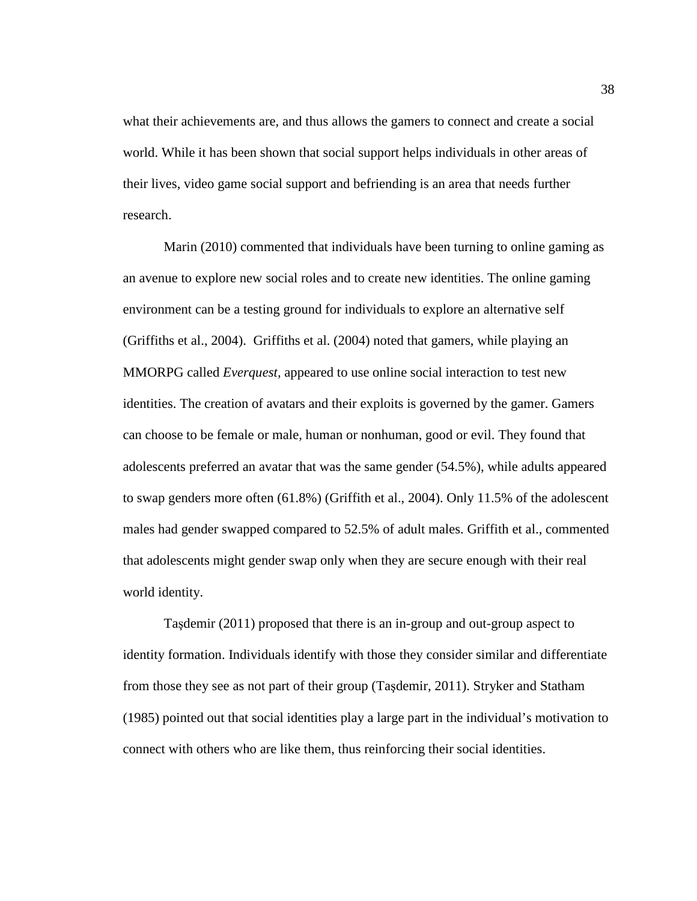what their achievements are, and thus allows the gamers to connect and create a social world. While it has been shown that social support helps individuals in other areas of their lives, video game social support and befriending is an area that needs further research.

Marin (2010) commented that individuals have been turning to online gaming as an avenue to explore new social roles and to create new identities. The online gaming environment can be a testing ground for individuals to explore an alternative self (Griffiths et al., 2004). Griffiths et al. (2004) noted that gamers, while playing an MMORPG called *Everquest,* appeared to use online social interaction to test new identities. The creation of avatars and their exploits is governed by the gamer. Gamers can choose to be female or male, human or nonhuman, good or evil. They found that adolescents preferred an avatar that was the same gender (54.5%), while adults appeared to swap genders more often (61.8%) (Griffith et al., 2004). Only 11.5% of the adolescent males had gender swapped compared to 52.5% of adult males. Griffith et al., commented that adolescents might gender swap only when they are secure enough with their real world identity.

Taşdemir (2011) proposed that there is an in-group and out-group aspect to identity formation. Individuals identify with those they consider similar and differentiate from those they see as not part of their group (Taşdemir, 2011). Stryker and Statham (1985) pointed out that social identities play a large part in the individual's motivation to connect with others who are like them, thus reinforcing their social identities.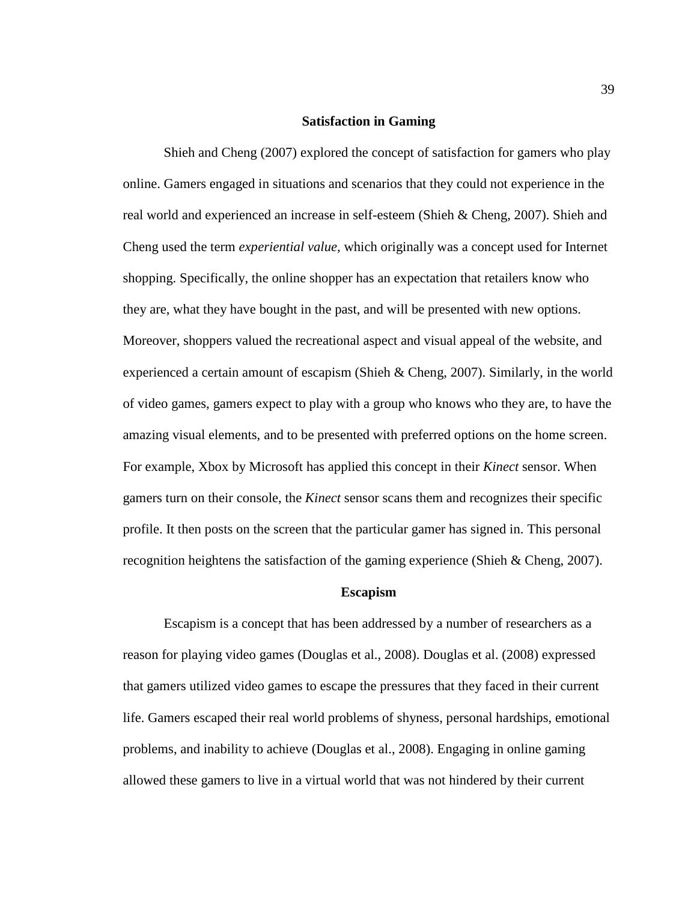## **Satisfaction in Gaming**

Shieh and Cheng (2007) explored the concept of satisfaction for gamers who play online. Gamers engaged in situations and scenarios that they could not experience in the real world and experienced an increase in self-esteem (Shieh & Cheng, 2007). Shieh and Cheng used the term *experiential value,* which originally was a concept used for Internet shopping. Specifically, the online shopper has an expectation that retailers know who they are, what they have bought in the past, and will be presented with new options. Moreover, shoppers valued the recreational aspect and visual appeal of the website, and experienced a certain amount of escapism (Shieh & Cheng, 2007). Similarly, in the world of video games, gamers expect to play with a group who knows who they are, to have the amazing visual elements, and to be presented with preferred options on the home screen. For example, Xbox by Microsoft has applied this concept in their *Kinect* sensor. When gamers turn on their console, the *Kinect* sensor scans them and recognizes their specific profile. It then posts on the screen that the particular gamer has signed in. This personal recognition heightens the satisfaction of the gaming experience (Shieh & Cheng, 2007).

#### **Escapism**

Escapism is a concept that has been addressed by a number of researchers as a reason for playing video games (Douglas et al., 2008). Douglas et al. (2008) expressed that gamers utilized video games to escape the pressures that they faced in their current life. Gamers escaped their real world problems of shyness, personal hardships, emotional problems, and inability to achieve (Douglas et al., 2008). Engaging in online gaming allowed these gamers to live in a virtual world that was not hindered by their current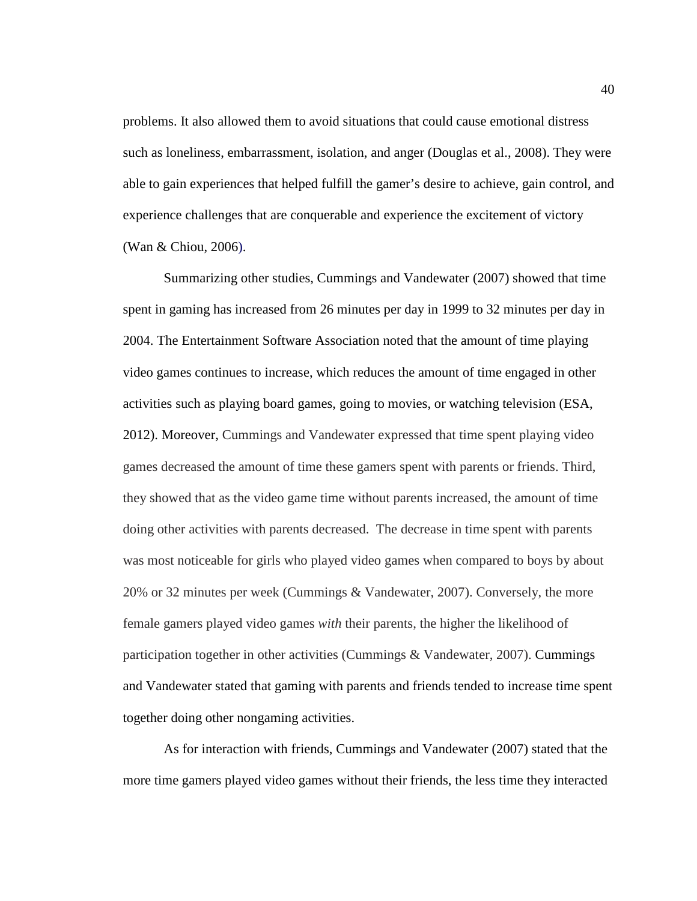problems. It also allowed them to avoid situations that could cause emotional distress such as loneliness, embarrassment, isolation, and anger (Douglas et al., 2008). They were able to gain experiences that helped fulfill the gamer's desire to achieve, gain control, and experience challenges that are conquerable and experience the excitement of victory (Wan & Chiou, 2006).

Summarizing other studies, Cummings and Vandewater (2007) showed that time spent in gaming has increased from 26 minutes per day in 1999 to 32 minutes per day in 2004. The Entertainment Software Association noted that the amount of time playing video games continues to increase, which reduces the amount of time engaged in other activities such as playing board games, going to movies, or watching television (ESA, 2012). Moreover, Cummings and Vandewater expressed that time spent playing video games decreased the amount of time these gamers spent with parents or friends. Third, they showed that as the video game time without parents increased, the amount of time doing other activities with parents decreased. The decrease in time spent with parents was most noticeable for girls who played video games when compared to boys by about 20% or 32 minutes per week (Cummings & Vandewater, 2007). Conversely, the more female gamers played video games *with* their parents, the higher the likelihood of participation together in other activities (Cummings & Vandewater, 2007). Cummings and Vandewater stated that gaming with parents and friends tended to increase time spent together doing other nongaming activities.

As for interaction with friends, Cummings and Vandewater (2007) stated that the more time gamers played video games without their friends, the less time they interacted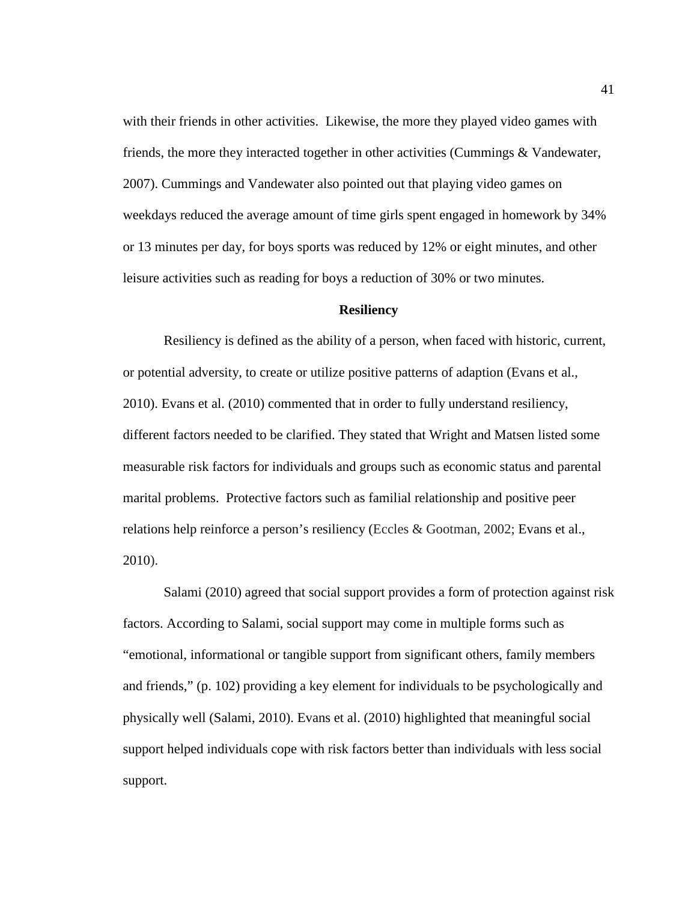with their friends in other activities. Likewise, the more they played video games with friends, the more they interacted together in other activities (Cummings & Vandewater, 2007). Cummings and Vandewater also pointed out that playing video games on weekdays reduced the average amount of time girls spent engaged in homework by 34% or 13 minutes per day, for boys sports was reduced by 12% or eight minutes, and other leisure activities such as reading for boys a reduction of 30% or two minutes.

#### **Resiliency**

Resiliency is defined as the ability of a person, when faced with historic, current, or potential adversity, to create or utilize positive patterns of adaption (Evans et al., 2010). Evans et al. (2010) commented that in order to fully understand resiliency, different factors needed to be clarified. They stated that Wright and Matsen listed some measurable risk factors for individuals and groups such as economic status and parental marital problems. Protective factors such as familial relationship and positive peer relations help reinforce a person's resiliency (Eccles & Gootman, 2002; Evans et al., 2010).

Salami (2010) agreed that social support provides a form of protection against risk factors. According to Salami, social support may come in multiple forms such as "emotional, informational or tangible support from significant others, family members and friends," (p. 102) providing a key element for individuals to be psychologically and physically well (Salami, 2010). Evans et al. (2010) highlighted that meaningful social support helped individuals cope with risk factors better than individuals with less social support.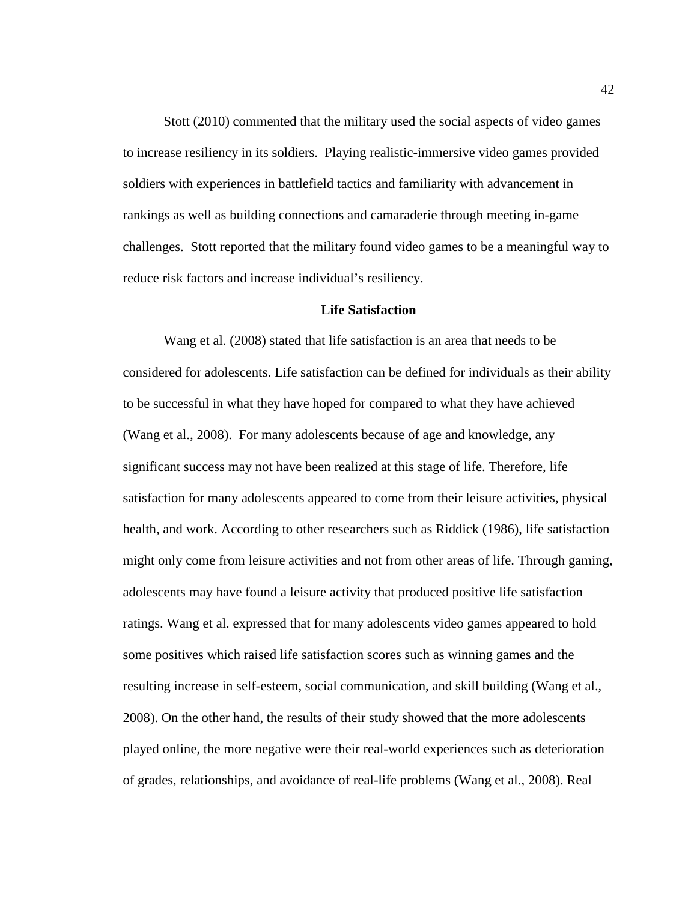Stott (2010) commented that the military used the social aspects of video games to increase resiliency in its soldiers. Playing realistic-immersive video games provided soldiers with experiences in battlefield tactics and familiarity with advancement in rankings as well as building connections and camaraderie through meeting in-game challenges. Stott reported that the military found video games to be a meaningful way to reduce risk factors and increase individual's resiliency.

### **Life Satisfaction**

Wang et al. (2008) stated that life satisfaction is an area that needs to be considered for adolescents. Life satisfaction can be defined for individuals as their ability to be successful in what they have hoped for compared to what they have achieved (Wang et al., 2008). For many adolescents because of age and knowledge, any significant success may not have been realized at this stage of life. Therefore, life satisfaction for many adolescents appeared to come from their leisure activities, physical health, and work. According to other researchers such as Riddick (1986), life satisfaction might only come from leisure activities and not from other areas of life. Through gaming, adolescents may have found a leisure activity that produced positive life satisfaction ratings. Wang et al. expressed that for many adolescents video games appeared to hold some positives which raised life satisfaction scores such as winning games and the resulting increase in self-esteem, social communication, and skill building (Wang et al., 2008). On the other hand, the results of their study showed that the more adolescents played online, the more negative were their real-world experiences such as deterioration of grades, relationships, and avoidance of real-life problems (Wang et al., 2008). Real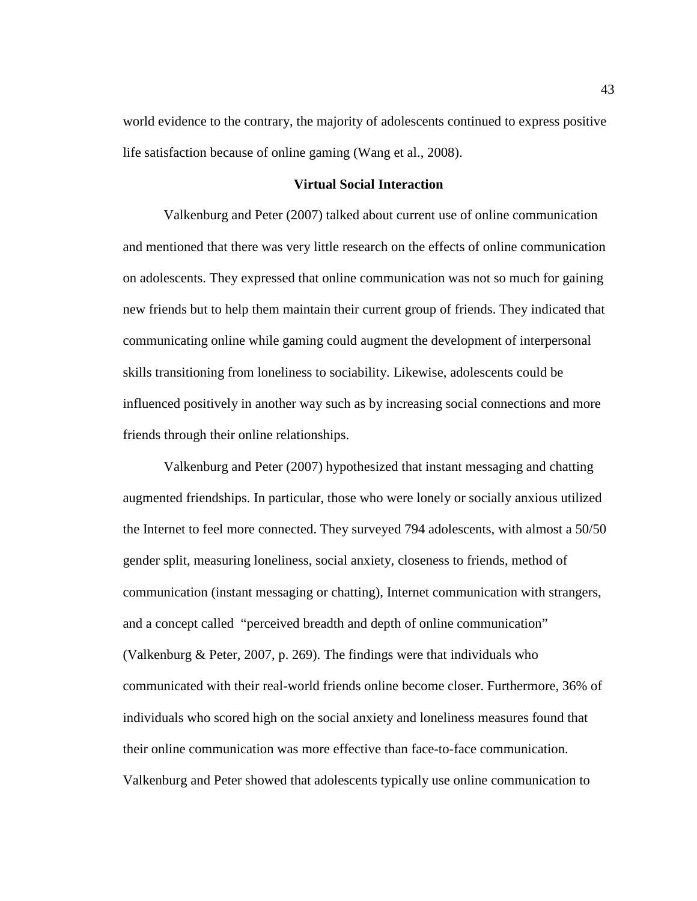world evidence to the contrary, the majority of adolescents continued to express positive life satisfaction because of online gaming (Wang et al., 2008).

# **Virtual Social Interaction**

Valkenburg and Peter (2007) talked about current use of online communication and mentioned that there was very little research on the effects of online communication on adolescents. They expressed that online communication was not so much for gaining new friends but to help them maintain their current group of friends. They indicated that communicating online while gaming could augment the development of interpersonal skills transitioning from loneliness to sociability. Likewise, adolescents could be influenced positively in another way such as by increasing social connections and more friends through their online relationships.

Valkenburg and Peter (2007) hypothesized that instant messaging and chatting augmented friendships. In particular, those who were lonely or socially anxious utilized the Internet to feel more connected. They surveyed 794 adolescents, with almost a 50/50 gender split, measuring loneliness, social anxiety, closeness to friends, method of communication (instant messaging or chatting), Internet communication with strangers, and a concept called "perceived breadth and depth of online communication" (Valkenburg & Peter, 2007, p. 269). The findings were that individuals who communicated with their real-world friends online become closer. Furthermore, 36% of individuals who scored high on the social anxiety and loneliness measures found that their online communication was more effective than face-to-face communication. Valkenburg and Peter showed that adolescents typically use online communication to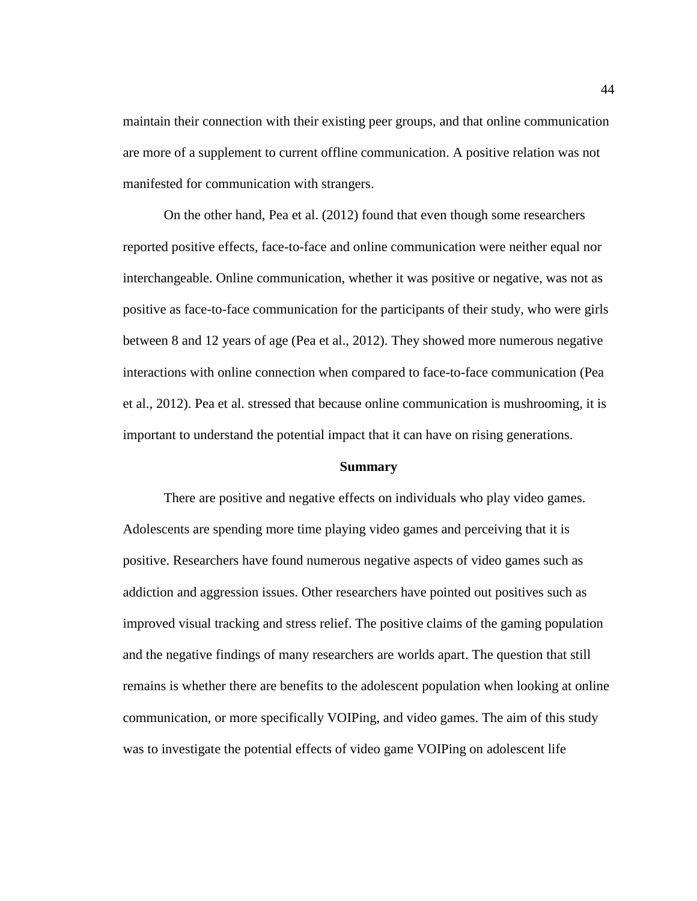maintain their connection with their existing peer groups, and that online communication are more of a supplement to current offline communication. A positive relation was not manifested for communication with strangers.

On the other hand, Pea et al. (2012) found that even though some researchers reported positive effects, face-to-face and online communication were neither equal nor interchangeable. Online communication, whether it was positive or negative, was not as positive as face-to-face communication for the participants of their study, who were girls between 8 and 12 years of age (Pea et al., 2012). They showed more numerous negative interactions with online connection when compared to face-to-face communication (Pea et al., 2012). Pea et al. stressed that because online communication is mushrooming, it is important to understand the potential impact that it can have on rising generations.

#### **Summary**

There are positive and negative effects on individuals who play video games. Adolescents are spending more time playing video games and perceiving that it is positive. Researchers have found numerous negative aspects of video games such as addiction and aggression issues. Other researchers have pointed out positives such as improved visual tracking and stress relief. The positive claims of the gaming population and the negative findings of many researchers are worlds apart. The question that still remains is whether there are benefits to the adolescent population when looking at online communication, or more specifically VOIPing, and video games. The aim of this study was to investigate the potential effects of video game VOIPing on adolescent life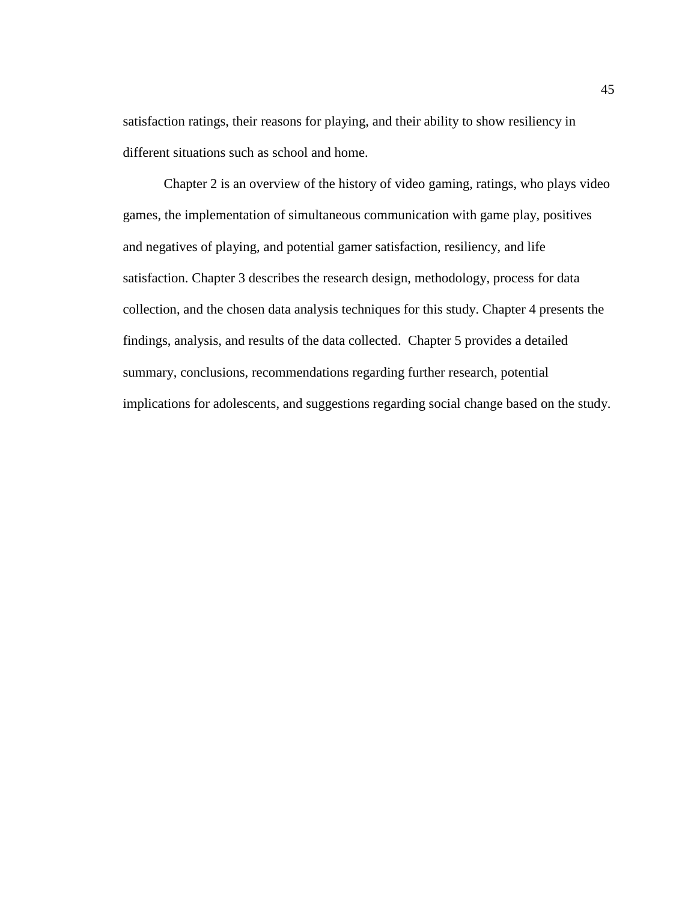satisfaction ratings, their reasons for playing, and their ability to show resiliency in different situations such as school and home.

Chapter 2 is an overview of the history of video gaming, ratings, who plays video games, the implementation of simultaneous communication with game play, positives and negatives of playing, and potential gamer satisfaction, resiliency, and life satisfaction. Chapter 3 describes the research design, methodology, process for data collection, and the chosen data analysis techniques for this study. Chapter 4 presents the findings, analysis, and results of the data collected. Chapter 5 provides a detailed summary, conclusions, recommendations regarding further research, potential implications for adolescents, and suggestions regarding social change based on the study.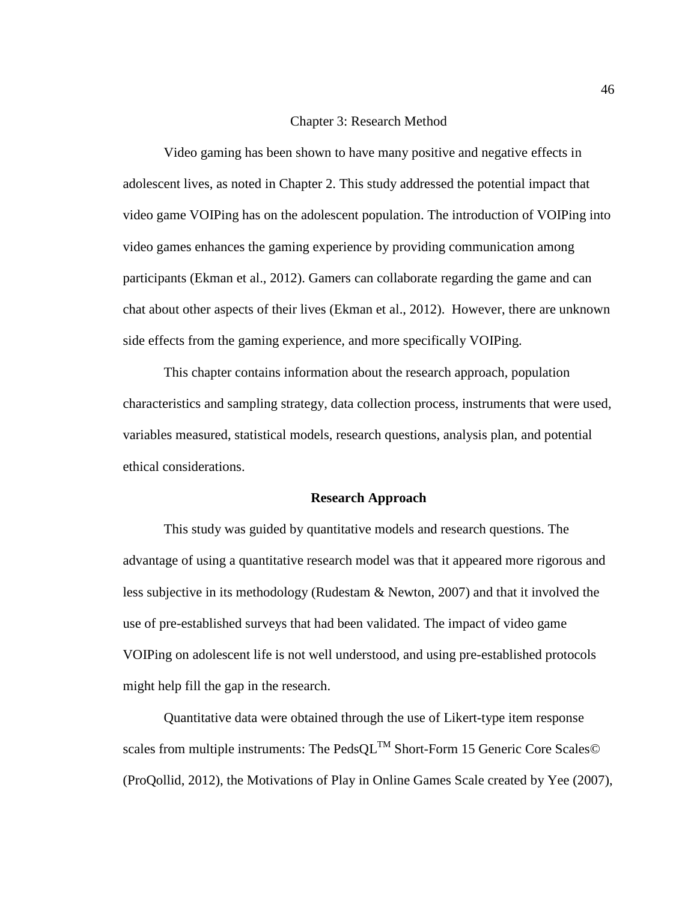# Chapter 3: Research Method

Video gaming has been shown to have many positive and negative effects in adolescent lives, as noted in Chapter 2. This study addressed the potential impact that video game VOIPing has on the adolescent population. The introduction of VOIPing into video games enhances the gaming experience by providing communication among participants (Ekman et al., 2012). Gamers can collaborate regarding the game and can chat about other aspects of their lives (Ekman et al., 2012). However, there are unknown side effects from the gaming experience, and more specifically VOIPing.

This chapter contains information about the research approach, population characteristics and sampling strategy, data collection process, instruments that were used, variables measured, statistical models, research questions, analysis plan, and potential ethical considerations.

#### **Research Approach**

This study was guided by quantitative models and research questions. The advantage of using a quantitative research model was that it appeared more rigorous and less subjective in its methodology (Rudestam & Newton, 2007) and that it involved the use of pre-established surveys that had been validated. The impact of video game VOIPing on adolescent life is not well understood, and using pre-established protocols might help fill the gap in the research.

Quantitative data were obtained through the use of Likert-type item response scales from multiple instruments: The Peds $QL^{TM}$  Short-Form 15 Generic Core Scales© (ProQollid, 2012), the Motivations of Play in Online Games Scale created by Yee (2007),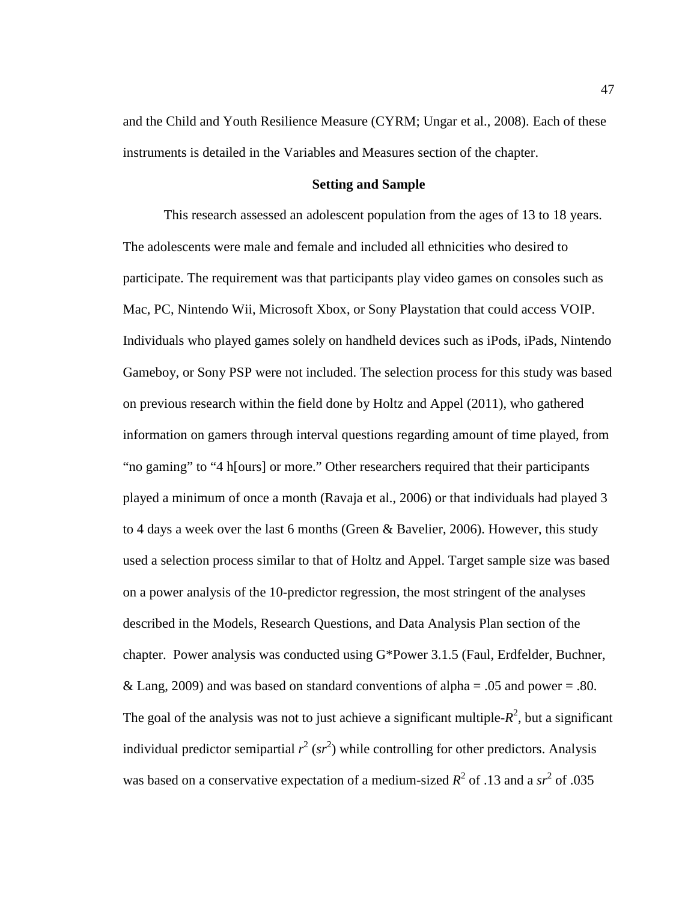and the Child and Youth Resilience Measure (CYRM; Ungar et al., 2008). Each of these instruments is detailed in the Variables and Measures section of the chapter.

# **Setting and Sample**

This research assessed an adolescent population from the ages of 13 to 18 years. The adolescents were male and female and included all ethnicities who desired to participate. The requirement was that participants play video games on consoles such as Mac, PC, Nintendo Wii, Microsoft Xbox, or Sony Playstation that could access VOIP. Individuals who played games solely on handheld devices such as iPods, iPads, Nintendo Gameboy, or Sony PSP were not included. The selection process for this study was based on previous research within the field done by Holtz and Appel (2011), who gathered information on gamers through interval questions regarding amount of time played, from "no gaming" to "4 h[ours] or more." Other researchers required that their participants played a minimum of once a month (Ravaja et al., 2006) or that individuals had played 3 to 4 days a week over the last 6 months (Green & Bavelier, 2006). However, this study used a selection process similar to that of Holtz and Appel. Target sample size was based on a power analysis of the 10-predictor regression, the most stringent of the analyses described in the Models, Research Questions, and Data Analysis Plan section of the chapter. Power analysis was conducted using G\*Power 3.1.5 (Faul, Erdfelder, Buchner, & Lang, 2009) and was based on standard conventions of alpha =  $.05$  and power =  $.80$ . The goal of the analysis was not to just achieve a significant multiple- $R^2$ , but a significant individual predictor semipartial  $r^2$  ( $sr^2$ ) while controlling for other predictors. Analysis was based on a conservative expectation of a medium-sized  $R^2$  of .13 and a  $sr^2$  of .035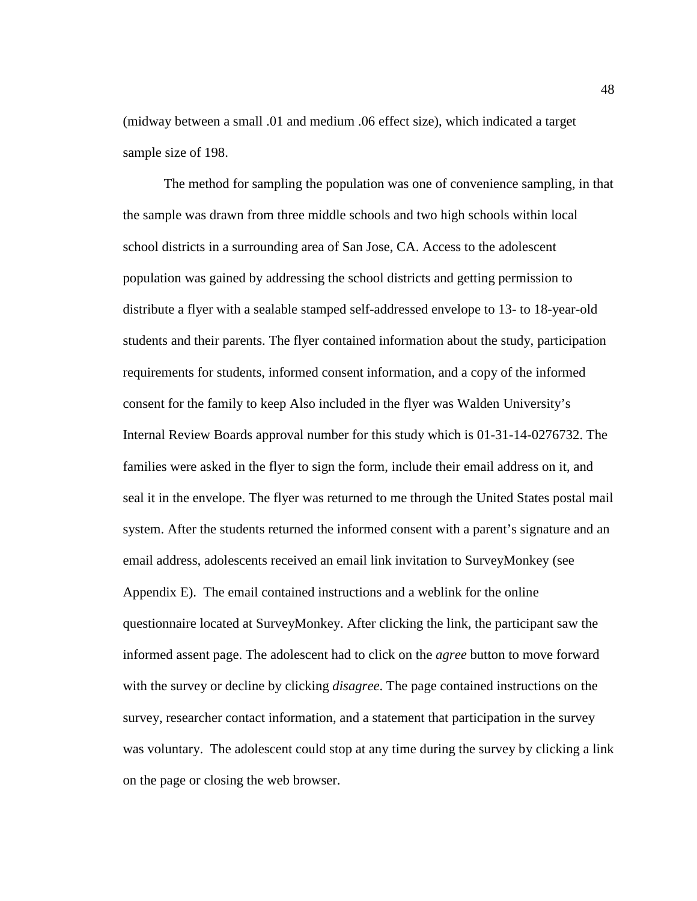(midway between a small .01 and medium .06 effect size), which indicated a target sample size of 198.

The method for sampling the population was one of convenience sampling, in that the sample was drawn from three middle schools and two high schools within local school districts in a surrounding area of San Jose, CA. Access to the adolescent population was gained by addressing the school districts and getting permission to distribute a flyer with a sealable stamped self-addressed envelope to 13- to 18-year-old students and their parents. The flyer contained information about the study, participation requirements for students, informed consent information, and a copy of the informed consent for the family to keep Also included in the flyer was Walden University's Internal Review Boards approval number for this study which is 01-31-14-0276732. The families were asked in the flyer to sign the form, include their email address on it, and seal it in the envelope. The flyer was returned to me through the United States postal mail system. After the students returned the informed consent with a parent's signature and an email address, adolescents received an email link invitation to SurveyMonkey (see Appendix E). The email contained instructions and a weblink for the online questionnaire located at SurveyMonkey. After clicking the link, the participant saw the informed assent page. The adolescent had to click on the *agree* button to move forward with the survey or decline by clicking *disagree*. The page contained instructions on the survey, researcher contact information, and a statement that participation in the survey was voluntary. The adolescent could stop at any time during the survey by clicking a link on the page or closing the web browser.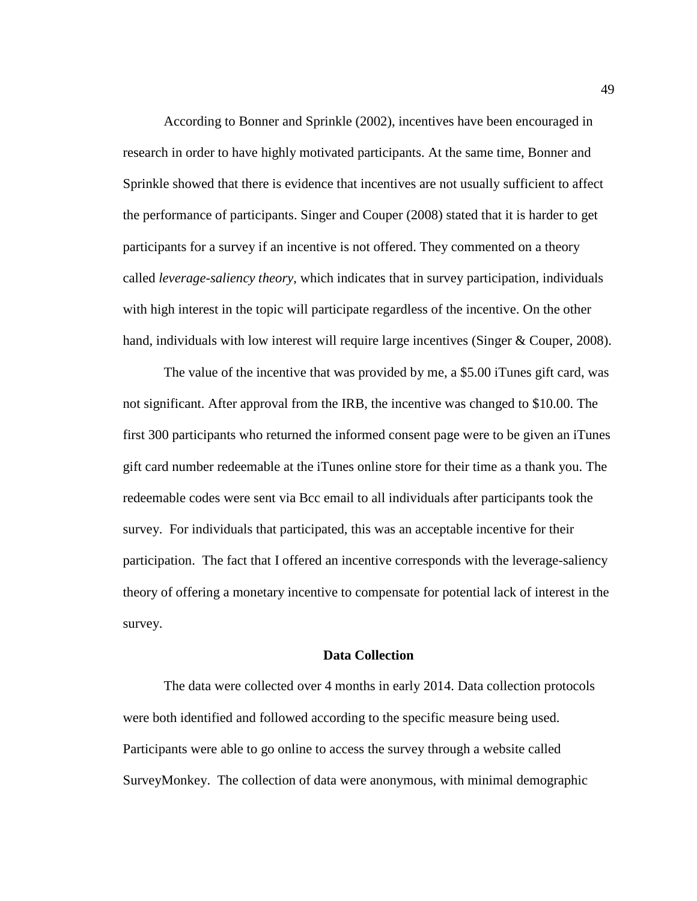According to Bonner and Sprinkle (2002), incentives have been encouraged in research in order to have highly motivated participants. At the same time, Bonner and Sprinkle showed that there is evidence that incentives are not usually sufficient to affect the performance of participants. Singer and Couper (2008) stated that it is harder to get participants for a survey if an incentive is not offered. They commented on a theory called *leverage-saliency theory*, which indicates that in survey participation, individuals with high interest in the topic will participate regardless of the incentive. On the other hand, individuals with low interest will require large incentives (Singer & Couper, 2008).

The value of the incentive that was provided by me, a \$5.00 iTunes gift card, was not significant. After approval from the IRB, the incentive was changed to \$10.00. The first 300 participants who returned the informed consent page were to be given an iTunes gift card number redeemable at the iTunes online store for their time as a thank you. The redeemable codes were sent via Bcc email to all individuals after participants took the survey. For individuals that participated, this was an acceptable incentive for their participation. The fact that I offered an incentive corresponds with the leverage-saliency theory of offering a monetary incentive to compensate for potential lack of interest in the survey.

# **Data Collection**

The data were collected over 4 months in early 2014. Data collection protocols were both identified and followed according to the specific measure being used. Participants were able to go online to access the survey through a website called SurveyMonkey. The collection of data were anonymous, with minimal demographic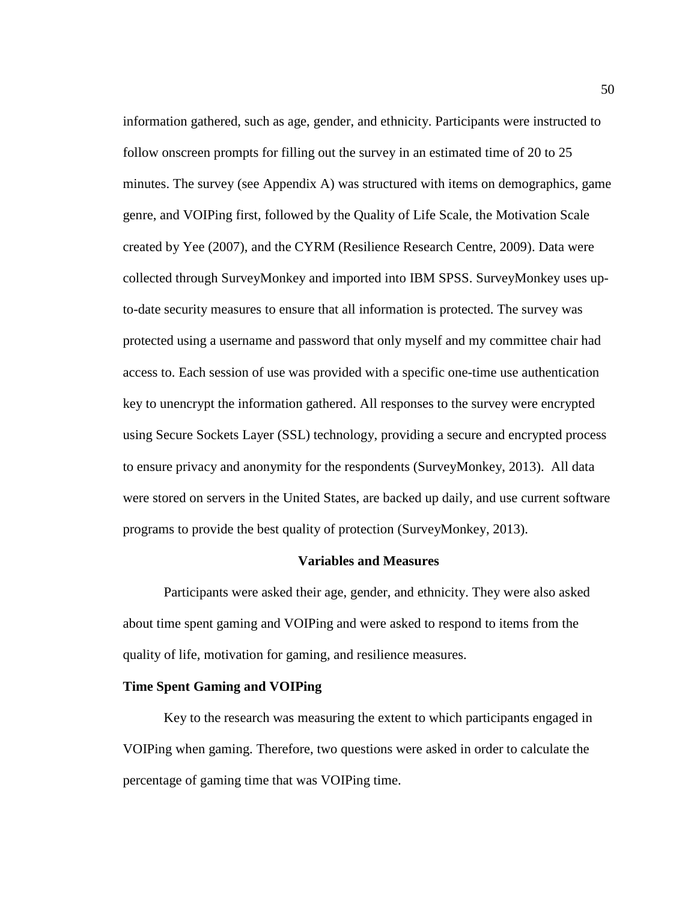information gathered, such as age, gender, and ethnicity. Participants were instructed to follow onscreen prompts for filling out the survey in an estimated time of 20 to 25 minutes. The survey (see Appendix A) was structured with items on demographics, game genre, and VOIPing first, followed by the Quality of Life Scale, the Motivation Scale created by Yee (2007), and the CYRM (Resilience Research Centre, 2009). Data were collected through SurveyMonkey and imported into IBM SPSS. SurveyMonkey uses upto-date security measures to ensure that all information is protected. The survey was protected using a username and password that only myself and my committee chair had access to. Each session of use was provided with a specific one-time use authentication key to unencrypt the information gathered. All responses to the survey were encrypted using Secure Sockets Layer (SSL) technology, providing a secure and encrypted process to ensure privacy and anonymity for the respondents (SurveyMonkey, 2013). All data were stored on servers in the United States, are backed up daily, and use current software programs to provide the best quality of protection (SurveyMonkey, 2013).

#### **Variables and Measures**

Participants were asked their age, gender, and ethnicity. They were also asked about time spent gaming and VOIPing and were asked to respond to items from the quality of life, motivation for gaming, and resilience measures.

# **Time Spent Gaming and VOIPing**

Key to the research was measuring the extent to which participants engaged in VOIPing when gaming. Therefore, two questions were asked in order to calculate the percentage of gaming time that was VOIPing time.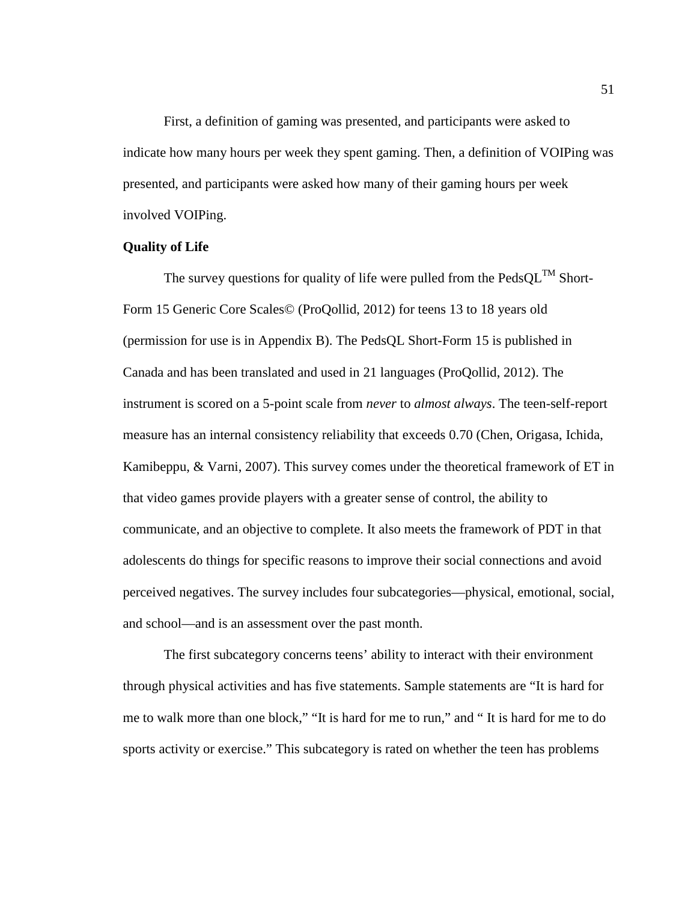First, a definition of gaming was presented, and participants were asked to indicate how many hours per week they spent gaming. Then, a definition of VOIPing was presented, and participants were asked how many of their gaming hours per week involved VOIPing.

# **Quality of Life**

The survey questions for quality of life were pulled from the  $\text{PedsQL}^{\text{TM}}$  Short-Form 15 Generic Core Scales© (ProQollid, 2012) for teens 13 to 18 years old (permission for use is in Appendix B). The PedsQL Short-Form 15 is published in Canada and has been translated and used in 21 languages (ProQollid, 2012). The instrument is scored on a 5-point scale from *never* to *almost always*. The teen-self-report measure has an internal consistency reliability that exceeds 0.70 (Chen, Origasa, Ichida, Kamibeppu, & Varni, 2007). This survey comes under the theoretical framework of ET in that video games provide players with a greater sense of control, the ability to communicate, and an objective to complete. It also meets the framework of PDT in that adolescents do things for specific reasons to improve their social connections and avoid perceived negatives. The survey includes four subcategories—physical, emotional, social, and school—and is an assessment over the past month.

The first subcategory concerns teens' ability to interact with their environment through physical activities and has five statements. Sample statements are "It is hard for me to walk more than one block," "It is hard for me to run," and " It is hard for me to do sports activity or exercise." This subcategory is rated on whether the teen has problems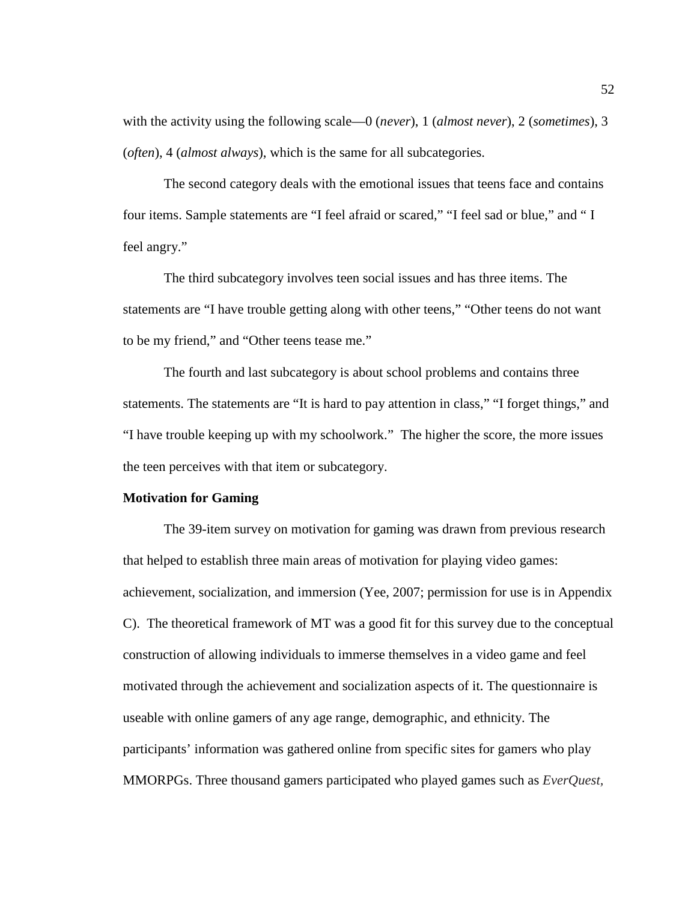with the activity using the following scale—0 (*never*), 1 (*almost never*), 2 (*sometimes*), 3 (*often*), 4 (*almost always*), which is the same for all subcategories.

The second category deals with the emotional issues that teens face and contains four items. Sample statements are "I feel afraid or scared," "I feel sad or blue," and " I feel angry."

The third subcategory involves teen social issues and has three items. The statements are "I have trouble getting along with other teens," "Other teens do not want to be my friend," and "Other teens tease me."

The fourth and last subcategory is about school problems and contains three statements. The statements are "It is hard to pay attention in class," "I forget things," and "I have trouble keeping up with my schoolwork." The higher the score, the more issues the teen perceives with that item or subcategory.

#### **Motivation for Gaming**

The 39-item survey on motivation for gaming was drawn from previous research that helped to establish three main areas of motivation for playing video games: achievement, socialization, and immersion (Yee, 2007; permission for use is in Appendix C). The theoretical framework of MT was a good fit for this survey due to the conceptual construction of allowing individuals to immerse themselves in a video game and feel motivated through the achievement and socialization aspects of it. The questionnaire is useable with online gamers of any age range, demographic, and ethnicity. The participants' information was gathered online from specific sites for gamers who play MMORPGs. Three thousand gamers participated who played games such as *EverQuest,*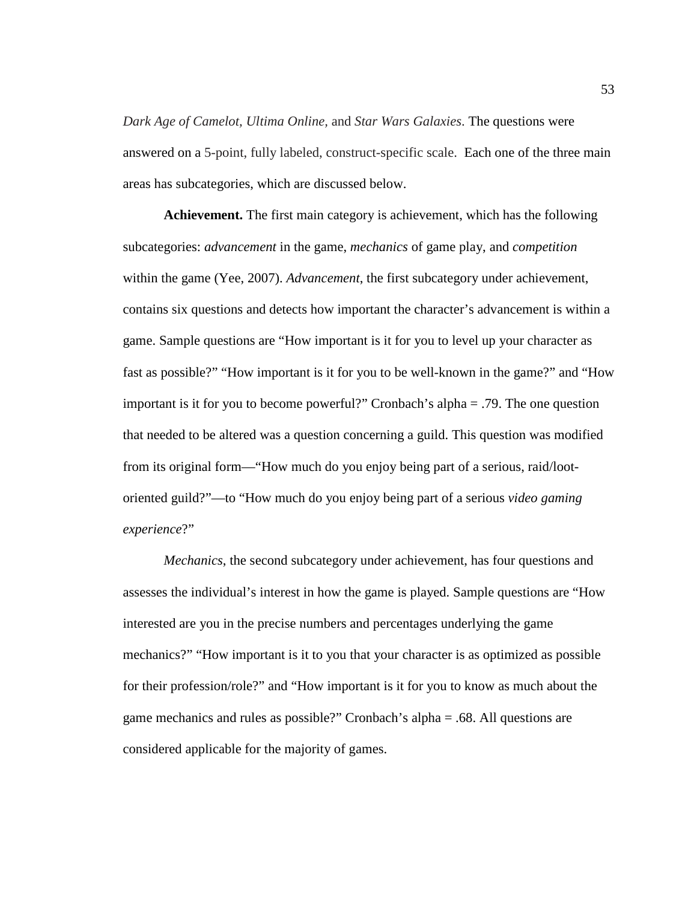*Dark Age of Camelot, Ultima Online,* and *Star Wars Galaxies*. The questions were answered on a 5-point, fully labeled, construct-specific scale. Each one of the three main areas has subcategories, which are discussed below.

**Achievement.** The first main category is achievement, which has the following subcategories: *advancement* in the game, *mechanics* of game play, and *competition* within the game (Yee, 2007). *Advancement*, the first subcategory under achievement, contains six questions and detects how important the character's advancement is within a game. Sample questions are "How important is it for you to level up your character as fast as possible?" "How important is it for you to be well-known in the game?" and "How important is it for you to become powerful?" Cronbach's alpha = .79. The one question that needed to be altered was a question concerning a guild. This question was modified from its original form—"How much do you enjoy being part of a serious, raid/lootoriented guild?"—to "How much do you enjoy being part of a serious *video gaming experience*?"

*Mechanics*, the second subcategory under achievement, has four questions and assesses the individual's interest in how the game is played. Sample questions are "How interested are you in the precise numbers and percentages underlying the game mechanics?" "How important is it to you that your character is as optimized as possible for their profession/role?" and "How important is it for you to know as much about the game mechanics and rules as possible?" Cronbach's alpha = .68. All questions are considered applicable for the majority of games.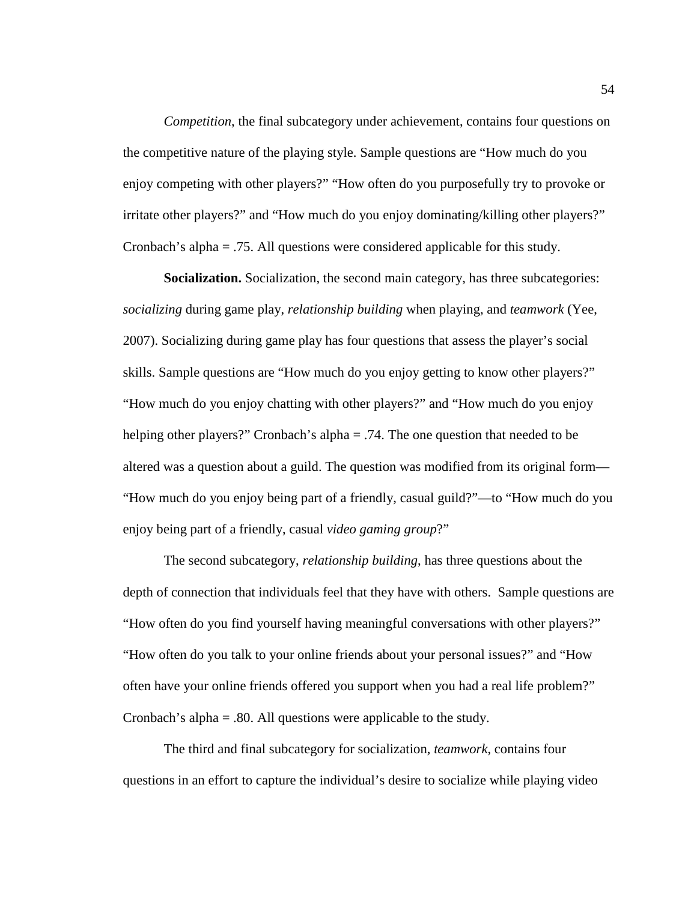*Competition*, the final subcategory under achievement, contains four questions on the competitive nature of the playing style. Sample questions are "How much do you enjoy competing with other players?" "How often do you purposefully try to provoke or irritate other players?" and "How much do you enjoy dominating/killing other players?" Cronbach's alpha = .75. All questions were considered applicable for this study.

**Socialization.** Socialization, the second main category, has three subcategories: *socializing* during game play, *relationship building* when playing, and *teamwork* (Yee, 2007). Socializing during game play has four questions that assess the player's social skills. Sample questions are "How much do you enjoy getting to know other players?" "How much do you enjoy chatting with other players?" and "How much do you enjoy helping other players?" Cronbach's alpha = .74. The one question that needed to be altered was a question about a guild. The question was modified from its original form— "How much do you enjoy being part of a friendly, casual guild?"—to "How much do you enjoy being part of a friendly, casual *video gaming group*?"

The second subcategory, *relationship building*, has three questions about the depth of connection that individuals feel that they have with others. Sample questions are "How often do you find yourself having meaningful conversations with other players?" "How often do you talk to your online friends about your personal issues?" and "How often have your online friends offered you support when you had a real life problem?" Cronbach's alpha = .80. All questions were applicable to the study.

The third and final subcategory for socialization, *teamwork*, contains four questions in an effort to capture the individual's desire to socialize while playing video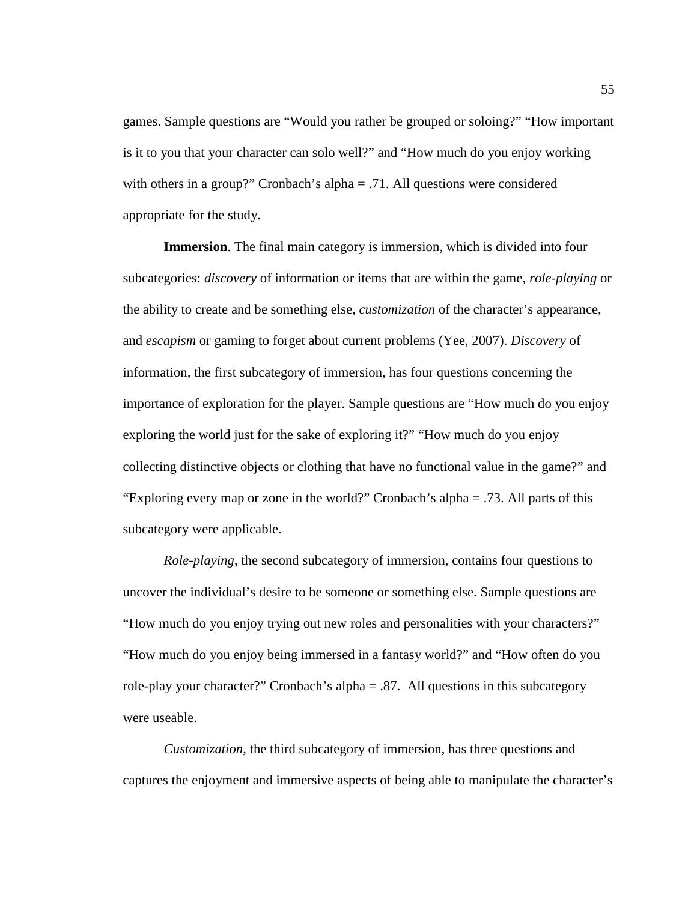games. Sample questions are "Would you rather be grouped or soloing?" "How important is it to you that your character can solo well?" and "How much do you enjoy working with others in a group?" Cronbach's alpha = .71. All questions were considered appropriate for the study.

**Immersion**. The final main category is immersion, which is divided into four subcategories: *discovery* of information or items that are within the game, *role-playing* or the ability to create and be something else, *customization* of the character's appearance, and *escapism* or gaming to forget about current problems (Yee, 2007). *Discovery* of information, the first subcategory of immersion, has four questions concerning the importance of exploration for the player. Sample questions are "How much do you enjoy exploring the world just for the sake of exploring it?" "How much do you enjoy collecting distinctive objects or clothing that have no functional value in the game?" and "Exploring every map or zone in the world?" Cronbach's alpha = .73. All parts of this subcategory were applicable.

*Role-playing*, the second subcategory of immersion, contains four questions to uncover the individual's desire to be someone or something else. Sample questions are "How much do you enjoy trying out new roles and personalities with your characters?" "How much do you enjoy being immersed in a fantasy world?" and "How often do you role-play your character?" Cronbach's alpha = .87. All questions in this subcategory were useable.

*Customization,* the third subcategory of immersion, has three questions and captures the enjoyment and immersive aspects of being able to manipulate the character's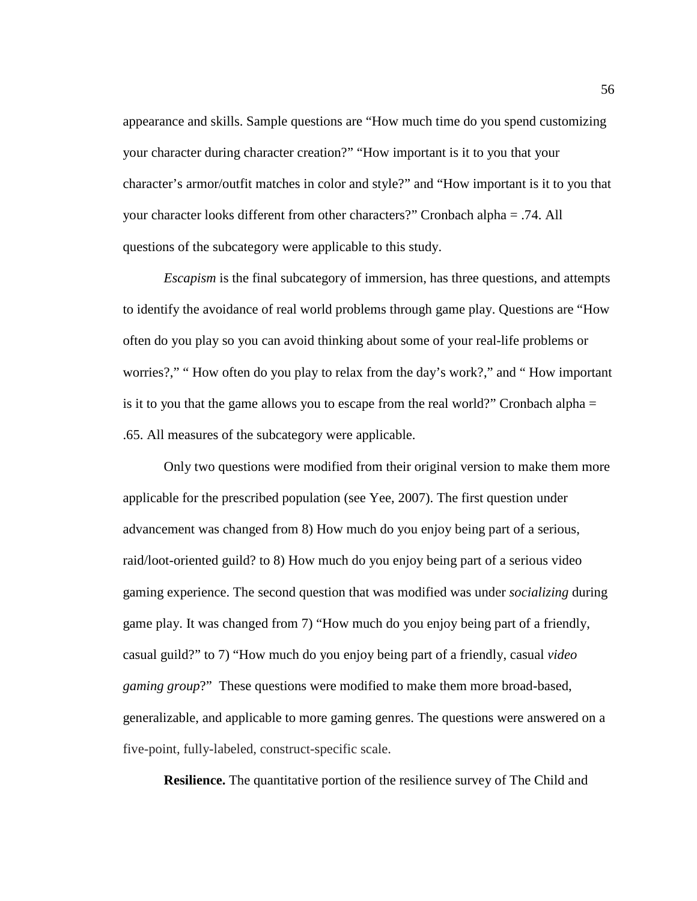appearance and skills. Sample questions are "How much time do you spend customizing your character during character creation?" "How important is it to you that your character's armor/outfit matches in color and style?" and "How important is it to you that your character looks different from other characters?" Cronbach alpha = .74. All questions of the subcategory were applicable to this study.

*Escapism* is the final subcategory of immersion, has three questions, and attempts to identify the avoidance of real world problems through game play. Questions are "How often do you play so you can avoid thinking about some of your real-life problems or worries?," "How often do you play to relax from the day's work?," and "How important is it to you that the game allows you to escape from the real world?" Cronbach alpha  $=$ .65. All measures of the subcategory were applicable.

Only two questions were modified from their original version to make them more applicable for the prescribed population (see Yee, 2007). The first question under advancement was changed from 8) How much do you enjoy being part of a serious, raid/loot-oriented guild? to 8) How much do you enjoy being part of a serious video gaming experience. The second question that was modified was under *socializing* during game play. It was changed from 7) "How much do you enjoy being part of a friendly, casual guild?" to 7) "How much do you enjoy being part of a friendly, casual *video gaming group*?" These questions were modified to make them more broad-based, generalizable, and applicable to more gaming genres. The questions were answered on a five-point, fully-labeled, construct-specific scale.

**Resilience.** The quantitative portion of the resilience survey of The Child and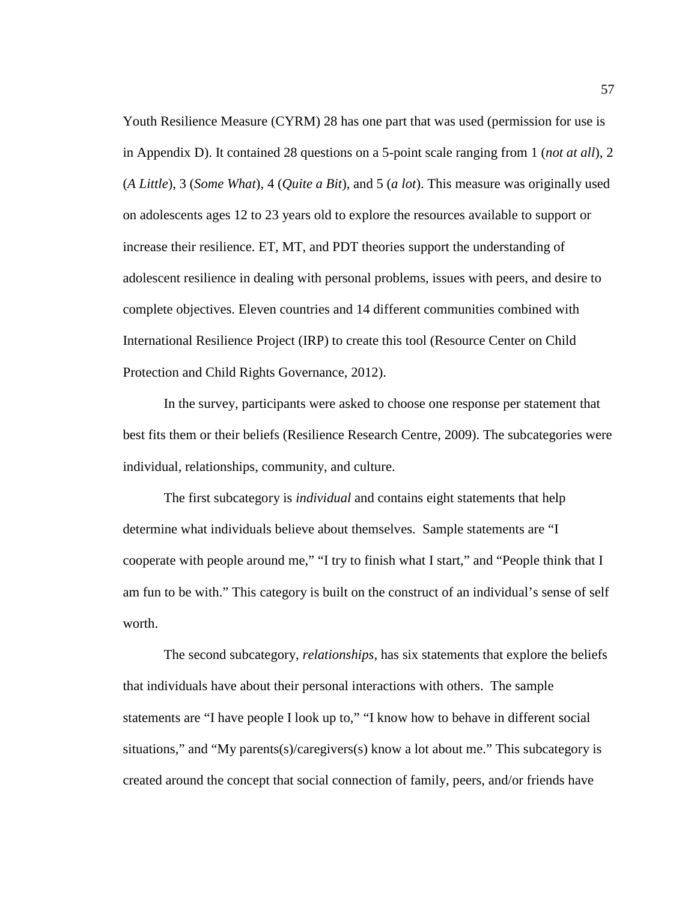Youth Resilience Measure (CYRM) 28 has one part that was used (permission for use is in Appendix D). It contained 28 questions on a 5-point scale ranging from 1 (*not at all*), 2 (*A Little*), 3 (*Some What*), 4 (*Quite a Bit*), and 5 (*a lot*). This measure was originally used on adolescents ages 12 to 23 years old to explore the resources available to support or increase their resilience. ET, MT, and PDT theories support the understanding of adolescent resilience in dealing with personal problems, issues with peers, and desire to complete objectives. Eleven countries and 14 different communities combined with International Resilience Project (IRP) to create this tool (Resource Center on Child Protection and Child Rights Governance, 2012).

In the survey, participants were asked to choose one response per statement that best fits them or their beliefs (Resilience Research Centre, 2009). The subcategories were individual, relationships, community, and culture.

The first subcategory is *individual* and contains eight statements that help determine what individuals believe about themselves. Sample statements are "I cooperate with people around me," "I try to finish what I start," and "People think that I am fun to be with." This category is built on the construct of an individual's sense of self worth.

The second subcategory, *relationships*, has six statements that explore the beliefs that individuals have about their personal interactions with others. The sample statements are "I have people I look up to," "I know how to behave in different social situations," and "My parents(s)/caregivers(s) know a lot about me." This subcategory is created around the concept that social connection of family, peers, and/or friends have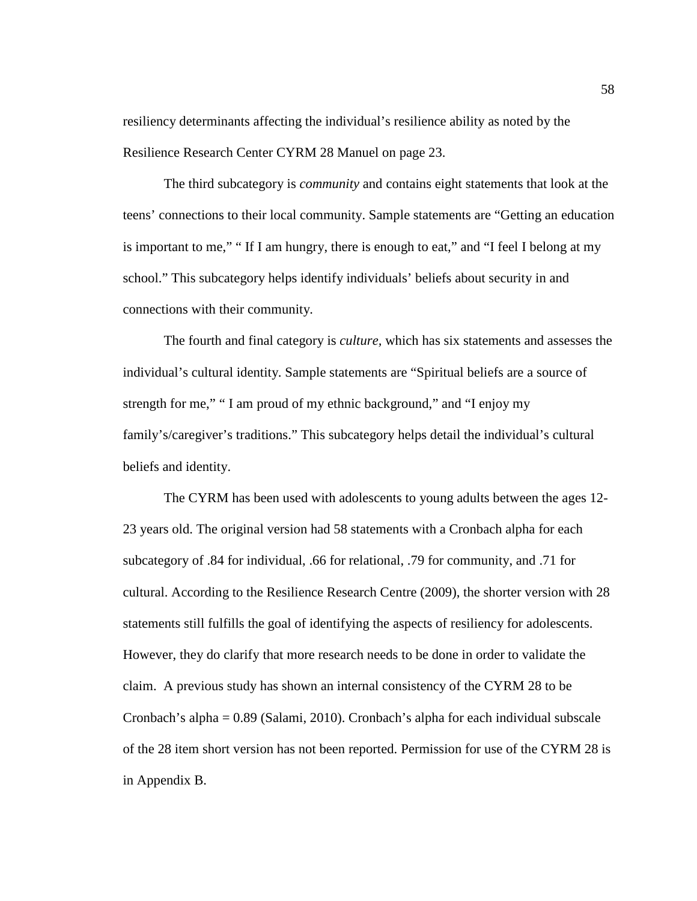resiliency determinants affecting the individual's resilience ability as noted by the Resilience Research Center CYRM 28 Manuel on page 23.

The third subcategory is *community* and contains eight statements that look at the teens' connections to their local community. Sample statements are "Getting an education is important to me," " If I am hungry, there is enough to eat," and "I feel I belong at my school." This subcategory helps identify individuals' beliefs about security in and connections with their community.

The fourth and final category is *culture,* which has six statements and assesses the individual's cultural identity. Sample statements are "Spiritual beliefs are a source of strength for me," " I am proud of my ethnic background," and "I enjoy my family's/caregiver's traditions." This subcategory helps detail the individual's cultural beliefs and identity.

The CYRM has been used with adolescents to young adults between the ages 12- 23 years old. The original version had 58 statements with a Cronbach alpha for each subcategory of .84 for individual, .66 for relational, .79 for community, and .71 for cultural. According to the Resilience Research Centre (2009), the shorter version with 28 statements still fulfills the goal of identifying the aspects of resiliency for adolescents. However, they do clarify that more research needs to be done in order to validate the claim. A previous study has shown an internal consistency of the CYRM 28 to be Cronbach's alpha = 0.89 (Salami, 2010). Cronbach's alpha for each individual subscale of the 28 item short version has not been reported. Permission for use of the CYRM 28 is in Appendix B.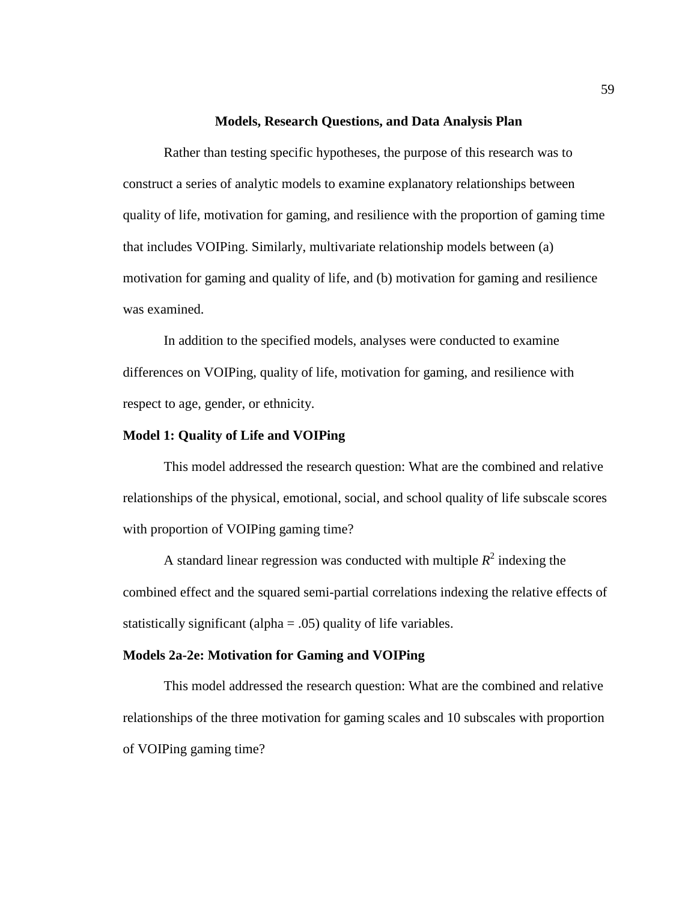#### **Models, Research Questions, and Data Analysis Plan**

Rather than testing specific hypotheses, the purpose of this research was to construct a series of analytic models to examine explanatory relationships between quality of life, motivation for gaming, and resilience with the proportion of gaming time that includes VOIPing. Similarly, multivariate relationship models between (a) motivation for gaming and quality of life, and (b) motivation for gaming and resilience was examined.

In addition to the specified models, analyses were conducted to examine differences on VOIPing, quality of life, motivation for gaming, and resilience with respect to age, gender, or ethnicity.

# **Model 1: Quality of Life and VOIPing**

This model addressed the research question: What are the combined and relative relationships of the physical, emotional, social, and school quality of life subscale scores with proportion of VOIPing gaming time?

A standard linear regression was conducted with multiple  $R^2$  indexing the combined effect and the squared semi-partial correlations indexing the relative effects of statistically significant (alpha  $= .05$ ) quality of life variables.

# **Models 2a-2e: Motivation for Gaming and VOIPing**

This model addressed the research question: What are the combined and relative relationships of the three motivation for gaming scales and 10 subscales with proportion of VOIPing gaming time?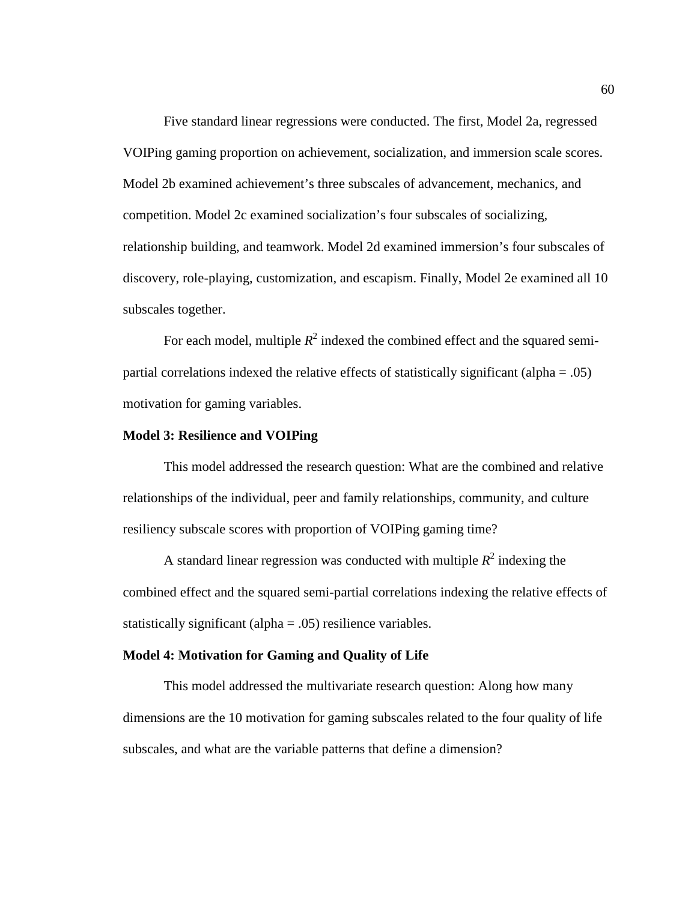Five standard linear regressions were conducted. The first, Model 2a, regressed VOIPing gaming proportion on achievement, socialization, and immersion scale scores. Model 2b examined achievement's three subscales of advancement, mechanics, and competition. Model 2c examined socialization's four subscales of socializing, relationship building, and teamwork. Model 2d examined immersion's four subscales of discovery, role-playing, customization, and escapism. Finally, Model 2e examined all 10 subscales together.

For each model, multiple  $R^2$  indexed the combined effect and the squared semipartial correlations indexed the relative effects of statistically significant (alpha = .05) motivation for gaming variables.

## **Model 3: Resilience and VOIPing**

This model addressed the research question: What are the combined and relative relationships of the individual, peer and family relationships, community, and culture resiliency subscale scores with proportion of VOIPing gaming time?

A standard linear regression was conducted with multiple  $R^2$  indexing the combined effect and the squared semi-partial correlations indexing the relative effects of statistically significant (alpha = .05) resilience variables.

## **Model 4: Motivation for Gaming and Quality of Life**

This model addressed the multivariate research question: Along how many dimensions are the 10 motivation for gaming subscales related to the four quality of life subscales, and what are the variable patterns that define a dimension?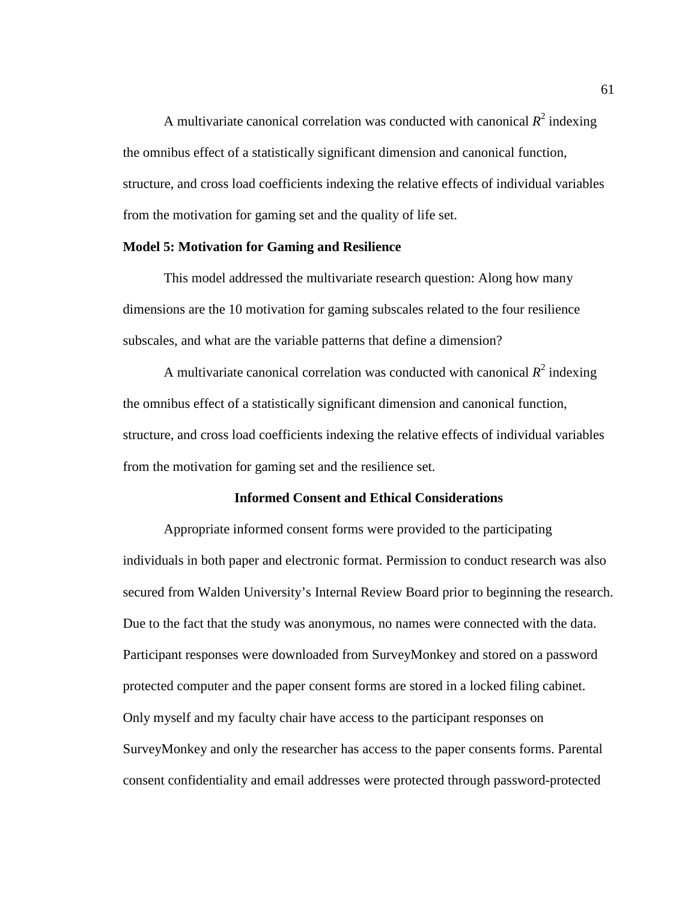A multivariate canonical correlation was conducted with canonical  $R^2$  indexing the omnibus effect of a statistically significant dimension and canonical function, structure, and cross load coefficients indexing the relative effects of individual variables from the motivation for gaming set and the quality of life set.

## **Model 5: Motivation for Gaming and Resilience**

This model addressed the multivariate research question: Along how many dimensions are the 10 motivation for gaming subscales related to the four resilience subscales, and what are the variable patterns that define a dimension?

A multivariate canonical correlation was conducted with canonical  $R^2$  indexing the omnibus effect of a statistically significant dimension and canonical function, structure, and cross load coefficients indexing the relative effects of individual variables from the motivation for gaming set and the resilience set.

## **Informed Consent and Ethical Considerations**

Appropriate informed consent forms were provided to the participating individuals in both paper and electronic format. Permission to conduct research was also secured from Walden University's Internal Review Board prior to beginning the research. Due to the fact that the study was anonymous, no names were connected with the data. Participant responses were downloaded from SurveyMonkey and stored on a password protected computer and the paper consent forms are stored in a locked filing cabinet. Only myself and my faculty chair have access to the participant responses on SurveyMonkey and only the researcher has access to the paper consents forms. Parental consent confidentiality and email addresses were protected through password-protected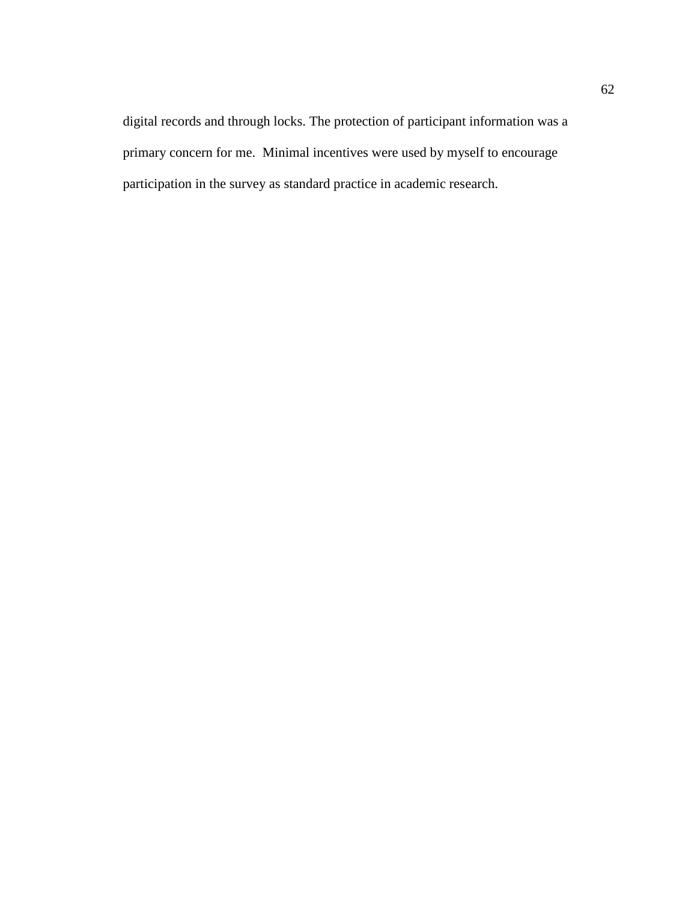digital records and through locks. The protection of participant information was a primary concern for me. Minimal incentives were used by myself to encourage participation in the survey as standard practice in academic research.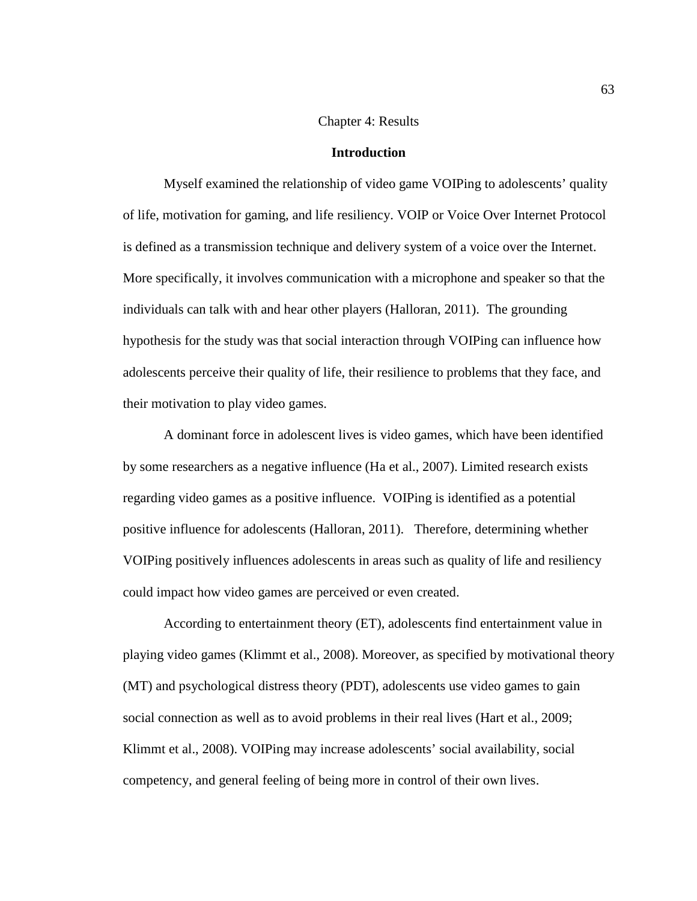## Chapter 4: Results

#### **Introduction**

Myself examined the relationship of video game VOIPing to adolescents' quality of life, motivation for gaming, and life resiliency. VOIP or Voice Over Internet Protocol is defined as a transmission technique and delivery system of a voice over the Internet. More specifically, it involves communication with a microphone and speaker so that the individuals can talk with and hear other players (Halloran, 2011). The grounding hypothesis for the study was that social interaction through VOIPing can influence how adolescents perceive their quality of life, their resilience to problems that they face, and their motivation to play video games.

A dominant force in adolescent lives is video games, which have been identified by some researchers as a negative influence (Ha et al., 2007). Limited research exists regarding video games as a positive influence. VOIPing is identified as a potential positive influence for adolescents (Halloran, 2011). Therefore, determining whether VOIPing positively influences adolescents in areas such as quality of life and resiliency could impact how video games are perceived or even created.

According to entertainment theory (ET), adolescents find entertainment value in playing video games (Klimmt et al., 2008). Moreover, as specified by motivational theory (MT) and psychological distress theory (PDT), adolescents use video games to gain social connection as well as to avoid problems in their real lives (Hart et al., 2009; Klimmt et al., 2008). VOIPing may increase adolescents' social availability, social competency, and general feeling of being more in control of their own lives.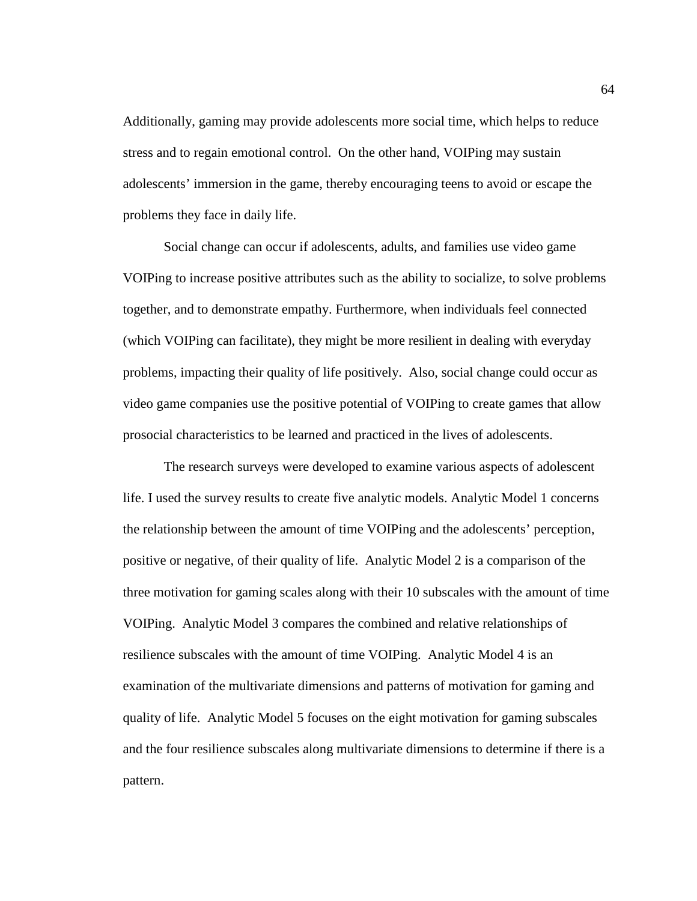Additionally, gaming may provide adolescents more social time, which helps to reduce stress and to regain emotional control. On the other hand, VOIPing may sustain adolescents' immersion in the game, thereby encouraging teens to avoid or escape the problems they face in daily life.

Social change can occur if adolescents, adults, and families use video game VOIPing to increase positive attributes such as the ability to socialize, to solve problems together, and to demonstrate empathy. Furthermore, when individuals feel connected (which VOIPing can facilitate), they might be more resilient in dealing with everyday problems, impacting their quality of life positively. Also, social change could occur as video game companies use the positive potential of VOIPing to create games that allow prosocial characteristics to be learned and practiced in the lives of adolescents.

The research surveys were developed to examine various aspects of adolescent life. I used the survey results to create five analytic models. Analytic Model 1 concerns the relationship between the amount of time VOIPing and the adolescents' perception, positive or negative, of their quality of life. Analytic Model 2 is a comparison of the three motivation for gaming scales along with their 10 subscales with the amount of time VOIPing. Analytic Model 3 compares the combined and relative relationships of resilience subscales with the amount of time VOIPing. Analytic Model 4 is an examination of the multivariate dimensions and patterns of motivation for gaming and quality of life. Analytic Model 5 focuses on the eight motivation for gaming subscales and the four resilience subscales along multivariate dimensions to determine if there is a pattern.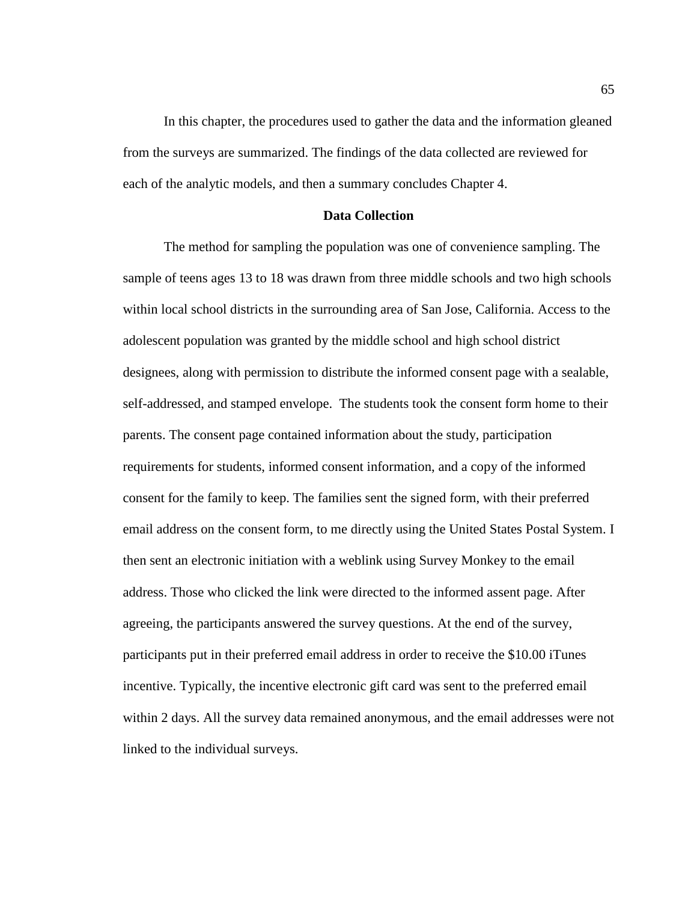In this chapter, the procedures used to gather the data and the information gleaned from the surveys are summarized. The findings of the data collected are reviewed for each of the analytic models, and then a summary concludes Chapter 4.

## **Data Collection**

The method for sampling the population was one of convenience sampling. The sample of teens ages 13 to 18 was drawn from three middle schools and two high schools within local school districts in the surrounding area of San Jose, California. Access to the adolescent population was granted by the middle school and high school district designees, along with permission to distribute the informed consent page with a sealable, self-addressed, and stamped envelope. The students took the consent form home to their parents. The consent page contained information about the study, participation requirements for students, informed consent information, and a copy of the informed consent for the family to keep. The families sent the signed form, with their preferred email address on the consent form, to me directly using the United States Postal System. I then sent an electronic initiation with a weblink using Survey Monkey to the email address. Those who clicked the link were directed to the informed assent page. After agreeing, the participants answered the survey questions. At the end of the survey, participants put in their preferred email address in order to receive the \$10.00 iTunes incentive. Typically, the incentive electronic gift card was sent to the preferred email within 2 days. All the survey data remained anonymous, and the email addresses were not linked to the individual surveys.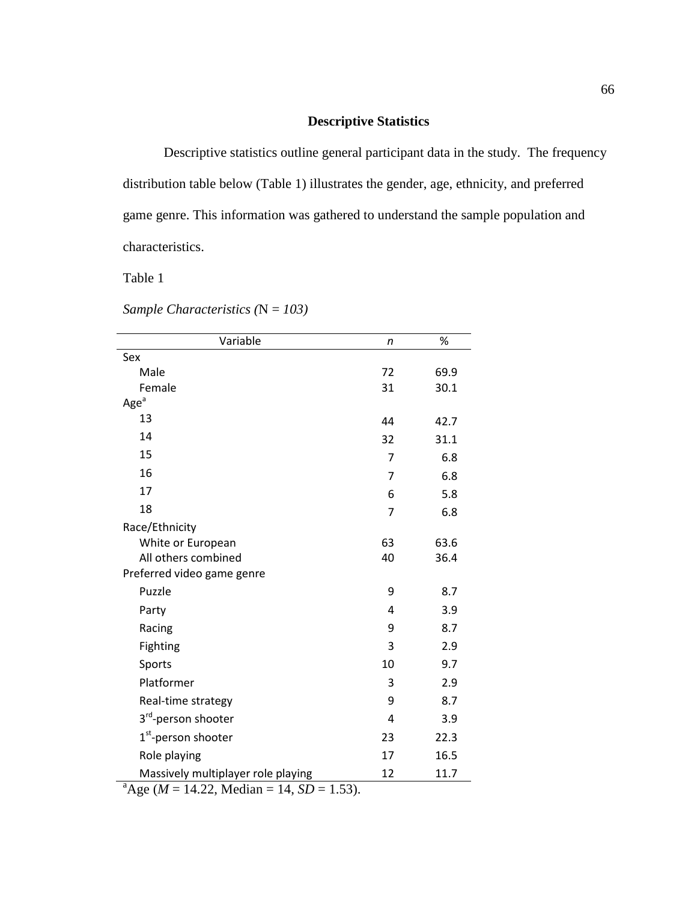# **Descriptive Statistics**

Descriptive statistics outline general participant data in the study. The frequency distribution table below (Table 1) illustrates the gender, age, ethnicity, and preferred game genre. This information was gathered to understand the sample population and characteristics.

Table 1

*Sample Characteristics (*N = *103)*

| Variable                                                                                                      | n  | $\%$ |
|---------------------------------------------------------------------------------------------------------------|----|------|
| Sex                                                                                                           |    |      |
| Male                                                                                                          | 72 | 69.9 |
| Female                                                                                                        | 31 | 30.1 |
| $Agea$                                                                                                        |    |      |
| 13                                                                                                            | 44 | 42.7 |
| 14                                                                                                            | 32 | 31.1 |
| 15                                                                                                            | 7  | 6.8  |
| 16                                                                                                            | 7  | 6.8  |
| 17                                                                                                            | 6  | 5.8  |
| 18                                                                                                            | 7  | 6.8  |
| Race/Ethnicity                                                                                                |    |      |
| White or European                                                                                             | 63 | 63.6 |
| All others combined                                                                                           | 40 | 36.4 |
| Preferred video game genre                                                                                    |    |      |
| Puzzle                                                                                                        | 9  | 8.7  |
| Party                                                                                                         | 4  | 3.9  |
| Racing                                                                                                        | 9  | 8.7  |
| Fighting                                                                                                      | 3  | 2.9  |
| Sports                                                                                                        | 10 | 9.7  |
| Platformer                                                                                                    | 3  | 2.9  |
| Real-time strategy                                                                                            | 9  | 8.7  |
| 3 <sup>rd</sup> -person shooter                                                                               | 4  | 3.9  |
| 1 <sup>st</sup> -person shooter                                                                               | 23 | 22.3 |
| Role playing                                                                                                  | 17 | 16.5 |
| Massively multiplayer role playing<br>$\frac{1}{a} \Lambda_{\alpha\alpha} (M - 14.22 \text{ Median} - 14.52)$ | 12 | 11.7 |

 $A^{a}$ Age (*M* = 14.22, Median = 14, *SD* = 1.53).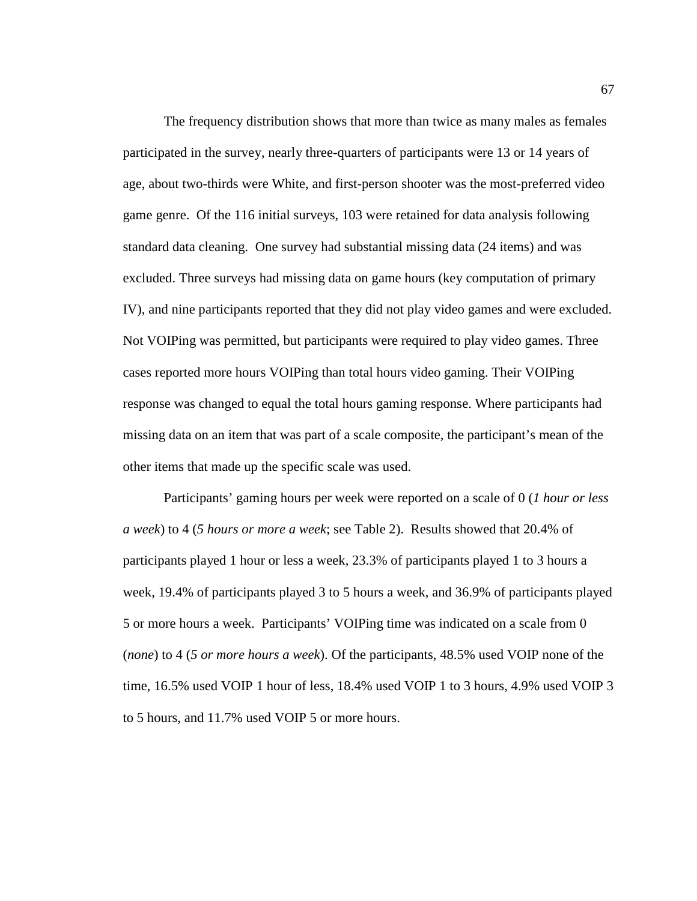The frequency distribution shows that more than twice as many males as females participated in the survey, nearly three-quarters of participants were 13 or 14 years of age, about two-thirds were White, and first-person shooter was the most-preferred video game genre. Of the 116 initial surveys, 103 were retained for data analysis following standard data cleaning. One survey had substantial missing data (24 items) and was excluded. Three surveys had missing data on game hours (key computation of primary IV), and nine participants reported that they did not play video games and were excluded. Not VOIPing was permitted, but participants were required to play video games. Three cases reported more hours VOIPing than total hours video gaming. Their VOIPing response was changed to equal the total hours gaming response. Where participants had missing data on an item that was part of a scale composite, the participant's mean of the other items that made up the specific scale was used.

Participants' gaming hours per week were reported on a scale of 0 (*1 hour or less a week*) to 4 (*5 hours or more a week*; see Table 2). Results showed that 20.4% of participants played 1 hour or less a week, 23.3% of participants played 1 to 3 hours a week, 19.4% of participants played 3 to 5 hours a week, and 36.9% of participants played 5 or more hours a week. Participants' VOIPing time was indicated on a scale from 0 (*none*) to 4 (*5 or more hours a week*). Of the participants, 48.5% used VOIP none of the time, 16.5% used VOIP 1 hour of less, 18.4% used VOIP 1 to 3 hours, 4.9% used VOIP 3 to 5 hours, and 11.7% used VOIP 5 or more hours.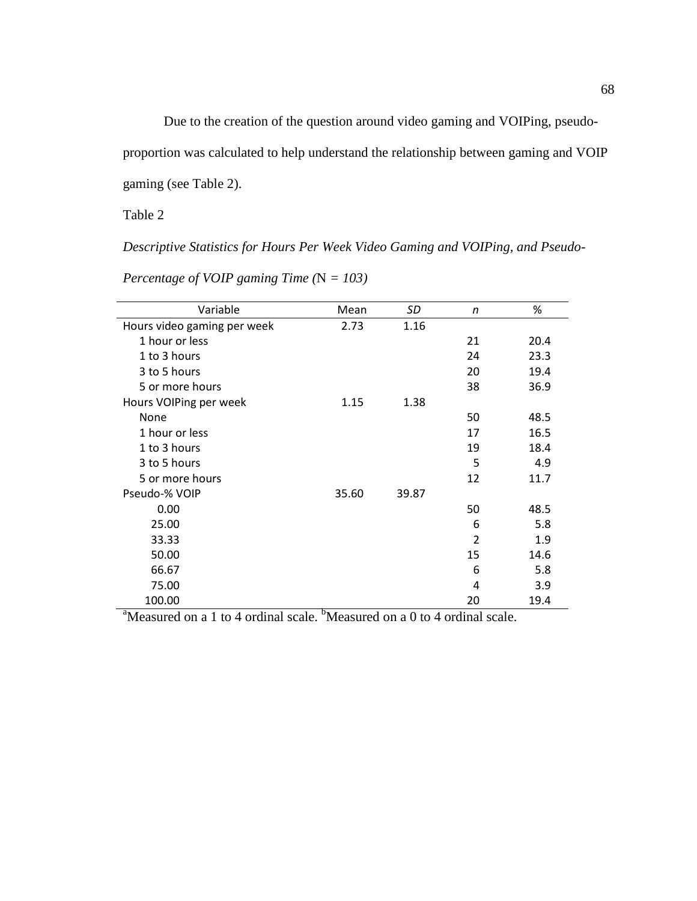Due to the creation of the question around video gaming and VOIPing, pseudo-

proportion was calculated to help understand the relationship between gaming and VOIP

gaming (see Table 2).

Table 2

*Descriptive Statistics for Hours Per Week Video Gaming and VOIPing, and Pseudo-*

| Variable                    | Mean  | SD    | n  | %    |
|-----------------------------|-------|-------|----|------|
| Hours video gaming per week | 2.73  | 1.16  |    |      |
| 1 hour or less              |       |       | 21 | 20.4 |
| 1 to 3 hours                |       |       | 24 | 23.3 |
| 3 to 5 hours                |       |       | 20 | 19.4 |
| 5 or more hours             |       |       | 38 | 36.9 |
| Hours VOIPing per week      | 1.15  | 1.38  |    |      |
| None                        |       |       | 50 | 48.5 |
| 1 hour or less              |       |       | 17 | 16.5 |
| 1 to 3 hours                |       |       | 19 | 18.4 |
| 3 to 5 hours                |       |       | 5  | 4.9  |
| 5 or more hours             |       |       | 12 | 11.7 |
| Pseudo-% VOIP               | 35.60 | 39.87 |    |      |
| 0.00                        |       |       | 50 | 48.5 |
| 25.00                       |       |       | 6  | 5.8  |
| 33.33                       |       |       | 2  | 1.9  |
| 50.00                       |       |       | 15 | 14.6 |
| 66.67                       |       |       | 6  | 5.8  |
| 75.00                       |       |       | 4  | 3.9  |
| 100.00                      |       |       | 20 | 19.4 |

*Percentage of VOIP gaming Time (*N *= 103)* 

<sup>a</sup>Measured on a 1 to 4 ordinal scale. <sup>b</sup>Measured on a 0 to 4 ordinal scale.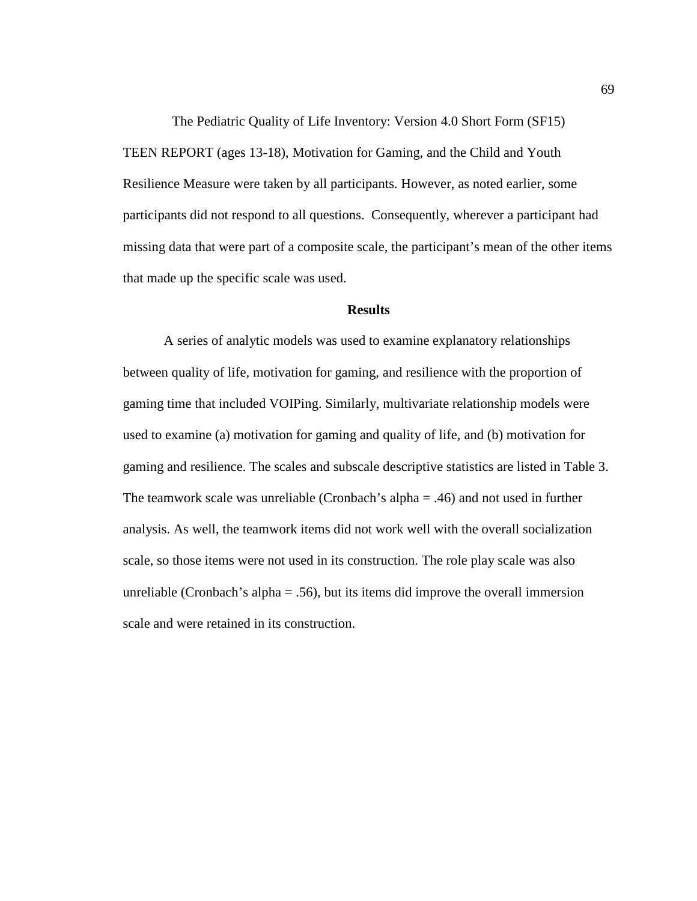The Pediatric Quality of Life Inventory: Version 4.0 Short Form (SF15) TEEN REPORT (ages 13-18), Motivation for Gaming, and the Child and Youth Resilience Measure were taken by all participants. However, as noted earlier, some participants did not respond to all questions. Consequently, wherever a participant had missing data that were part of a composite scale, the participant's mean of the other items that made up the specific scale was used.

## **Results**

A series of analytic models was used to examine explanatory relationships between quality of life, motivation for gaming, and resilience with the proportion of gaming time that included VOIPing. Similarly, multivariate relationship models were used to examine (a) motivation for gaming and quality of life, and (b) motivation for gaming and resilience. The scales and subscale descriptive statistics are listed in Table 3. The teamwork scale was unreliable (Cronbach's alpha = .46) and not used in further analysis. As well, the teamwork items did not work well with the overall socialization scale, so those items were not used in its construction. The role play scale was also unreliable (Cronbach's alpha  $= .56$ ), but its items did improve the overall immersion scale and were retained in its construction.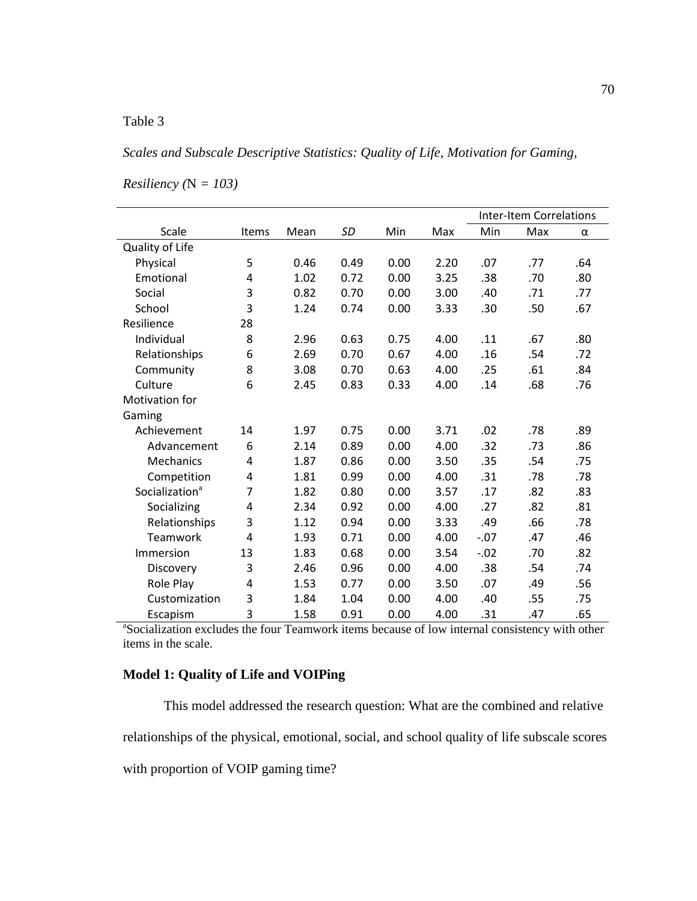# *Scales and Subscale Descriptive Statistics: Quality of Life, Motivation for Gaming,*

|                                                                                                            |                |      |           |      |      |        | <b>Inter-Item Correlations</b> |     |  |  |  |
|------------------------------------------------------------------------------------------------------------|----------------|------|-----------|------|------|--------|--------------------------------|-----|--|--|--|
| Scale                                                                                                      | Items          | Mean | <b>SD</b> | Min  | Max  | Min    | Max                            | α   |  |  |  |
| Quality of Life                                                                                            |                |      |           |      |      |        |                                |     |  |  |  |
| Physical                                                                                                   | 5              | 0.46 | 0.49      | 0.00 | 2.20 | .07    | .77                            | .64 |  |  |  |
| Emotional                                                                                                  | 4              | 1.02 | 0.72      | 0.00 | 3.25 | .38    | .70                            | .80 |  |  |  |
| Social                                                                                                     | 3              | 0.82 | 0.70      | 0.00 | 3.00 | .40    | .71                            | .77 |  |  |  |
| School                                                                                                     | 3              | 1.24 | 0.74      | 0.00 | 3.33 | .30    | .50                            | .67 |  |  |  |
| Resilience                                                                                                 | 28             |      |           |      |      |        |                                |     |  |  |  |
| Individual                                                                                                 | 8              | 2.96 | 0.63      | 0.75 | 4.00 | .11    | .67                            | .80 |  |  |  |
| Relationships                                                                                              | 6              | 2.69 | 0.70      | 0.67 | 4.00 | .16    | .54                            | .72 |  |  |  |
| Community                                                                                                  | 8              | 3.08 | 0.70      | 0.63 | 4.00 | .25    | .61                            | .84 |  |  |  |
| Culture                                                                                                    | 6              | 2.45 | 0.83      | 0.33 | 4.00 | .14    | .68                            | .76 |  |  |  |
| Motivation for                                                                                             |                |      |           |      |      |        |                                |     |  |  |  |
| Gaming                                                                                                     |                |      |           |      |      |        |                                |     |  |  |  |
| Achievement                                                                                                | 14             | 1.97 | 0.75      | 0.00 | 3.71 | .02    | .78                            | .89 |  |  |  |
| Advancement                                                                                                | 6              | 2.14 | 0.89      | 0.00 | 4.00 | .32    | .73                            | .86 |  |  |  |
| Mechanics                                                                                                  | 4              | 1.87 | 0.86      | 0.00 | 3.50 | .35    | .54                            | .75 |  |  |  |
| Competition                                                                                                | 4              | 1.81 | 0.99      | 0.00 | 4.00 | .31    | .78                            | .78 |  |  |  |
| Socialization <sup>a</sup>                                                                                 | $\overline{7}$ | 1.82 | 0.80      | 0.00 | 3.57 | .17    | .82                            | .83 |  |  |  |
| Socializing                                                                                                | 4              | 2.34 | 0.92      | 0.00 | 4.00 | .27    | .82                            | .81 |  |  |  |
| Relationships                                                                                              | 3              | 1.12 | 0.94      | 0.00 | 3.33 | .49    | .66                            | .78 |  |  |  |
| Teamwork                                                                                                   | 4              | 1.93 | 0.71      | 0.00 | 4.00 | $-.07$ | .47                            | .46 |  |  |  |
| Immersion                                                                                                  | 13             | 1.83 | 0.68      | 0.00 | 3.54 | $-.02$ | .70                            | .82 |  |  |  |
| Discovery                                                                                                  | 3              | 2.46 | 0.96      | 0.00 | 4.00 | .38    | .54                            | .74 |  |  |  |
| Role Play                                                                                                  | 4              | 1.53 | 0.77      | 0.00 | 3.50 | .07    | .49                            | .56 |  |  |  |
| Customization                                                                                              | 3              | 1.84 | 1.04      | 0.00 | 4.00 | .40    | .55                            | .75 |  |  |  |
| Escapism                                                                                                   | 3              | 1.58 | 0.91      | 0.00 | 4.00 | .31    | .47                            | .65 |  |  |  |
| <sup>a</sup> Socialization excludes the four Teamwork items because of low internal consistency with other |                |      |           |      |      |        |                                |     |  |  |  |

*Resiliency (*N *= 103)* 

items in the scale.

# **Model 1: Quality of Life and VOIPing**

This model addressed the research question: What are the combined and relative relationships of the physical, emotional, social, and school quality of life subscale scores with proportion of VOIP gaming time?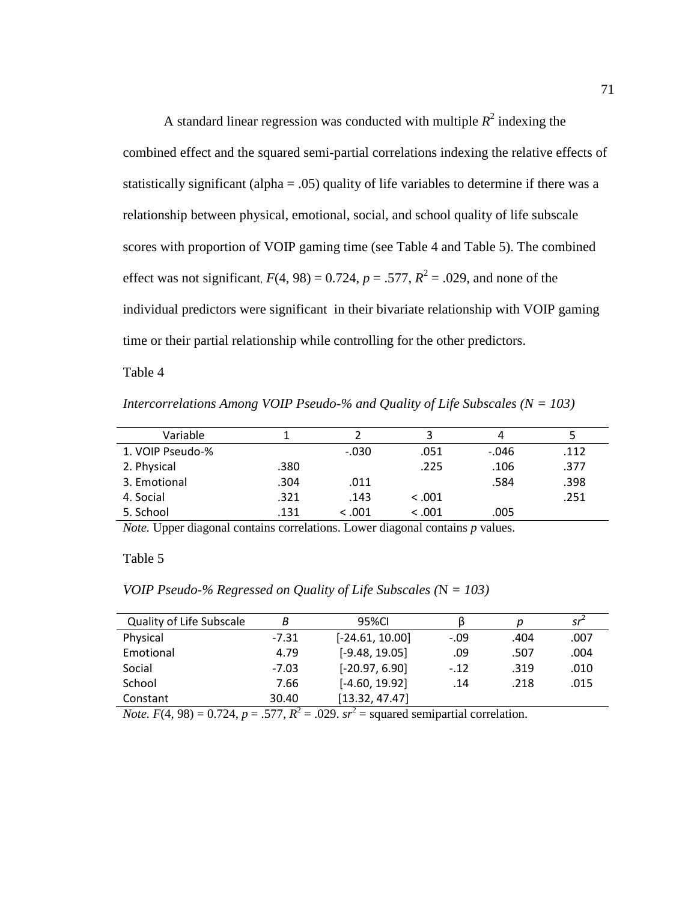A standard linear regression was conducted with multiple  $R^2$  indexing the combined effect and the squared semi-partial correlations indexing the relative effects of statistically significant (alpha  $= .05$ ) quality of life variables to determine if there was a relationship between physical, emotional, social, and school quality of life subscale scores with proportion of VOIP gaming time (see Table 4 and Table 5). The combined effect was not significant,  $F(4, 98) = 0.724$ ,  $p = .577$ ,  $R^2 = .029$ , and none of the individual predictors were significant in their bivariate relationship with VOIP gaming time or their partial relationship while controlling for the other predictors.

Table 4

*Intercorrelations Among VOIP Pseudo-% and Quality of Life Subscales (N = 103)* 

| Variable         |      |         |         | 4       |      |
|------------------|------|---------|---------|---------|------|
| 1. VOIP Pseudo-% |      | $-.030$ | .051    | $-.046$ | .112 |
| 2. Physical      | .380 |         | .225    | .106    | .377 |
| 3. Emotional     | .304 | .011    |         | .584    | .398 |
| 4. Social        | .321 | .143    | < 0.001 |         | .251 |
| 5. School        | .131 | < 0.001 | < 0.001 | .005    |      |

*Note.* Upper diagonal contains correlations. Lower diagonal contains *p* values.

Table 5

*VOIP Pseudo-% Regressed on Quality of Life Subscales (*N *= 103)* 

| <b>Quality of Life Subscale</b> | В       | 95%CI             | B      | D    | sr   |
|---------------------------------|---------|-------------------|--------|------|------|
| Physical                        | $-7.31$ | $[-24.61, 10.00]$ | $-.09$ | .404 | .007 |
| Emotional                       | 4.79    | $[-9.48, 19.05]$  | .09    | .507 | .004 |
| Social                          | $-7.03$ | $[-20.97, 6.90]$  | $-.12$ | .319 | .010 |
| School                          | 7.66    | $[-4.60, 19.92]$  | .14    | .218 | .015 |
| Constant                        | 30.40   | [13.32, 47.47]    |        |      |      |

*Note.*  $F(4, 98) = 0.724$ ,  $p = .577$ ,  $R^2 = .029$ .  $sr^2 =$  squared semipartial correlation.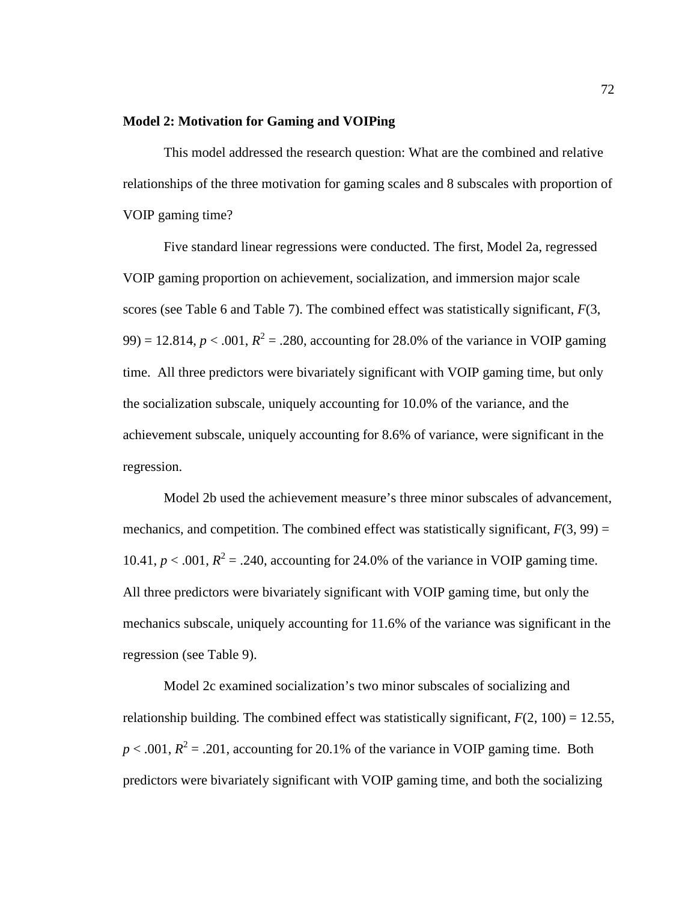## **Model 2: Motivation for Gaming and VOIPing**

This model addressed the research question: What are the combined and relative relationships of the three motivation for gaming scales and 8 subscales with proportion of VOIP gaming time?

Five standard linear regressions were conducted. The first, Model 2a, regressed VOIP gaming proportion on achievement, socialization, and immersion major scale scores (see Table 6 and Table 7). The combined effect was statistically significant, *F*(3, 99) = 12.814,  $p < .001$ ,  $R^2 = .280$ , accounting for 28.0% of the variance in VOIP gaming time. All three predictors were bivariately significant with VOIP gaming time, but only the socialization subscale, uniquely accounting for 10.0% of the variance, and the achievement subscale, uniquely accounting for 8.6% of variance, were significant in the regression.

Model 2b used the achievement measure's three minor subscales of advancement, mechanics, and competition. The combined effect was statistically significant,  $F(3, 99) =$ 10.41,  $p < .001$ ,  $R^2 = .240$ , accounting for 24.0% of the variance in VOIP gaming time. All three predictors were bivariately significant with VOIP gaming time, but only the mechanics subscale, uniquely accounting for 11.6% of the variance was significant in the regression (see Table 9).

Model 2c examined socialization's two minor subscales of socializing and relationship building. The combined effect was statistically significant,  $F(2, 100) = 12.55$ ,  $p < .001$ ,  $R^2 = .201$ , accounting for 20.1% of the variance in VOIP gaming time. Both predictors were bivariately significant with VOIP gaming time, and both the socializing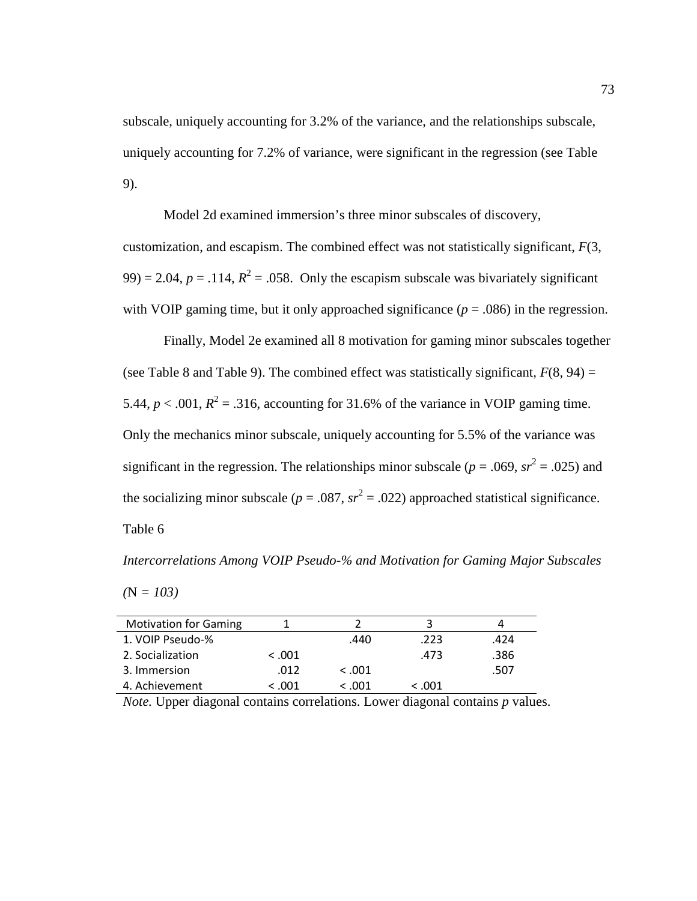subscale, uniquely accounting for 3.2% of the variance, and the relationships subscale, uniquely accounting for 7.2% of variance, were significant in the regression (see Table 9).

Model 2d examined immersion's three minor subscales of discovery, customization, and escapism. The combined effect was not statistically significant, *F*(3,  $(99) = 2.04$ ,  $p = .114$ ,  $R^2 = .058$ . Only the escapism subscale was bivariately significant with VOIP gaming time, but it only approached significance  $(p = .086)$  in the regression.

Finally, Model 2e examined all 8 motivation for gaming minor subscales together (see Table 8 and Table 9). The combined effect was statistically significant,  $F(8, 94) =$ 5.44,  $p < .001$ ,  $R^2 = .316$ , accounting for 31.6% of the variance in VOIP gaming time. Only the mechanics minor subscale, uniquely accounting for 5.5% of the variance was significant in the regression. The relationships minor subscale ( $p = .069$ ,  $sr^2 = .025$ ) and the socializing minor subscale ( $p = .087$ ,  $sr^2 = .022$ ) approached statistical significance. Table 6

*Intercorrelations Among VOIP Pseudo-% and Motivation for Gaming Major Subscales* 

*(*N *= 103)* 

| <b>Motivation for Gaming</b> |         |         |         |      |
|------------------------------|---------|---------|---------|------|
| 1. VOIP Pseudo-%             |         | .440    | .223    | .424 |
| 2. Socialization             | < 0.001 |         | .473    | .386 |
| 3. Immersion                 | .012    | < 0.001 |         | .507 |
| 4. Achievement               | < .001  | < .001  | < 0.001 |      |

*Note.* Upper diagonal contains correlations. Lower diagonal contains *p* values.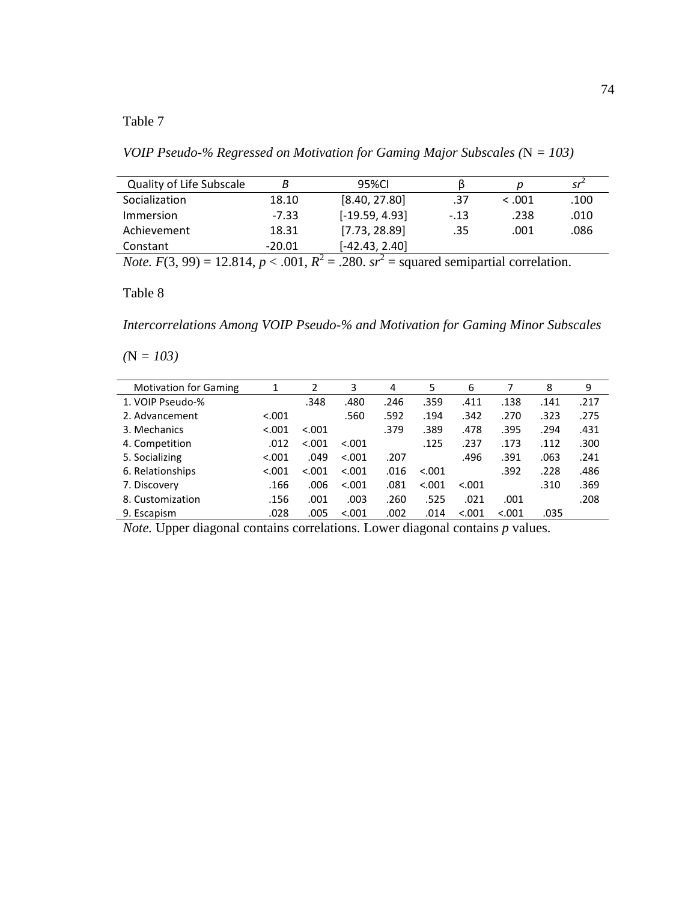*VOIP Pseudo-% Regressed on Motivation for Gaming Major Subscales (*N *= 103)* 

| <b>Quality of Life Subscale</b> | B        | 95%CI            | B      |         | _sr <sup>*</sup> |
|---------------------------------|----------|------------------|--------|---------|------------------|
| Socialization                   | 18.10    | [8.40, 27.80]    | .37    | < 0.001 | .100             |
| Immersion                       | -7.33    | $[-19.59, 4.93]$ | $-.13$ | .238    | .010             |
| Achievement                     | 18.31    | [7.73, 28.89]    | .35    | .001    | .086             |
| Constant                        | $-20.01$ | $[-42.43, 2.40]$ |        |         |                  |

*Note.*  $F(3, 99) = 12.814, p < .001, R^2 = .280.$   $sr^2 =$  squared semipartial correlation.

# Table 8

*Intercorrelations Among VOIP Pseudo-% and Motivation for Gaming Minor Subscales* 

*(*N *= 103)* 

| <b>Motivation for Gaming</b> | 1       | 2       | 3       | 4    | 5       | 6       |        | 8    | 9    |
|------------------------------|---------|---------|---------|------|---------|---------|--------|------|------|
| 1. VOIP Pseudo-%             |         | .348    | .480    | .246 | .359    | .411    | .138   | .141 | .217 |
| 2. Advancement               | < 0.001 |         | .560    | .592 | .194    | .342    | .270   | .323 | .275 |
| 3. Mechanics                 | < 0.001 | < 0.001 |         | .379 | .389    | .478    | .395   | .294 | .431 |
| 4. Competition               | .012    | < 0.001 | < 0.001 |      | .125    | .237    | .173   | .112 | .300 |
| 5. Socializing               | < 0.001 | .049    | < .001  | .207 |         | .496    | .391   | .063 | .241 |
| 6. Relationships             | < 0.001 | < .001  | < 0.001 | .016 | < 0.001 |         | .392   | .228 | .486 |
| 7. Discovery                 | .166    | .006    | < 0.001 | .081 | < 0.001 | < 0.001 |        | .310 | .369 |
| 8. Customization             | .156    | .001    | .003    | .260 | .525    | .021    | .001   |      | .208 |
| 9. Escapism                  | .028    | .005    | < .001  | .002 | .014    | < 0.001 | < .001 | .035 |      |

*Note.* Upper diagonal contains correlations. Lower diagonal contains *p* values.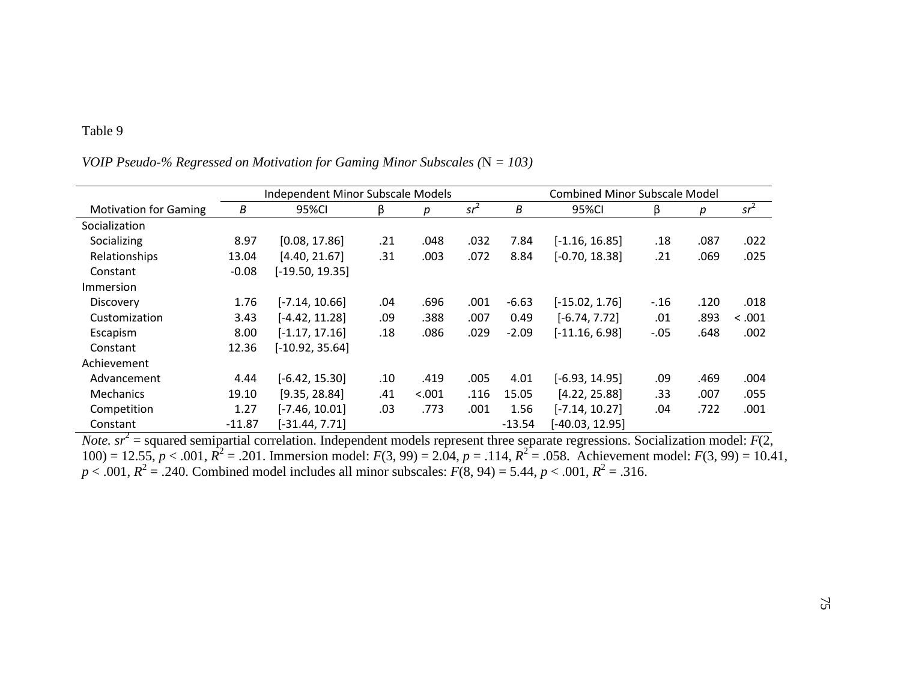|                              |          | Independent Minor Subscale Models |     |        |        | <b>Combined Minor Subscale Model</b> |                  |        |      |        |  |
|------------------------------|----------|-----------------------------------|-----|--------|--------|--------------------------------------|------------------|--------|------|--------|--|
| <b>Motivation for Gaming</b> | В        | 95%CI                             | ß   | р      | $sr^2$ | В                                    | 95%CI            | β      | р    | $sr^2$ |  |
| Socialization                |          |                                   |     |        |        |                                      |                  |        |      |        |  |
| Socializing                  | 8.97     | [0.08, 17.86]                     | .21 | .048   | .032   | 7.84                                 | $[-1.16, 16.85]$ | .18    | .087 | .022   |  |
| Relationships                | 13.04    | [4.40, 21.67]                     | .31 | .003   | .072   | 8.84                                 | $[-0.70, 18.38]$ | .21    | .069 | .025   |  |
| Constant                     | $-0.08$  | $[-19.50, 19.35]$                 |     |        |        |                                      |                  |        |      |        |  |
| <b>Immersion</b>             |          |                                   |     |        |        |                                      |                  |        |      |        |  |
| Discovery                    | 1.76     | $[-7.14, 10.66]$                  | .04 | .696   | .001   | $-6.63$                              | $[-15.02, 1.76]$ | $-.16$ | .120 | .018   |  |
| Customization                | 3.43     | $[-4.42, 11.28]$                  | .09 | .388   | .007   | 0.49                                 | $[-6.74, 7.72]$  | .01    | .893 | < .001 |  |
| Escapism                     | 8.00     | $[-1.17, 17.16]$                  | .18 | .086   | .029   | $-2.09$                              | $[-11.16, 6.98]$ | $-.05$ | .648 | .002   |  |
| Constant                     | 12.36    | $[-10.92, 35.64]$                 |     |        |        |                                      |                  |        |      |        |  |
| Achievement                  |          |                                   |     |        |        |                                      |                  |        |      |        |  |
| Advancement                  | 4.44     | $[-6.42, 15.30]$                  | .10 | .419   | .005   | 4.01                                 | $[-6.93, 14.95]$ | .09    | .469 | .004   |  |
| <b>Mechanics</b>             | 19.10    | [9.35, 28.84]                     | .41 | < .001 | .116   | 15.05                                | [4.22, 25.88]    | .33    | .007 | .055   |  |
| Competition                  | 1.27     | $[-7.46, 10.01]$                  | .03 | .773   | .001   | 1.56                                 | $[-7.14, 10.27]$ | .04    | .722 | .001   |  |
| Constant                     | $-11.87$ | $[-31.44, 7.71]$                  |     |        |        | $-13.54$                             | $-40.03, 12.95$  |        |      |        |  |

# *VOIP Pseudo-% Regressed on Motivation for Gaming Minor Subscales (*N *= 103)*

*Note.*  $sr^2$  = squared semipartial correlation. Independent models represent three separate regressions. Socialization model:  $F(2, 1)$ 100) = 12.55,  $p < .001$ ,  $R^2 = .201$ . Immersion model:  $F(3, 99) = 2.04$ ,  $p = .114$ ,  $R^2 = .058$ . Achievement model:  $F(3, 99) = 10.41$ ,  $p < .001$ ,  $R^2 = .240$ . Combined model includes all minor subscales:  $F(8, 94) = 5.44$ ,  $p < .0$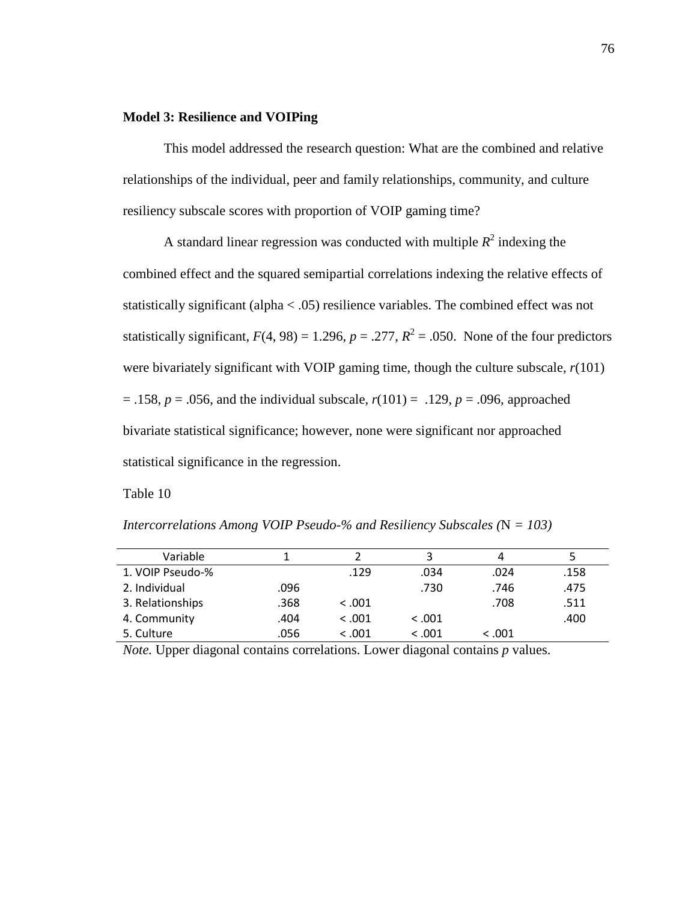## **Model 3: Resilience and VOIPing**

This model addressed the research question: What are the combined and relative relationships of the individual, peer and family relationships, community, and culture resiliency subscale scores with proportion of VOIP gaming time?

A standard linear regression was conducted with multiple  $R^2$  indexing the combined effect and the squared semipartial correlations indexing the relative effects of statistically significant (alpha < .05) resilience variables. The combined effect was not statistically significant,  $F(4, 98) = 1.296$ ,  $p = .277$ ,  $R^2 = .050$ . None of the four predictors were bivariately significant with VOIP gaming time, though the culture subscale,  $r(101)$  $= .158$ ,  $p = .056$ , and the individual subscale,  $r(101) = .129$ ,  $p = .096$ , approached bivariate statistical significance; however, none were significant nor approached statistical significance in the regression.

Table 10

*Intercorrelations Among VOIP Pseudo-% and Resiliency Subscales (*N *= 103)* 

| Variable         |      |         |         | 4       |      |
|------------------|------|---------|---------|---------|------|
| 1. VOIP Pseudo-% |      | .129    | .034    | .024    | .158 |
| 2. Individual    | .096 |         | .730    | .746    | .475 |
| 3. Relationships | .368 | < 0.001 |         | .708    | .511 |
| 4. Community     | .404 | < .001  | < 0.001 |         | .400 |
| 5. Culture       | .056 | < 0.001 | < 0.001 | < 0.001 |      |

*Note.* Upper diagonal contains correlations. Lower diagonal contains *p* values.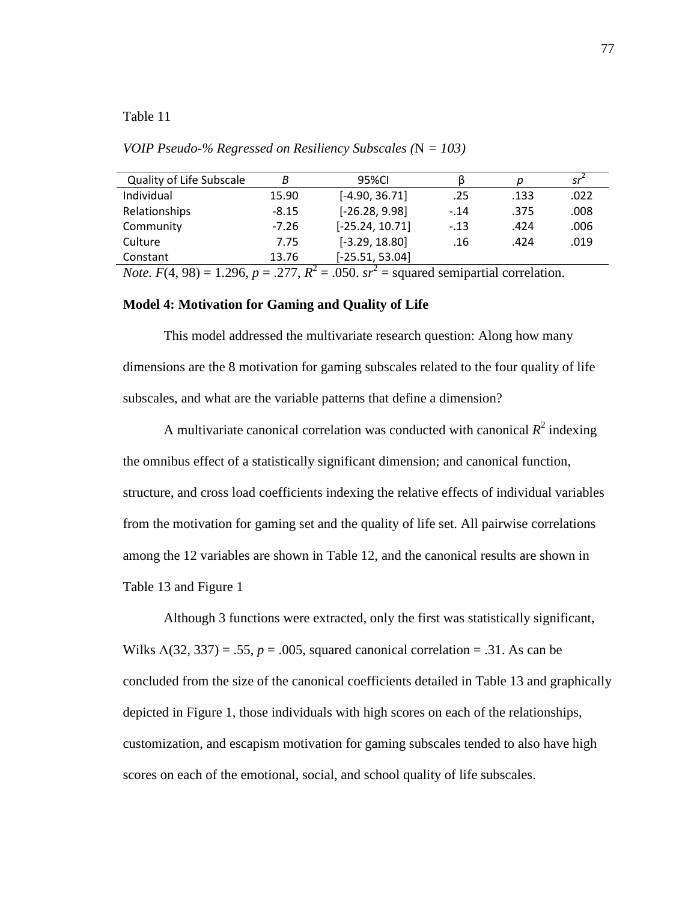*VOIP Pseudo-% Regressed on Resiliency Subscales (*N *= 103)* 

| <b>Quality of Life Subscale</b> | B       | 95%CI             |        | Ŋ    | sr   |
|---------------------------------|---------|-------------------|--------|------|------|
| Individual                      | 15.90   | $[-4.90, 36.71]$  | .25    | .133 | .022 |
| Relationships                   | $-8.15$ | $[-26.28, 9.98]$  | $-.14$ | .375 | .008 |
| Community                       | $-7.26$ | $[-25.24, 10.71]$ | $-.13$ | .424 | .006 |
| Culture                         | 7.75    | $[-3.29, 18.80]$  | .16    | .424 | .019 |
| Constant                        | 13.76   | $[-25.51, 53.04]$ |        |      |      |
|                                 |         |                   |        |      |      |

*Note.*  $F(4, 98) = 1.296$ ,  $p = .277$ ,  $R^2 = .050$ .  $sr^2 =$  squared semipartial correlation.

## **Model 4: Motivation for Gaming and Quality of Life**

This model addressed the multivariate research question: Along how many dimensions are the 8 motivation for gaming subscales related to the four quality of life subscales, and what are the variable patterns that define a dimension?

A multivariate canonical correlation was conducted with canonical  $R^2$  indexing the omnibus effect of a statistically significant dimension; and canonical function, structure, and cross load coefficients indexing the relative effects of individual variables from the motivation for gaming set and the quality of life set. All pairwise correlations among the 12 variables are shown in Table 12, and the canonical results are shown in Table 13 and Figure 1

Although 3 functions were extracted, only the first was statistically significant, Wilks  $\Lambda(32, 337) = .55$ ,  $p = .005$ , squared canonical correlation = .31. As can be concluded from the size of the canonical coefficients detailed in Table 13 and graphically depicted in Figure 1, those individuals with high scores on each of the relationships, customization, and escapism motivation for gaming subscales tended to also have high scores on each of the emotional, social, and school quality of life subscales.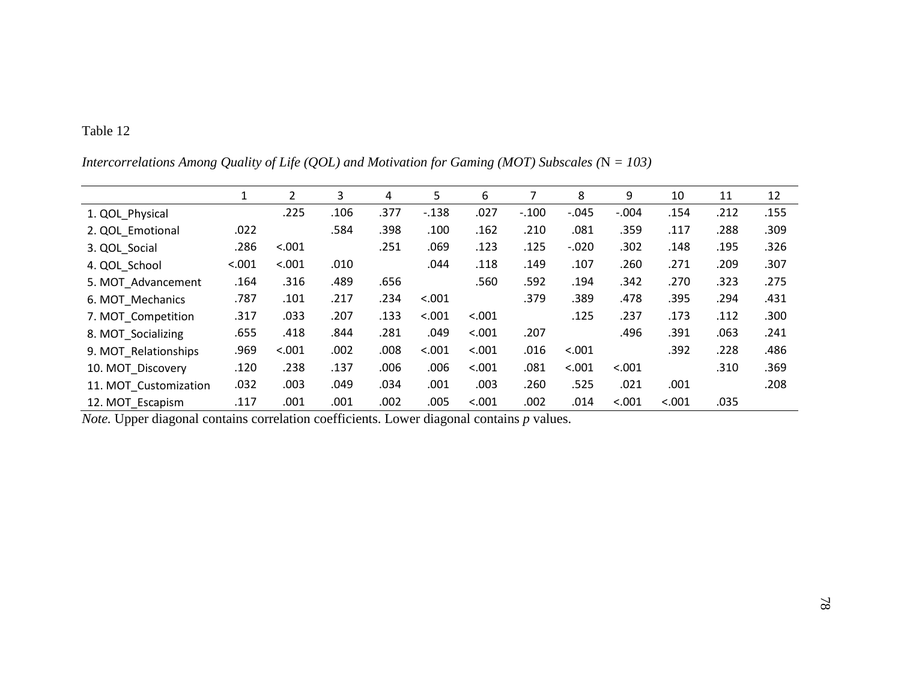|                       | $\mathbf{1}$ | $\overline{2}$ | 3    | 4    | 5       | 6      |         | 8        | 9       | 10     | 11   | 12   |
|-----------------------|--------------|----------------|------|------|---------|--------|---------|----------|---------|--------|------|------|
| 1. QOL Physical       |              | .225           | .106 | .377 | $-.138$ | .027   | $-.100$ | $-0.045$ | $-.004$ | .154   | .212 | .155 |
| 2. QOL Emotional      | .022         |                | .584 | .398 | .100    | .162   | .210    | .081     | .359    | .117   | .288 | .309 |
| 3. QOL_Social         | .286         | < .001         |      | .251 | .069    | .123   | .125    | $-.020$  | .302    | .148   | .195 | .326 |
| 4. QOL School         | < .001       | < .001         | .010 |      | .044    | .118   | .149    | .107     | .260    | .271   | .209 | .307 |
| 5. MOT_Advancement    | .164         | .316           | .489 | .656 |         | .560   | .592    | .194     | .342    | .270   | .323 | .275 |
| 6. MOT Mechanics      | .787         | .101           | .217 | .234 | < .001  |        | .379    | .389     | .478    | .395   | .294 | .431 |
| 7. MOT Competition    | .317         | .033           | .207 | .133 | < .001  | < .001 |         | .125     | .237    | .173   | .112 | .300 |
| 8. MOT Socializing    | .655         | .418           | .844 | .281 | .049    | < .001 | .207    |          | .496    | .391   | .063 | .241 |
| 9. MOT Relationships  | .969         | < .001         | .002 | .008 | < .001  | < .001 | .016    | < .001   |         | .392   | .228 | .486 |
| 10. MOT Discovery     | .120         | .238           | .137 | .006 | .006    | < .001 | .081    | < .001   | < .001  |        | .310 | .369 |
| 11. MOT Customization | .032         | .003           | .049 | .034 | .001    | .003   | .260    | .525     | .021    | .001   |      | .208 |
| 12. MOT Escapism      | .117         | .001           | .001 | .002 | .005    | < .001 | .002    | .014     | < .001  | < .001 | .035 |      |

*Intercorrelations Among Quality of Life (QOL) and Motivation for Gaming (MOT) Subscales (*N *= 103)* 

*Note.* Upper diagonal contains correlation coefficients. Lower diagonal contains *p* values.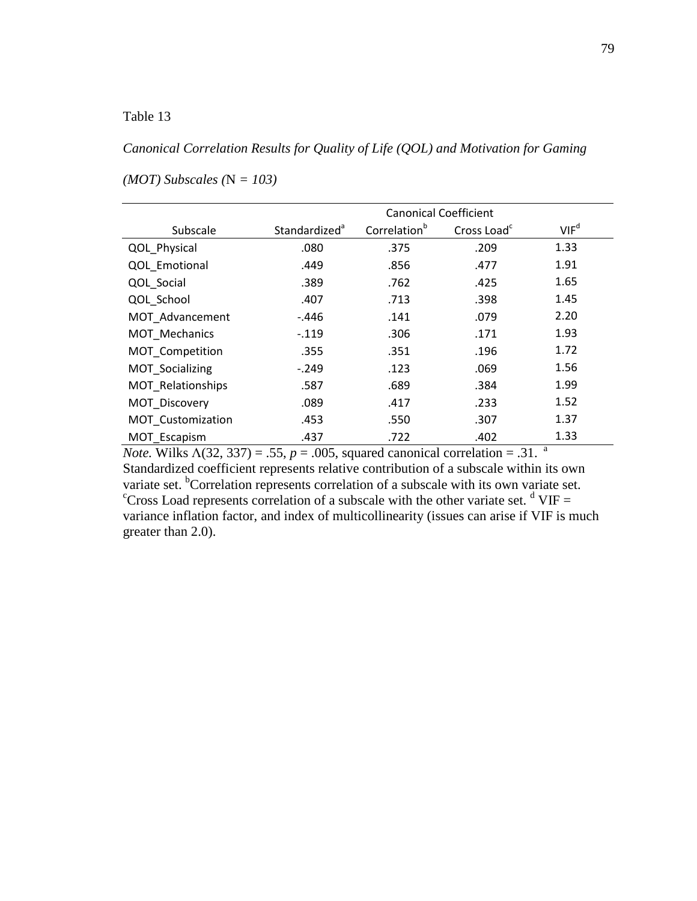# *Canonical Correlation Results for Quality of Life (QOL) and Motivation for Gaming*

|                   | <b>Canonical Coefficient</b> |                          |                         |                  |  |  |  |  |
|-------------------|------------------------------|--------------------------|-------------------------|------------------|--|--|--|--|
| Subscale          | Standardized <sup>a</sup>    | Correlation <sup>b</sup> | Cross Load <sup>c</sup> | VIF <sup>d</sup> |  |  |  |  |
| QOL Physical      | .080                         | .375                     | .209                    | 1.33             |  |  |  |  |
| QOL Emotional     | .449                         | .856                     | .477                    | 1.91             |  |  |  |  |
| QOL_Social        | .389                         | .762                     | .425                    | 1.65             |  |  |  |  |
| QOL School        | .407                         | .713                     | .398                    | 1.45             |  |  |  |  |
| MOT Advancement   | -.446                        | .141                     | .079                    | 2.20             |  |  |  |  |
| MOT Mechanics     | $-.119$                      | .306                     | .171                    | 1.93             |  |  |  |  |
| MOT_Competition   | .355                         | .351                     | .196                    | 1.72             |  |  |  |  |
| MOT Socializing   | $-.249$                      | .123                     | .069                    | 1.56             |  |  |  |  |
| MOT Relationships | .587                         | .689                     | .384                    | 1.99             |  |  |  |  |
| MOT Discovery     | .089                         | .417                     | .233                    | 1.52             |  |  |  |  |
| MOT_Customization | .453                         | .550                     | .307                    | 1.37             |  |  |  |  |
| MOT Escapism      | .437                         | .722                     | .402                    | 1.33             |  |  |  |  |

# *(MOT) Subscales (*N *= 103)*

*Note.* Wilks  $\Lambda$ (32, 337) = .55,  $p = .005$ , squared canonical correlation = .31. <sup>a</sup> Standardized coefficient represents relative contribution of a subscale within its own variate set. <sup>b</sup>Correlation represents correlation of a subscale with its own variate set. <sup>c</sup>Cross Load represents correlation of a subscale with the other variate set.  $d$  VIF = variance inflation factor, and index of multicollinearity (issues can arise if VIF is much greater than 2.0).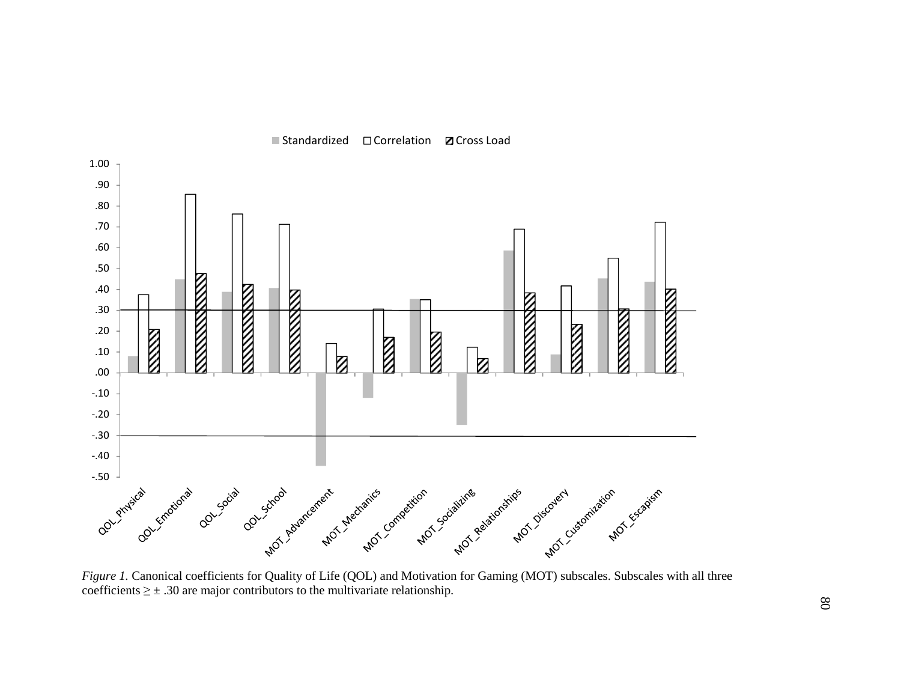

■ Standardized □ Correlation **Z** Cross Load

*Figure 1.* Canonical coefficients for Quality of Life (QOL) and Motivation for Gaming (MOT) subscales. Subscales with all three coefficients  $\geq \pm .30$  are major contributors to the multivariate relationship.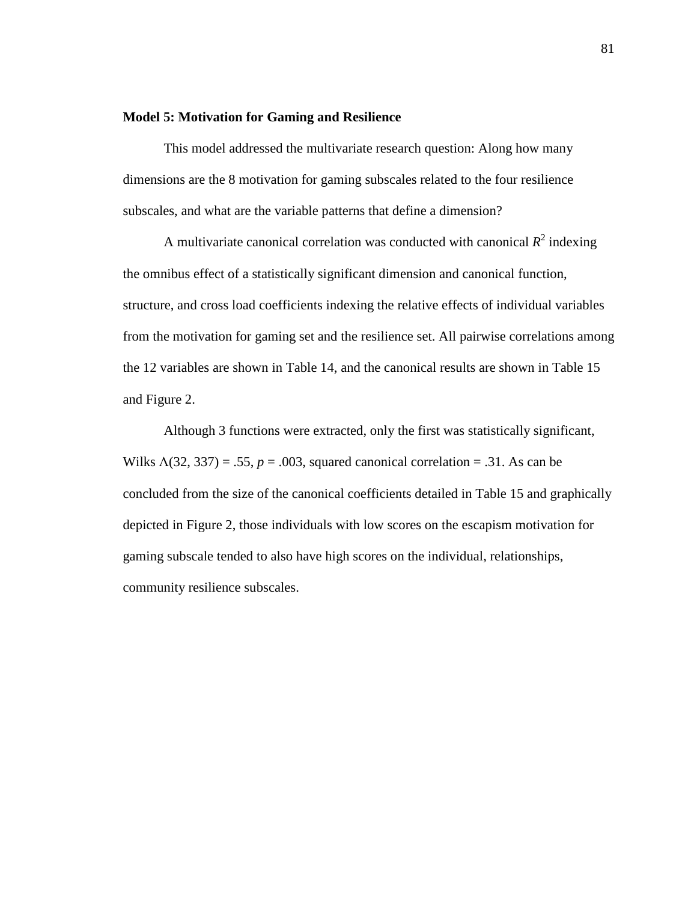#### **Model 5: Motivation for Gaming and Resilience**

This model addressed the multivariate research question: Along how many dimensions are the 8 motivation for gaming subscales related to the four resilience subscales, and what are the variable patterns that define a dimension?

A multivariate canonical correlation was conducted with canonical  $R^2$  indexing the omnibus effect of a statistically significant dimension and canonical function, structure, and cross load coefficients indexing the relative effects of individual variables from the motivation for gaming set and the resilience set. All pairwise correlations among the 12 variables are shown in Table 14, and the canonical results are shown in Table 15 and Figure 2.

Although 3 functions were extracted, only the first was statistically significant, Wilks  $\Lambda(32, 337) = .55$ ,  $p = .003$ , squared canonical correlation = .31. As can be concluded from the size of the canonical coefficients detailed in Table 15 and graphically depicted in Figure 2, those individuals with low scores on the escapism motivation for gaming subscale tended to also have high scores on the individual, relationships, community resilience subscales.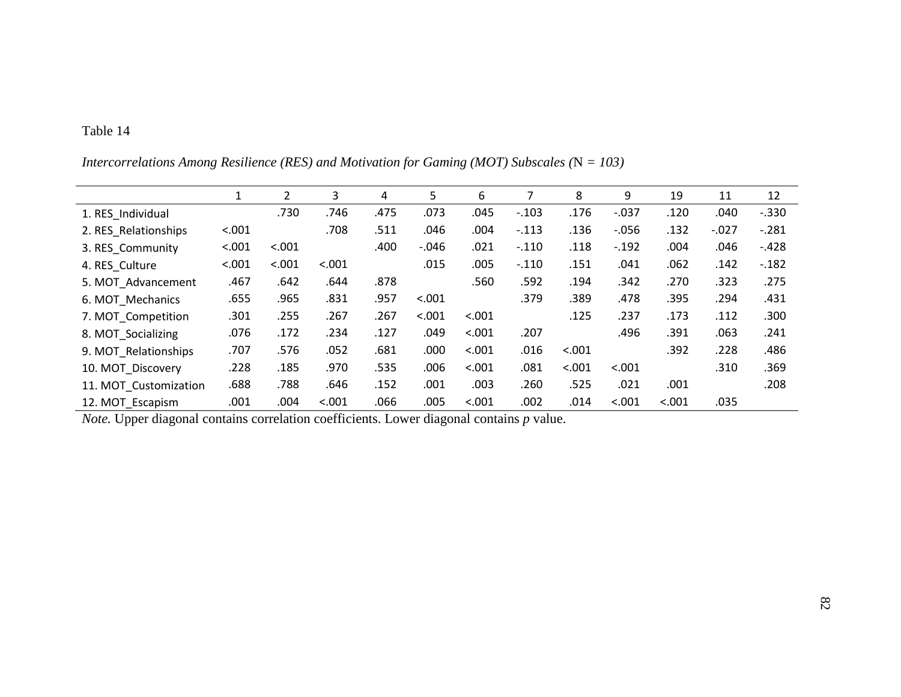|                       | 1      | 2      | 3      | 4    | 5.      | 6      |         | 8      | 9        | 19     | 11      | 12      |
|-----------------------|--------|--------|--------|------|---------|--------|---------|--------|----------|--------|---------|---------|
| 1. RES Individual     |        | .730   | .746   | .475 | .073    | .045   | $-.103$ | .176   | $-0.037$ | .120   | .040    | $-.330$ |
| 2. RES Relationships  | < .001 |        | .708   | .511 | .046    | .004   | $-.113$ | .136   | $-0.056$ | .132   | $-.027$ | $-.281$ |
| 3. RES Community      | < .001 | < .001 |        | .400 | $-.046$ | .021   | $-.110$ | .118   | $-.192$  | .004   | .046    | $-.428$ |
| 4. RES Culture        | < .001 | < .001 | < .001 |      | .015    | .005   | $-.110$ | .151   | .041     | .062   | .142    | $-182$  |
| 5. MOT Advancement    | .467   | .642   | .644   | .878 |         | .560   | .592    | .194   | .342     | .270   | .323    | .275    |
| 6. MOT Mechanics      | .655   | .965   | .831   | .957 | < .001  |        | .379    | .389   | .478     | .395   | .294    | .431    |
| 7. MOT Competition    | .301   | .255   | .267   | .267 | < .001  | < .001 |         | .125   | .237     | .173   | .112    | .300    |
| 8. MOT_Socializing    | .076   | .172   | .234   | .127 | .049    | < .001 | .207    |        | .496     | .391   | .063    | .241    |
| 9. MOT Relationships  | .707   | .576   | .052   | .681 | .000    | < .001 | .016    | < .001 |          | .392   | .228    | .486    |
| 10. MOT Discovery     | .228   | .185   | .970   | .535 | .006    | < .001 | .081    | < .001 | < .001   |        | .310    | .369    |
| 11. MOT Customization | .688   | .788   | .646   | .152 | .001    | .003   | .260    | .525   | .021     | .001   |         | .208    |
| 12. MOT Escapism      | .001   | .004   | < .001 | .066 | .005    | < .001 | .002    | .014   | < .001   | < .001 | .035    |         |

*Intercorrelations Among Resilience (RES) and Motivation for Gaming (MOT) Subscales (*N *= 103)* 

*Note.* Upper diagonal contains correlation coefficients. Lower diagonal contains *p* value.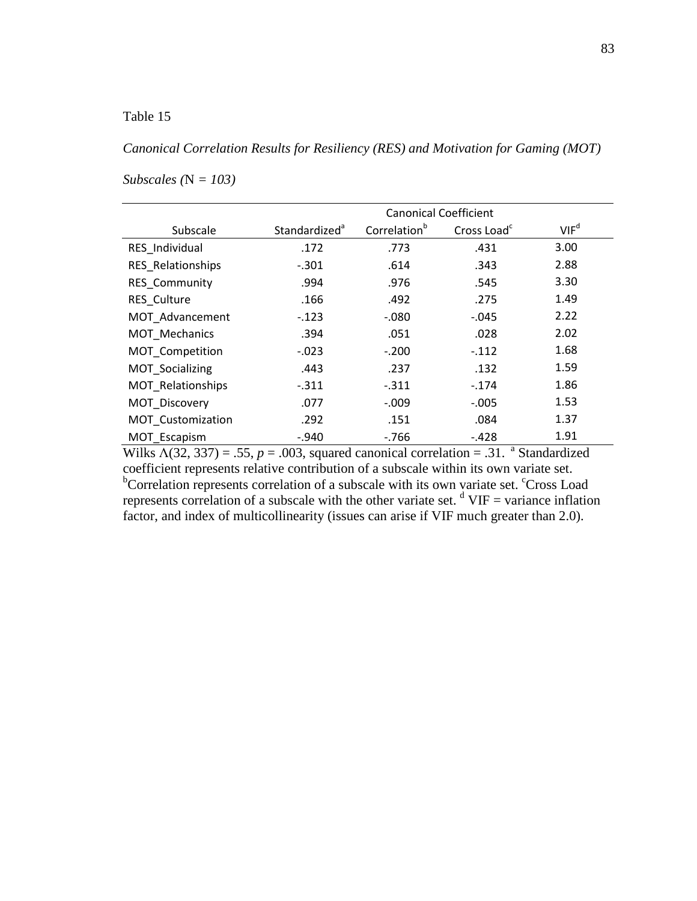*Canonical Correlation Results for Resiliency (RES) and Motivation for Gaming (MOT)* 

|                   | <b>Canonical Coefficient</b> |                          |                         |                  |  |  |  |
|-------------------|------------------------------|--------------------------|-------------------------|------------------|--|--|--|
| Subscale          | Standardized <sup>a</sup>    | Correlation <sup>b</sup> | Cross Load <sup>c</sup> | VIF <sup>d</sup> |  |  |  |
| RES Individual    | .172                         | .773                     | .431                    | 3.00             |  |  |  |
| RES_Relationships | $-.301$                      | .614                     | .343                    | 2.88             |  |  |  |
| RES_Community     | .994                         | .976                     | .545                    | 3.30             |  |  |  |
| RES Culture       | .166                         | .492                     | .275                    | 1.49             |  |  |  |
| MOT Advancement   | $-.123$                      | $-.080$                  | $-0.045$                | 2.22             |  |  |  |
| MOT Mechanics     | .394                         | .051                     | .028                    | 2.02             |  |  |  |
| MOT Competition   | $-0.023$                     | $-.200$                  | $-.112$                 | 1.68             |  |  |  |
| MOT Socializing   | .443                         | .237                     | .132                    | 1.59             |  |  |  |
| MOT Relationships | $-.311$                      | $-.311$                  | $-.174$                 | 1.86             |  |  |  |
| MOT_Discovery     | .077                         | $-.009$                  | $-.005$                 | 1.53             |  |  |  |
| MOT_Customization | .292                         | .151                     | .084                    | 1.37             |  |  |  |
| MOT Escapism      | $-940$                       | $-766$                   | $-.428$                 | 1.91             |  |  |  |

# *Subscales (*N *= 103)*

Wilks  $\Lambda$ (32, 337) = .55,  $p = .003$ , squared canonical correlation = .31. <sup>a</sup> Standardized coefficient represents relative contribution of a subscale within its own variate set. <sup>b</sup>Correlation represents correlation of a subscale with its own variate set. <sup>c</sup>Cross Load represents correlation of a subscale with the other variate set.  $\text{d}$  VIF = variance inflation factor, and index of multicollinearity (issues can arise if VIF much greater than 2.0).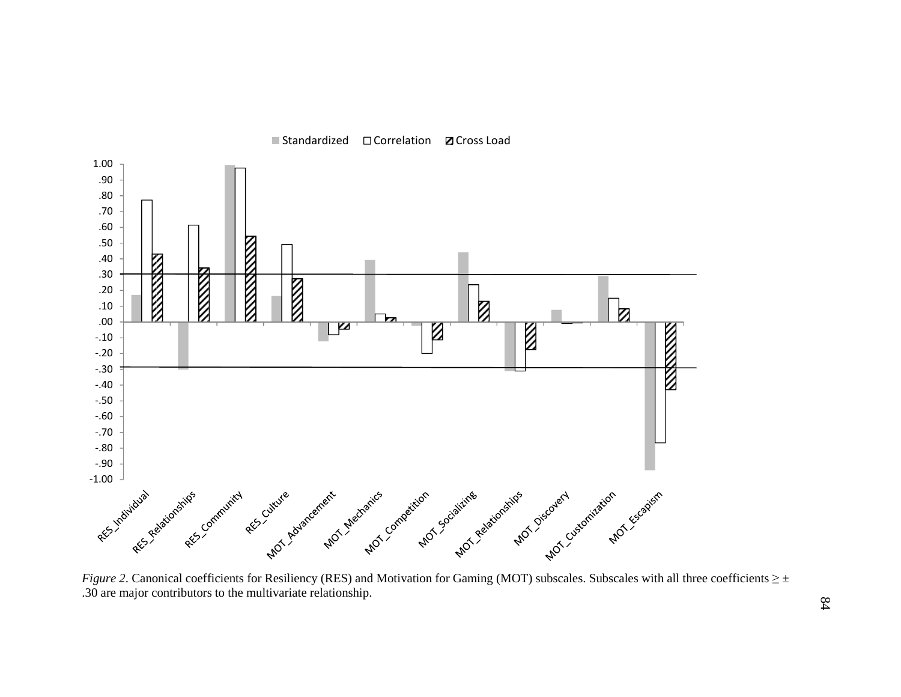

■ Standardized □ Correlation **Z** Cross Load

*Figure 2*. Canonical coefficients for Resiliency (RES) and Motivation for Gaming (MOT) subscales. Subscales with all three coefficients ≥ ± .30 are major contributors to the multivariate relationship.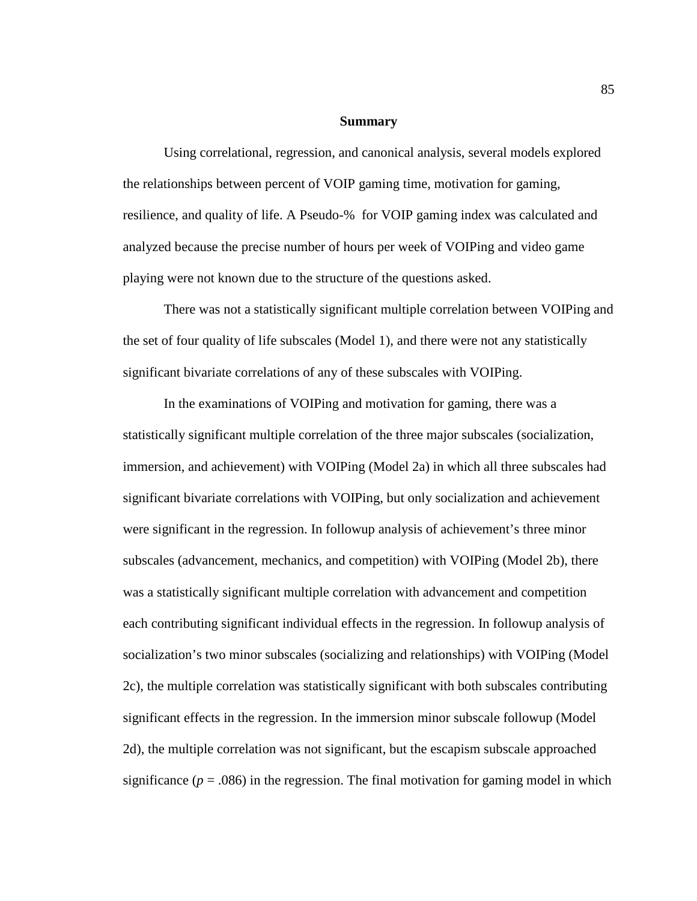#### **Summary**

Using correlational, regression, and canonical analysis, several models explored the relationships between percent of VOIP gaming time, motivation for gaming, resilience, and quality of life. A Pseudo-% for VOIP gaming index was calculated and analyzed because the precise number of hours per week of VOIPing and video game playing were not known due to the structure of the questions asked.

There was not a statistically significant multiple correlation between VOIPing and the set of four quality of life subscales (Model 1), and there were not any statistically significant bivariate correlations of any of these subscales with VOIPing.

In the examinations of VOIPing and motivation for gaming, there was a statistically significant multiple correlation of the three major subscales (socialization, immersion, and achievement) with VOIPing (Model 2a) in which all three subscales had significant bivariate correlations with VOIPing, but only socialization and achievement were significant in the regression. In followup analysis of achievement's three minor subscales (advancement, mechanics, and competition) with VOIPing (Model 2b), there was a statistically significant multiple correlation with advancement and competition each contributing significant individual effects in the regression. In followup analysis of socialization's two minor subscales (socializing and relationships) with VOIPing (Model 2c), the multiple correlation was statistically significant with both subscales contributing significant effects in the regression. In the immersion minor subscale followup (Model 2d), the multiple correlation was not significant, but the escapism subscale approached significance ( $p = .086$ ) in the regression. The final motivation for gaming model in which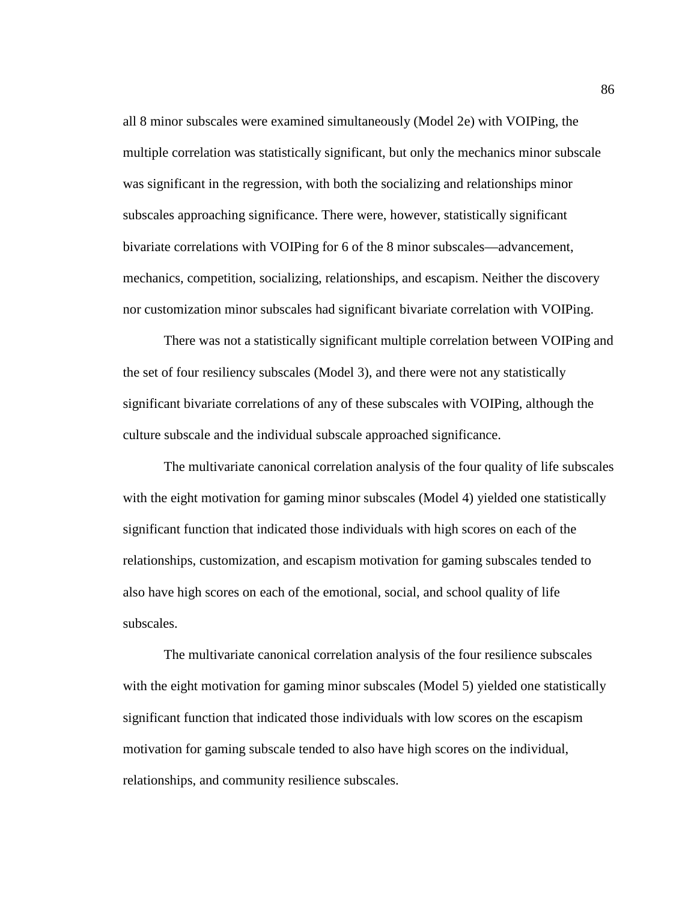all 8 minor subscales were examined simultaneously (Model 2e) with VOIPing, the multiple correlation was statistically significant, but only the mechanics minor subscale was significant in the regression, with both the socializing and relationships minor subscales approaching significance. There were, however, statistically significant bivariate correlations with VOIPing for 6 of the 8 minor subscales—advancement, mechanics, competition, socializing, relationships, and escapism. Neither the discovery nor customization minor subscales had significant bivariate correlation with VOIPing.

There was not a statistically significant multiple correlation between VOIPing and the set of four resiliency subscales (Model 3), and there were not any statistically significant bivariate correlations of any of these subscales with VOIPing, although the culture subscale and the individual subscale approached significance.

The multivariate canonical correlation analysis of the four quality of life subscales with the eight motivation for gaming minor subscales (Model 4) yielded one statistically significant function that indicated those individuals with high scores on each of the relationships, customization, and escapism motivation for gaming subscales tended to also have high scores on each of the emotional, social, and school quality of life subscales.

The multivariate canonical correlation analysis of the four resilience subscales with the eight motivation for gaming minor subscales (Model 5) yielded one statistically significant function that indicated those individuals with low scores on the escapism motivation for gaming subscale tended to also have high scores on the individual, relationships, and community resilience subscales.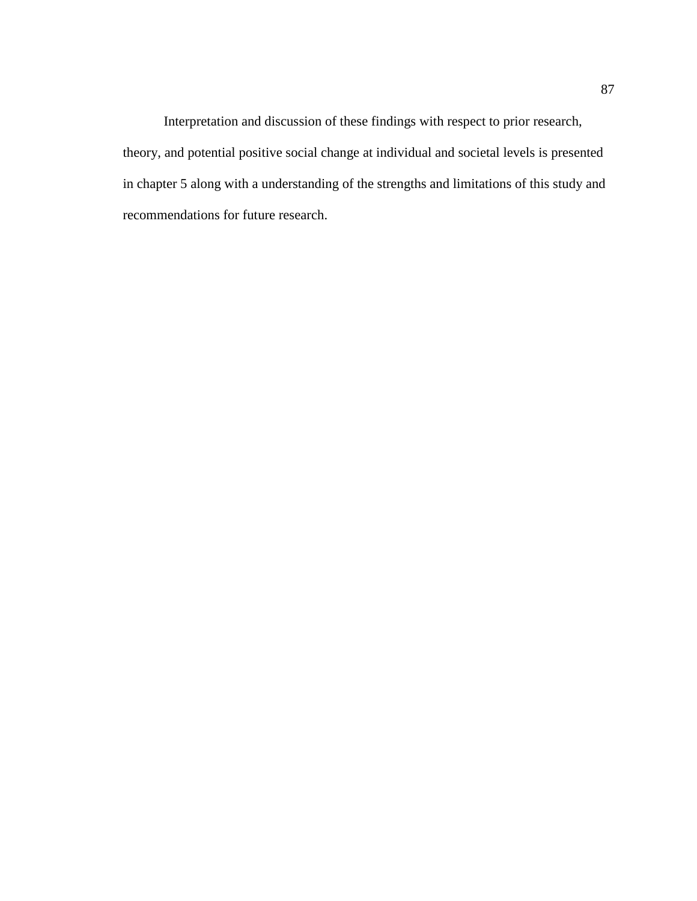Interpretation and discussion of these findings with respect to prior research, theory, and potential positive social change at individual and societal levels is presented in chapter 5 along with a understanding of the strengths and limitations of this study and recommendations for future research.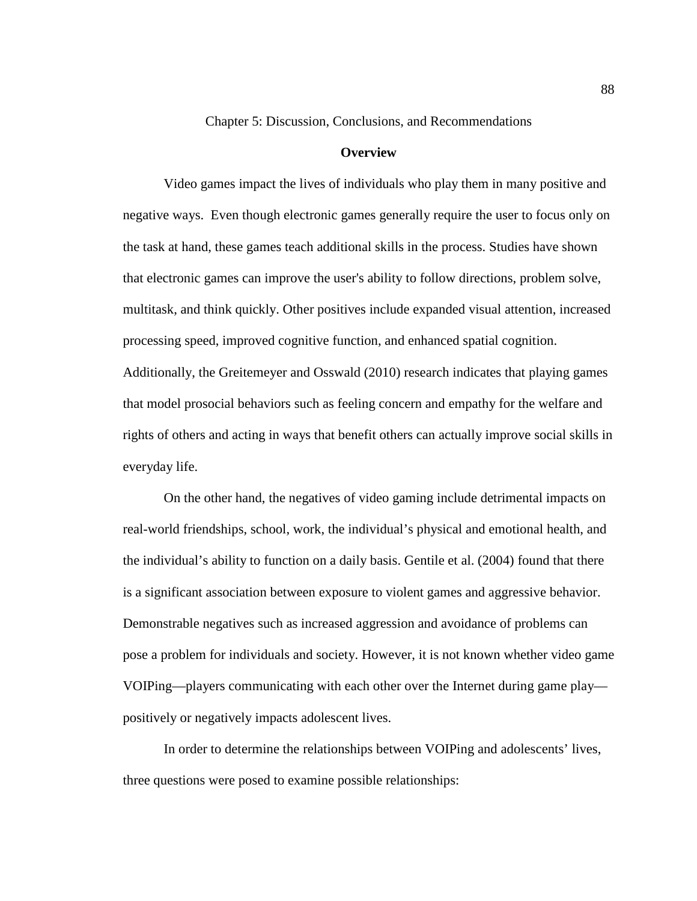Chapter 5: Discussion, Conclusions, and Recommendations

#### **Overview**

Video games impact the lives of individuals who play them in many positive and negative ways. Even though electronic games generally require the user to focus only on the task at hand, these games teach additional skills in the process. Studies have shown that electronic games can improve the user's ability to follow directions, problem solve, multitask, and think quickly. Other positives include expanded visual attention, increased processing speed, improved cognitive function, and enhanced spatial cognition. Additionally, the Greitemeyer and Osswald (2010) research indicates that playing games that model prosocial behaviors such as feeling concern and empathy for the welfare and rights of others and acting in ways that benefit others can actually improve social skills in everyday life.

On the other hand, the negatives of video gaming include detrimental impacts on real-world friendships, school, work, the individual's physical and emotional health, and the individual's ability to function on a daily basis. Gentile et al. (2004) found that there is a significant association between exposure to violent games and aggressive behavior. Demonstrable negatives such as increased aggression and avoidance of problems can pose a problem for individuals and society. However, it is not known whether video game VOIPing—players communicating with each other over the Internet during game play positively or negatively impacts adolescent lives.

In order to determine the relationships between VOIPing and adolescents' lives, three questions were posed to examine possible relationships: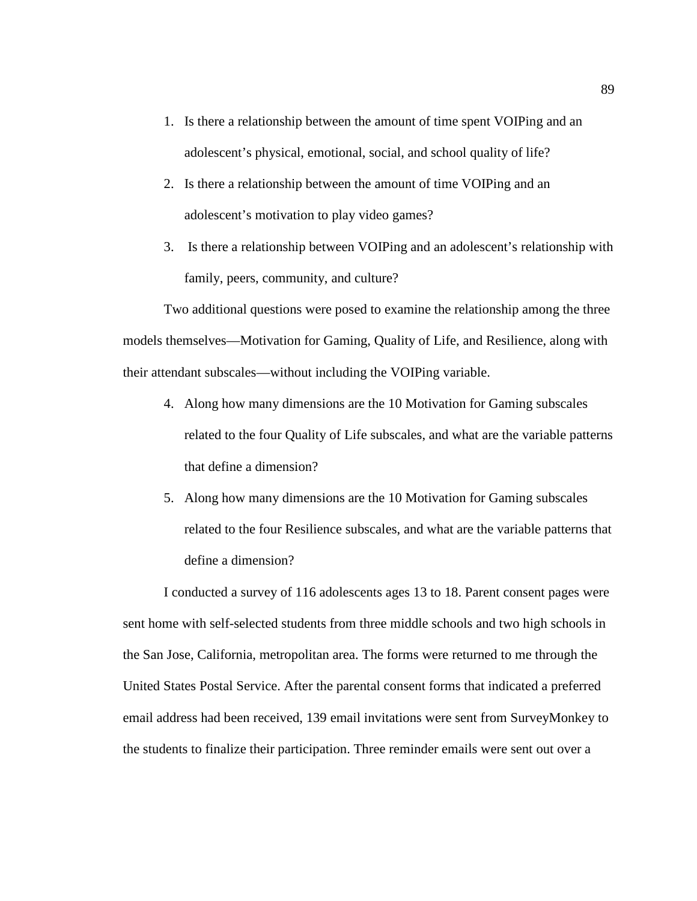- 1. Is there a relationship between the amount of time spent VOIPing and an adolescent's physical, emotional, social, and school quality of life?
- 2. Is there a relationship between the amount of time VOIPing and an adolescent's motivation to play video games?
- 3. Is there a relationship between VOIPing and an adolescent's relationship with family, peers, community, and culture?

Two additional questions were posed to examine the relationship among the three models themselves—Motivation for Gaming, Quality of Life, and Resilience, along with their attendant subscales—without including the VOIPing variable.

- 4. Along how many dimensions are the 10 Motivation for Gaming subscales related to the four Quality of Life subscales, and what are the variable patterns that define a dimension?
- 5. Along how many dimensions are the 10 Motivation for Gaming subscales related to the four Resilience subscales, and what are the variable patterns that define a dimension?

I conducted a survey of 116 adolescents ages 13 to 18. Parent consent pages were sent home with self-selected students from three middle schools and two high schools in the San Jose, California, metropolitan area. The forms were returned to me through the United States Postal Service. After the parental consent forms that indicated a preferred email address had been received, 139 email invitations were sent from SurveyMonkey to the students to finalize their participation. Three reminder emails were sent out over a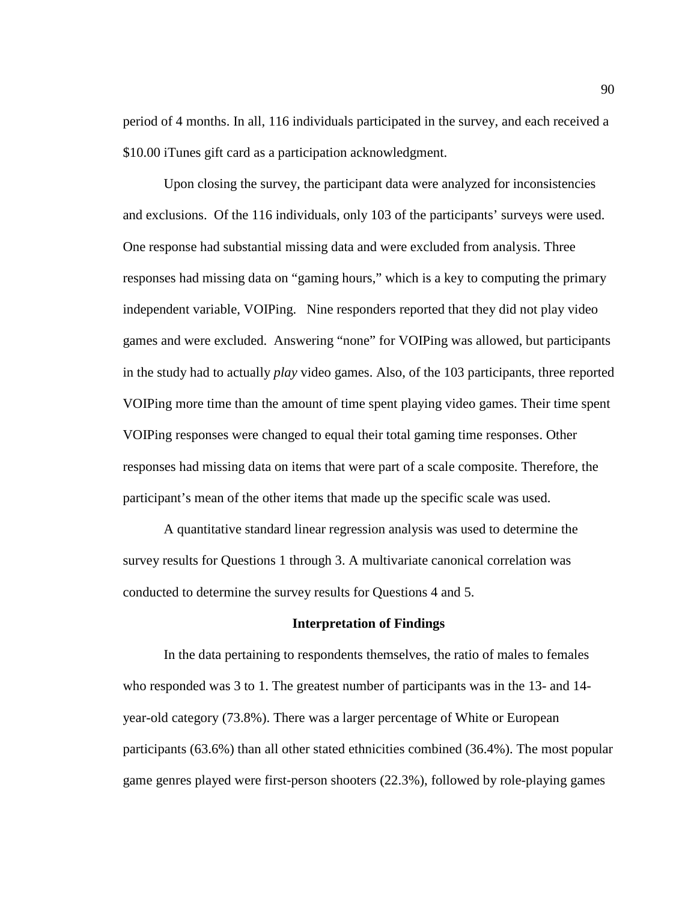period of 4 months. In all, 116 individuals participated in the survey, and each received a \$10.00 iTunes gift card as a participation acknowledgment.

Upon closing the survey, the participant data were analyzed for inconsistencies and exclusions. Of the 116 individuals, only 103 of the participants' surveys were used. One response had substantial missing data and were excluded from analysis. Three responses had missing data on "gaming hours," which is a key to computing the primary independent variable, VOIPing. Nine responders reported that they did not play video games and were excluded. Answering "none" for VOIPing was allowed, but participants in the study had to actually *play* video games. Also, of the 103 participants, three reported VOIPing more time than the amount of time spent playing video games. Their time spent VOIPing responses were changed to equal their total gaming time responses. Other responses had missing data on items that were part of a scale composite. Therefore, the participant's mean of the other items that made up the specific scale was used.

A quantitative standard linear regression analysis was used to determine the survey results for Questions 1 through 3. A multivariate canonical correlation was conducted to determine the survey results for Questions 4 and 5.

#### **Interpretation of Findings**

In the data pertaining to respondents themselves, the ratio of males to females who responded was 3 to 1. The greatest number of participants was in the 13- and 14 year-old category (73.8%). There was a larger percentage of White or European participants (63.6%) than all other stated ethnicities combined (36.4%). The most popular game genres played were first-person shooters (22.3%), followed by role-playing games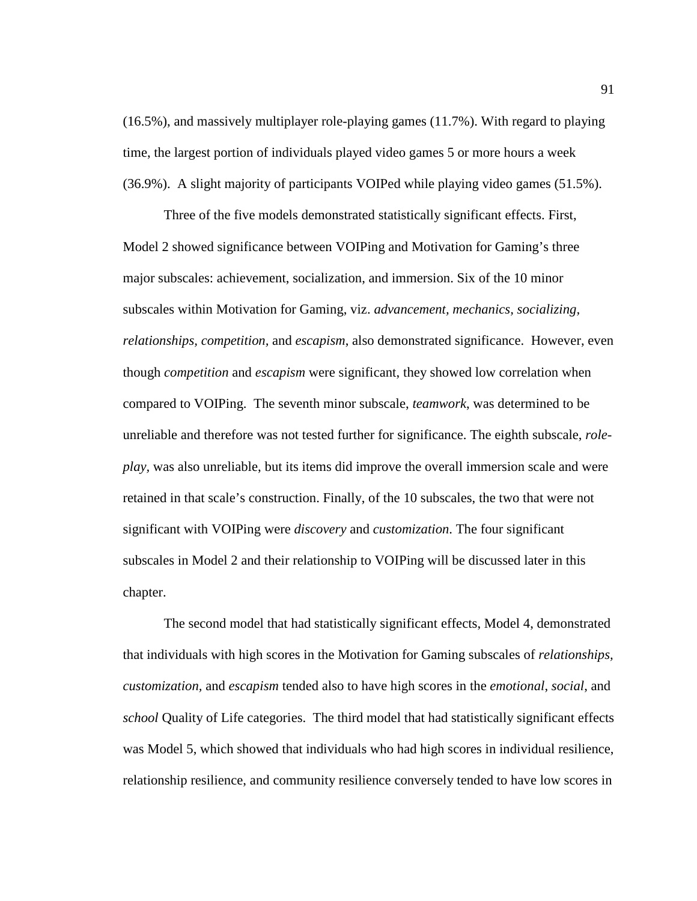(16.5%), and massively multiplayer role-playing games (11.7%). With regard to playing time, the largest portion of individuals played video games 5 or more hours a week (36.9%). A slight majority of participants VOIPed while playing video games (51.5%).

Three of the five models demonstrated statistically significant effects. First, Model 2 showed significance between VOIPing and Motivation for Gaming's three major subscales: achievement, socialization, and immersion. Six of the 10 minor subscales within Motivation for Gaming, viz. *advancement, mechanics, socializing, relationships, competition,* and *escapism*, also demonstrated significance. However, even though *competition* and *escapism* were significant, they showed low correlation when compared to VOIPing. The seventh minor subscale, *teamwork*, was determined to be unreliable and therefore was not tested further for significance. The eighth subscale, *roleplay,* was also unreliable, but its items did improve the overall immersion scale and were retained in that scale's construction. Finally, of the 10 subscales, the two that were not significant with VOIPing were *discovery* and *customization*. The four significant subscales in Model 2 and their relationship to VOIPing will be discussed later in this chapter.

The second model that had statistically significant effects, Model 4, demonstrated that individuals with high scores in the Motivation for Gaming subscales of *relationships, customization,* and *escapism* tended also to have high scores in the *emotional*, *social*, and *school* Quality of Life categories. The third model that had statistically significant effects was Model 5, which showed that individuals who had high scores in individual resilience, relationship resilience, and community resilience conversely tended to have low scores in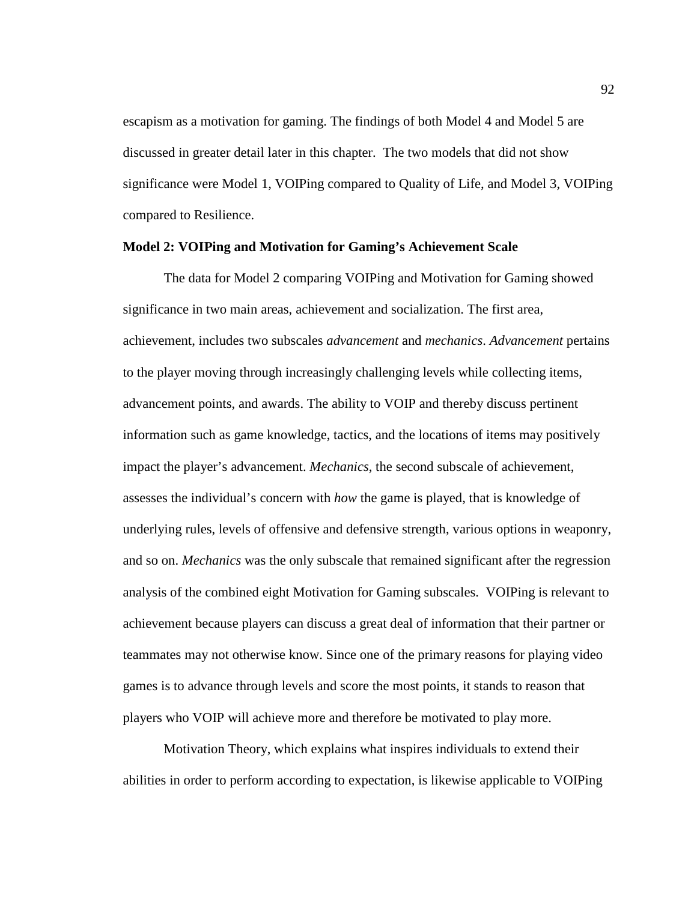escapism as a motivation for gaming. The findings of both Model 4 and Model 5 are discussed in greater detail later in this chapter. The two models that did not show significance were Model 1, VOIPing compared to Quality of Life, and Model 3, VOIPing compared to Resilience.

## **Model 2: VOIPing and Motivation for Gaming's Achievement Scale**

The data for Model 2 comparing VOIPing and Motivation for Gaming showed significance in two main areas, achievement and socialization. The first area, achievement, includes two subscales *advancement* and *mechanics*. *Advancement* pertains to the player moving through increasingly challenging levels while collecting items, advancement points, and awards. The ability to VOIP and thereby discuss pertinent information such as game knowledge, tactics, and the locations of items may positively impact the player's advancement. *Mechanics*, the second subscale of achievement, assesses the individual's concern with *how* the game is played, that is knowledge of underlying rules, levels of offensive and defensive strength, various options in weaponry, and so on. *Mechanics* was the only subscale that remained significant after the regression analysis of the combined eight Motivation for Gaming subscales. VOIPing is relevant to achievement because players can discuss a great deal of information that their partner or teammates may not otherwise know. Since one of the primary reasons for playing video games is to advance through levels and score the most points, it stands to reason that players who VOIP will achieve more and therefore be motivated to play more.

Motivation Theory, which explains what inspires individuals to extend their abilities in order to perform according to expectation, is likewise applicable to VOIPing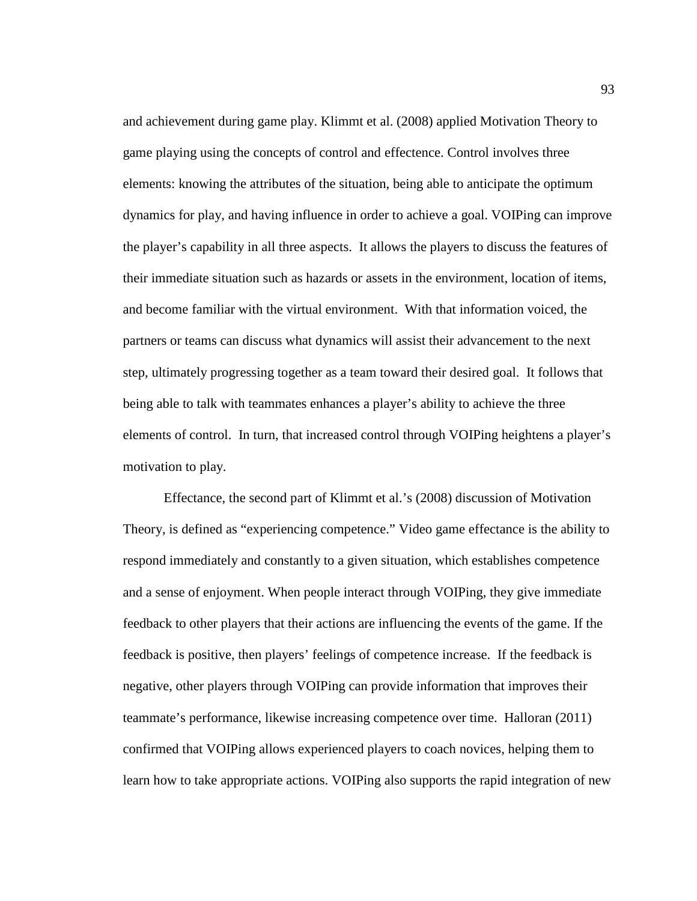and achievement during game play. Klimmt et al. (2008) applied Motivation Theory to game playing using the concepts of control and effectence. Control involves three elements: knowing the attributes of the situation, being able to anticipate the optimum dynamics for play, and having influence in order to achieve a goal. VOIPing can improve the player's capability in all three aspects. It allows the players to discuss the features of their immediate situation such as hazards or assets in the environment, location of items, and become familiar with the virtual environment. With that information voiced, the partners or teams can discuss what dynamics will assist their advancement to the next step, ultimately progressing together as a team toward their desired goal. It follows that being able to talk with teammates enhances a player's ability to achieve the three elements of control. In turn, that increased control through VOIPing heightens a player's motivation to play.

Effectance, the second part of Klimmt et al.'s (2008) discussion of Motivation Theory, is defined as "experiencing competence." Video game effectance is the ability to respond immediately and constantly to a given situation, which establishes competence and a sense of enjoyment. When people interact through VOIPing, they give immediate feedback to other players that their actions are influencing the events of the game. If the feedback is positive, then players' feelings of competence increase. If the feedback is negative, other players through VOIPing can provide information that improves their teammate's performance, likewise increasing competence over time. Halloran (2011) confirmed that VOIPing allows experienced players to coach novices, helping them to learn how to take appropriate actions. VOIPing also supports the rapid integration of new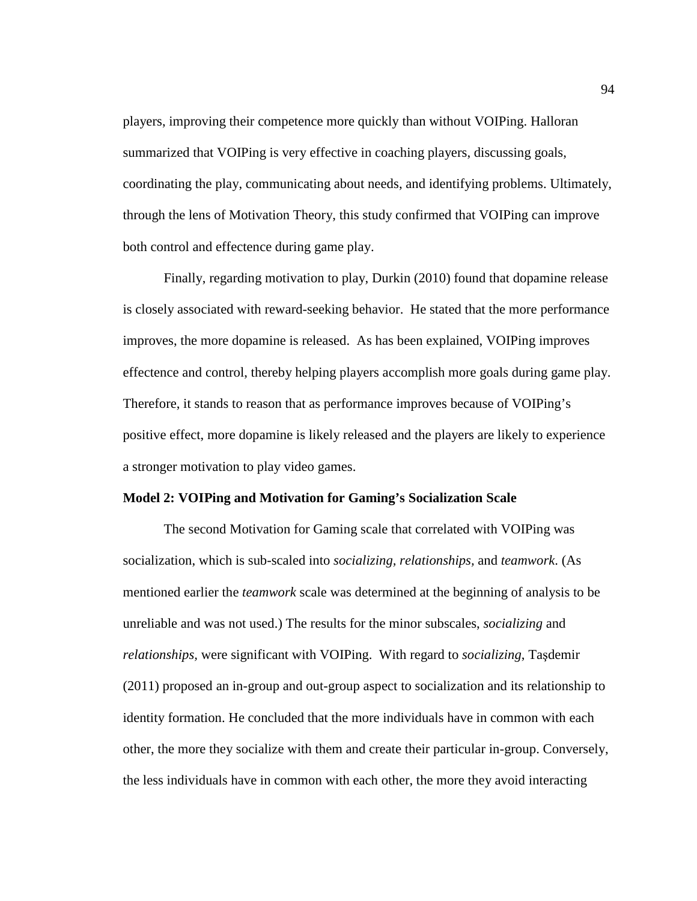players, improving their competence more quickly than without VOIPing. Halloran summarized that VOIPing is very effective in coaching players, discussing goals, coordinating the play, communicating about needs, and identifying problems. Ultimately, through the lens of Motivation Theory, this study confirmed that VOIPing can improve both control and effectence during game play.

Finally, regarding motivation to play, Durkin (2010) found that dopamine release is closely associated with reward-seeking behavior. He stated that the more performance improves, the more dopamine is released. As has been explained, VOIPing improves effectence and control, thereby helping players accomplish more goals during game play. Therefore, it stands to reason that as performance improves because of VOIPing's positive effect, more dopamine is likely released and the players are likely to experience a stronger motivation to play video games.

## **Model 2: VOIPing and Motivation for Gaming's Socialization Scale**

The second Motivation for Gaming scale that correlated with VOIPing was socialization, which is sub-scaled into *socializing, relationships,* and *teamwork*. (As mentioned earlier the *teamwork* scale was determined at the beginning of analysis to be unreliable and was not used.) The results for the minor subscales, *socializing* and *relationships,* were significant with VOIPing. With regard to *socializing*, Taşdemir (2011) proposed an in-group and out-group aspect to socialization and its relationship to identity formation. He concluded that the more individuals have in common with each other, the more they socialize with them and create their particular in-group. Conversely, the less individuals have in common with each other, the more they avoid interacting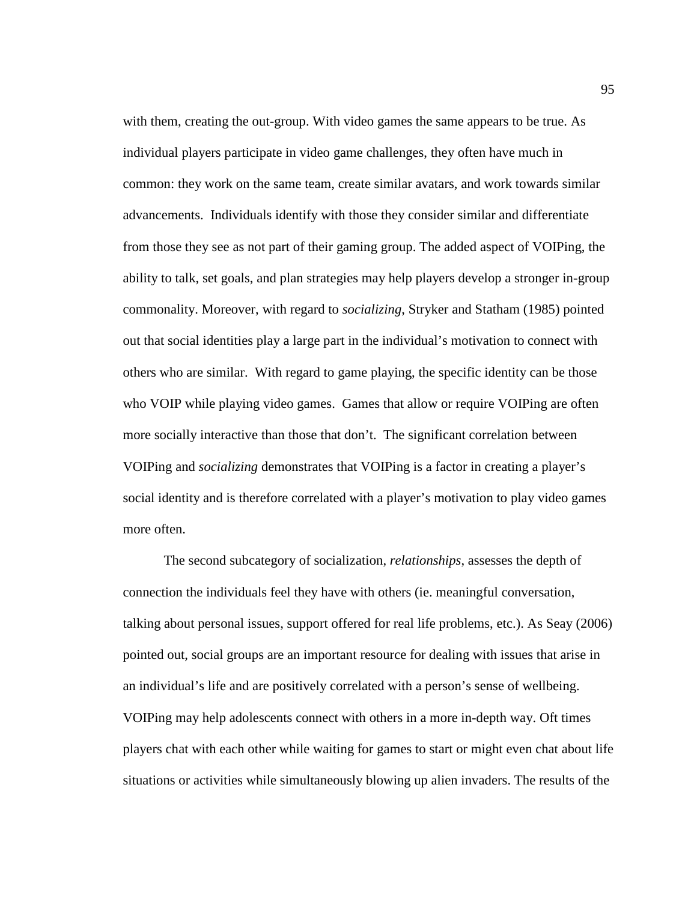with them, creating the out-group. With video games the same appears to be true. As individual players participate in video game challenges, they often have much in common: they work on the same team, create similar avatars, and work towards similar advancements. Individuals identify with those they consider similar and differentiate from those they see as not part of their gaming group. The added aspect of VOIPing, the ability to talk, set goals, and plan strategies may help players develop a stronger in-group commonality. Moreover, with regard to *socializing*, Stryker and Statham (1985) pointed out that social identities play a large part in the individual's motivation to connect with others who are similar. With regard to game playing, the specific identity can be those who VOIP while playing video games. Games that allow or require VOIPing are often more socially interactive than those that don't. The significant correlation between VOIPing and *socializing* demonstrates that VOIPing is a factor in creating a player's social identity and is therefore correlated with a player's motivation to play video games more often.

The second subcategory of socialization, *relationships*, assesses the depth of connection the individuals feel they have with others (ie. meaningful conversation, talking about personal issues, support offered for real life problems, etc.). As Seay (2006) pointed out, social groups are an important resource for dealing with issues that arise in an individual's life and are positively correlated with a person's sense of wellbeing. VOIPing may help adolescents connect with others in a more in-depth way. Oft times players chat with each other while waiting for games to start or might even chat about life situations or activities while simultaneously blowing up alien invaders. The results of the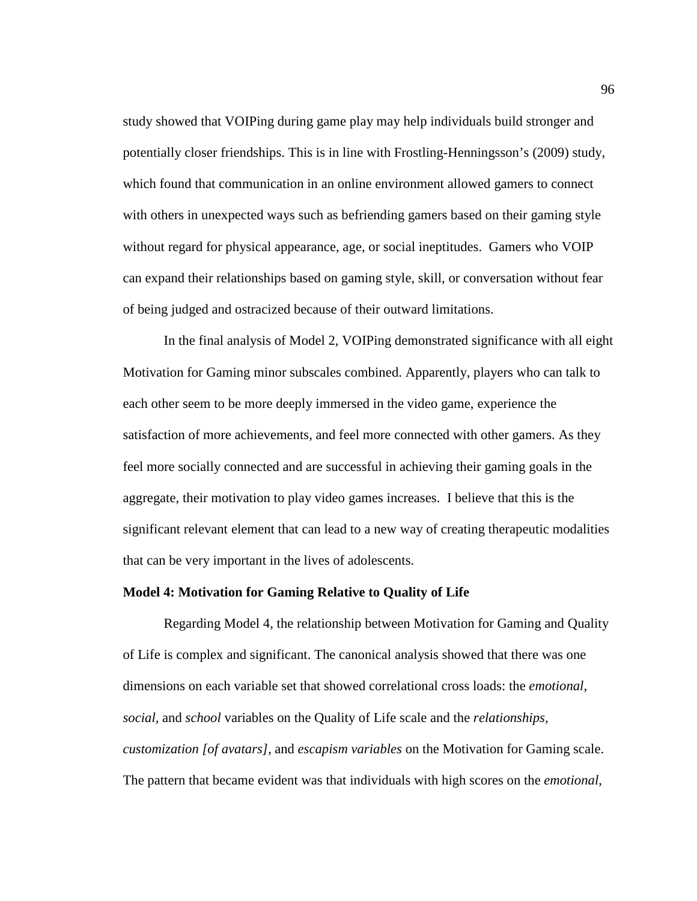study showed that VOIPing during game play may help individuals build stronger and potentially closer friendships. This is in line with Frostling-Henningsson's (2009) study, which found that communication in an online environment allowed gamers to connect with others in unexpected ways such as befriending gamers based on their gaming style without regard for physical appearance, age, or social ineptitudes. Gamers who VOIP can expand their relationships based on gaming style, skill, or conversation without fear of being judged and ostracized because of their outward limitations.

In the final analysis of Model 2, VOIPing demonstrated significance with all eight Motivation for Gaming minor subscales combined. Apparently, players who can talk to each other seem to be more deeply immersed in the video game, experience the satisfaction of more achievements, and feel more connected with other gamers. As they feel more socially connected and are successful in achieving their gaming goals in the aggregate, their motivation to play video games increases. I believe that this is the significant relevant element that can lead to a new way of creating therapeutic modalities that can be very important in the lives of adolescents.

### **Model 4: Motivation for Gaming Relative to Quality of Life**

Regarding Model 4, the relationship between Motivation for Gaming and Quality of Life is complex and significant. The canonical analysis showed that there was one dimensions on each variable set that showed correlational cross loads: the *emotional*, *social,* and *school* variables on the Quality of Life scale and the *relationships, customization [of avatars]*, and *escapism variables* on the Motivation for Gaming scale. The pattern that became evident was that individuals with high scores on the *emotional*,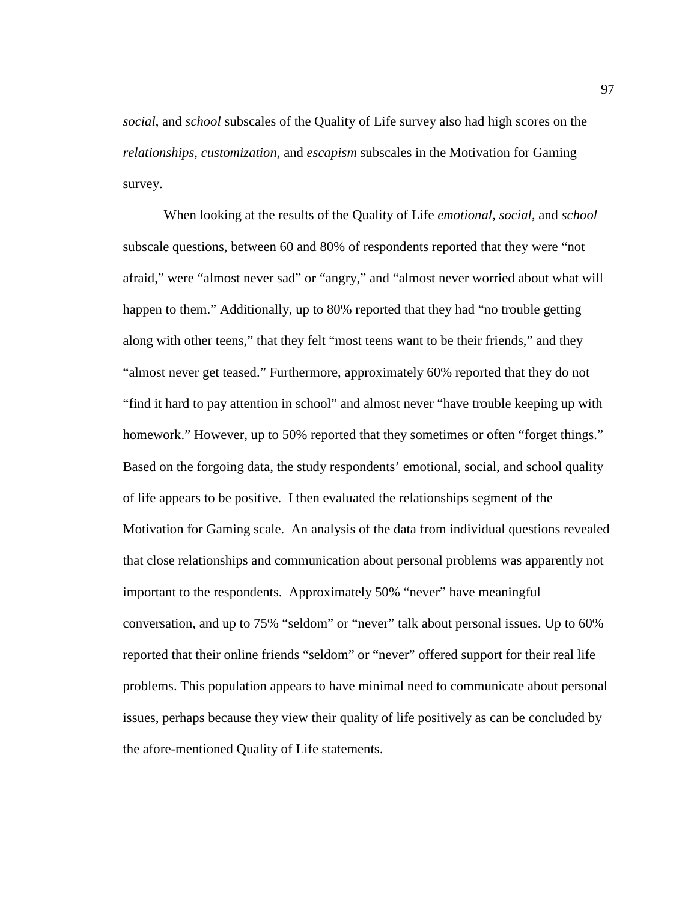*social*, and *school* subscales of the Quality of Life survey also had high scores on the *relationships, customization,* and *escapism* subscales in the Motivation for Gaming survey.

When looking at the results of the Quality of Life *emotional*, *social*, and *school* subscale questions, between 60 and 80% of respondents reported that they were "not afraid," were "almost never sad" or "angry," and "almost never worried about what will happen to them." Additionally, up to 80% reported that they had "no trouble getting along with other teens," that they felt "most teens want to be their friends," and they "almost never get teased." Furthermore, approximately 60% reported that they do not "find it hard to pay attention in school" and almost never "have trouble keeping up with homework." However, up to 50% reported that they sometimes or often "forget things." Based on the forgoing data, the study respondents' emotional, social, and school quality of life appears to be positive. I then evaluated the relationships segment of the Motivation for Gaming scale. An analysis of the data from individual questions revealed that close relationships and communication about personal problems was apparently not important to the respondents. Approximately 50% "never" have meaningful conversation, and up to 75% "seldom" or "never" talk about personal issues. Up to 60% reported that their online friends "seldom" or "never" offered support for their real life problems. This population appears to have minimal need to communicate about personal issues, perhaps because they view their quality of life positively as can be concluded by the afore-mentioned Quality of Life statements.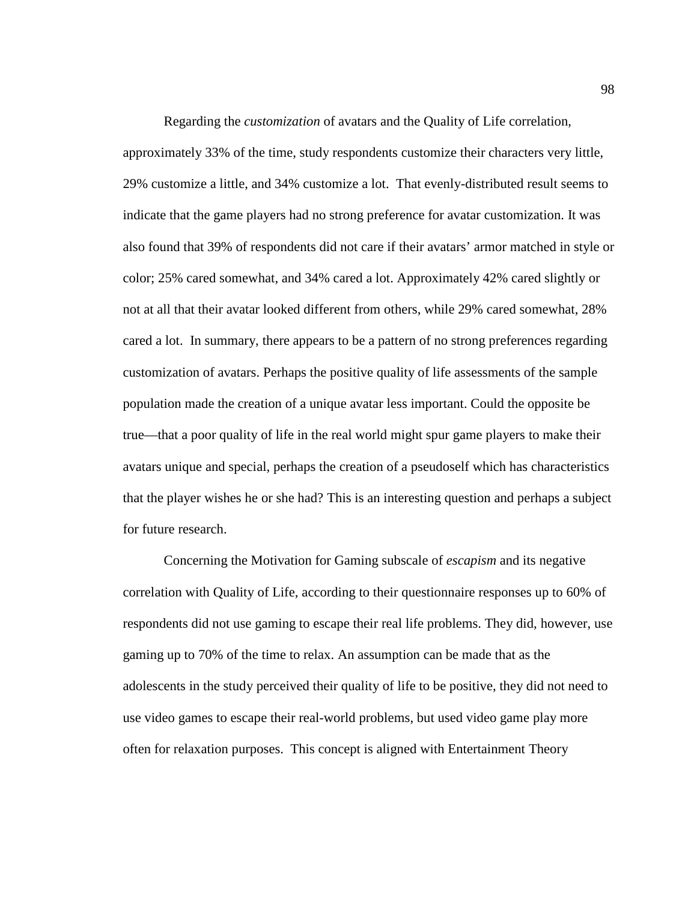Regarding the *customization* of avatars and the Quality of Life correlation, approximately 33% of the time, study respondents customize their characters very little, 29% customize a little, and 34% customize a lot. That evenly-distributed result seems to indicate that the game players had no strong preference for avatar customization. It was also found that 39% of respondents did not care if their avatars' armor matched in style or color; 25% cared somewhat, and 34% cared a lot. Approximately 42% cared slightly or not at all that their avatar looked different from others, while 29% cared somewhat, 28% cared a lot. In summary, there appears to be a pattern of no strong preferences regarding customization of avatars. Perhaps the positive quality of life assessments of the sample population made the creation of a unique avatar less important. Could the opposite be true—that a poor quality of life in the real world might spur game players to make their avatars unique and special, perhaps the creation of a pseudoself which has characteristics that the player wishes he or she had? This is an interesting question and perhaps a subject for future research.

Concerning the Motivation for Gaming subscale of *escapism* and its negative correlation with Quality of Life, according to their questionnaire responses up to 60% of respondents did not use gaming to escape their real life problems. They did, however, use gaming up to 70% of the time to relax. An assumption can be made that as the adolescents in the study perceived their quality of life to be positive, they did not need to use video games to escape their real-world problems, but used video game play more often for relaxation purposes. This concept is aligned with Entertainment Theory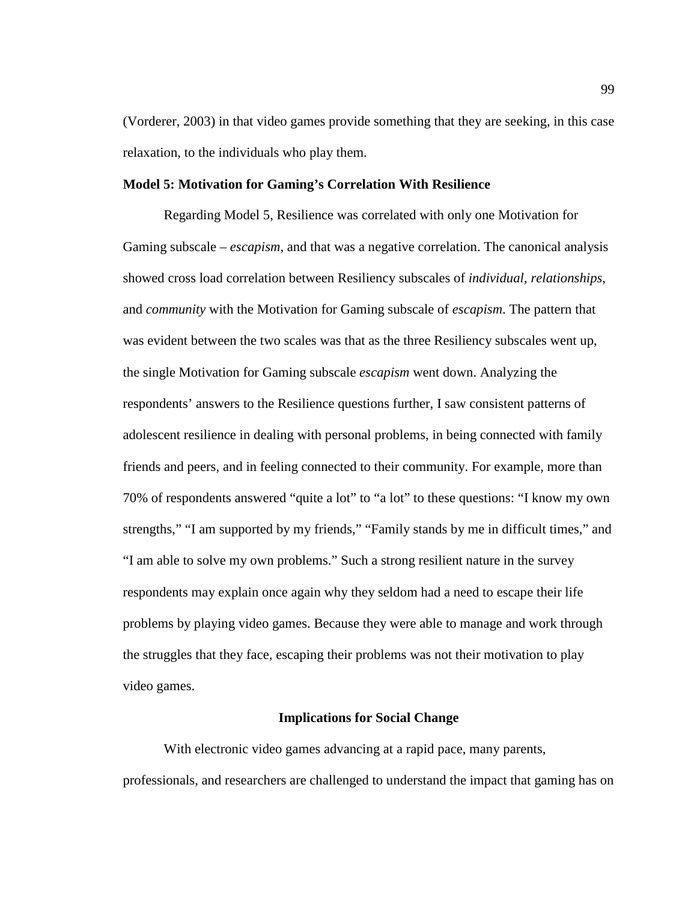(Vorderer, 2003) in that video games provide something that they are seeking, in this case relaxation, to the individuals who play them.

### **Model 5: Motivation for Gaming's Correlation With Resilience**

Regarding Model 5, Resilience was correlated with only one Motivation for Gaming subscale – *escapism,* and that was a negative correlation. The canonical analysis showed cross load correlation between Resiliency subscales of *individual, relationships*, and *community* with the Motivation for Gaming subscale of *escapism*. The pattern that was evident between the two scales was that as the three Resiliency subscales went up, the single Motivation for Gaming subscale *escapism* went down. Analyzing the respondents' answers to the Resilience questions further, I saw consistent patterns of adolescent resilience in dealing with personal problems, in being connected with family friends and peers, and in feeling connected to their community. For example, more than 70% of respondents answered "quite a lot" to "a lot" to these questions: "I know my own strengths," "I am supported by my friends," "Family stands by me in difficult times," and "I am able to solve my own problems." Such a strong resilient nature in the survey respondents may explain once again why they seldom had a need to escape their life problems by playing video games. Because they were able to manage and work through the struggles that they face, escaping their problems was not their motivation to play video games.

### **Implications for Social Change**

With electronic video games advancing at a rapid pace, many parents, professionals, and researchers are challenged to understand the impact that gaming has on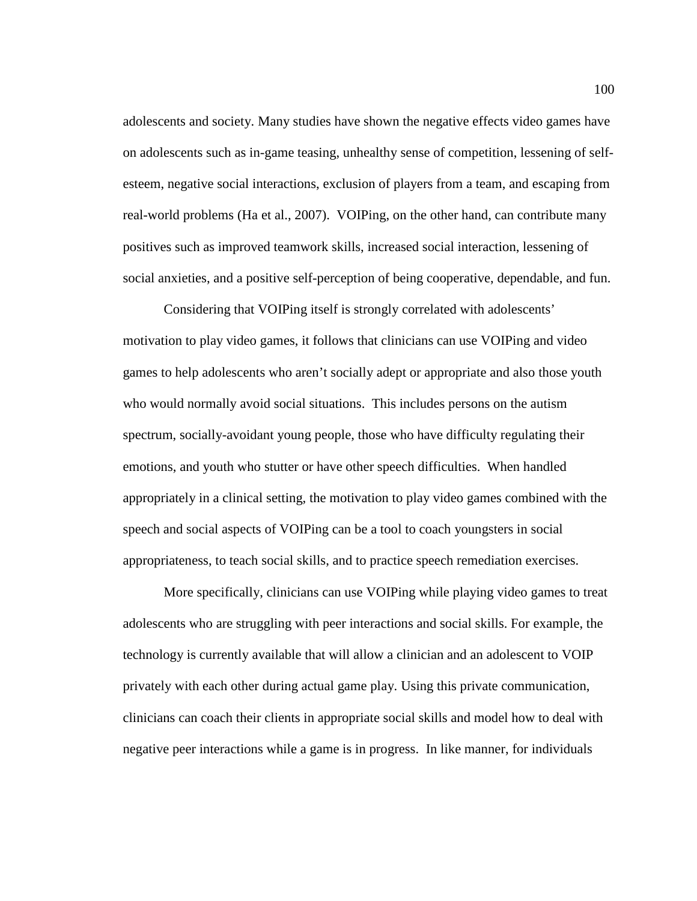adolescents and society. Many studies have shown the negative effects video games have on adolescents such as in-game teasing, unhealthy sense of competition, lessening of selfesteem, negative social interactions, exclusion of players from a team, and escaping from real-world problems (Ha et al., 2007). VOIPing, on the other hand, can contribute many positives such as improved teamwork skills, increased social interaction, lessening of social anxieties, and a positive self-perception of being cooperative, dependable, and fun.

Considering that VOIPing itself is strongly correlated with adolescents' motivation to play video games, it follows that clinicians can use VOIPing and video games to help adolescents who aren't socially adept or appropriate and also those youth who would normally avoid social situations. This includes persons on the autism spectrum, socially-avoidant young people, those who have difficulty regulating their emotions, and youth who stutter or have other speech difficulties. When handled appropriately in a clinical setting, the motivation to play video games combined with the speech and social aspects of VOIPing can be a tool to coach youngsters in social appropriateness, to teach social skills, and to practice speech remediation exercises.

More specifically, clinicians can use VOIPing while playing video games to treat adolescents who are struggling with peer interactions and social skills. For example, the technology is currently available that will allow a clinician and an adolescent to VOIP privately with each other during actual game play. Using this private communication, clinicians can coach their clients in appropriate social skills and model how to deal with negative peer interactions while a game is in progress. In like manner, for individuals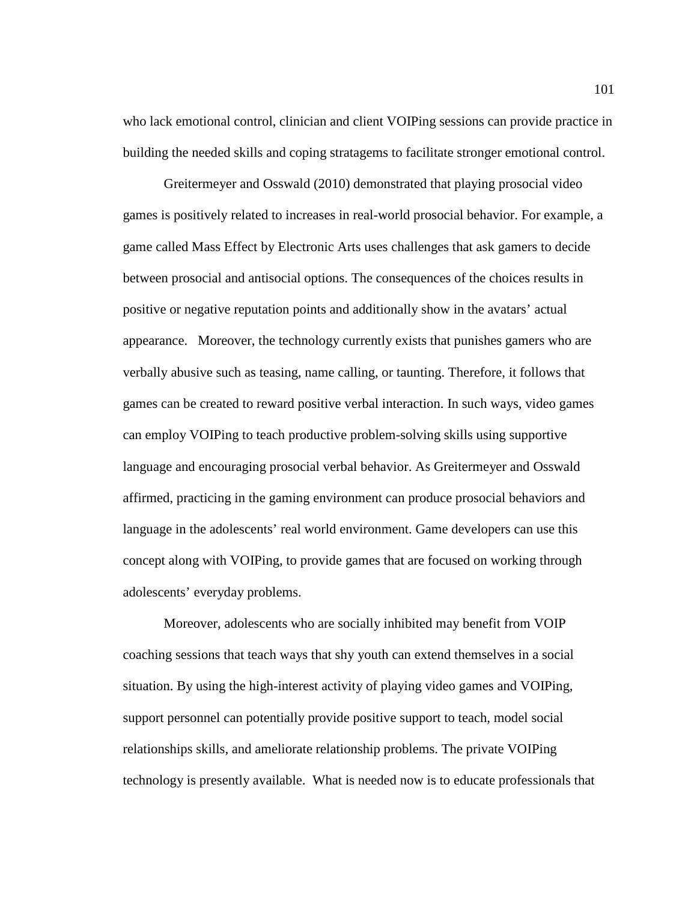who lack emotional control, clinician and client VOIPing sessions can provide practice in building the needed skills and coping stratagems to facilitate stronger emotional control.

Greitermeyer and Osswald (2010) demonstrated that playing prosocial video games is positively related to increases in real-world prosocial behavior. For example, a game called Mass Effect by Electronic Arts uses challenges that ask gamers to decide between prosocial and antisocial options. The consequences of the choices results in positive or negative reputation points and additionally show in the avatars' actual appearance. Moreover, the technology currently exists that punishes gamers who are verbally abusive such as teasing, name calling, or taunting. Therefore, it follows that games can be created to reward positive verbal interaction. In such ways, video games can employ VOIPing to teach productive problem-solving skills using supportive language and encouraging prosocial verbal behavior. As Greitermeyer and Osswald affirmed, practicing in the gaming environment can produce prosocial behaviors and language in the adolescents' real world environment. Game developers can use this concept along with VOIPing, to provide games that are focused on working through adolescents' everyday problems.

Moreover, adolescents who are socially inhibited may benefit from VOIP coaching sessions that teach ways that shy youth can extend themselves in a social situation. By using the high-interest activity of playing video games and VOIPing, support personnel can potentially provide positive support to teach, model social relationships skills, and ameliorate relationship problems. The private VOIPing technology is presently available. What is needed now is to educate professionals that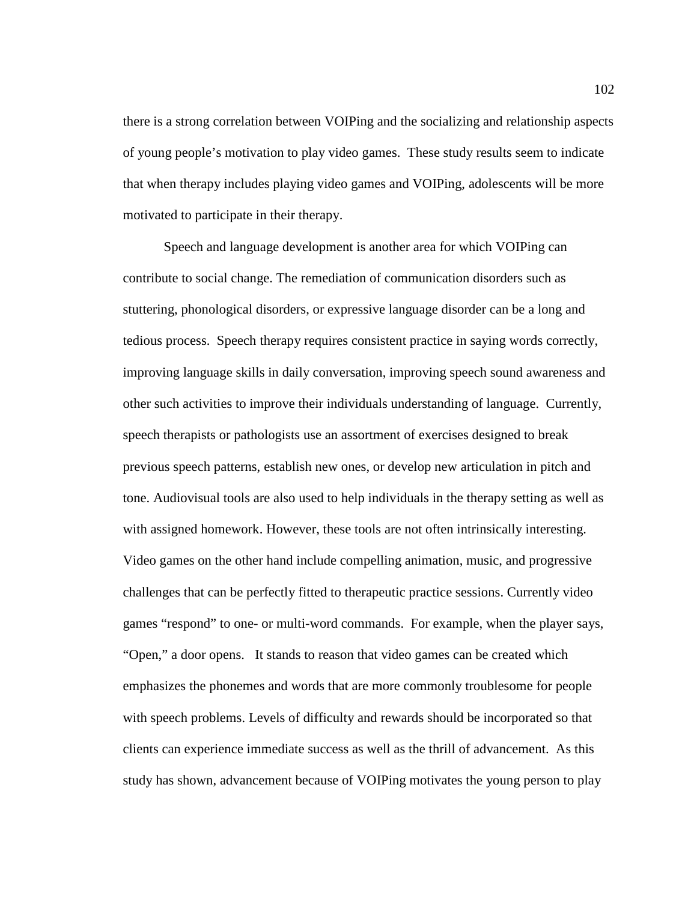there is a strong correlation between VOIPing and the socializing and relationship aspects of young people's motivation to play video games. These study results seem to indicate that when therapy includes playing video games and VOIPing, adolescents will be more motivated to participate in their therapy.

Speech and language development is another area for which VOIPing can contribute to social change. The remediation of communication disorders such as stuttering, phonological disorders, or expressive language disorder can be a long and tedious process. Speech therapy requires consistent practice in saying words correctly, improving language skills in daily conversation, improving speech sound awareness and other such activities to improve their individuals understanding of language. Currently, speech therapists or pathologists use an assortment of exercises designed to break previous speech patterns, establish new ones, or develop new articulation in pitch and tone. Audiovisual tools are also used to help individuals in the therapy setting as well as with assigned homework. However, these tools are not often intrinsically interesting. Video games on the other hand include compelling animation, music, and progressive challenges that can be perfectly fitted to therapeutic practice sessions. Currently video games "respond" to one- or multi-word commands. For example, when the player says, "Open," a door opens. It stands to reason that video games can be created which emphasizes the phonemes and words that are more commonly troublesome for people with speech problems. Levels of difficulty and rewards should be incorporated so that clients can experience immediate success as well as the thrill of advancement. As this study has shown, advancement because of VOIPing motivates the young person to play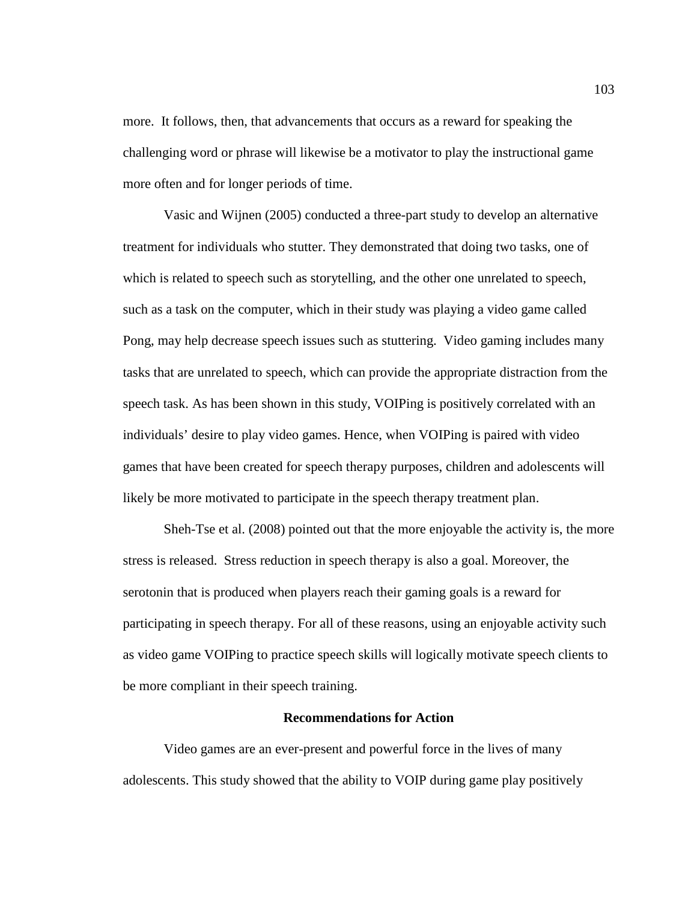more. It follows, then, that advancements that occurs as a reward for speaking the challenging word or phrase will likewise be a motivator to play the instructional game more often and for longer periods of time.

Vasic and Wijnen (2005) conducted a three-part study to develop an alternative treatment for individuals who stutter. They demonstrated that doing two tasks, one of which is related to speech such as storytelling, and the other one unrelated to speech, such as a task on the computer, which in their study was playing a video game called Pong, may help decrease speech issues such as stuttering. Video gaming includes many tasks that are unrelated to speech, which can provide the appropriate distraction from the speech task. As has been shown in this study, VOIPing is positively correlated with an individuals' desire to play video games. Hence, when VOIPing is paired with video games that have been created for speech therapy purposes, children and adolescents will likely be more motivated to participate in the speech therapy treatment plan.

Sheh-Tse et al. (2008) pointed out that the more enjoyable the activity is, the more stress is released. Stress reduction in speech therapy is also a goal. Moreover, the serotonin that is produced when players reach their gaming goals is a reward for participating in speech therapy. For all of these reasons, using an enjoyable activity such as video game VOIPing to practice speech skills will logically motivate speech clients to be more compliant in their speech training.

### **Recommendations for Action**

Video games are an ever-present and powerful force in the lives of many adolescents. This study showed that the ability to VOIP during game play positively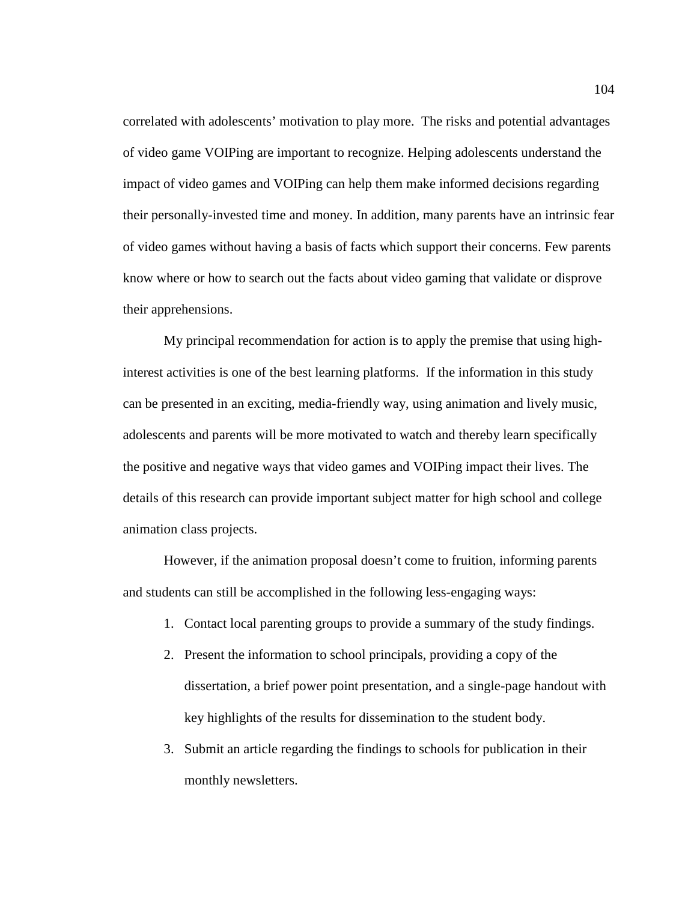correlated with adolescents' motivation to play more. The risks and potential advantages of video game VOIPing are important to recognize. Helping adolescents understand the impact of video games and VOIPing can help them make informed decisions regarding their personally-invested time and money. In addition, many parents have an intrinsic fear of video games without having a basis of facts which support their concerns. Few parents know where or how to search out the facts about video gaming that validate or disprove their apprehensions.

My principal recommendation for action is to apply the premise that using highinterest activities is one of the best learning platforms. If the information in this study can be presented in an exciting, media-friendly way, using animation and lively music, adolescents and parents will be more motivated to watch and thereby learn specifically the positive and negative ways that video games and VOIPing impact their lives. The details of this research can provide important subject matter for high school and college animation class projects.

However, if the animation proposal doesn't come to fruition, informing parents and students can still be accomplished in the following less-engaging ways:

- 1. Contact local parenting groups to provide a summary of the study findings.
- 2. Present the information to school principals, providing a copy of the dissertation, a brief power point presentation, and a single-page handout with key highlights of the results for dissemination to the student body.
- 3. Submit an article regarding the findings to schools for publication in their monthly newsletters.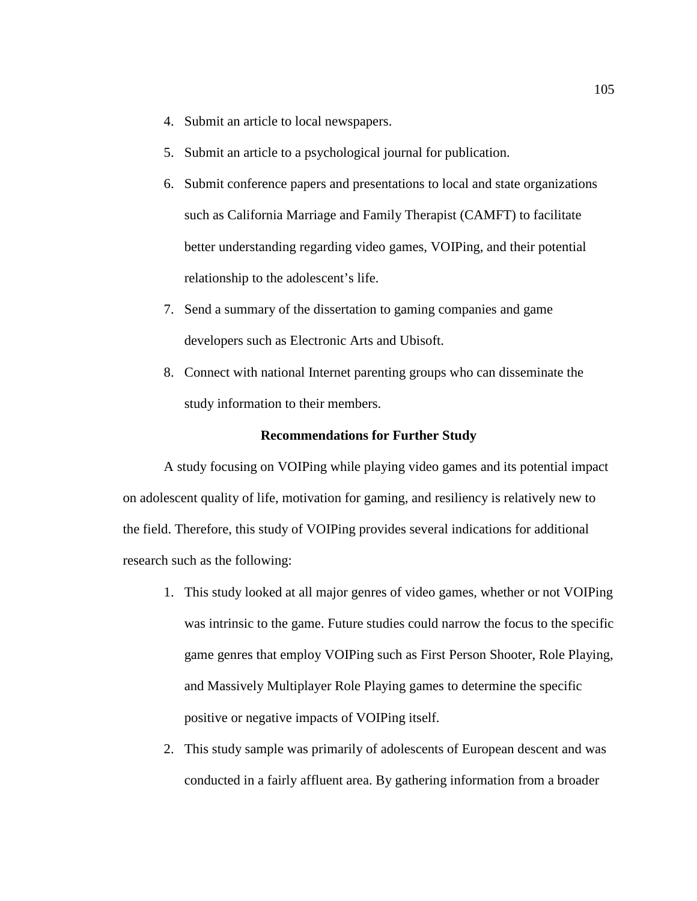- 4. Submit an article to local newspapers.
- 5. Submit an article to a psychological journal for publication.
- 6. Submit conference papers and presentations to local and state organizations such as California Marriage and Family Therapist (CAMFT) to facilitate better understanding regarding video games, VOIPing, and their potential relationship to the adolescent's life.
- 7. Send a summary of the dissertation to gaming companies and game developers such as Electronic Arts and Ubisoft.
- 8. Connect with national Internet parenting groups who can disseminate the study information to their members.

### **Recommendations for Further Study**

A study focusing on VOIPing while playing video games and its potential impact on adolescent quality of life, motivation for gaming, and resiliency is relatively new to the field. Therefore, this study of VOIPing provides several indications for additional research such as the following:

- 1. This study looked at all major genres of video games, whether or not VOIPing was intrinsic to the game. Future studies could narrow the focus to the specific game genres that employ VOIPing such as First Person Shooter, Role Playing, and Massively Multiplayer Role Playing games to determine the specific positive or negative impacts of VOIPing itself.
- 2. This study sample was primarily of adolescents of European descent and was conducted in a fairly affluent area. By gathering information from a broader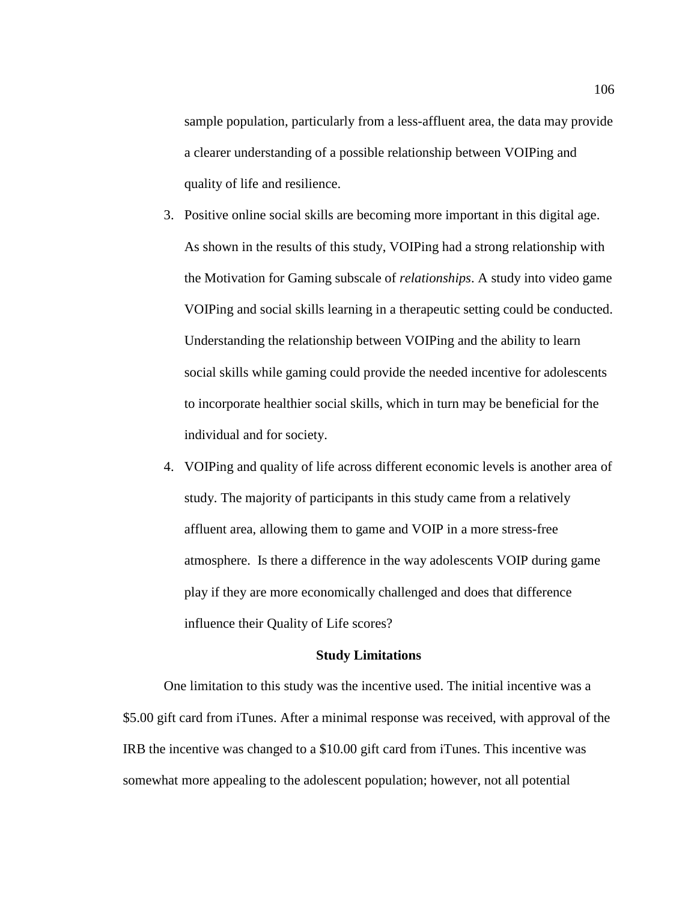sample population, particularly from a less-affluent area, the data may provide a clearer understanding of a possible relationship between VOIPing and quality of life and resilience.

- 3. Positive online social skills are becoming more important in this digital age. As shown in the results of this study, VOIPing had a strong relationship with the Motivation for Gaming subscale of *relationships*. A study into video game VOIPing and social skills learning in a therapeutic setting could be conducted. Understanding the relationship between VOIPing and the ability to learn social skills while gaming could provide the needed incentive for adolescents to incorporate healthier social skills, which in turn may be beneficial for the individual and for society.
- 4. VOIPing and quality of life across different economic levels is another area of study. The majority of participants in this study came from a relatively affluent area, allowing them to game and VOIP in a more stress-free atmosphere. Is there a difference in the way adolescents VOIP during game play if they are more economically challenged and does that difference influence their Quality of Life scores?

### **Study Limitations**

One limitation to this study was the incentive used. The initial incentive was a \$5.00 gift card from iTunes. After a minimal response was received, with approval of the IRB the incentive was changed to a \$10.00 gift card from iTunes. This incentive was somewhat more appealing to the adolescent population; however, not all potential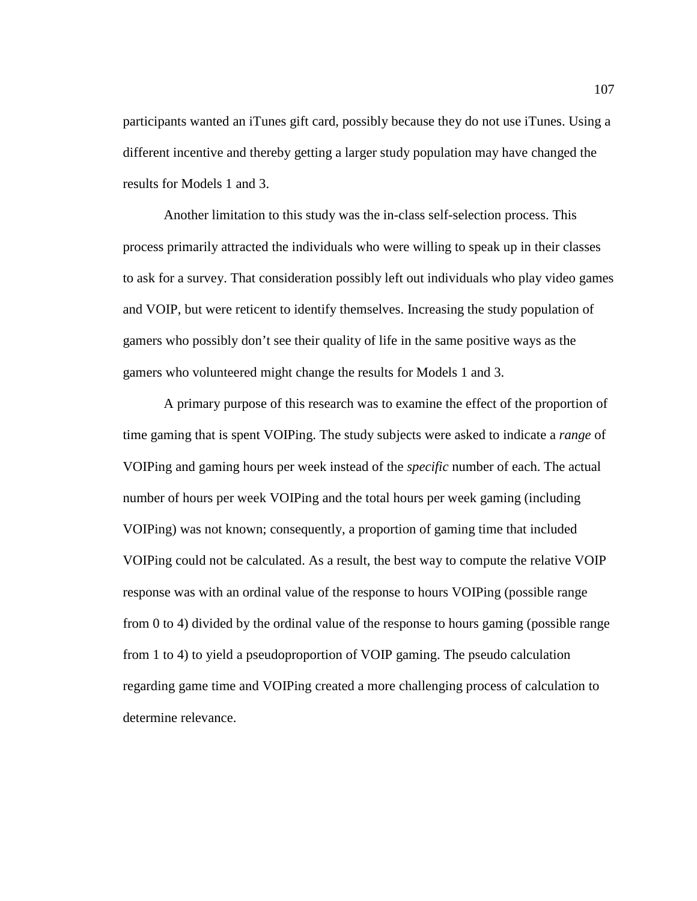participants wanted an iTunes gift card, possibly because they do not use iTunes. Using a different incentive and thereby getting a larger study population may have changed the results for Models 1 and 3.

Another limitation to this study was the in-class self-selection process. This process primarily attracted the individuals who were willing to speak up in their classes to ask for a survey. That consideration possibly left out individuals who play video games and VOIP, but were reticent to identify themselves. Increasing the study population of gamers who possibly don't see their quality of life in the same positive ways as the gamers who volunteered might change the results for Models 1 and 3.

A primary purpose of this research was to examine the effect of the proportion of time gaming that is spent VOIPing. The study subjects were asked to indicate a *range* of VOIPing and gaming hours per week instead of the *specific* number of each. The actual number of hours per week VOIPing and the total hours per week gaming (including VOIPing) was not known; consequently, a proportion of gaming time that included VOIPing could not be calculated. As a result, the best way to compute the relative VOIP response was with an ordinal value of the response to hours VOIPing (possible range from 0 to 4) divided by the ordinal value of the response to hours gaming (possible range from 1 to 4) to yield a pseudoproportion of VOIP gaming. The pseudo calculation regarding game time and VOIPing created a more challenging process of calculation to determine relevance.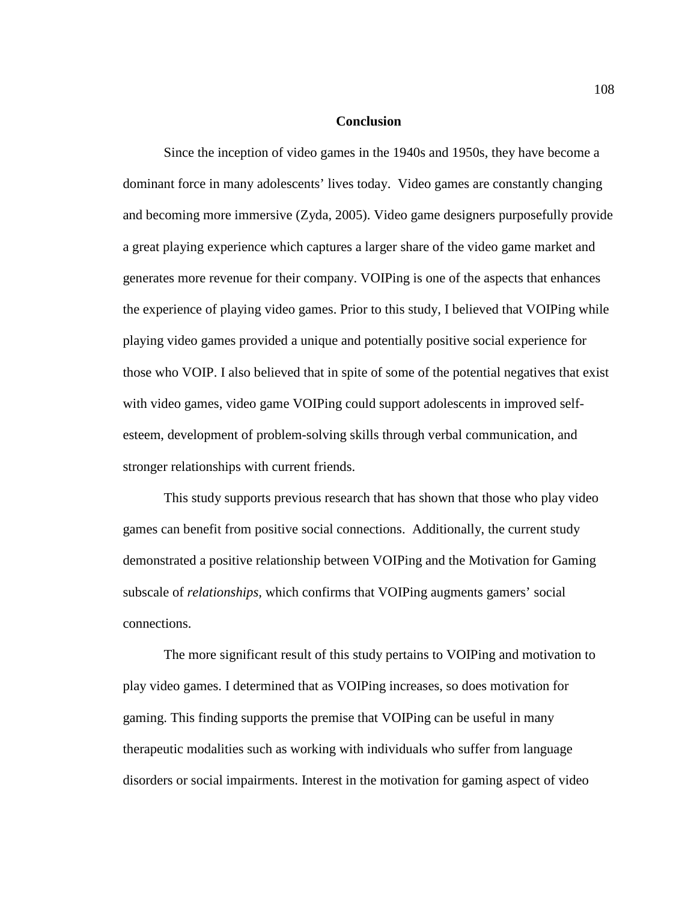### **Conclusion**

Since the inception of video games in the 1940s and 1950s, they have become a dominant force in many adolescents' lives today. Video games are constantly changing and becoming more immersive (Zyda, 2005). Video game designers purposefully provide a great playing experience which captures a larger share of the video game market and generates more revenue for their company. VOIPing is one of the aspects that enhances the experience of playing video games. Prior to this study, I believed that VOIPing while playing video games provided a unique and potentially positive social experience for those who VOIP. I also believed that in spite of some of the potential negatives that exist with video games, video game VOIPing could support adolescents in improved selfesteem, development of problem-solving skills through verbal communication, and stronger relationships with current friends.

This study supports previous research that has shown that those who play video games can benefit from positive social connections. Additionally, the current study demonstrated a positive relationship between VOIPing and the Motivation for Gaming subscale of *relationships,* which confirms that VOIPing augments gamers' social connections.

The more significant result of this study pertains to VOIPing and motivation to play video games. I determined that as VOIPing increases, so does motivation for gaming. This finding supports the premise that VOIPing can be useful in many therapeutic modalities such as working with individuals who suffer from language disorders or social impairments. Interest in the motivation for gaming aspect of video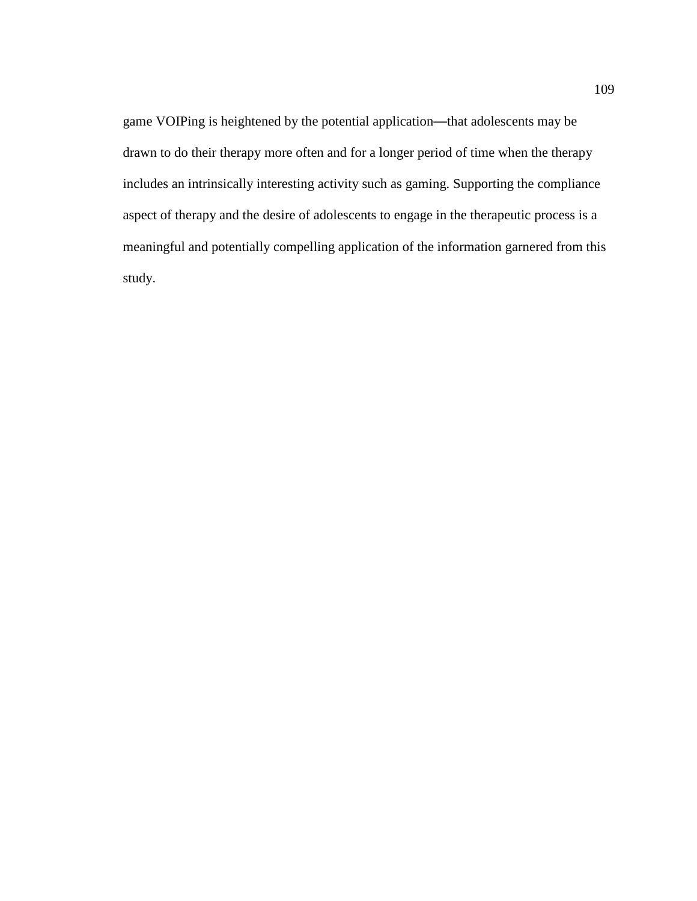game VOIPing is heightened by the potential application—that adolescents may be drawn to do their therapy more often and for a longer period of time when the therapy includes an intrinsically interesting activity such as gaming. Supporting the compliance aspect of therapy and the desire of adolescents to engage in the therapeutic process is a meaningful and potentially compelling application of the information garnered from this study.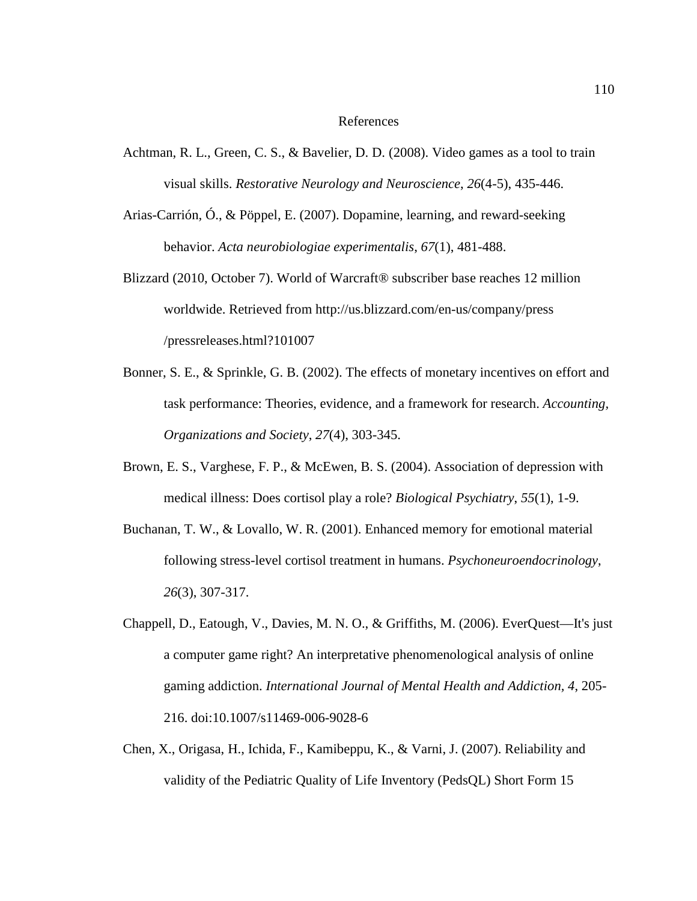### References

- Achtman, R. L., Green, C. S., & Bavelier, D. D. (2008). Video games as a tool to train visual skills. *Restorative Neurology and Neuroscience*, *26*(4-5), 435-446.
- Arias-Carrión, Ó., & Pöppel, E. (2007). Dopamine, learning, and reward-seeking behavior. *Acta neurobiologiae experimentalis*, *67*(1), 481-488.
- Blizzard (2010, October 7). World of Warcraft® subscriber base reaches 12 million worldwide. Retrieved from http://us.blizzard.com/en-us/company/press /pressreleases.html?101007
- Bonner, S. E., & Sprinkle, G. B. (2002). The effects of monetary incentives on effort and task performance: Theories, evidence, and a framework for research. *Accounting, Organizations and Society*, *27*(4), 303-345.
- Brown, E. S., Varghese, F. P., & McEwen, B. S. (2004). Association of depression with medical illness: Does cortisol play a role? *Biological Psychiatry*, *55*(1), 1-9.
- Buchanan, T. W., & Lovallo, W. R. (2001). Enhanced memory for emotional material following stress-level cortisol treatment in humans. *Psychoneuroendocrinology*, *26*(3), 307-317.
- Chappell, D., Eatough, V., Davies, M. N. O., & Griffiths, M. (2006). EverQuest—It's just a computer game right? An interpretative phenomenological analysis of online gaming addiction. *International Journal of Mental Health and Addiction, 4*, 205- 216. doi:10.1007/s11469-006-9028-6
- Chen, X., Origasa, H., Ichida, F., Kamibeppu, K., & Varni, J. (2007). Reliability and validity of the Pediatric Quality of Life Inventory (PedsQL) Short Form 15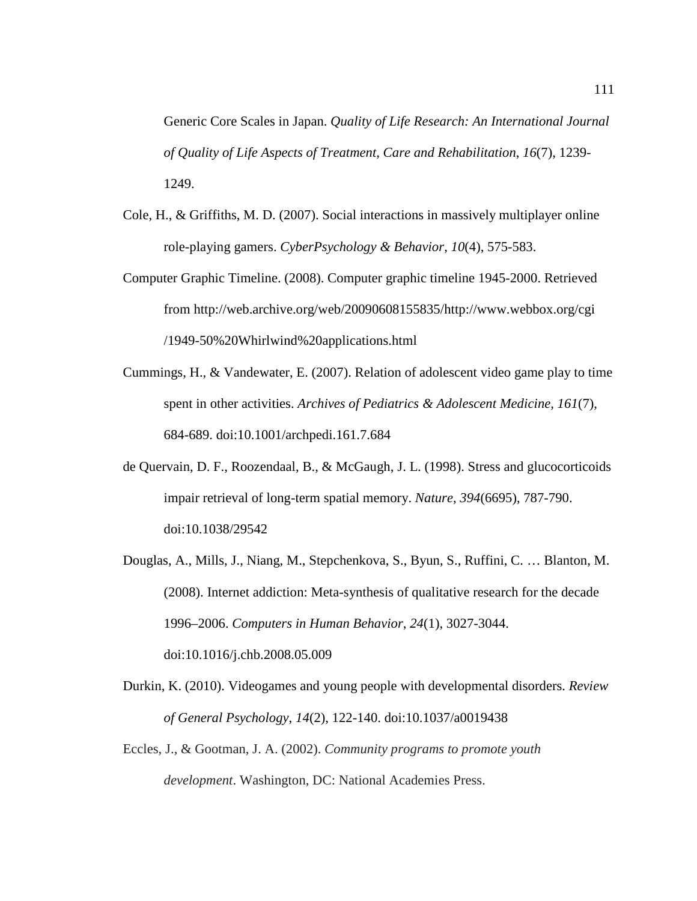Generic Core Scales in Japan. *Quality of Life Research: An International Journal of Quality of Life Aspects of Treatment, Care and Rehabilitation*, *16*(7), 1239- 1249.

- Cole, H., & Griffiths, M. D. (2007). Social interactions in massively multiplayer online role-playing gamers. *CyberPsychology & Behavior*, *10*(4), 575-583.
- Computer Graphic Timeline. (2008). Computer graphic timeline 1945-2000. Retrieved from http://web.archive.org/web/20090608155835/http://www.webbox.org/cgi /1949-50%20Whirlwind%20applications.html
- Cummings, H., & Vandewater, E. (2007). Relation of adolescent video game play to time spent in other activities. *Archives of Pediatrics & Adolescent Medicine*, *161*(7), 684-689. doi:10.1001/archpedi.161.7.684
- de Quervain, D. F., Roozendaal, B., & McGaugh, J. L. (1998). Stress and glucocorticoids impair retrieval of long-term spatial memory. *Nature*, *394*(6695), 787-790. doi:10.1038/29542
- Douglas, A., Mills, J., Niang, M., Stepchenkova, S., Byun, S., Ruffini, C. … Blanton, M. (2008). Internet addiction: Meta-synthesis of qualitative research for the decade 1996–2006. *Computers in Human Behavior*, *24*(1), 3027-3044. doi:10.1016/j.chb.2008.05.009
- Durkin, K. (2010). Videogames and young people with developmental disorders. *Review of General Psychology*, *14*(2), 122-140. doi:10.1037/a0019438
- Eccles, J., & Gootman, J. A. (2002). *Community programs to promote youth development*. Washington, DC: National Academies Press.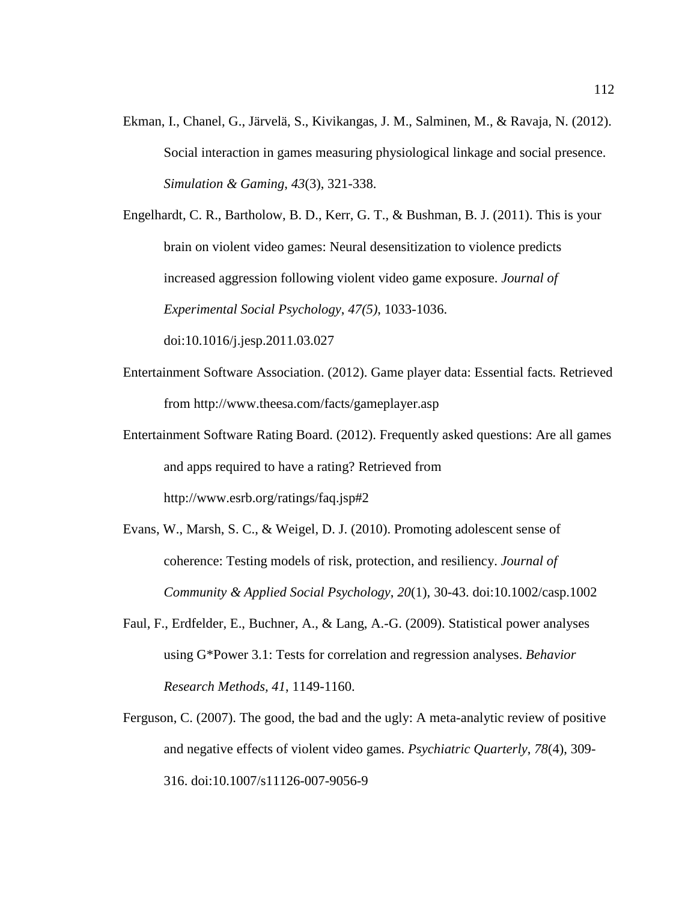Ekman, I., Chanel, G., Järvelä, S., Kivikangas, J. M., Salminen, M., & Ravaja, N. (2012). Social interaction in games measuring physiological linkage and social presence. *Simulation & Gaming*, *43*(3), 321-338.

Engelhardt, C. R., Bartholow, B. D., Kerr, G. T., & Bushman, B. J. (2011). This is your brain on violent video games: Neural desensitization to violence predicts increased aggression following violent video game exposure. *Journal of Experimental Social Psychology*, *47(5)*, 1033-1036. doi:10.1016/j.jesp.2011.03.027

- Entertainment Software Association. (2012). Game player data: Essential facts*.* Retrieved from http://www.theesa.com/facts/gameplayer.asp
- Entertainment Software Rating Board. (2012). Frequently asked questions: Are all games and apps required to have a rating? Retrieved from http://www.esrb.org/ratings/faq.jsp#2
- Evans, W., Marsh, S. C., & Weigel, D. J. (2010). Promoting adolescent sense of coherence: Testing models of risk, protection, and resiliency. *Journal of Community & Applied Social Psychology*, *20*(1), 30-43. doi:10.1002/casp.1002
- Faul, F., Erdfelder, E., Buchner, A., & Lang, A.-G. (2009). Statistical power analyses using G\*Power 3.1: Tests for correlation and regression analyses. *Behavior Research Methods, 41*, 1149-1160.
- Ferguson, C. (2007). The good, the bad and the ugly: A meta-analytic review of positive and negative effects of violent video games. *Psychiatric Quarterly*, *78*(4), 309- 316. doi:10.1007/s11126-007-9056-9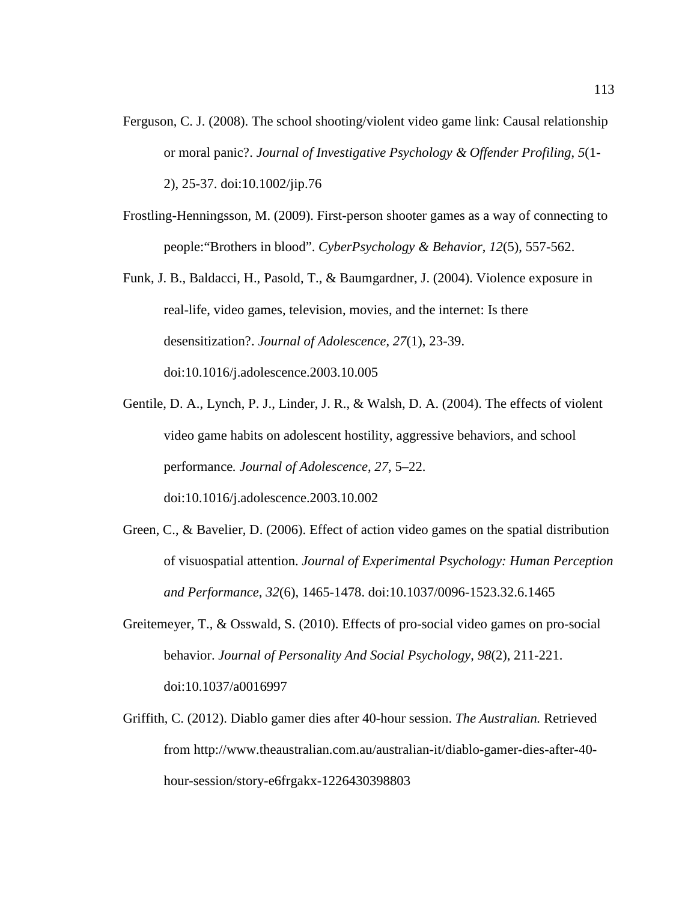- Ferguson, C. J. (2008). The school shooting/violent video game link: Causal relationship or moral panic?. *Journal of Investigative Psychology & Offender Profiling*, *5*(1- 2), 25-37. doi:10.1002/jip.76
- Frostling-Henningsson, M. (2009). First-person shooter games as a way of connecting to people:"Brothers in blood". *CyberPsychology & Behavior*, *12*(5), 557-562.
- Funk, J. B., Baldacci, H., Pasold, T., & Baumgardner, J. (2004). Violence exposure in real-life, video games, television, movies, and the internet: Is there desensitization?. *Journal of Adolescence*, *27*(1), 23-39. doi:10.1016/j.adolescence.2003.10.005
- Gentile, D. A., Lynch, P. J., Linder, J. R., & Walsh, D. A. (2004). The effects of violent video game habits on adolescent hostility, aggressive behaviors, and school performance*. Journal of Adolescence*, *27*, 5–22. doi:10.1016/j.adolescence.2003.10.002
- Green, C., & Bavelier, D. (2006). Effect of action video games on the spatial distribution of visuospatial attention. *Journal of Experimental Psychology: Human Perception and Performance*, *32*(6), 1465-1478. doi:10.1037/0096-1523.32.6.1465
- Greitemeyer, T., & Osswald, S. (2010). Effects of pro-social video games on pro-social behavior. *Journal of Personality And Social Psychology*, *98*(2), 211-221. doi:10.1037/a0016997
- Griffith, C. (2012). Diablo gamer dies after 40-hour session. *The Australian.* Retrieved from http://www.theaustralian.com.au/australian-it/diablo-gamer-dies-after-40 hour-session/story-e6frgakx-1226430398803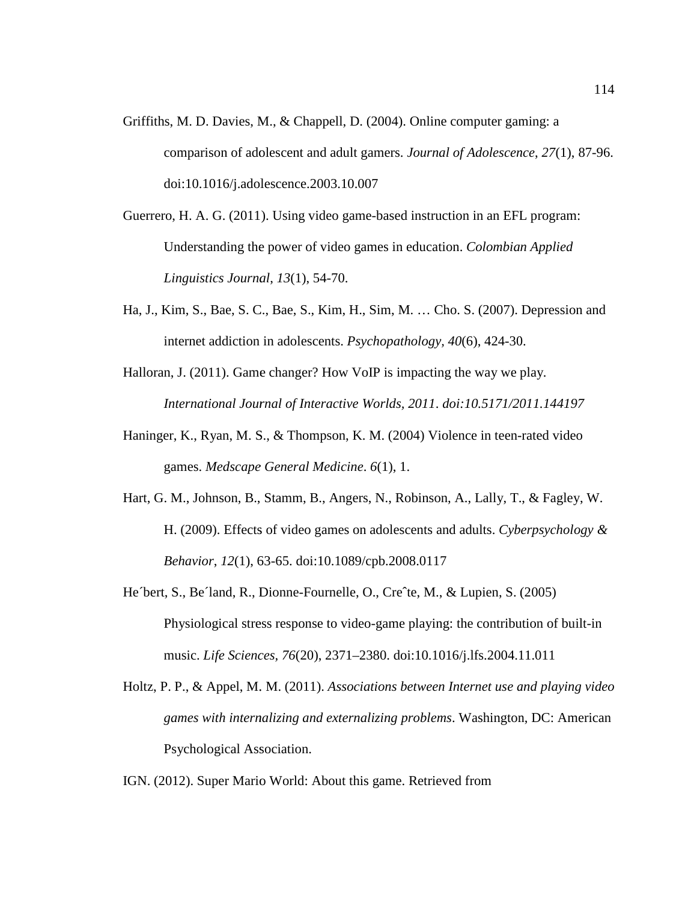- Griffiths, M. D. Davies, M., & Chappell, D. (2004). Online computer gaming: a comparison of adolescent and adult gamers. *Journal of Adolescence*, 27(1), 87-96. doi:10.1016/j.adolescence.2003.10.007
- Guerrero, H. A. G. (2011). Using video game-based instruction in an EFL program: Understanding the power of video games in education. *Colombian Applied Applied Linguistics Journal* , *13*(1), 54-70.
- Ha, J., Kim, S., Bae, S. C., Bae, S., Kim, Kim, H., Sim, M. … Cho. S. (2007). Depression and internet addiction in adolescents. *Psychopathology, 40*(6), 424-30. 30.
- Halloran, J. (2011). Game changer? How VoIP is impacting the way we play. *International Journ Journal of Interactive Worlds, 2011*. *doi:10.5171/2011.144197 10.5171/2011.144197*
- Haninger, K., Ryan, M. S., & Thompson, K. M. (2004) Violence in teen-rated video games. *Medscape General Medicine*.  $6(1)$ , 1.
- Hart, G. M., Johnson, B., Stamm, B., Angers, N., Robinson, A., Lally, T., & Fagley, W. H. (2009). Effects of video games on adolescents and adults. Cyberpsychology & *Behavior*, *12*(1), 63 63-65. doi:10.1089/cpb.2008.0117
- He 'bert, S., Be 'land, R., Dionne-Fournelle, O., Cre^te, M., & Lupien, S. (2005) , S., Be Iand, R., Dionne-Fournelle, O., Cre^te, M., & Lupien, S. (2005)<br>Physiological stress response to video-game playing: the contribution of built-in music. *Life Sciences Life Sciences, 76*(20), 2371–2380. doi:10.1016/j.lfs.2004.11.011 :10.1016/j.lfs.2004.11.011
- Holtz, P. P., & Appel, M. M. (2011). Associations between Internet use and playing video games with internalizing and externalizing problems. Washington, DC: American Psychological Association.

IGN. (2012). Super Mario World: About this game. Retrieved from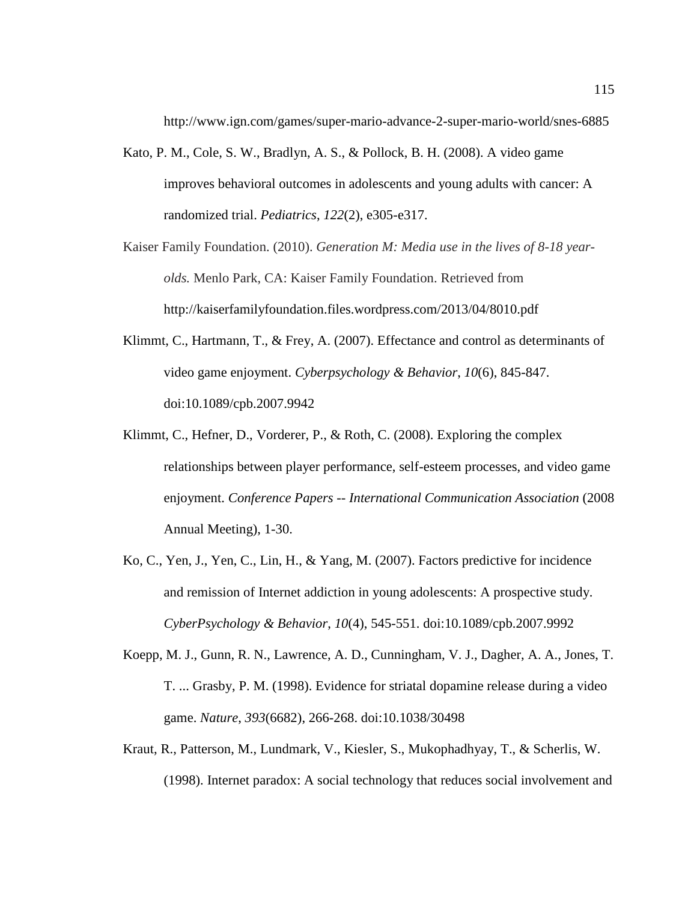http://www.ign.com/games/super-mario-advance-2-super-mario-world/snes-6885

- Kato, P. M., Cole, S. W., Bradlyn, A. S., & Pollock, B. H. (2008). A video game improves behavioral outcomes in adolescents and young adults with cancer: A randomized trial. *Pediatrics*, *122*(2), e305-e317.
- Kaiser Family Foundation. (2010). *Generation M: Media use in the lives of 8-18 yearolds.* Menlo Park, CA: Kaiser Family Foundation. Retrieved from http://kaiserfamilyfoundation.files.wordpress.com/2013/04/8010.pdf
- Klimmt, C., Hartmann, T., & Frey, A. (2007). Effectance and control as determinants of video game enjoyment. *Cyberpsychology & Behavior*, *10*(6), 845-847. doi:10.1089/cpb.2007.9942
- Klimmt, C., Hefner, D., Vorderer, P., & Roth, C. (2008). Exploring the complex relationships between player performance, self-esteem processes, and video game enjoyment. *Conference Papers -- International Communication Association* (2008 Annual Meeting), 1-30.
- Ko, C., Yen, J., Yen, C., Lin, H., & Yang, M. (2007). Factors predictive for incidence and remission of Internet addiction in young adolescents: A prospective study. *CyberPsychology & Behavior*, *10*(4), 545-551. doi:10.1089/cpb.2007.9992
- Koepp, M. J., Gunn, R. N., Lawrence, A. D., Cunningham, V. J., Dagher, A. A., Jones, T. T. ... Grasby, P. M. (1998). Evidence for striatal dopamine release during a video game. *Nature*, *393*(6682), 266-268. doi:10.1038/30498
- Kraut, R., Patterson, M., Lundmark, V., Kiesler, S., Mukophadhyay, T., & Scherlis, W. (1998). Internet paradox: A social technology that reduces social involvement and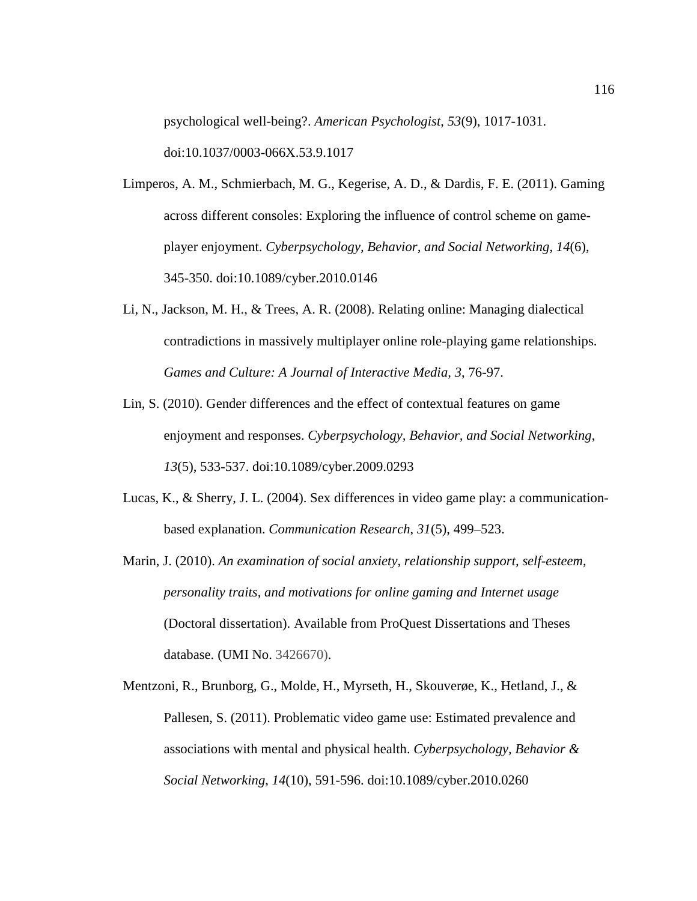psychological well-being?. *American Psychologist*, *53*(9), 1017-1031. doi:10.1037/0003-066X.53.9.1017

- Limperos, A. M., Schmierbach, M. G., Kegerise, A. D., & Dardis, F. E. (2011). Gaming across different consoles: Exploring the influence of control scheme on gameplayer enjoyment. *Cyberpsychology, Behavior, and Social Networking*, *14*(6), 345-350. doi:10.1089/cyber.2010.0146
- Li, N., Jackson, M. H., & Trees, A. R. (2008). Relating online: Managing dialectical contradictions in massively multiplayer online role-playing game relationships. *Games and Culture: A Journal of Interactive Media, 3*, 76-97.
- Lin, S. (2010). Gender differences and the effect of contextual features on game enjoyment and responses. *Cyberpsychology, Behavior, and Social Networking*, *13*(5), 533-537. doi:10.1089/cyber.2009.0293
- Lucas, K., & Sherry, J. L. (2004). Sex differences in video game play: a communicationbased explanation. *Communication Research*, *31*(5), 499–523.
- Marin, J. (2010). *An examination of social anxiety, relationship support, self-esteem, personality traits, and motivations for online gaming and Internet usage* (Doctoral dissertation). Available from ProQuest Dissertations and Theses database. (UMI No. 3426670).
- Mentzoni, R., Brunborg, G., Molde, H., Myrseth, H., Skouverøe, K., Hetland, J., & Pallesen, S. (2011). Problematic video game use: Estimated prevalence and associations with mental and physical health. *Cyberpsychology, Behavior & Social Networking*, *14*(10), 591-596. doi:10.1089/cyber.2010.0260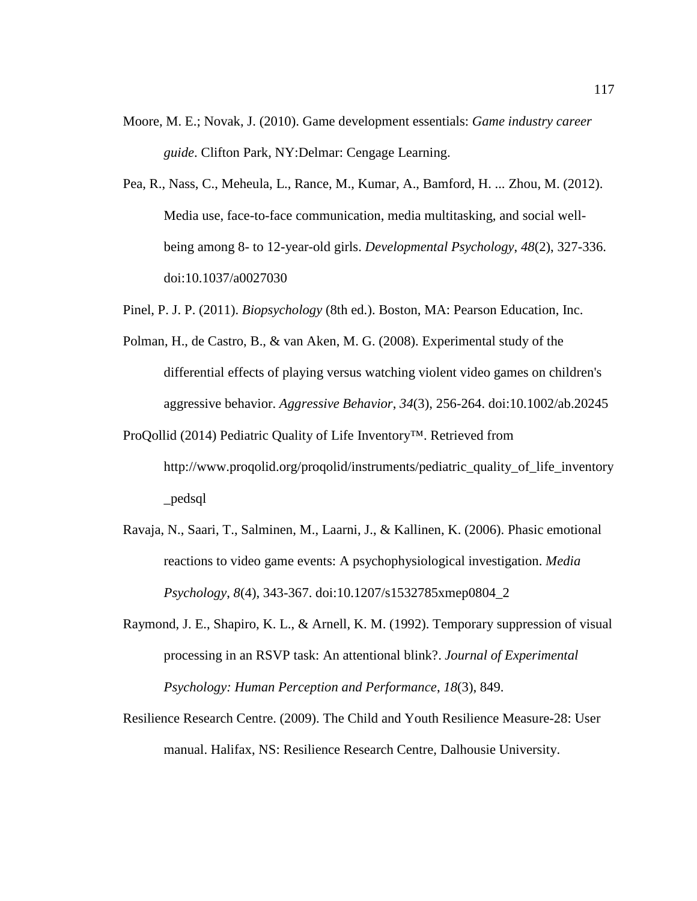- Moore, M. E.; Novak, J. (2010). Game development essentials: *Game industry career guide*. Clifton Park, NY:Delmar: Cengage Learning.
- Pea, R., Nass, C., Meheula, L., Rance, M., Kumar, A., Bamford, H. ... Zhou, M. (2012). Media use, face-to-face communication, media multitasking, and social wellbeing among 8- to 12-year-old girls. *Developmental Psychology*, *48*(2), 327-336. doi:10.1037/a0027030
- Pinel, P. J. P. (2011). *Biopsychology* (8th ed.). Boston, MA: Pearson Education, Inc.
- Polman, H., de Castro, B., & van Aken, M. G. (2008). Experimental study of the differential effects of playing versus watching violent video games on children's aggressive behavior. *Aggressive Behavior*, *34*(3), 256-264. doi:10.1002/ab.20245
- ProQollid (2014) Pediatric Quality of Life Inventory™. Retrieved from http://www.proqolid.org/proqolid/instruments/pediatric\_quality\_of\_life\_inventory \_pedsql
- Ravaja, N., Saari, T., Salminen, M., Laarni, J., & Kallinen, K. (2006). Phasic emotional reactions to video game events: A psychophysiological investigation. *Media Psychology*, *8*(4), 343-367. doi:10.1207/s1532785xmep0804\_2
- Raymond, J. E., Shapiro, K. L., & Arnell, K. M. (1992). Temporary suppression of visual processing in an RSVP task: An attentional blink?. *Journal of Experimental Psychology: Human Perception and Performance*, *18*(3), 849.
- Resilience Research Centre. (2009). The Child and Youth Resilience Measure-28: User manual. Halifax, NS: Resilience Research Centre, Dalhousie University.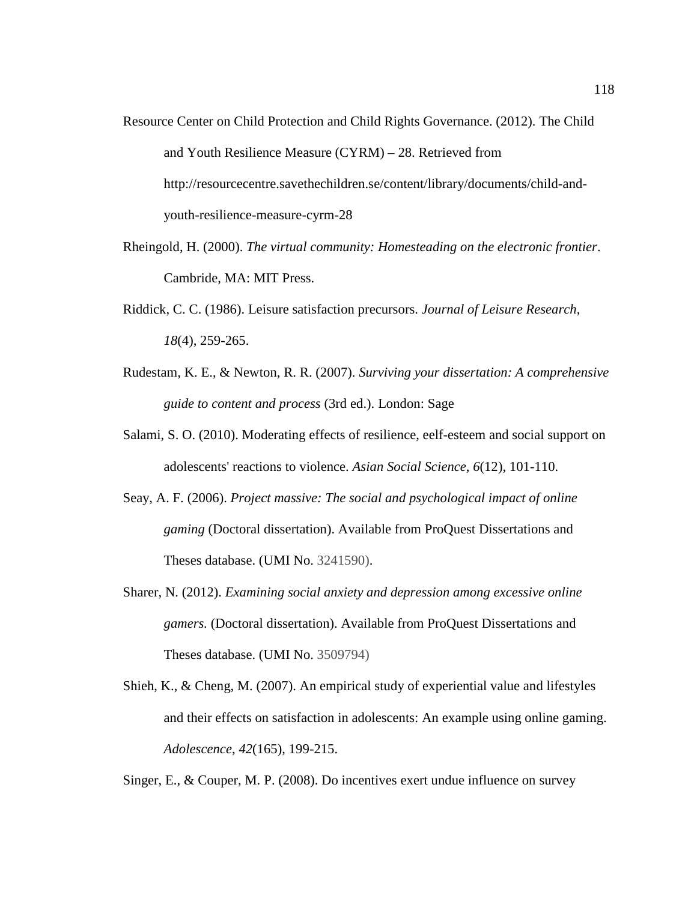- Resource Center on Child Protection and Child Rights Governance. (2012). The Child and Youth Resilience Measure (CYRM) – 28. Retrieved from http://resourcecentre.savethechildren.se/content/library/documents/child-andyouth-resilience-measure-cyrm-28
- Rheingold, H. (2000). *The virtual community: Homesteading on the electronic frontier*. Cambride, MA: MIT Press.
- Riddick, C. C. (1986). Leisure satisfaction precursors. *Journal of Leisure Research, 18*(4), 259-265.
- Rudestam, K. E., & Newton, R. R. (2007). *Surviving your dissertation: A comprehensive guide to content and process* (3rd ed.). London: Sage
- Salami, S. O. (2010). Moderating effects of resilience, eelf-esteem and social support on adolescents' reactions to violence. *Asian Social Science*, *6*(12), 101-110.
- Seay, A. F. (2006). *Project massive: The social and psychological impact of online gaming* (Doctoral dissertation). Available from ProQuest Dissertations and Theses database. (UMI No. 3241590).
- Sharer, N. (2012). *Examining social anxiety and depression among excessive online gamers.* (Doctoral dissertation). Available from ProQuest Dissertations and Theses database. (UMI No. 3509794)
- Shieh, K., & Cheng, M. (2007). An empirical study of experiential value and lifestyles and their effects on satisfaction in adolescents: An example using online gaming. *Adolescence*, *42*(165), 199-215.

Singer, E., & Couper, M. P. (2008). Do incentives exert undue influence on survey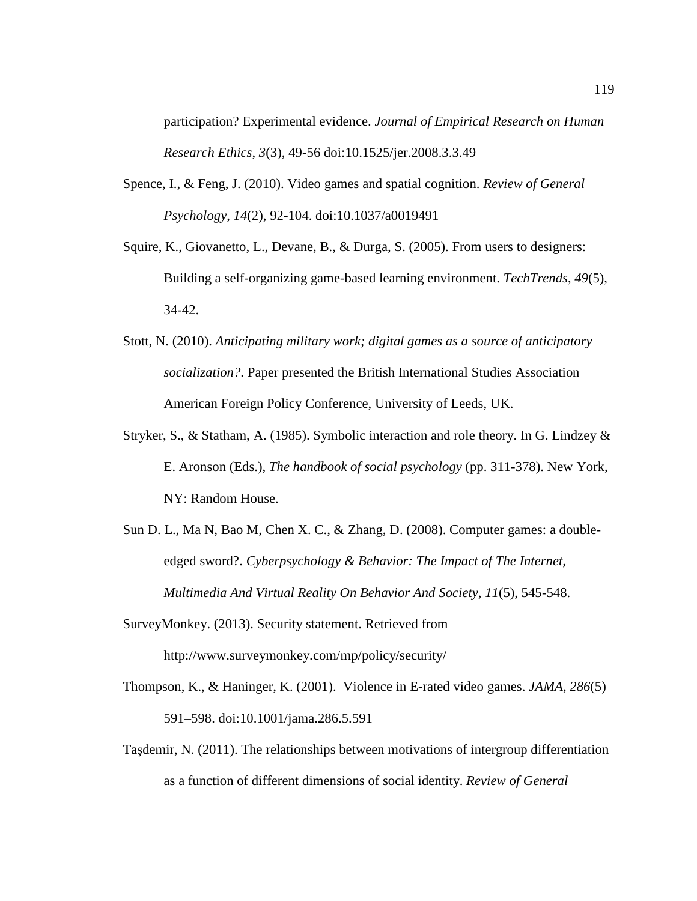participation? Experimental evidence. *Journal of Empirical Research on Human Research Ethics*, *3*(3), 49-56 doi:10.1525/jer.2008.3.3.49

- Spence, I., & Feng, J. (2010). Video games and spatial cognition. *Review of General Psychology*, *14*(2), 92-104. doi:10.1037/a0019491
- Squire, K., Giovanetto, L., Devane, B., & Durga, S. (2005). From users to designers: Building a self-organizing game-based learning environment. *TechTrends*, *49*(5), 34-42.
- Stott, N. (2010). *Anticipating military work; digital games as a source of anticipatory socialization?*. Paper presented the British International Studies Association American Foreign Policy Conference, University of Leeds, UK.
- Stryker, S., & Statham, A. (1985). Symbolic interaction and role theory. In G. Lindzey  $\&$ E. Aronson (Eds.), *The handbook of social psychology* (pp. 311-378). New York, NY: Random House.
- Sun D. L., Ma N, Bao M, Chen X. C., & Zhang, D. (2008). Computer games: a doubleedged sword?. *Cyberpsychology & Behavior: The Impact of The Internet, Multimedia And Virtual Reality On Behavior And Society*, *11*(5), 545-548.
- SurveyMonkey. (2013). Security statement. Retrieved from http://www.surveymonkey.com/mp/policy/security/
- Thompson, K., & Haninger, K. (2001). Violence in E-rated video games. *JAMA*, *286*(5) 591–598. doi:10.1001/jama.286.5.591
- Taşdemir, N. (2011). The relationships between motivations of intergroup differentiation as a function of different dimensions of social identity. *Review of General*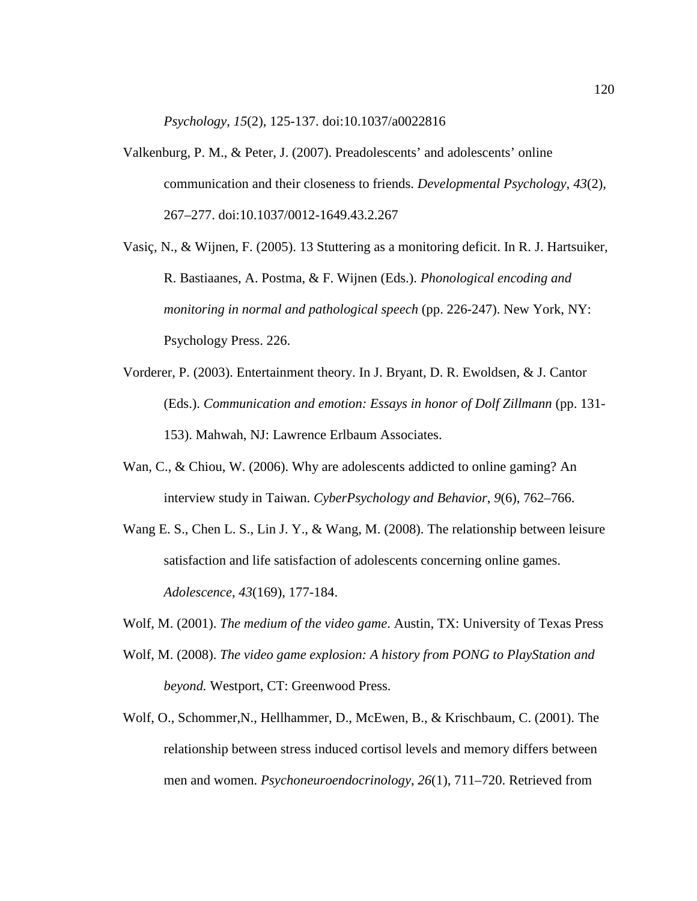*Psychology*, *15*(2), 125-137. doi:10.1037/a0022816

- Valkenburg, P. M., & Peter, J. (2007). Preadolescents' and adolescents' online communication and their closeness to friends. *Developmental Psychology*, *43*(2), 267–277. doi:10.1037/0012-1649.43.2.267
- Vasiç, N., & Wijnen, F. (2005). 13 Stuttering as a monitoring deficit. In R. J. Hartsuiker, R. Bastiaanes, A. Postma, & F. Wijnen (Eds.). *Phonological encoding and monitoring in normal and pathological speech* (pp. 226-247). New York, NY: Psychology Press. 226.
- Vorderer, P. (2003). Entertainment theory. In J. Bryant, D. R. Ewoldsen, & J. Cantor (Eds.). *Communication and emotion: Essays in honor of Dolf Zillmann* (pp. 131- 153). Mahwah, NJ: Lawrence Erlbaum Associates.
- Wan, C., & Chiou, W. (2006). Why are adolescents addicted to online gaming? An interview study in Taiwan. *CyberPsychology and Behavior*, *9*(6), 762–766.
- Wang E. S., Chen L. S., Lin J. Y., & Wang, M. (2008). The relationship between leisure satisfaction and life satisfaction of adolescents concerning online games. *Adolescence*, *43*(169), 177-184.
- Wolf, M. (2001). *The medium of the video game*. Austin, TX: University of Texas Press
- Wolf, M. (2008). *The video game explosion: A history from PONG to PlayStation and beyond.* Westport, CT: Greenwood Press.
- Wolf, O., Schommer,N., Hellhammer, D., McEwen, B., & Krischbaum, C. (2001). The relationship between stress induced cortisol levels and memory differs between men and women. *Psychoneuroendocrinology*, *26*(1), 711–720. Retrieved from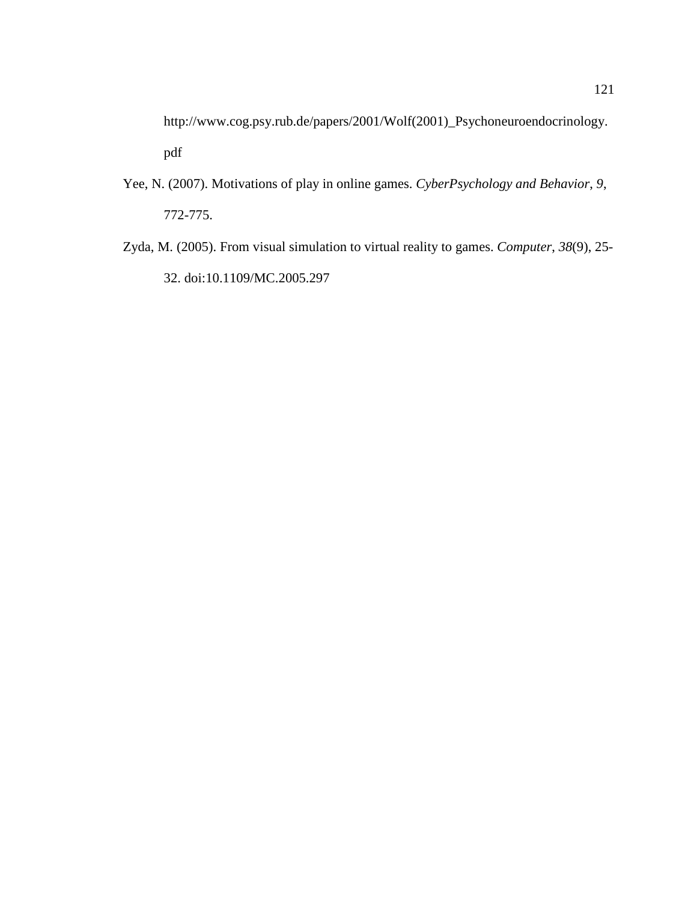http://www.cog.psy.rub.de/papers/2001/Wolf(2001)\_Psychoneuroendocrinology. pdf

- Yee, N. (2007). Motivations of play in online games. *CyberPsychology and Behavior*, *9*, 772-775.
- Zyda, M. (2005). From visual simulation to virtual reality to games. *Computer*, *38*(9), 25- 32. doi:10.1109/MC.2005.297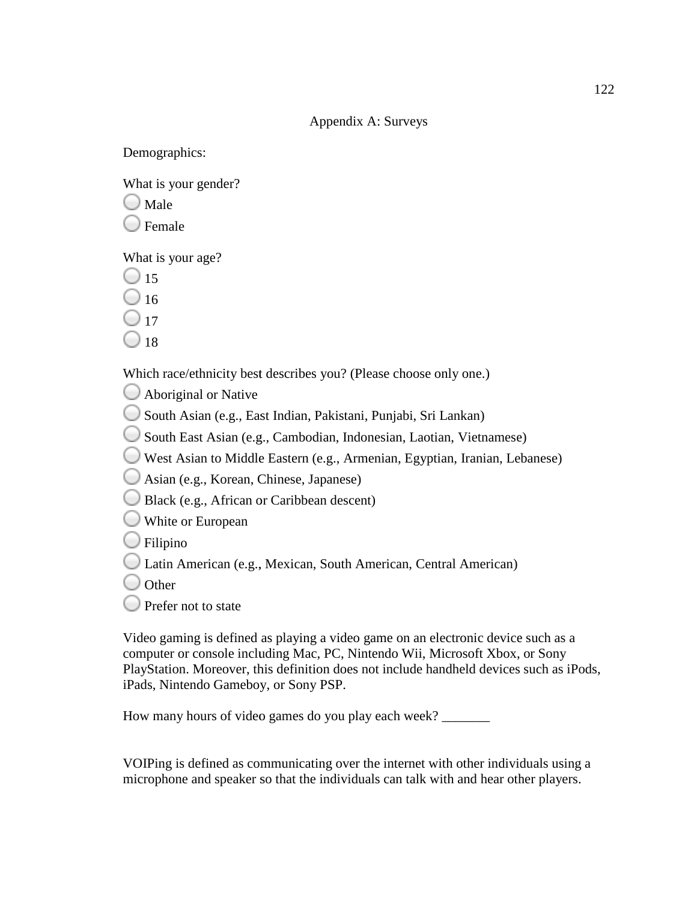### Appendix A: Surveys

Demographics:

What is your gender?

 $\bigcup$  Male

Female

What is your age?

 $\bigcirc$  15

 $\bigcirc$  16

 $\bigcirc$  17

 $\Box$  18

Which race/ethnicity best describes you? (Please choose only one.)

Aboriginal or Native

South Asian (e.g., East Indian, Pakistani, Punjabi, Sri Lankan)

South East Asian (e.g., Cambodian, Indonesian, Laotian, Vietnamese)

ich race/ethnicity best describes you? (Please choose only one.)<br>Aboriginal or Native<br>South Asian (e.g., East Indian, Pakistani, Punjabi, Sri Lankan)<br>South East Asian (e.g., Cambodian, Indonesian, Laotian, Vietnamese)<br>West

Asian (e.g., Korean, Chinese, Japanese) Japanese)

Black (e.g., African or Caribbean descent)

White or European

Filipino

Latin American (e.g., Mexican, South American, Central American)

 $\bigcirc$  Other

Prefer not to state

■ Latin American (e.g., Mexican, South American, Central American)<br>■ Other<br>■ Prefer not to state<br>Video gaming is defined as playing a video game on an electronic device such as a computer or console including Mac, PC, Nintendo Wii, Microsoft Xbox, or Sony PlayStation. Moreover, this definition does not include handheld devices such as iPods, iPads, Nintendo Gameboy, or Sony PSP. computer or console including Mac, PC, Nintendo Wii, Microsoft X<br>PlayStation. Moreover, this definition does not include handheld de<br>iPads, Nintendo Gameboy, or Sony PSP.<br>How many hours of video games do you play each week 22<br>
Appendix A: Surveys<br>
2122<br>
Males<br>
222 in is your gender?<br>
23 in is your geg?<br>
15<br>
Iernale<br>
16<br>
Iernale<br>
16<br>
18<br>
18<br>
Ich race/ethmicity best describes you? (Please choose only one.)<br>
25<br>
South Asian (e.g., Evat Indian, West Asian to Middle Eastern (e.g., Armenian, Egyptian,<br>Asian (e.g., Korean, Chinese, Japanese)<br>Black (e.g., African or Caribbean descent)<br>White or European<br>Filipino<br>Latin American (e.g., Mexican, South American, Central<br>O

VOIPing is defined as communicating over the internet with other individuals using a microphone and speaker so that the individuals can talk with and hear other players.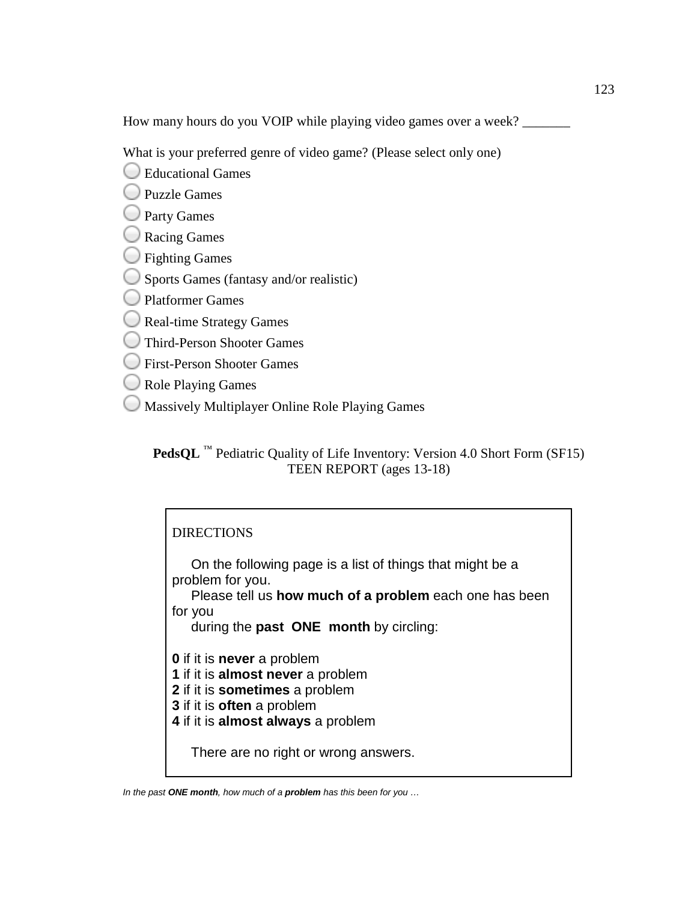How many hours do you VOIP while playing video games over a week? \_\_\_\_\_\_\_

What is your preferred genre of video game? (Please select only one)

Educational Games

- Puzzle Games
- **Party Games**
- Racing Games
- **S** Fighting Games
- Sports Games (fantasy and/or realistic)
- Platformer Games
- Real-time Strategy Games
- Third-Person Shooter Games
- First-Person Shooter Games
- Role Playing Games
- Massively Multiplayer Online Role Playing Games

**PedsQL**<sup>™</sup> Pediatric Quality of Life Inventory: Version 4.0 Short Form (SF15) our preferred genre of video game? (Please select c<br>ational Games<br>e Games<br>g Games<br>g Games<br>sing Games<br>Sames (fantasy and/or realistic)<br>ormer Games<br>Person Shooter Games<br>Person Shooter Games<br>Person Shooter Games<br>Person Shoot

### **DIRECTIONS**

On the following page is a list of things that might be a problem for you. On the following page is a list of things that might be a<br>problem for you.<br>Please tell us **how much of a problem** each one has been

for you

during the **past ONE month**  by circling:

- **0** if it is **never** a problem
- **1** if it is **almost never** a problem
- **2** if it is **sometimes**  a problem
- **3** if it is **often** a problem
- **4** if it is **almost always** a problem

There are no right or wrong answers.

In the past **ONE month**, how much of a **problem** has this been for you …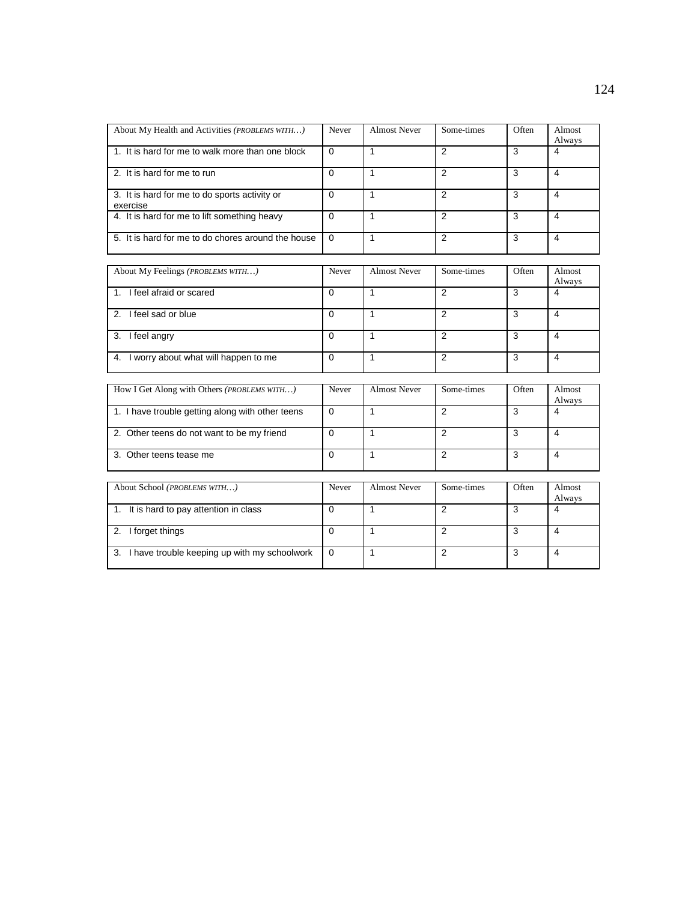| About My Health and Activities ( <i>PROBLEMS WITH</i> )   | Never    | <b>Almost Never</b> | Some-times | Often | Almost<br>Always |
|-----------------------------------------------------------|----------|---------------------|------------|-------|------------------|
| 1. It is hard for me to walk more than one block          | $\Omega$ |                     | ົ          | 3     | 4                |
| 2. It is hard for me to run                               |          |                     | 2          | 3     | 4                |
| 3. It is hard for me to do sports activity or<br>exercise | 0        |                     | っ          |       | 4                |
| 4. It is hard for me to lift something heavy              | 0        |                     | ົ          |       | 4                |
| 5. It is hard for me to do chores around the house        | $\Omega$ |                     | າ          | 3     | 4                |

| About My Feelings (PROBLEMS WITH)       | Never | <b>Almost Never</b> | Some-times | Often | Almost<br>Always |
|-----------------------------------------|-------|---------------------|------------|-------|------------------|
| I feel afraid or scared                 | 0     |                     |            | 3     | 4                |
| 2. I feel sad or blue                   | 0     |                     |            | 3     |                  |
| 3.<br>I feel angry                      | 0     |                     |            | 3     | 4                |
| 4. I worry about what will happen to me | 0     |                     |            | 3     | 4                |

| How I Get Along with Others ( <i>PROBLEMS WITH</i> ) | Never    | <b>Almost Never</b> | Some-times | Often | Almost<br>Always |
|------------------------------------------------------|----------|---------------------|------------|-------|------------------|
| 1. I have trouble getting along with other teens     | $\Omega$ |                     | 2          | 3     | 4                |
| 2. Other teens do not want to be my friend           | 0        |                     | 2          | 3     | 4                |
| Other teens tease me<br>$\mathbf{3}$                 | $\Omega$ |                     | 2          | 3     | 4                |
| About School <i>(PROBLEMS WITH)</i>                  | Never    | <b>Almost Never</b> | Some-times | Often | Almost<br>Always |
| 1. It is hard to pay attention in class              | $\Omega$ |                     | 2          | 3     | 4                |
| I forget things<br>2.                                | $\Omega$ |                     | 2          | 3     | $\overline{4}$   |
| 3.<br>I have trouble keeping up with my schoolwork   | $\Omega$ |                     | 2          | 3     | 4                |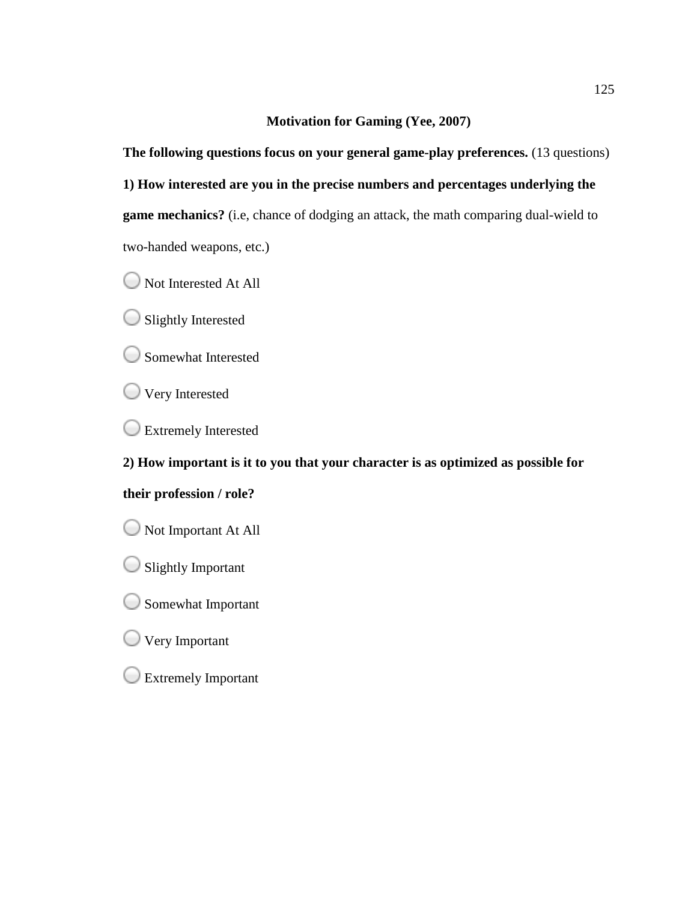### **Motivation for Gaming (Yee, 2007)**

**The following questions focus on your general game-play preferences. (13 questions) 1) How interested are you in the precise numbers and percentages underlying the**  game mechanics? (i.e, chance of dodging an attack, the math comparing dual-wield to two-handed weapons, etc.) 125<br>Motivation for Gaming (Yee, 2007)<br>wing questions focus on your general game-play preferences. (13 questions)<br>nterested are you in the precise numbers and percentages underlying the<br>chanics? (i.e, chance of dodging an a

Not Interested At All

 $\bigcirc$  Slightly Interested

Somewhat Interested

**Very Interested** 

**Extremely Interested** 

**2) How important is it to you that your character is as optimized as possible for** 

### **their profession / role?**

Not Important At All

 $\bigcirc$  Slightly Important

Somewhat Important

**Very Important** 

Extremely Important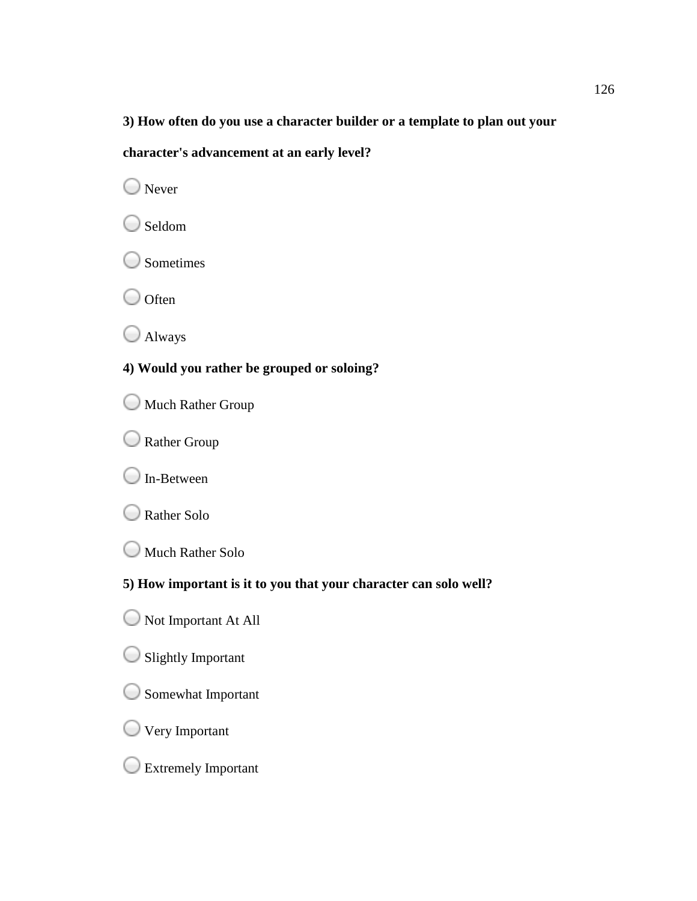# **3) How often do you use a character builder or a template to plan out your**  ten do you use a character builder or a template to planet to the sum of the sum of the solong?<br> **you rather be grouped or soloing?**<br>
Rather Group<br>
Group<br>
Wether Solo<br>
Rather Solo<br> **Proped to the solong of the solong of th**

### **character's advancement at an early level?**

O Never

○ Seldom

Sometimes

 $\bigcirc$  Often

Always

### **4) Would you rather be grouped or soloing?**

**Much Rather Group** 

Rather Group

**O** In-Between



Much Rather Solo

### **5) How important is it to you that yo**

Not Important At All

 $\bigcirc$  Slightly Important

Somewhat Important

Very Important

Extremely Important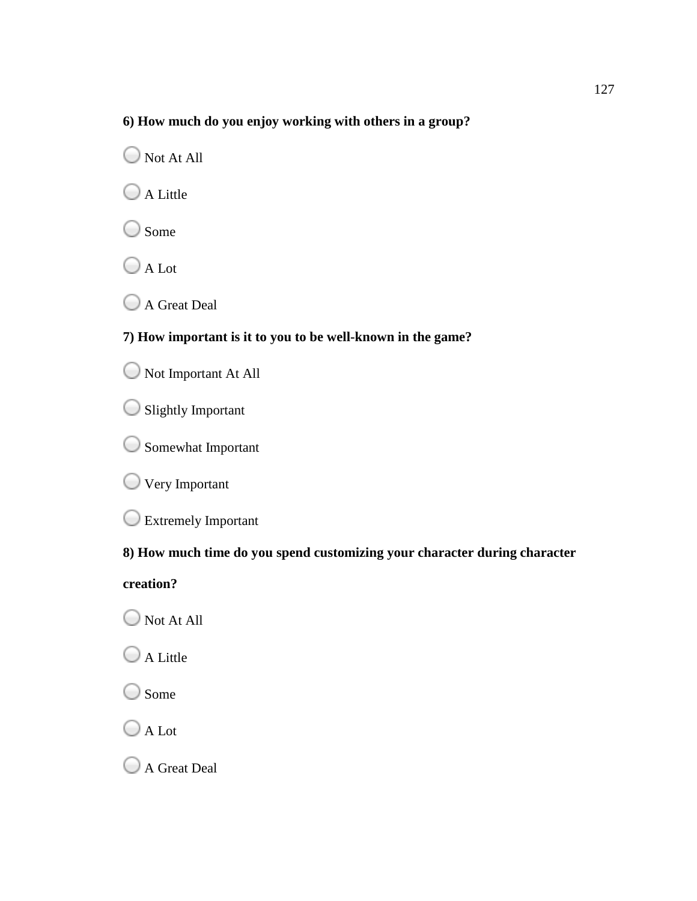### **6) How much do you enjoy working with others in a group?**

Not At All

 $\bigcirc$  A Little

 $\bigcirc$  Some

O A Lot

A Great Deal

### **7) How important is it to you to be well outh others in a group?**<br>**well-known in the game?**

Not Important At All

Slightly Important

Somewhat Important

Very Important

Extremely Important

### **8) How much time do you spend customizing your character during character**

**creation?**

Not At All

 $\bigcirc$  A Little

O Some

O A Lot

A Great Deal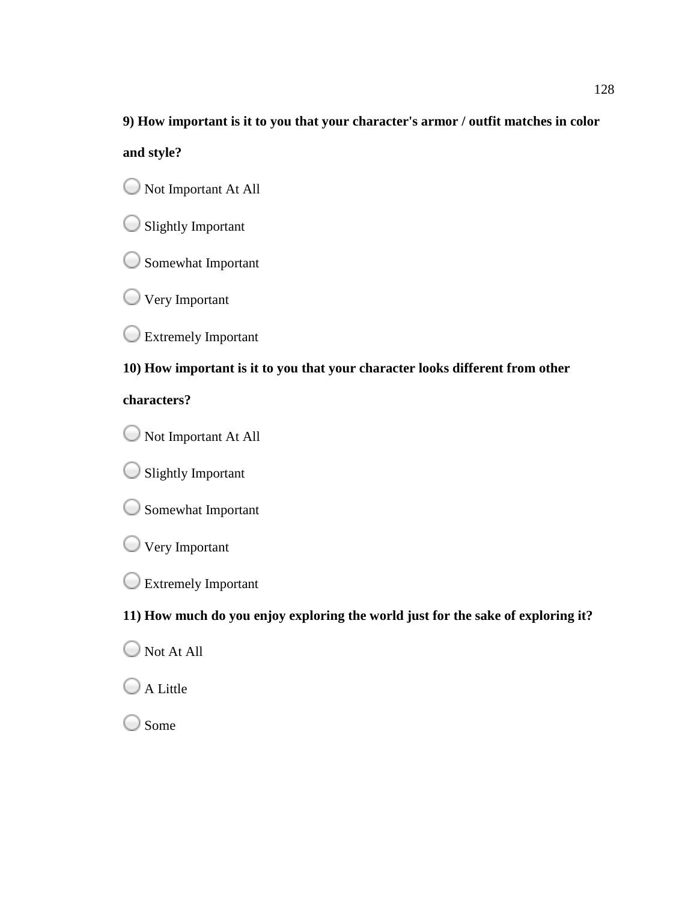## **9) How important is it to you that your character's armor / outfit matches in color and style?** 128 mor / outfit matches in color<br>which the sake of exploring it?<br>or the sake of exploring it?

Not Important At All

 $\bigcirc$  Slightly Important

Somewhat Important

**Very Important** 

Extremely Important

### **10) How important is it to you that your character looks different from other**

### **characters?**

Not Important At All

 $\bigcirc$  Slightly Important

Somewhat Important

- **Very Important**
- Extremely Important

**11) How much do you enjoy exploring the world just for the sake of exploring it?**

Not At All

 $\bigcirc$  A Little

Some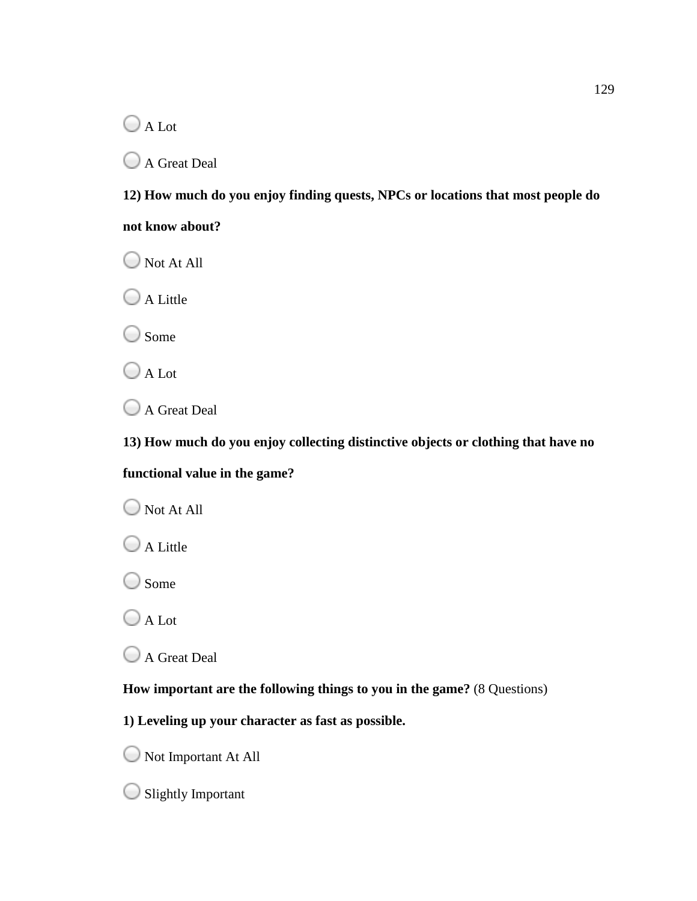A Lot

A Great Deal

**12) How much do you enjoy finding quests, NPCs or locations that most people do**  uch do you enjoy finding quests, NPCs or locations that most people do<br>bout?<br>All<br><br>.<br>.<br>.<br>.<br>.<br>.<br>.<br>and the the the the the thing distinctive objects or clothing that have no<br>value in the game?<br>.<br>.<br>.<br>.<br>.<br>.<br>.<br>.<br>.<br>.<br>.<br>.<br>.<br>.<br>.<br>.<br>

**not know about?**

Not At All

 $\bigcirc$  A Little

◯ Some

A Lot

A Great Deal

**13) How much do you enjoy collecting distinctive objects or clothing that have no** 

### **functional value in the game?**

Not At All

 $\bigcirc$  A Little

◯ Some

O A Lot

A Great Deal

**How important are the following things to you in the game?**

**1) Leveling up your character as f up your character fast as possible.**

Not Important At All

Slightly Important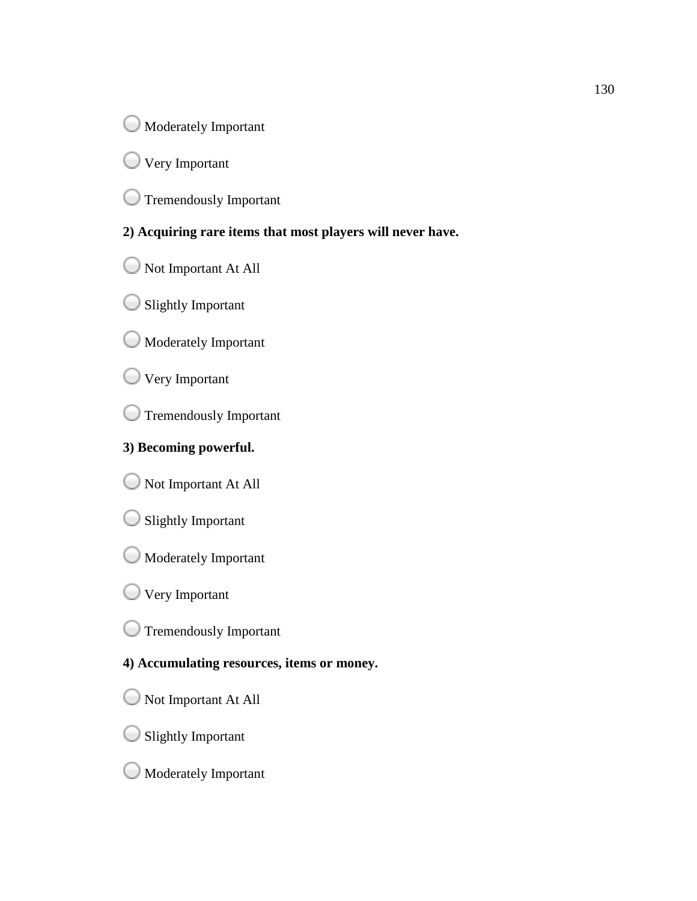**Moderately Important** 

**Very Important** 

Tremendously Important

**2) Acquiring rare items that most players will never have.**

Not Important At All

 $\bigcirc$  Slightly Important

Moderately Important

**Very Important** 

Tremendously Important

### **3) Becoming powerful.**

Not Important At All

 $\bigcirc$  Slightly Important

Moderately Important

**Very Important** 

Tremendously Important

### **4) Accumulating resources, items or money.**

Not Important At All

Slightly Important

Moderately Important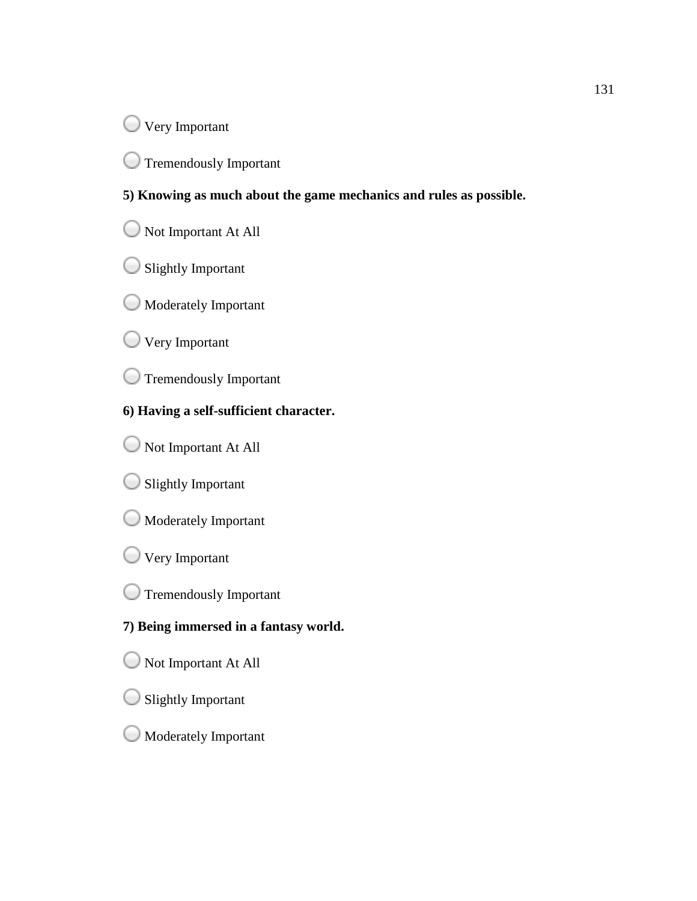**Very Important** 

Tremendously Important

### 5) Knowing as much about the game mechanics and rules as possible.

- Not Important At All
- $\bigcirc$  Slightly Important
- Moderately Important
- Very Important
- Tremendously Important

### **6) Having a self-sufficient character. sufficient**

- Not Important At All
- Slightly Important
- $\bigcirc$  Moderately Important
- Very Important
- Tremendously Important

### **7) Being immersed in a fantasy world. fantasy world.**

- Not Important At All
- Slightly Important
- Moderately Important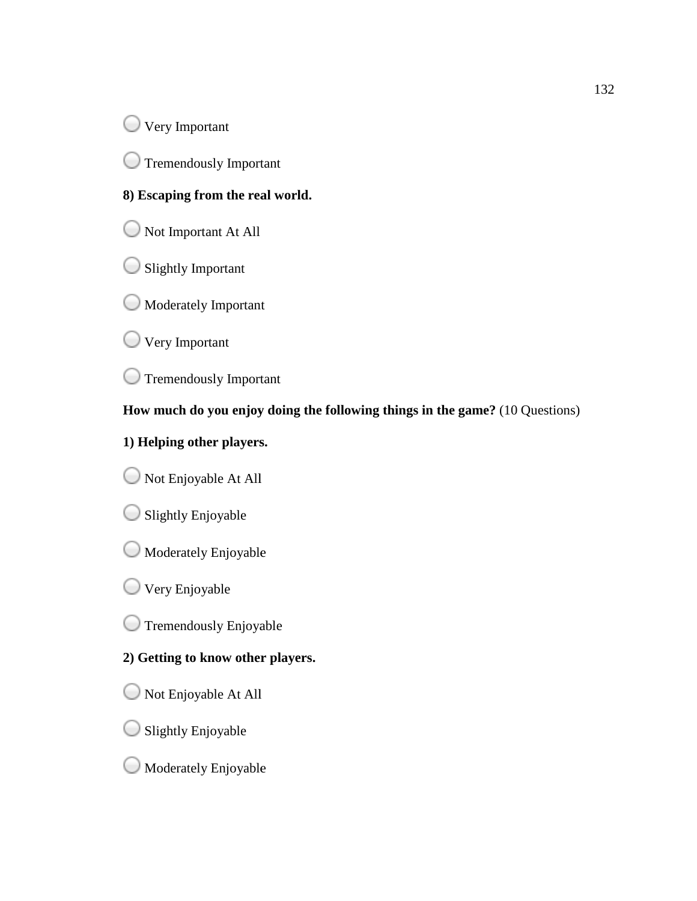**Very Important** 

Tremendously Important

### **8) Escaping from the real world.**

Not Important At All

Slightly Important

Moderately Important

**Very Important** 

Tremendously Important

How much do you enjoy doing the following things in the game? (10 Questions) 132<br>
132<br>
Important<br>
Independent At All<br>
Important<br>
Englestant At All<br>
Important<br>
Important<br>
Important<br>
Important<br>
Independent<br>
Important<br>
Independent<br>
Important<br>
Independent<br>
Important<br>
Independent<br>
Important<br>
Independent

### **1) Helping other players.**

Not Enjoyable At All

 $\bigcirc$  Slightly Enjoyable

Moderately Enjoyable

**Very Enjoyable** 

**Tremendously Enjoyable** 

### **2) Getting to know other players.**

Not Enjoyable At All

 $\bigcirc$  Slightly Enjoyable

Moderately Enjoyable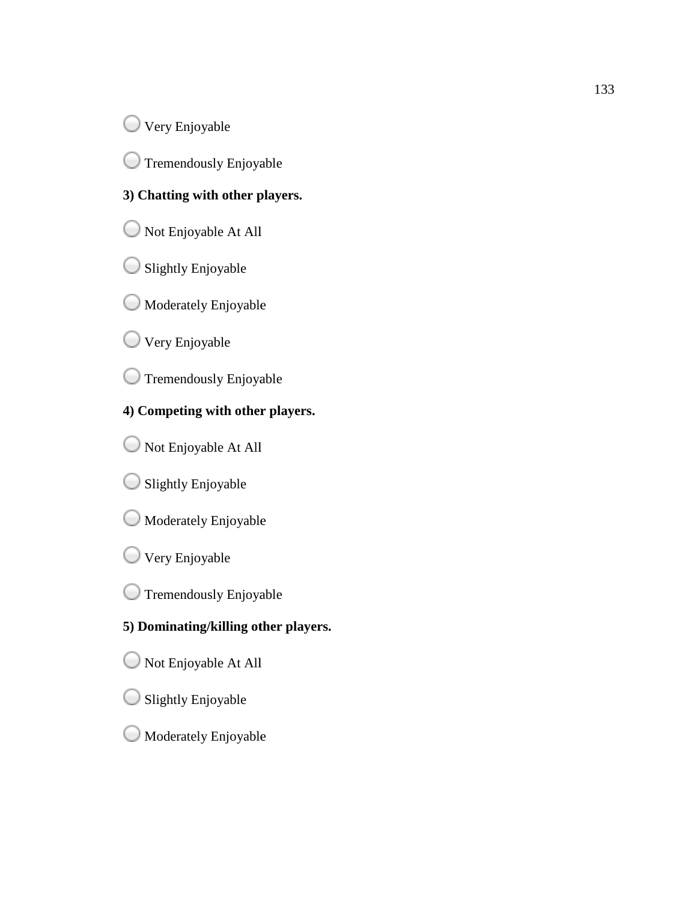Very Enjoyable

Tremendously Enjoyable ζ.,

### **3) Chatting with other players.**

Not Enjoyable At All Enjoyable

- $\bigcirc$  Slightly Enjoyable
- Moderately Enjoyable
- Very Enjoyable

Tremendously Enjoyable

### **4) Competing with other players. with other**

- Not Enjoyable At All
- $\bigcirc$  Slightly Enjoyable
- Moderately Enjoyable
- Very Enjoyable
- **Tremendously Enjoyable**

# **5) Dominating/killing other players.** 133<br>
Enjoyable<br>
Engoyable<br>
Engoyable At All<br>
Enjoyable<br>
Engoyable<br>
Engoyable<br>
Engoyable<br>
Engoyable<br>
Engoyable<br>
Engoyable<br>
At All<br>
Engoyable<br>
Engoyable<br>
Engoyable<br>
Engoyable<br>
Engoyable<br>
Engoyable<br>
Engoyable<br>
Engoyable<br>
Engo

- Not Enjoyable At All
- Slightly Enjoyable
- Moderately Enjoyable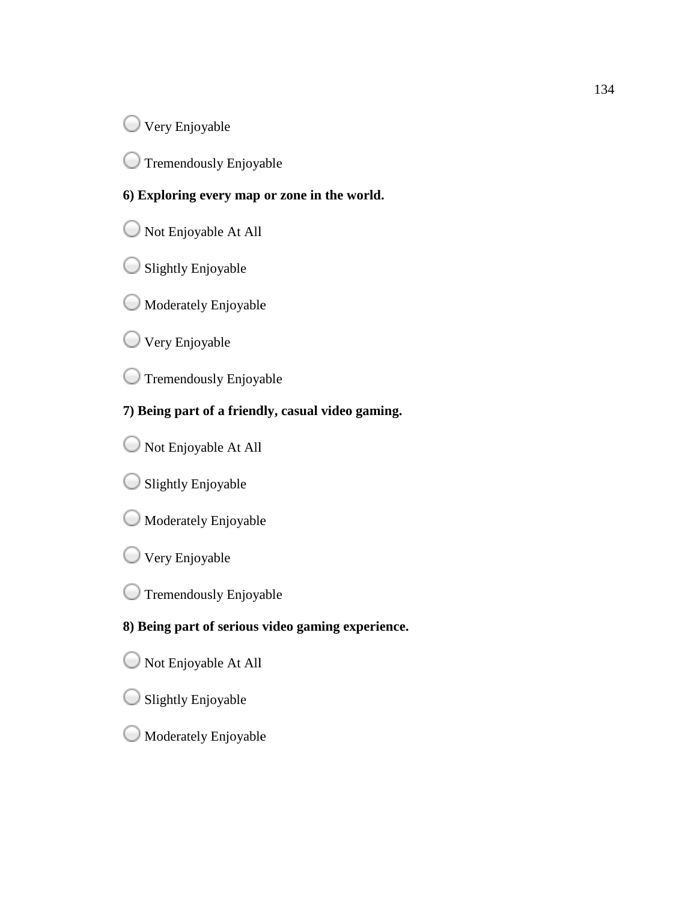**Very Enjoyable** 

Tremendously Enjoyable

### **6) Exploring every map or zone in the world. Exploring every map**

- Not Enjoyable At All Enjoyable
- $\bigcirc$  Slightly Enjoyable
- Moderately Enjoyable
- **Very Enjoyable**

Tremendously Enjoyable

### **7) Being part of a friendly, casual video gaming.**

- Not Enjoyable At All
- $\bigcirc$  Slightly Enjoyable
- Moderately Enjoyable
- **Very Enjoyable**
- Not Enjoyable At All<br>Slightly Enjoyable<br>Moderately Enjoyable<br>Very Enjoyable<br>Tremendously Enjoyable

# **8) Being part of serious video gaming experience. of serious** 134<br>
134<br>
Enjoyable<br>
Irring every map or zone in the world.<br>
Enjoyable<br>
Entacty Enjoyable<br>
Ientedy Enjoyable<br>
Pentodosly Enjoyable<br>
1941 of a friendly, casual video gaming.<br>
Enjoyable<br>
At All<br>
Enjoyable<br>
Entacty Enjoyable<br>

- Not Enjoyable At All
- $\bigcirc$  Slightly Enjoyable
- Moderately Enjoyable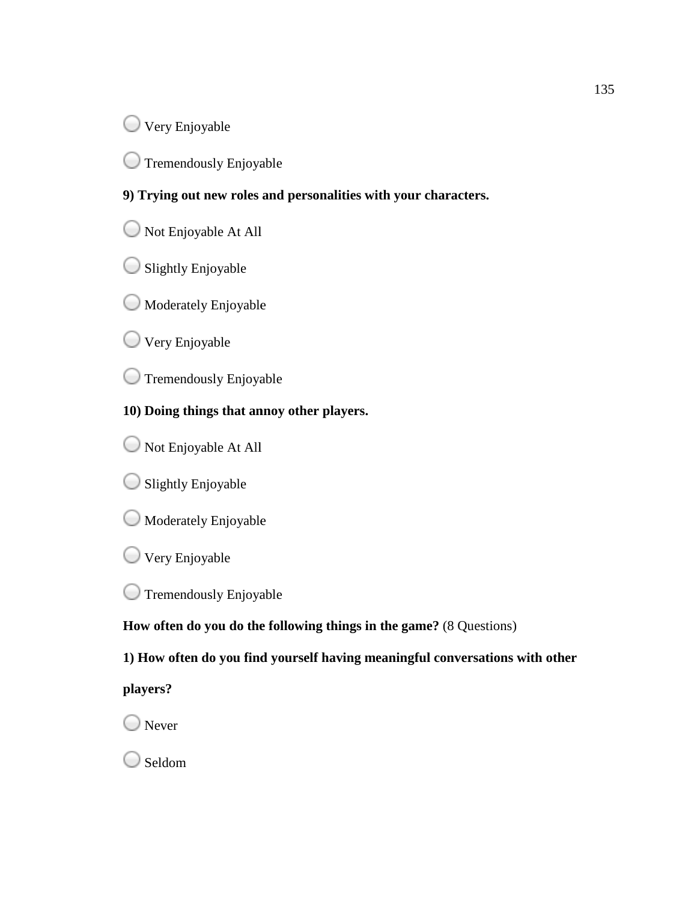**Very Enjoyable** 

 $\bigcup$  Tremendously Enjoyable

### **9) Trying out new roles and personalities with your characters. roles personalities**

- Not Enjoyable At All
- $\bigcirc$  Slightly Enjoyable
- Not Enjoyable At All<br>Slightly Enjoyable<br>Moderately Enjoyable
- **Very Enjoyable**
- Tremendously Enjoyable
- **10) Doing things that an annoy other players.**
- Not Enjoyable At All Enjoyable
- $\bigcirc$  Slightly Enjoyable
- Moderately Enjoyable
- **Very Enjoyable**
- **Tremendously Enjoyable**

How often do you do the following things in the game? (8 Questions)

**1) How often do you find yourself having meaningful conversations with other you find yourself having** 135

**players?**

◯ Never

Seldom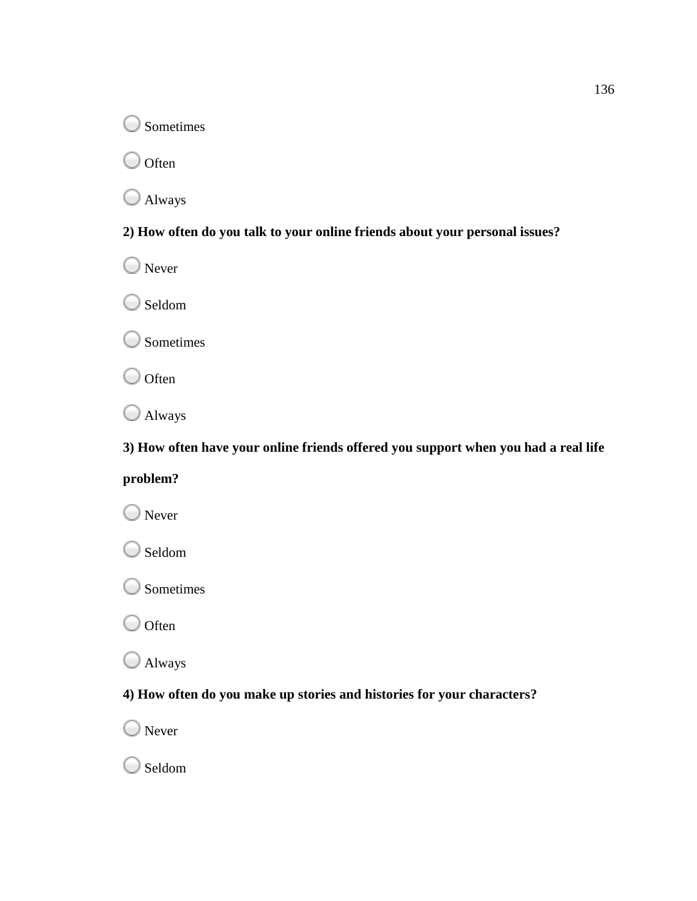**Sometimes** 

 $\bigcirc$  Often

Always

### **2) How often do you talk to your online friends about your personal issues?**

O Never

Seldom

**Sometimes** 

 $\bigcirc$  Often

Always

**3) How often have your online friends offered you support when you had a real life**  Figures<br> **ften do you talk to your online friends about your personal issues?**<br>
Ften do you tal**k** to your online friends offered you support when you had a real life<br>
Pten have your online friends offered you support when

## **problem?**

O Never

Seldom

O Sometimes

 $\bigcirc$  Often

Always

### **4) How often do you make up stories and histories for your characters?**

O Never

○ Seldom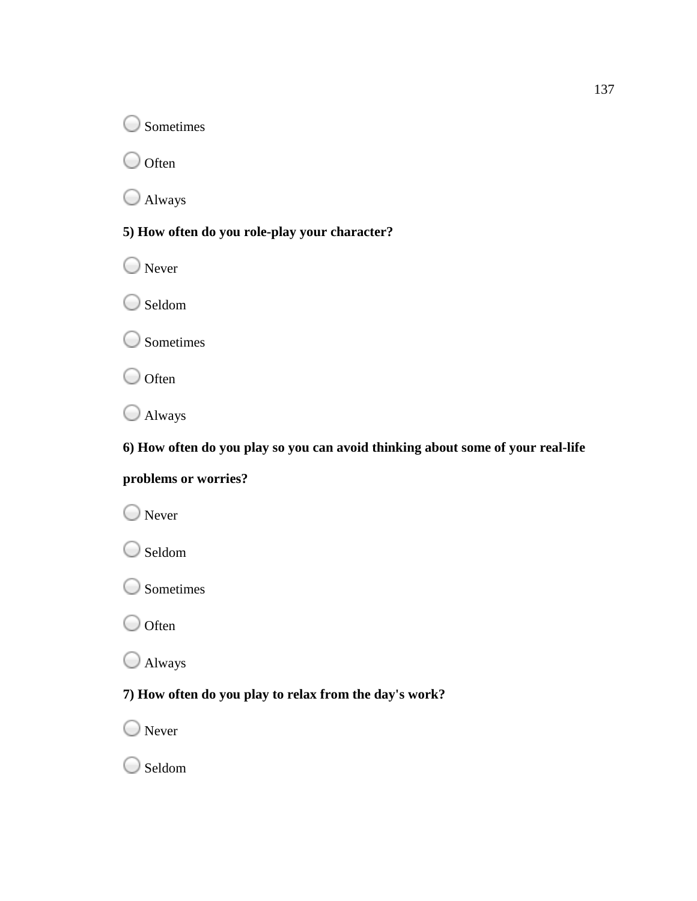**Sometimes** 

 $\bigcirc$  Often

Always

**5) How often do you role you role-play your character?**

O Never

Seldom

**Sometimes** 

 $\bigcirc$  Often

Always

**6) How often do you play so you can avoid thinking about some of your real real-life** you role-play your character?<br>**you play so you can avoid thinking about some of your real-life**<br>ries?<br>**you play to relax from the day's work?** 

### **problems or worries?**

O Never

Seldom

O Sometimes

 $\bigcirc$  Often

Always

### **7) How often do you play to relax from the day's work?**

O Never

○ Seldom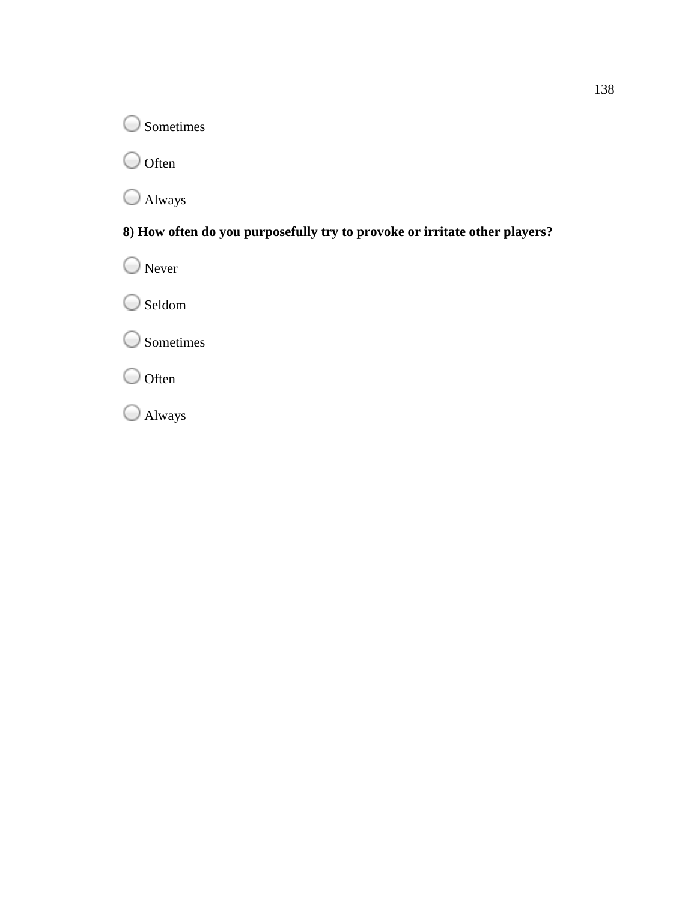O Sometimes

 $\bigcirc$  Often

Always

## **8) How often do you purposefully try to provoke or irritate other players?** 138<br> **you purposefully try to provoke or irritate other players?**

O Never Seldom Sometimes

 $\bigcirc$  Often

Always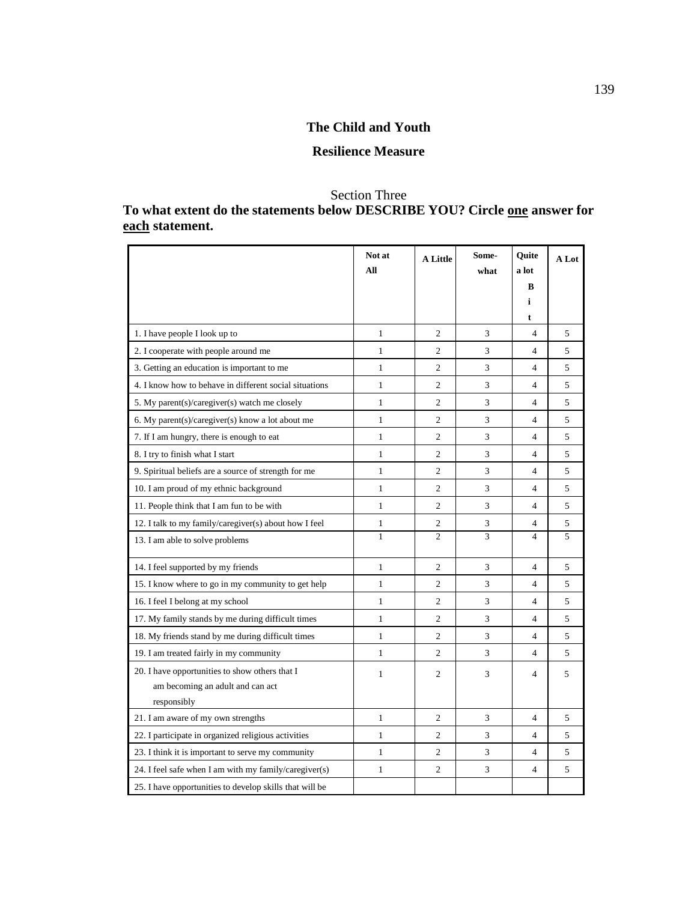### **The Child and Youth**

### **Resilience Measure**

### Section Three

### **To what extent do the statements below DESCRIBE YOU? Circle one answer for each statement.**

|                                                                                                   | Not at<br>All | <b>A Little</b> | Some-<br>what | Quite<br>a lot | A Lot |
|---------------------------------------------------------------------------------------------------|---------------|-----------------|---------------|----------------|-------|
|                                                                                                   |               |                 |               | B              |       |
|                                                                                                   |               |                 |               | i              |       |
|                                                                                                   |               |                 |               | t              |       |
| 1. I have people I look up to                                                                     | $\mathbf{1}$  | 2               | 3             | 4              | 5     |
| 2. I cooperate with people around me                                                              | $\mathbf{1}$  | $\overline{c}$  | 3             | $\overline{4}$ | 5     |
| 3. Getting an education is important to me                                                        | $\mathbf{1}$  | $\overline{c}$  | 3             | $\overline{4}$ | 5     |
| 4. I know how to behave in different social situations                                            | $\mathbf{1}$  | $\overline{2}$  | 3             | $\overline{4}$ | 5     |
| 5. My parent(s)/caregiver(s) watch me closely                                                     | $\mathbf{1}$  | $\overline{c}$  | 3             | $\overline{4}$ | 5     |
| 6. My parent(s)/caregiver(s) know a lot about me                                                  | $\mathbf{1}$  | $\overline{c}$  | 3             | $\overline{4}$ | 5     |
| 7. If I am hungry, there is enough to eat                                                         | $\mathbf{1}$  | $\overline{2}$  | 3             | 4              | 5     |
| 8. I try to finish what I start                                                                   | $\mathbf{1}$  | $\overline{c}$  | 3             | $\overline{4}$ | 5     |
| 9. Spiritual beliefs are a source of strength for me                                              | $\mathbf{1}$  | $\overline{c}$  | 3             | $\overline{4}$ | 5     |
| 10. I am proud of my ethnic background                                                            | $\mathbf{1}$  | $\overline{2}$  | 3             | $\overline{4}$ | 5     |
| 11. People think that I am fun to be with                                                         | $\mathbf{1}$  | $\overline{c}$  | 3             | $\overline{4}$ | 5     |
| 12. I talk to my family/caregiver(s) about how I feel                                             | 1             | $\overline{c}$  | 3             | 4              | 5     |
| 13. I am able to solve problems                                                                   | $\mathbf{1}$  | $\overline{c}$  | 3             | $\overline{4}$ | 5     |
| 14. I feel supported by my friends                                                                | $\mathbf{1}$  | $\overline{c}$  | 3             | $\overline{4}$ | 5     |
| 15. I know where to go in my community to get help                                                | $\mathbf{1}$  | $\overline{2}$  | 3             | $\overline{4}$ | 5     |
| 16. I feel I belong at my school                                                                  | $\mathbf{1}$  | $\overline{c}$  | 3             | $\overline{4}$ | 5     |
| 17. My family stands by me during difficult times                                                 | $\mathbf{1}$  | $\overline{c}$  | 3             | $\overline{4}$ | 5     |
| 18. My friends stand by me during difficult times                                                 | $\mathbf{1}$  | $\overline{2}$  | 3             | $\overline{4}$ | 5     |
| 19. I am treated fairly in my community                                                           | $\mathbf{1}$  | $\overline{c}$  | 3             | $\overline{4}$ | 5     |
| 20. I have opportunities to show others that I<br>am becoming an adult and can act<br>responsibly | $\mathbf{1}$  | $\overline{c}$  | 3             | 4              | 5     |
| 21. I am aware of my own strengths                                                                | $\mathbf{1}$  | 2               | 3             | $\overline{4}$ | 5     |
| 22. I participate in organized religious activities                                               | $\mathbf{1}$  | $\overline{c}$  | 3             | $\overline{4}$ | 5     |
| 23. I think it is important to serve my community                                                 | $\mathbf{1}$  | $\overline{c}$  | 3             | $\overline{4}$ | 5     |
| 24. I feel safe when I am with my family/caregiver(s)                                             | $\mathbf{1}$  | $\overline{c}$  | 3             | $\overline{4}$ | 5     |
| 25. I have opportunities to develop skills that will be                                           |               |                 |               |                |       |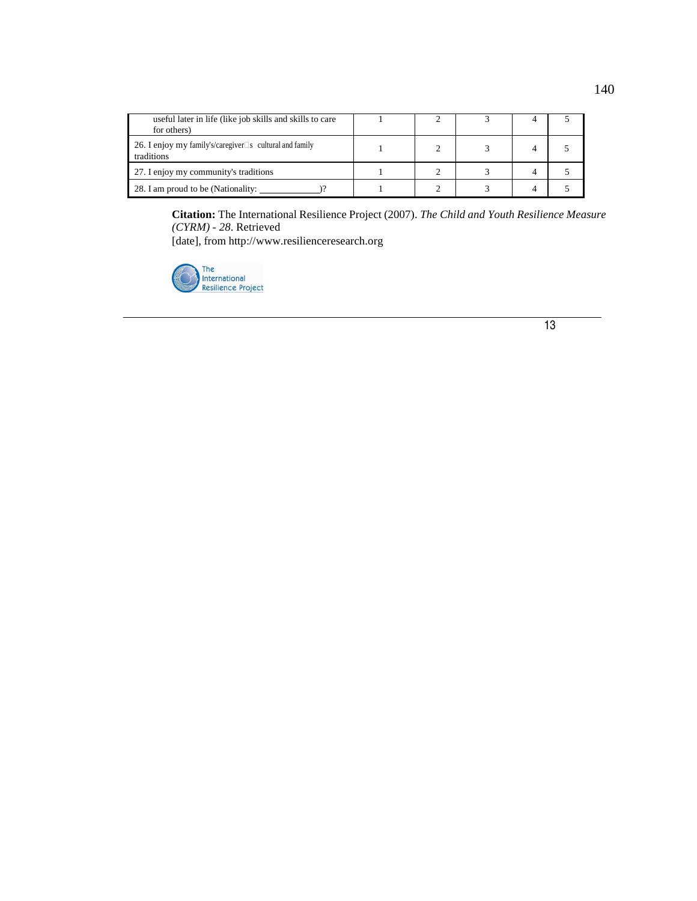| useful later in life (like job skills and skills to care<br>for others)         |  |  |  |
|---------------------------------------------------------------------------------|--|--|--|
| 26. I enjoy my family's/caregiver $\square$ s cultural and family<br>traditions |  |  |  |
| 27. I enjoy my community's traditions                                           |  |  |  |
| 28. I am proud to be (Nationality:                                              |  |  |  |

**Citation:** The International Resilience Project (2007). *The Child and Youth Resilience Measure (CYRM) - 28*. Retrieved

[date], from http://www.resilienceresearch.org

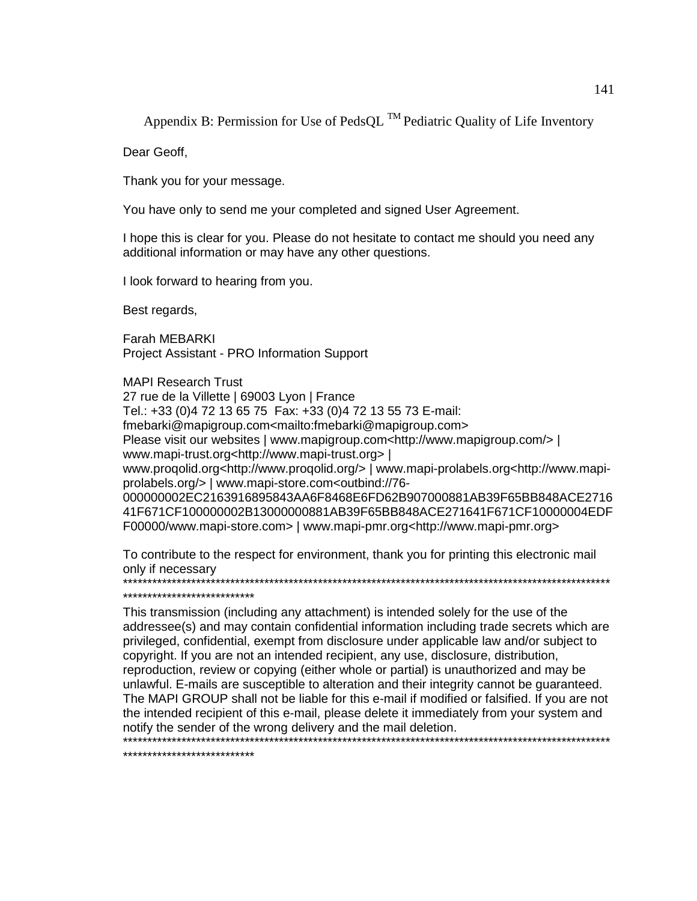Appendix B: Permission for Use of PedsQL  $^{TM}$  Pediatric Quality of Life Inventory

Dear Geoff,

Thank you for your message.

You have only to send me your completed and signed User Agreement.

I hope this is clear for you. Please do not hesitate to contact me should you need any additional information or may have any other questions.

I look forward to hearing from you.

Best regards,

Farah MEBARKI Project Assistant - PRO Information Support

MAPI Research Trust 27 rue de la Villette | 69003 Lyon | France Tel.: +33 (0)4 72 13 65 75 Fax: +33 (0)4 72 13 55 73 E-mail: fmebarki@mapigroup.com<mailto:fmebarki@mapigroup.com> Please visit our websites | www.mapigroup.com<http://www.mapigroup.com/> | www.mapi-trust.org<http://www.mapi-trust.org> | www.proqolid.org<http://www.proqolid.org/> | www.mapi-prolabels.org<http://www.mapiprolabels.org/> | www.mapi-store.com<outbind://76- 000000002EC2163916895843AA6F8468E6FD62B907000881AB39F65BB848ACE2716 41F671CF100000002B13000000881AB39F65BB848ACE271641F671CF10000004EDF F00000/www.mapi-store.com> | www.mapi-pmr.org<http://www.mapi-pmr.org>

To contribute to the respect for environment, thank you for printing this electronic mail only if necessary \*\*\*\*\*\*\*\*\*\*\*\*\*\*\*\*\*\*\*\*\*\*\*\*\*\*\*\*\*\*\*\*\*\*\*\*\*\*\*\*\*\*\*\*\*\*\*\*\*\*\*\*\*\*\*\*\*\*\*\*\*\*\*\*\*\*\*\*\*\*\*\*\*\*\*\*\*\*\*\*\*\*\*\*\*\*\*\*\*\*\*\*\*\*\*\*\*\*\*\*

\*\*\*\*\*\*\*\*\*\*\*\*\*\*\*\*\*\*\*\*\*\*\*\*\*\*\*

This transmission (including any attachment) is intended solely for the use of the addressee(s) and may contain confidential information including trade secrets which are privileged, confidential, exempt from disclosure under applicable law and/or subject to copyright. If you are not an intended recipient, any use, disclosure, distribution, reproduction, review or copying (either whole or partial) is unauthorized and may be unlawful. E-mails are susceptible to alteration and their integrity cannot be guaranteed. The MAPI GROUP shall not be liable for this e-mail if modified or falsified. If you are not the intended recipient of this e-mail, please delete it immediately from your system and notify the sender of the wrong delivery and the mail deletion. \*\*\*\*\*\*\*\*\*\*\*\*\*\*\*\*\*\*\*\*\*\*\*\*\*\*\*\*\*\*\*\*\*\*\*\*\*\*\*\*\*\*\*\*\*\*\*\*\*\*\*\*\*\*\*\*\*\*\*\*\*\*\*\*\*\*\*\*\*\*\*\*\*\*\*\*\*\*\*\*\*\*\*\*\*\*\*\*\*\*\*\*\*\*\*\*\*\*\*\*

\*\*\*\*\*\*\*\*\*\*\*\*\*\*\*\*\*\*\*\*\*\*\*\*\*\*\*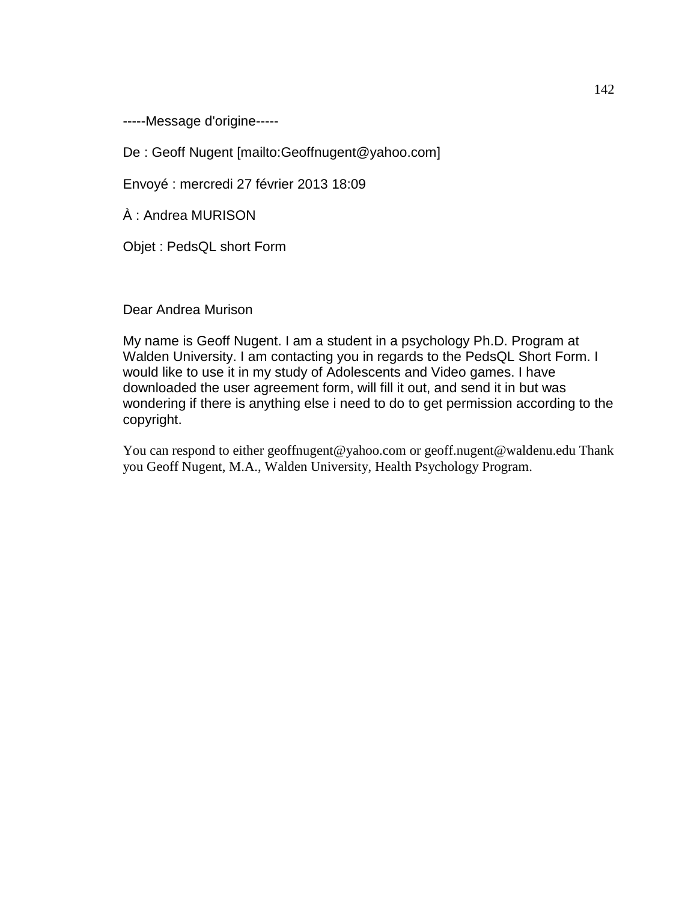-----Message d'origine-----

De : Geoff Nugent [mailto:Geoffnugent@yahoo.com]

Envoyé : mercredi 27 février 2013 18:09

À : Andrea MURISON

Objet : PedsQL short Form

Dear Andrea Murison

My name is Geoff Nugent. I am a student in a psychology Ph.D. Program at Walden University. I am contacting you in regards to the PedsQL Short Form. I would like to use it in my study of Adolescents and Video games. I have downloaded the user agreement form, will fill it out, and send it in but was wondering if there is anything else i need to do to get permission according to the copyright.

You can respond to either geoffnugent@yahoo.com or geoff.nugent@waldenu.edu Thank you Geoff Nugent, M.A., Walden University, Health Psychology Program.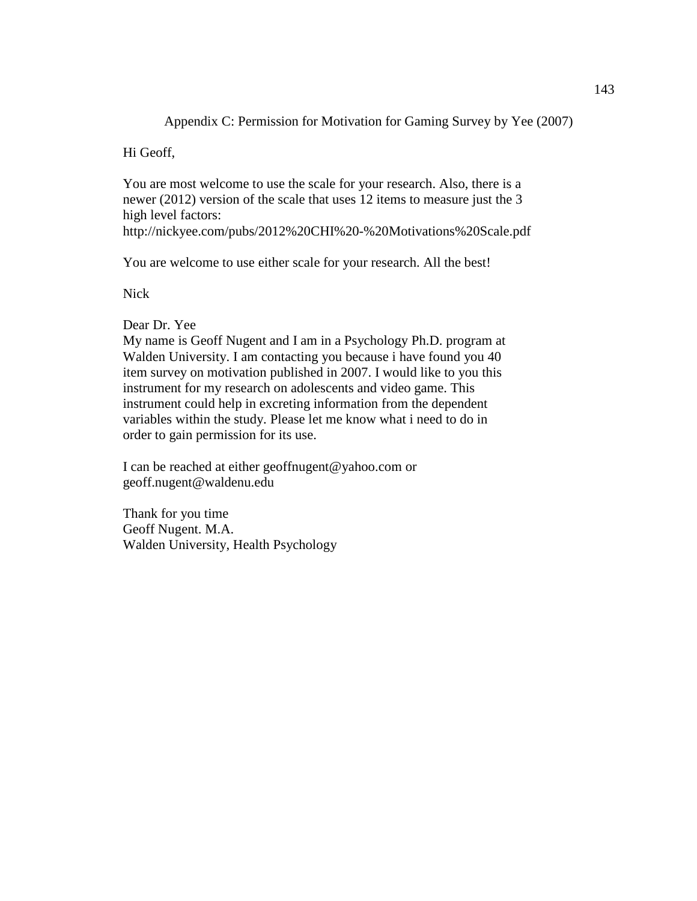Appendix C: Permission for Motivation for Gaming Survey by Yee (2007)

Hi Geoff,

You are most welcome to use the scale for your research. Also, there is a newer (2012) version of the scale that uses 12 items to measure just the 3 high level factors:

http://nickyee.com/pubs/2012%20CHI%20-%20Motivations%20Scale.pdf

You are welcome to use either scale for your research. All the best!

Nick

Dear Dr. Yee

My name is Geoff Nugent and I am in a Psychology Ph.D. program at Walden University. I am contacting you because i have found you 40 item survey on motivation published in 2007. I would like to you this instrument for my research on adolescents and video game. This instrument could help in excreting information from the dependent variables within the study. Please let me know what i need to do in order to gain permission for its use.

I can be reached at either geoffnugent@yahoo.com or geoff.nugent@waldenu.edu

Thank for you time Geoff Nugent. M.A. Walden University, Health Psychology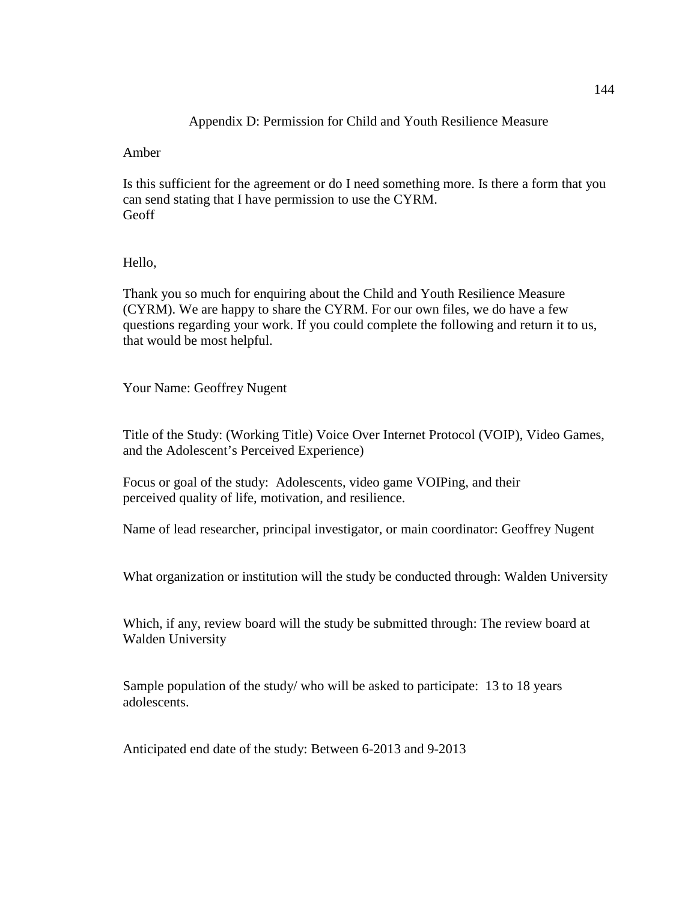### Appendix D: Permission for Child and Youth Resilience Measure

Amber

Is this sufficient for the agreement or do I need something more. Is there a form that you can send stating that I have permission to use the CYRM. Geoff

### Hello,

Thank you so much for enquiring about the Child and Youth Resilience Measure (CYRM). We are happy to share the CYRM. For our own files, we do have a few questions regarding your work. If you could complete the following and return it to us, that would be most helpful.

Your Name: Geoffrey Nugent

Title of the Study: (Working Title) Voice Over Internet Protocol (VOIP), Video Games, and the Adolescent's Perceived Experience)

Focus or goal of the study: Adolescents, video game VOIPing, and their perceived quality of life, motivation, and resilience.

Name of lead researcher, principal investigator, or main coordinator: Geoffrey Nugent

What organization or institution will the study be conducted through: Walden University

Which, if any, review board will the study be submitted through: The review board at Walden University

Sample population of the study/ who will be asked to participate: 13 to 18 years adolescents.

Anticipated end date of the study: Between 6-2013 and 9-2013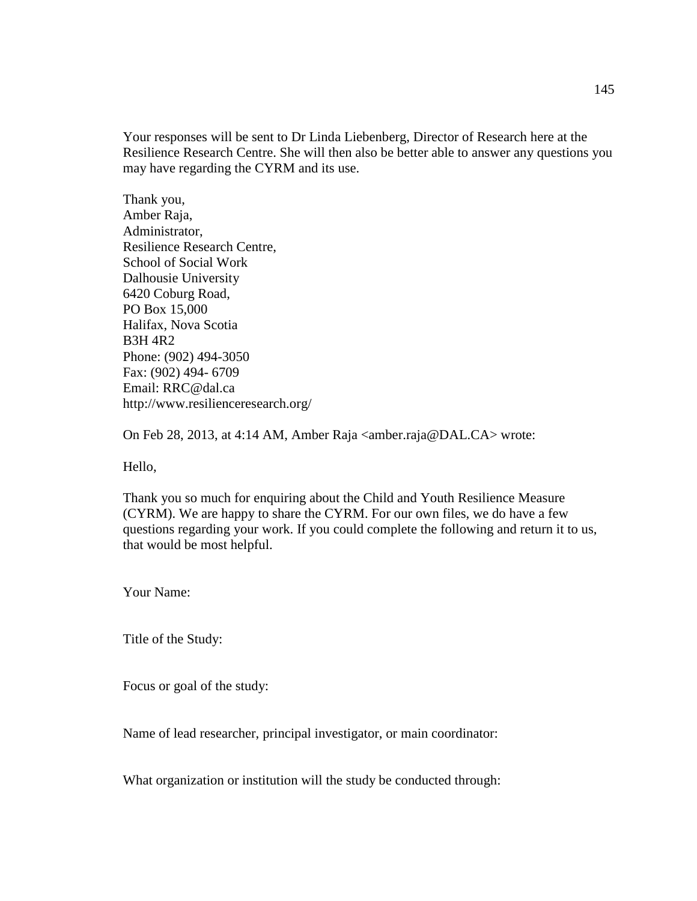Your responses will be sent to Dr Linda Liebenberg, Director of Research here at the Resilience Research Centre. She will then also be better able to answer any questions you may have regarding the CYRM and its use.

Thank you, Amber Raja, Administrator, Resilience Research Centre, School of Social Work Dalhousie University 6420 Coburg Road, PO Box 15,000 Halifax, Nova Scotia B3H 4R2 Phone: (902) 494-3050 Fax: (902) 494- 6709 Email: RRC@dal.ca http://www.resilienceresearch.org/

On Feb 28, 2013, at 4:14 AM, Amber Raja <amber.raja@DAL.CA> wrote:

Hello,

Thank you so much for enquiring about the Child and Youth Resilience Measure (CYRM). We are happy to share the CYRM. For our own files, we do have a few questions regarding your work. If you could complete the following and return it to us, that would be most helpful.

Your Name:

Title of the Study:

Focus or goal of the study:

Name of lead researcher, principal investigator, or main coordinator:

What organization or institution will the study be conducted through: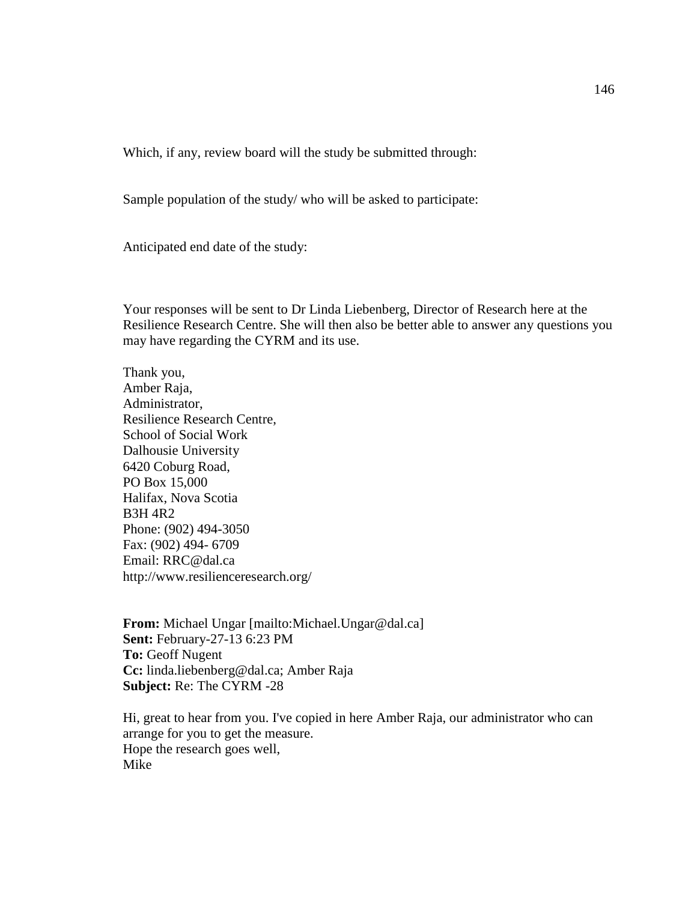Which, if any, review board will the study be submitted through:

Sample population of the study/ who will be asked to participate:

Anticipated end date of the study:

Your responses will be sent to Dr Linda Liebenberg, Director of Research here at the Resilience Research Centre. She will then also be better able to answer any questions you may have regarding the CYRM and its use.

Thank you, Amber Raja, Administrator, Resilience Research Centre, School of Social Work Dalhousie University 6420 Coburg Road, PO Box 15,000 Halifax, Nova Scotia B3H 4R2 Phone: (902) 494-3050 Fax: (902) 494- 6709 Email: RRC@dal.ca http://www.resilienceresearch.org/

**From:** Michael Ungar [mailto:Michael.Ungar@dal.ca] **Sent:** February-27-13 6:23 PM **To:** Geoff Nugent **Cc:** linda.liebenberg@dal.ca; Amber Raja **Subject:** Re: The CYRM -28

Hi, great to hear from you. I've copied in here Amber Raja, our administrator who can arrange for you to get the measure. Hope the research goes well, Mike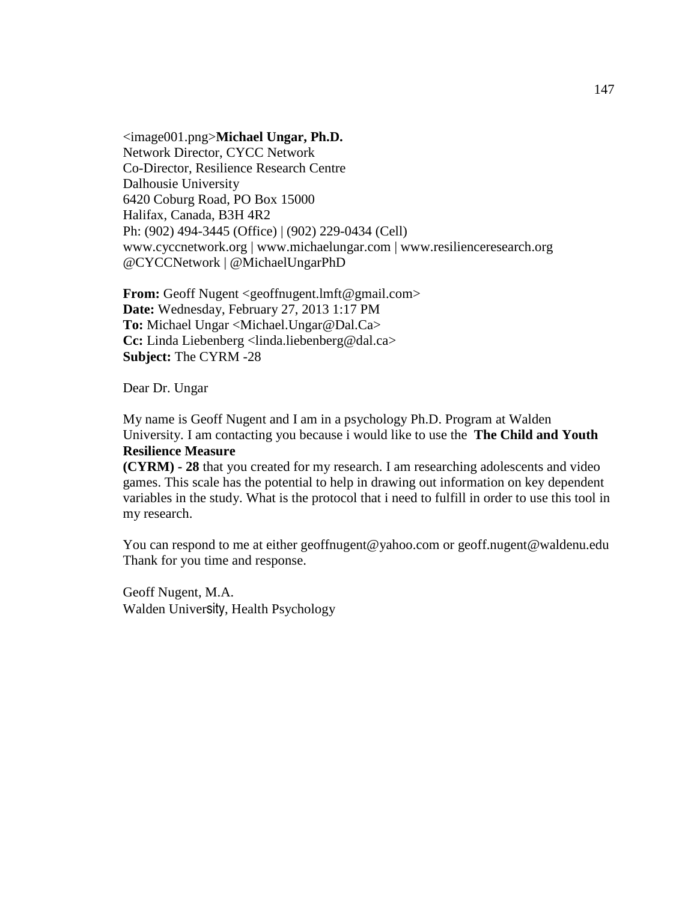<image001.png>**Michael Ungar, Ph.D.**  Network Director, CYCC Network Co-Director, Resilience Research Centre Dalhousie University 6420 Coburg Road, PO Box 15000 Halifax, Canada, B3H 4R2 Ph: (902) 494-3445 (Office) | (902) 229-0434 (Cell) www.cyccnetwork.org | www.michaelungar.com | www.resilienceresearch.org @CYCCNetwork | @MichaelUngarPhD

**From:** Geoff Nugent <geoffnugent.lmft@gmail.com> **Date:** Wednesday, February 27, 2013 1:17 PM **To:** Michael Ungar <Michael.Ungar@Dal.Ca> **Cc:** Linda Liebenberg <linda.liebenberg@dal.ca> **Subject:** The CYRM -28

Dear Dr. Ungar

My name is Geoff Nugent and I am in a psychology Ph.D. Program at Walden University. I am contacting you because i would like to use the **The Child and Youth Resilience Measure** 

**(CYRM) - 28** that you created for my research. I am researching adolescents and video games. This scale has the potential to help in drawing out information on key dependent variables in the study. What is the protocol that i need to fulfill in order to use this tool in my research.

You can respond to me at either geoffnugent@yahoo.com or geoff.nugent@waldenu.edu Thank for you time and response.

Geoff Nugent, M.A. Walden University, Health Psychology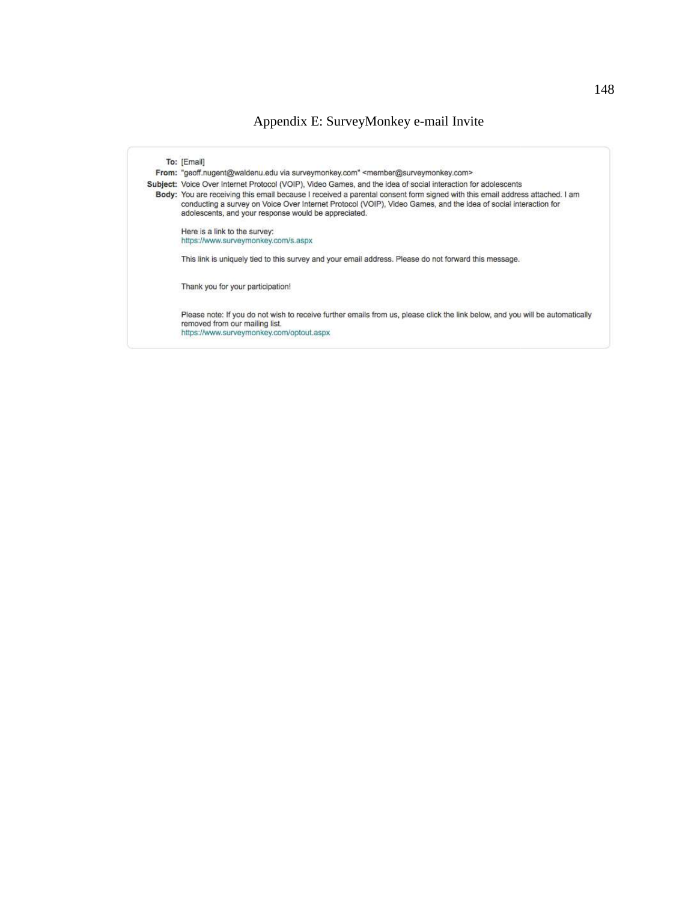### Appendix E: SurveyMonkey e-mail Invite

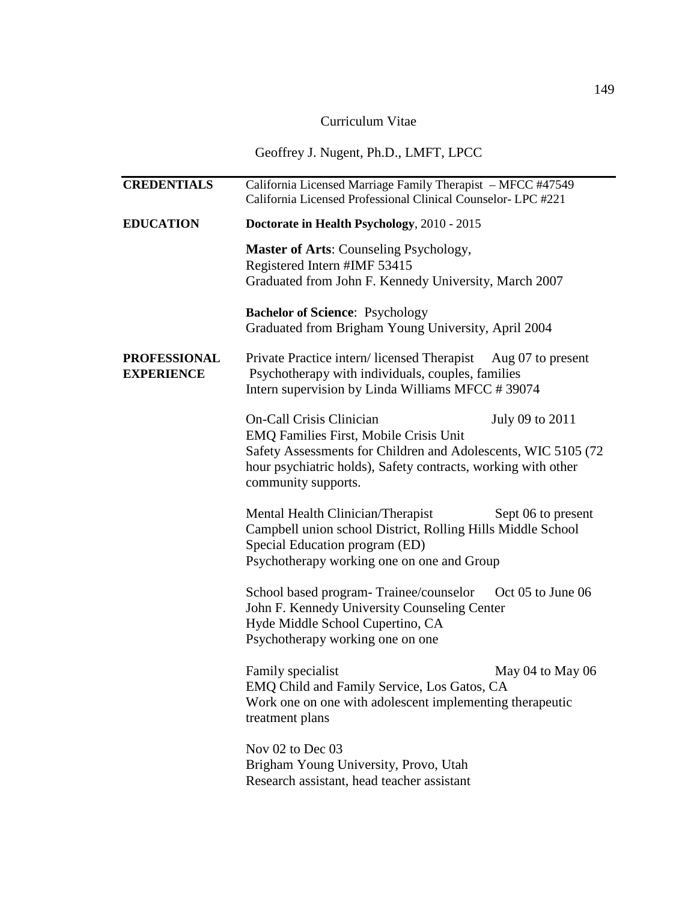### Curriculum Vitae

### Geoffrey J. Nugent, Ph.D., LMFT, LPCC

| <b>CREDENTIALS</b>                       | California Licensed Marriage Family Therapist - MFCC #47549<br>California Licensed Professional Clinical Counselor- LPC #221                                                                                                        |                    |
|------------------------------------------|-------------------------------------------------------------------------------------------------------------------------------------------------------------------------------------------------------------------------------------|--------------------|
| <b>EDUCATION</b>                         | Doctorate in Health Psychology, 2010 - 2015                                                                                                                                                                                         |                    |
|                                          | <b>Master of Arts: Counseling Psychology,</b><br>Registered Intern #IMF 53415<br>Graduated from John F. Kennedy University, March 2007                                                                                              |                    |
|                                          | <b>Bachelor of Science: Psychology</b><br>Graduated from Brigham Young University, April 2004                                                                                                                                       |                    |
| <b>PROFESSIONAL</b><br><b>EXPERIENCE</b> | Private Practice intern/licensed Therapist<br>Psychotherapy with individuals, couples, families<br>Intern supervision by Linda Williams MFCC #39074                                                                                 | Aug 07 to present  |
|                                          | <b>On-Call Crisis Clinician</b><br>EMQ Families First, Mobile Crisis Unit<br>Safety Assessments for Children and Adolescents, WIC 5105 (72)<br>hour psychiatric holds), Safety contracts, working with other<br>community supports. | July 09 to 2011    |
|                                          | Mental Health Clinician/Therapist<br>Campbell union school District, Rolling Hills Middle School<br>Special Education program (ED)<br>Psychotherapy working one on one and Group                                                    | Sept 06 to present |
|                                          | School based program-Trainee/counselor<br>John F. Kennedy University Counseling Center<br>Hyde Middle School Cupertino, CA<br>Psychotherapy working one on one                                                                      | Oct 05 to June 06  |
|                                          | Family specialist<br>EMQ Child and Family Service, Los Gatos, CA<br>Work one on one with adolescent implementing therapeutic<br>treatment plans                                                                                     | May 04 to May 06   |
|                                          | Nov 02 to Dec 03<br>Brigham Young University, Provo, Utah<br>Research assistant, head teacher assistant                                                                                                                             |                    |